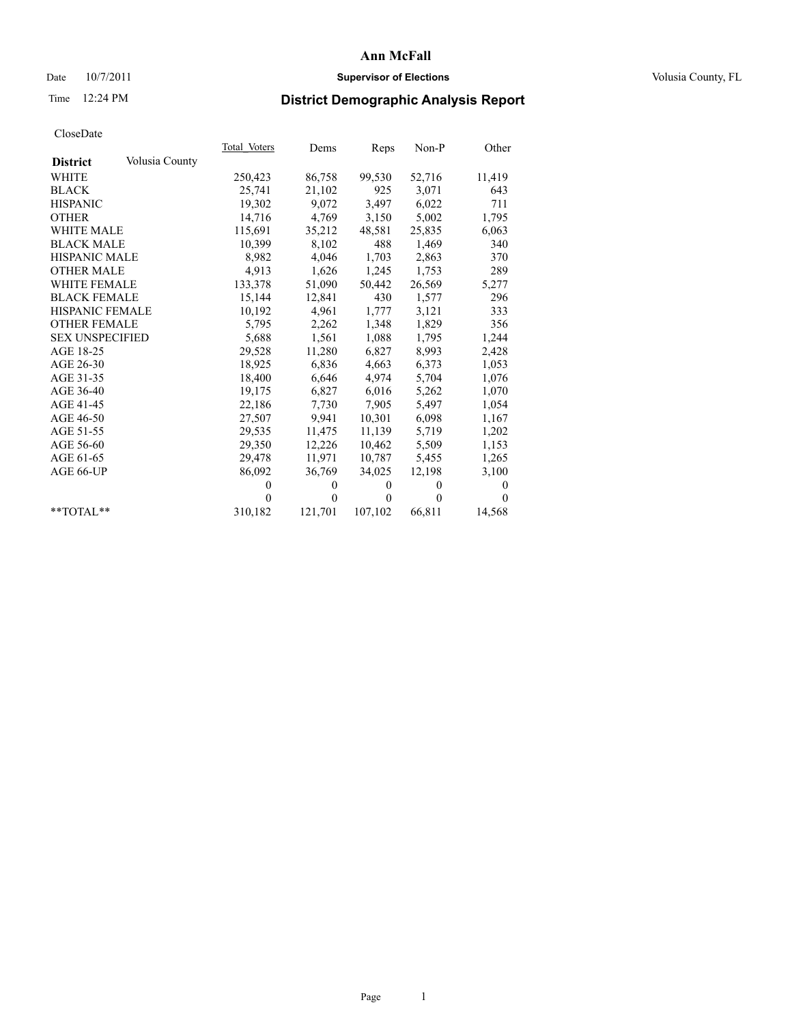## Date  $10/7/2011$  **Supervisor of Elections Supervisor of Elections** Volusia County, FL

# Time 12:24 PM **District Demographic Analysis Report**

|                                   | Total Voters | Dems         | Reps     | $Non-P$  | Other        |
|-----------------------------------|--------------|--------------|----------|----------|--------------|
| Volusia County<br><b>District</b> |              |              |          |          |              |
| WHITE                             | 250,423      | 86,758       | 99,530   | 52,716   | 11,419       |
| <b>BLACK</b>                      | 25,741       | 21,102       | 925      | 3,071    | 643          |
| <b>HISPANIC</b>                   | 19,302       | 9.072        | 3,497    | 6,022    | 711          |
| <b>OTHER</b>                      | 14,716       | 4,769        | 3,150    | 5,002    | 1,795        |
| <b>WHITE MALE</b>                 | 115,691      | 35,212       | 48,581   | 25,835   | 6,063        |
| <b>BLACK MALE</b>                 | 10,399       | 8,102        | 488      | 1,469    | 340          |
| <b>HISPANIC MALE</b>              | 8,982        | 4,046        | 1,703    | 2,863    | 370          |
| <b>OTHER MALE</b>                 | 4,913        | 1,626        | 1,245    | 1,753    | 289          |
| <b>WHITE FEMALE</b>               | 133,378      | 51,090       | 50,442   | 26,569   | 5,277        |
| <b>BLACK FEMALE</b>               | 15,144       | 12,841       | 430      | 1,577    | 296          |
| HISPANIC FEMALE                   | 10,192       | 4,961        | 1,777    | 3,121    | 333          |
| <b>OTHER FEMALE</b>               | 5,795        | 2,262        | 1,348    | 1,829    | 356          |
| <b>SEX UNSPECIFIED</b>            | 5,688        | 1,561        | 1,088    | 1,795    | 1,244        |
| AGE 18-25                         | 29,528       | 11,280       | 6,827    | 8,993    | 2,428        |
| AGE 26-30                         | 18,925       | 6,836        | 4,663    | 6,373    | 1,053        |
| AGE 31-35                         | 18,400       | 6,646        | 4,974    | 5,704    | 1,076        |
| AGE 36-40                         | 19,175       | 6,827        | 6,016    | 5,262    | 1,070        |
| AGE 41-45                         | 22,186       | 7,730        | 7.905    | 5,497    | 1,054        |
| AGE 46-50                         | 27,507       | 9,941        | 10,301   | 6,098    | 1,167        |
| AGE 51-55                         | 29,535       | 11,475       | 11,139   | 5,719    | 1,202        |
| AGE 56-60                         | 29,350       | 12,226       | 10,462   | 5,509    | 1,153        |
| AGE 61-65                         | 29,478       | 11,971       | 10,787   | 5,455    | 1,265        |
| AGE 66-UP                         | 86,092       | 36,769       | 34,025   | 12,198   | 3,100        |
|                                   | $\Omega$     | $\mathbf{0}$ | $\Omega$ | $\theta$ | $\mathbf{0}$ |
|                                   | $\theta$     | $\theta$     | $\theta$ | $\theta$ | $\Omega$     |
| $*$ $TOTAI.**$                    | 310,182      | 121,701      | 107,102  | 66,811   | 14,568       |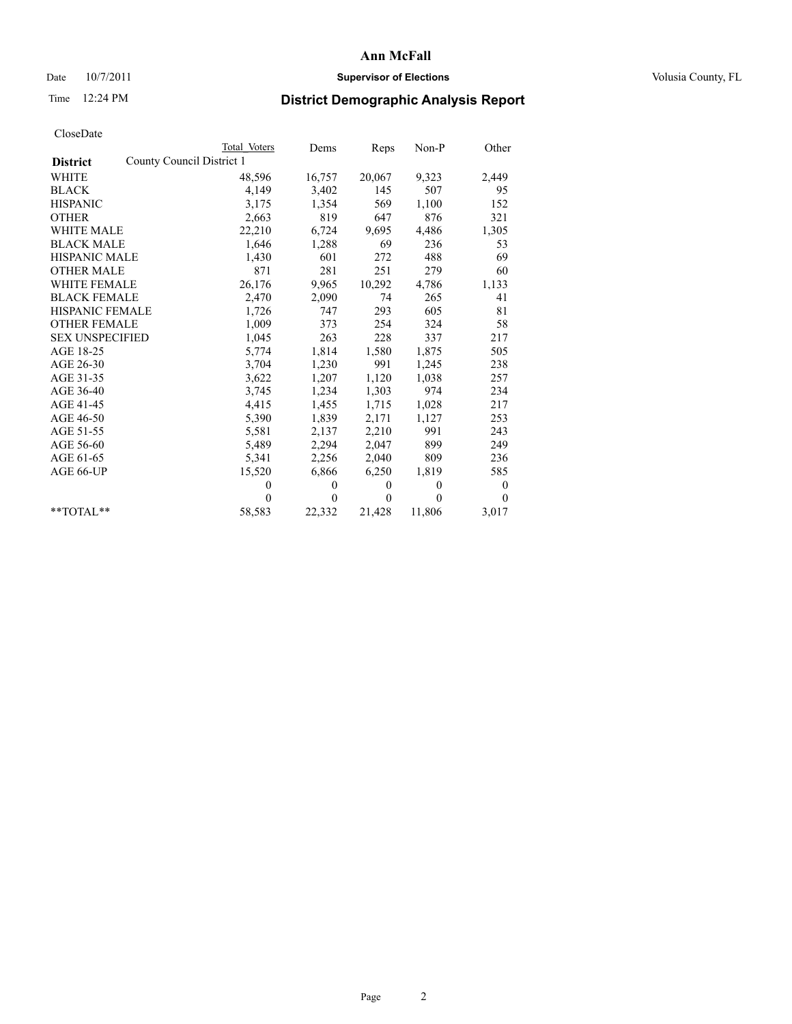## Date  $10/7/2011$  **Supervisor of Elections Supervisor of Elections** Volusia County, FL

# Time 12:24 PM **District Demographic Analysis Report**

|                                              | Total Voters | Dems         | Reps         | $Non-P$      | Other    |
|----------------------------------------------|--------------|--------------|--------------|--------------|----------|
| County Council District 1<br><b>District</b> |              |              |              |              |          |
| WHITE                                        | 48,596       | 16,757       | 20,067       | 9,323        | 2,449    |
| <b>BLACK</b>                                 | 4,149        | 3,402        | 145          | 507          | 95       |
| <b>HISPANIC</b>                              | 3,175        | 1,354        | 569          | 1,100        | 152      |
| <b>OTHER</b>                                 | 2,663        | 819          | 647          | 876          | 321      |
| <b>WHITE MALE</b>                            | 22,210       | 6,724        | 9,695        | 4,486        | 1,305    |
| <b>BLACK MALE</b>                            | 1,646        | 1,288        | 69           | 236          | 53       |
| <b>HISPANIC MALE</b>                         | 1,430        | 601          | 272          | 488          | 69       |
| <b>OTHER MALE</b>                            | 871          | 281          | 251          | 279          | 60       |
| <b>WHITE FEMALE</b>                          | 26,176       | 9,965        | 10,292       | 4,786        | 1,133    |
| <b>BLACK FEMALE</b>                          | 2,470        | 2,090        | 74           | 265          | 41       |
| HISPANIC FEMALE                              | 1,726        | 747          | 293          | 605          | 81       |
| <b>OTHER FEMALE</b>                          | 1,009        | 373          | 254          | 324          | 58       |
| <b>SEX UNSPECIFIED</b>                       | 1,045        | 263          | 228          | 337          | 217      |
| AGE 18-25                                    | 5,774        | 1,814        | 1,580        | 1,875        | 505      |
| AGE 26-30                                    | 3,704        | 1,230        | 991          | 1,245        | 238      |
| AGE 31-35                                    | 3,622        | 1,207        | 1,120        | 1,038        | 257      |
| AGE 36-40                                    | 3,745        | 1,234        | 1,303        | 974          | 234      |
| AGE 41-45                                    | 4,415        | 1,455        | 1,715        | 1,028        | 217      |
| AGE 46-50                                    | 5,390        | 1,839        | 2,171        | 1,127        | 253      |
| AGE 51-55                                    | 5,581        | 2,137        | 2,210        | 991          | 243      |
| AGE 56-60                                    | 5,489        | 2,294        | 2,047        | 899          | 249      |
| AGE 61-65                                    | 5,341        | 2,256        | 2,040        | 809          | 236      |
| AGE 66-UP                                    | 15,520       | 6,866        | 6,250        | 1,819        | 585      |
|                                              | $\theta$     | $\mathbf{0}$ | $\mathbf{0}$ | $\mathbf{0}$ | $\bf{0}$ |
|                                              | $\Omega$     | $\mathbf{0}$ | $\theta$     | $\Omega$     | $\Omega$ |
| $*$ $TOTAI.**$                               | 58,583       | 22,332       | 21,428       | 11,806       | 3,017    |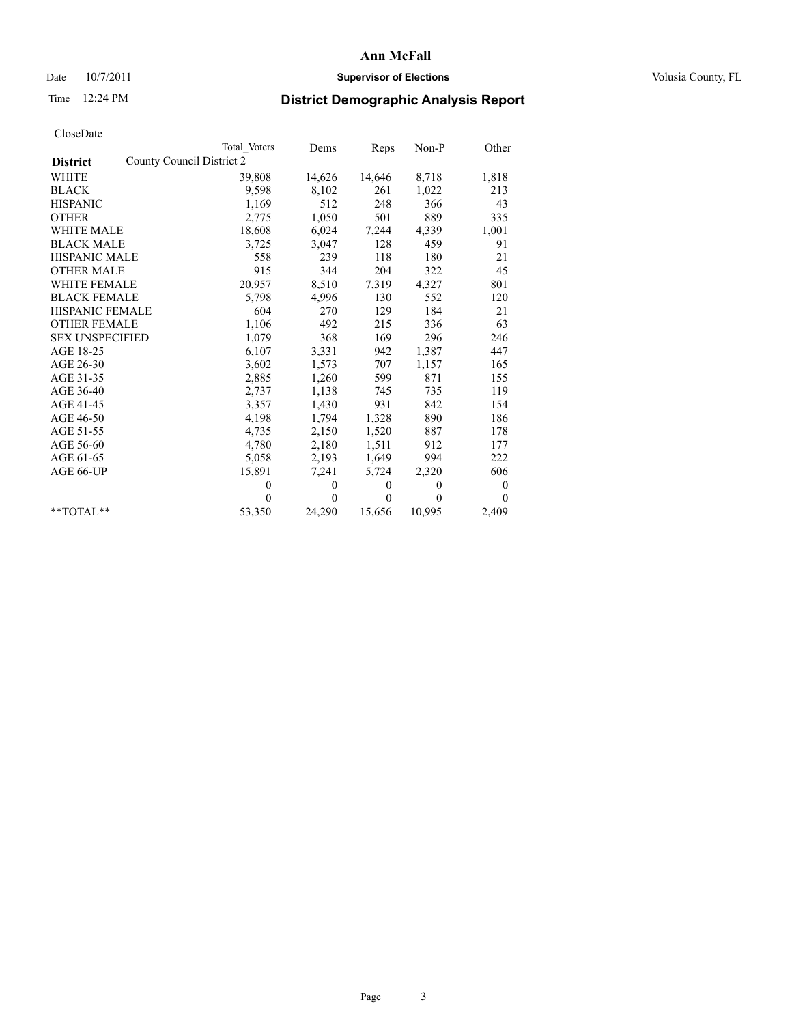## Date  $10/7/2011$  **Supervisor of Elections Supervisor of Elections** Volusia County, FL

# Time 12:24 PM **District Demographic Analysis Report**

|                                              | Total Voters | Dems     | Reps     | $Non-P$  | Other            |
|----------------------------------------------|--------------|----------|----------|----------|------------------|
| County Council District 2<br><b>District</b> |              |          |          |          |                  |
| WHITE                                        | 39,808       | 14,626   | 14,646   | 8,718    | 1,818            |
| <b>BLACK</b>                                 | 9,598        | 8,102    | 261      | 1,022    | 213              |
| <b>HISPANIC</b>                              | 1,169        | 512      | 248      | 366      | 43               |
| <b>OTHER</b>                                 | 2,775        | 1,050    | 501      | 889      | 335              |
| <b>WHITE MALE</b>                            | 18,608       | 6,024    | 7,244    | 4,339    | 1,001            |
| <b>BLACK MALE</b>                            | 3,725        | 3,047    | 128      | 459      | 91               |
| HISPANIC MALE                                | 558          | 239      | 118      | 180      | 21               |
| <b>OTHER MALE</b>                            | 915          | 344      | 204      | 322      | 45               |
| <b>WHITE FEMALE</b>                          | 20,957       | 8,510    | 7,319    | 4,327    | 801              |
| <b>BLACK FEMALE</b>                          | 5,798        | 4,996    | 130      | 552      | 120              |
| HISPANIC FEMALE                              | 604          | 270      | 129      | 184      | 21               |
| <b>OTHER FEMALE</b>                          | 1,106        | 492      | 215      | 336      | 63               |
| <b>SEX UNSPECIFIED</b>                       | 1,079        | 368      | 169      | 296      | 246              |
| AGE 18-25                                    | 6,107        | 3,331    | 942      | 1,387    | 447              |
| AGE 26-30                                    | 3,602        | 1,573    | 707      | 1,157    | 165              |
| AGE 31-35                                    | 2,885        | 1,260    | 599      | 871      | 155              |
| AGE 36-40                                    | 2,737        | 1,138    | 745      | 735      | 119              |
| AGE 41-45                                    | 3,357        | 1,430    | 931      | 842      | 154              |
| AGE 46-50                                    | 4,198        | 1,794    | 1,328    | 890      | 186              |
| AGE 51-55                                    | 4,735        | 2,150    | 1,520    | 887      | 178              |
| AGE 56-60                                    | 4,780        | 2,180    | 1,511    | 912      | 177              |
| AGE 61-65                                    | 5,058        | 2,193    | 1,649    | 994      | 222              |
| AGE 66-UP                                    | 15,891       | 7,241    | 5,724    | 2,320    | 606              |
|                                              | $\mathbf{0}$ | $\theta$ | $\theta$ | $\theta$ | $\boldsymbol{0}$ |
|                                              | $\Omega$     | $\theta$ | $\theta$ | $\theta$ | $\theta$         |
| $*$ $TOTAI.**$                               | 53,350       | 24,290   | 15,656   | 10,995   | 2,409            |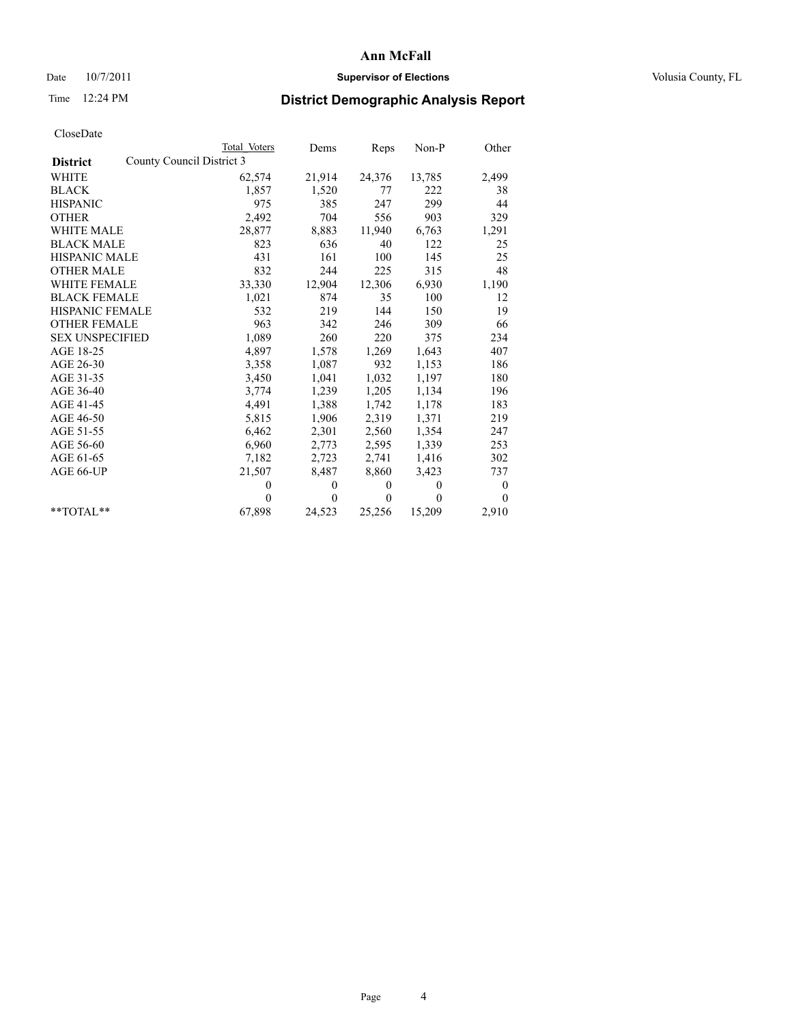## Date  $10/7/2011$  **Supervisor of Elections Supervisor of Elections** Volusia County, FL

# Time 12:24 PM **District Demographic Analysis Report**

|                        | <b>Total Voters</b>       | Dems         | Reps     | Non-P        | Other    |
|------------------------|---------------------------|--------------|----------|--------------|----------|
| <b>District</b>        | County Council District 3 |              |          |              |          |
| WHITE                  | 62,574                    | 21,914       | 24,376   | 13,785       | 2,499    |
| <b>BLACK</b>           | 1,857                     | 1,520        | 77       | 222          | 38       |
| <b>HISPANIC</b>        | 975                       | 385          | 247      | 299          | 44       |
| <b>OTHER</b>           | 2,492                     | 704          | 556      | 903          | 329      |
| <b>WHITE MALE</b>      | 28,877                    | 8,883        | 11,940   | 6,763        | 1,291    |
| <b>BLACK MALE</b>      | 823                       | 636          | 40       | 122          | 25       |
| <b>HISPANIC MALE</b>   | 431                       | 161          | 100      | 145          | 25       |
| <b>OTHER MALE</b>      | 832                       | 244          | 225      | 315          | 48       |
| WHITE FEMALE           | 33,330                    | 12,904       | 12,306   | 6,930        | 1,190    |
| <b>BLACK FEMALE</b>    | 1,021                     | 874          | 35       | 100          | 12       |
| HISPANIC FEMALE        | 532                       | 219          | 144      | 150          | 19       |
| <b>OTHER FEMALE</b>    | 963                       | 342          | 246      | 309          | 66       |
| <b>SEX UNSPECIFIED</b> | 1,089                     | 260          | 220      | 375          | 234      |
| AGE 18-25              | 4,897                     | 1,578        | 1,269    | 1,643        | 407      |
| AGE 26-30              | 3,358                     | 1,087        | 932      | 1,153        | 186      |
| AGE 31-35              | 3,450                     | 1,041        | 1,032    | 1,197        | 180      |
| AGE 36-40              | 3,774                     | 1,239        | 1,205    | 1,134        | 196      |
| AGE 41-45              | 4,491                     | 1,388        | 1,742    | 1,178        | 183      |
| AGE 46-50              | 5,815                     | 1,906        | 2,319    | 1,371        | 219      |
| AGE 51-55              | 6,462                     | 2,301        | 2,560    | 1,354        | 247      |
| AGE 56-60              | 6,960                     | 2,773        | 2,595    | 1,339        | 253      |
| AGE 61-65              | 7,182                     | 2,723        | 2,741    | 1,416        | 302      |
| AGE 66-UP              | 21,507                    | 8,487        | 8,860    | 3,423        | 737      |
|                        | $\theta$                  | $\mathbf{0}$ | $\Omega$ | $\mathbf{0}$ | $\bf{0}$ |
|                        | $\theta$                  | $\theta$     | $\theta$ | $\theta$     | $\theta$ |
| $*$ $TOTAI.**$         | 67,898                    | 24,523       | 25,256   | 15,209       | 2,910    |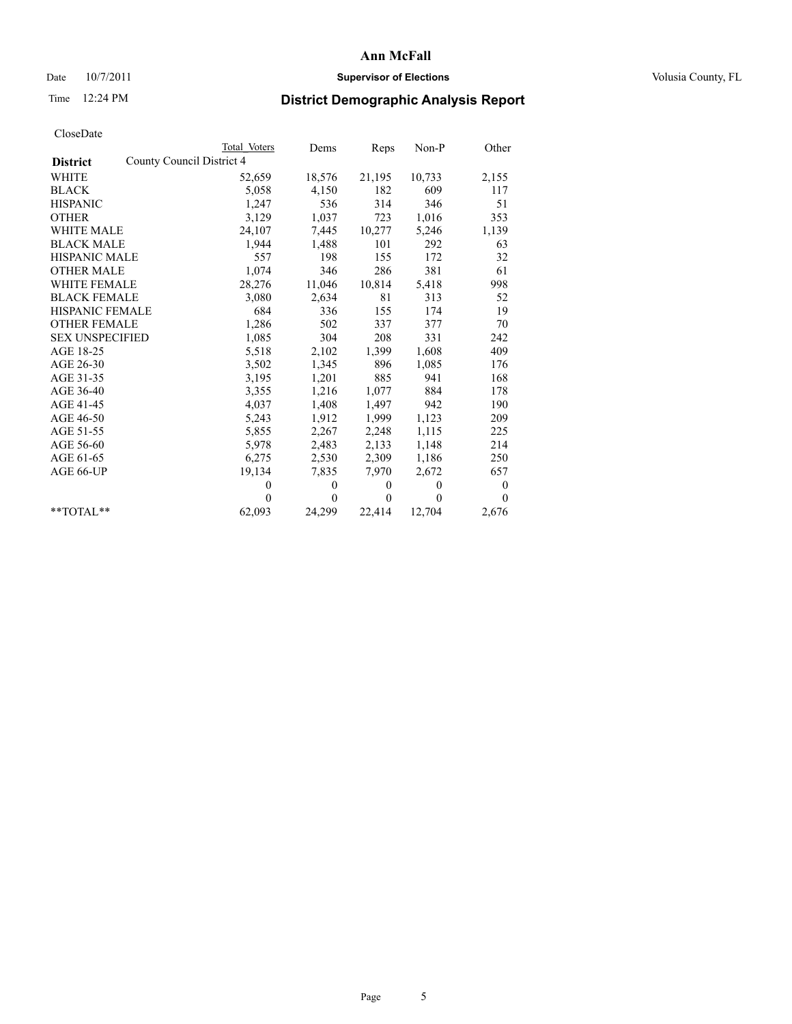## Date  $10/7/2011$  **Supervisor of Elections Supervisor of Elections** Volusia County, FL

# Time 12:24 PM **District Demographic Analysis Report**

|                        |                           | Total Voters | Dems         | Reps         | $Non-P$      | Other            |
|------------------------|---------------------------|--------------|--------------|--------------|--------------|------------------|
| <b>District</b>        | County Council District 4 |              |              |              |              |                  |
| <b>WHITE</b>           |                           | 52,659       | 18,576       | 21,195       | 10,733       | 2,155            |
| <b>BLACK</b>           |                           | 5,058        | 4,150        | 182          | 609          | 117              |
| <b>HISPANIC</b>        |                           | 1,247        | 536          | 314          | 346          | 51               |
| <b>OTHER</b>           |                           | 3,129        | 1,037        | 723          | 1,016        | 353              |
| <b>WHITE MALE</b>      |                           | 24,107       | 7,445        | 10,277       | 5,246        | 1,139            |
| <b>BLACK MALE</b>      |                           | 1,944        | 1,488        | 101          | 292          | 63               |
| <b>HISPANIC MALE</b>   |                           | 557          | 198          | 155          | 172          | 32               |
| <b>OTHER MALE</b>      |                           | 1,074        | 346          | 286          | 381          | 61               |
| WHITE FEMALE           |                           | 28,276       | 11,046       | 10,814       | 5,418        | 998              |
| <b>BLACK FEMALE</b>    |                           | 3,080        | 2,634        | 81           | 313          | 52               |
| HISPANIC FEMALE        |                           | 684          | 336          | 155          | 174          | 19               |
| <b>OTHER FEMALE</b>    |                           | 1,286        | 502          | 337          | 377          | 70               |
| <b>SEX UNSPECIFIED</b> |                           | 1,085        | 304          | 208          | 331          | 242              |
| AGE 18-25              |                           | 5,518        | 2,102        | 1,399        | 1,608        | 409              |
| AGE 26-30              |                           | 3,502        | 1,345        | 896          | 1,085        | 176              |
| AGE 31-35              |                           | 3,195        | 1,201        | 885          | 941          | 168              |
| AGE 36-40              |                           | 3,355        | 1,216        | 1,077        | 884          | 178              |
| AGE 41-45              |                           | 4,037        | 1,408        | 1,497        | 942          | 190              |
| AGE 46-50              |                           | 5,243        | 1,912        | 1,999        | 1,123        | 209              |
| AGE 51-55              |                           | 5,855        | 2,267        | 2,248        | 1,115        | 225              |
| AGE 56-60              |                           | 5,978        | 2,483        | 2,133        | 1,148        | 214              |
| AGE 61-65              |                           | 6,275        | 2,530        | 2,309        | 1,186        | 250              |
| AGE 66-UP              |                           | 19,134       | 7,835        | 7,970        | 2,672        | 657              |
|                        |                           | $\mathbf{0}$ | $\mathbf{0}$ | $\mathbf{0}$ | $\mathbf{0}$ | $\boldsymbol{0}$ |
|                        |                           | $\theta$     | $\theta$     | $\theta$     | $\theta$     | $\theta$         |
| $*$ $TOTAI.**$         |                           | 62,093       | 24,299       | 22,414       | 12,704       | 2,676            |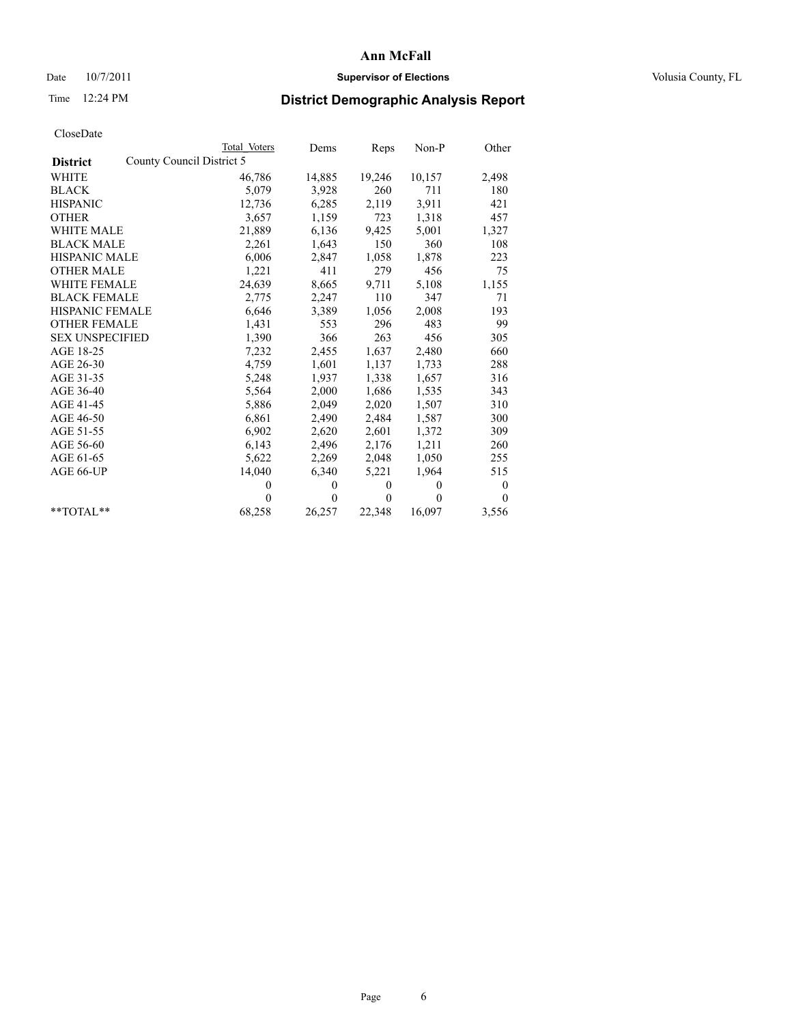# Date  $10/7/2011$  **Supervisor of Elections Supervisor of Elections** Volusia County, FL

# Time 12:24 PM **District Demographic Analysis Report**

|                        | Total Voters              | Dems         | Reps     | $Non-P$      | Other    |
|------------------------|---------------------------|--------------|----------|--------------|----------|
| <b>District</b>        | County Council District 5 |              |          |              |          |
| WHITE                  | 46,786                    | 14,885       | 19,246   | 10,157       | 2,498    |
| <b>BLACK</b>           | 5,079                     | 3,928        | 260      | 711          | 180      |
| <b>HISPANIC</b>        | 12,736                    | 6,285        | 2,119    | 3,911        | 421      |
| <b>OTHER</b>           | 3,657                     | 1,159        | 723      | 1,318        | 457      |
| <b>WHITE MALE</b>      | 21,889                    | 6,136        | 9,425    | 5,001        | 1,327    |
| <b>BLACK MALE</b>      | 2,261                     | 1,643        | 150      | 360          | 108      |
| <b>HISPANIC MALE</b>   | 6,006                     | 2,847        | 1,058    | 1,878        | 223      |
| <b>OTHER MALE</b>      | 1,221                     | 411          | 279      | 456          | 75       |
| <b>WHITE FEMALE</b>    | 24,639                    | 8,665        | 9,711    | 5,108        | 1,155    |
| <b>BLACK FEMALE</b>    | 2,775                     | 2,247        | 110      | 347          | 71       |
| HISPANIC FEMALE        | 6,646                     | 3,389        | 1,056    | 2,008        | 193      |
| <b>OTHER FEMALE</b>    | 1,431                     | 553          | 296      | 483          | 99       |
| <b>SEX UNSPECIFIED</b> | 1,390                     | 366          | 263      | 456          | 305      |
| AGE 18-25              | 7,232                     | 2,455        | 1,637    | 2,480        | 660      |
| AGE 26-30              | 4,759                     | 1,601        | 1,137    | 1,733        | 288      |
| AGE 31-35              | 5,248                     | 1,937        | 1,338    | 1,657        | 316      |
| AGE 36-40              | 5,564                     | 2,000        | 1,686    | 1,535        | 343      |
| AGE 41-45              | 5,886                     | 2,049        | 2,020    | 1,507        | 310      |
| AGE 46-50              | 6,861                     | 2,490        | 2,484    | 1,587        | 300      |
| AGE 51-55              | 6,902                     | 2,620        | 2,601    | 1,372        | 309      |
| AGE 56-60              | 6,143                     | 2,496        | 2,176    | 1,211        | 260      |
| AGE 61-65              | 5,622                     | 2,269        | 2,048    | 1,050        | 255      |
| AGE 66-UP              | 14,040                    | 6,340        | 5,221    | 1,964        | 515      |
|                        | $\theta$                  | $\mathbf{0}$ | $\theta$ | $\mathbf{0}$ | $\bf{0}$ |
|                        | $\theta$                  | $\mathbf{0}$ | $\theta$ | $\theta$     | $\Omega$ |
| $*$ $TOTAI.**$         | 68,258                    | 26,257       | 22,348   | 16,097       | 3,556    |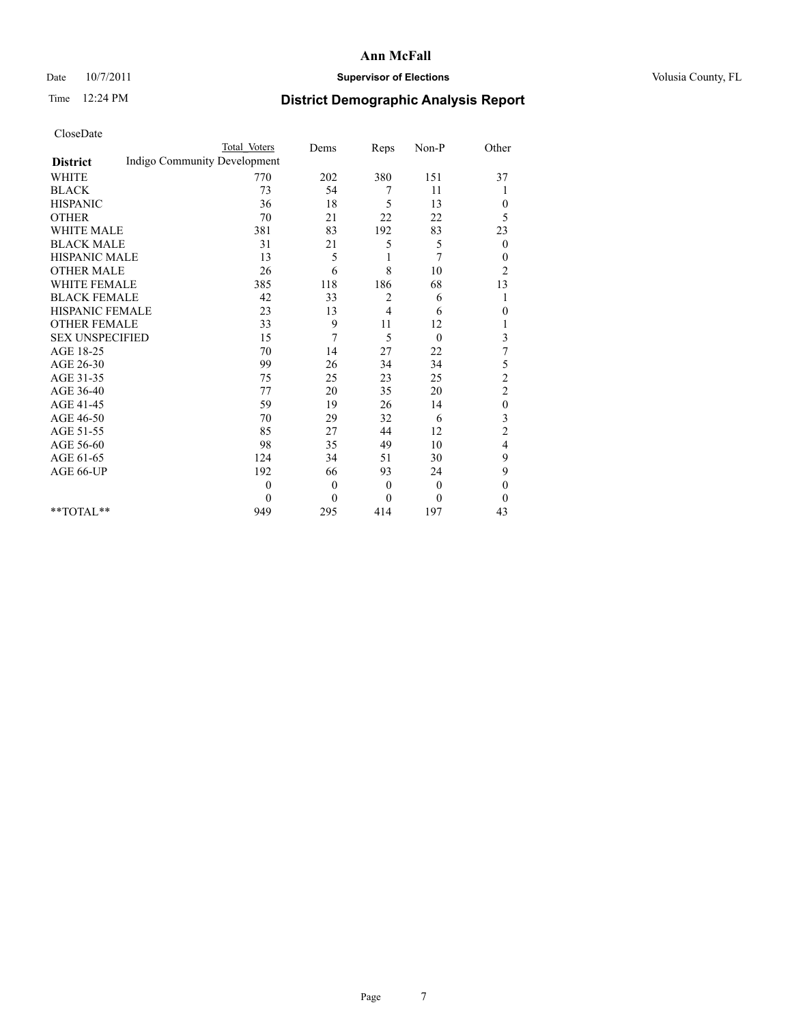## Date  $10/7/2011$  **Supervisor of Elections Supervisor of Elections** Volusia County, FL

# Time 12:24 PM **District Demographic Analysis Report**

|                                                 | <b>Total Voters</b> | Dems           | Reps     | Non-P        | Other            |
|-------------------------------------------------|---------------------|----------------|----------|--------------|------------------|
| Indigo Community Development<br><b>District</b> |                     |                |          |              |                  |
| <b>WHITE</b>                                    | 770                 | 202            | 380      | 151          | 37               |
| <b>BLACK</b>                                    | 73                  | 54             | 7        | 11           |                  |
| <b>HISPANIC</b>                                 | 36                  | 18             | 5        | 13           | $\boldsymbol{0}$ |
| <b>OTHER</b>                                    | 70                  | 21             | 22       | 22           | 5                |
| <b>WHITE MALE</b>                               | 381                 | 83             | 192      | 83           | 23               |
| <b>BLACK MALE</b>                               | 31                  | 21             | 5        | 5            | $\mathbf{0}$     |
| <b>HISPANIC MALE</b>                            | 13                  | 5              | 1        | 7            | $\boldsymbol{0}$ |
| <b>OTHER MALE</b>                               | 26                  | 6              | 8        | 10           | $\overline{c}$   |
| <b>WHITE FEMALE</b>                             | 385                 | 118            | 186      | 68           | 13               |
| <b>BLACK FEMALE</b>                             | 42                  | 33             | 2        | 6            |                  |
| HISPANIC FEMALE                                 | 23                  | 13             | 4        | 6            | $\theta$         |
| <b>OTHER FEMALE</b>                             | 33                  | 9              | 11       | 12           | 1                |
| <b>SEX UNSPECIFIED</b>                          | 15                  | 7              | 5        | $\theta$     | 3                |
| AGE 18-25                                       | 70                  | 14             | 27       | 22           | 7                |
| AGE 26-30                                       | 99                  | 26             | 34       | 34           | 5                |
| AGE 31-35                                       | 75                  | 25             | 23       | 25           | $\overline{c}$   |
| AGE 36-40                                       | 77                  | 20             | 35       | 20           | $\overline{c}$   |
| AGE 41-45                                       | 59                  | 19             | 26       | 14           | $\boldsymbol{0}$ |
| AGE 46-50                                       | 70                  | 29             | 32       | 6            | 3                |
| AGE 51-55                                       | 85                  | 27             | 44       | 12           | $\overline{c}$   |
| AGE 56-60                                       | 98                  | 35             | 49       | 10           | 4                |
| AGE 61-65                                       | 124                 | 34             | 51       | 30           | 9                |
| AGE 66-UP                                       | 192                 | 66             | 93       | 24           | 9                |
|                                                 | $\theta$            | $\overline{0}$ | $\theta$ | $\mathbf{0}$ | $\theta$         |
|                                                 | $\theta$            | $\theta$       | $\Omega$ | $\theta$     | $\Omega$         |
| $*$ $TOTAI.**$                                  | 949                 | 295            | 414      | 197          | 43               |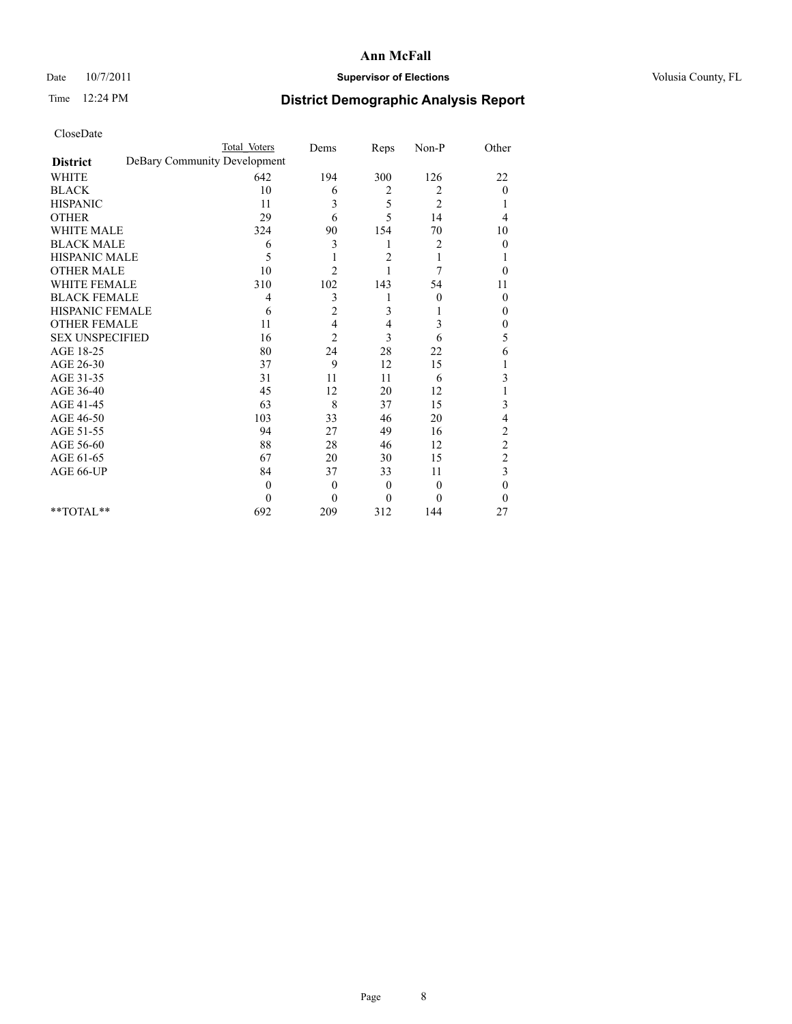## Date  $10/7/2011$  **Supervisor of Elections Supervisor of Elections** Volusia County, FL

# Time 12:24 PM **District Demographic Analysis Report**

|                        | <b>Total Voters</b>          | Dems           | Reps           | Non-P            | Other                   |
|------------------------|------------------------------|----------------|----------------|------------------|-------------------------|
| <b>District</b>        | DeBary Community Development |                |                |                  |                         |
| <b>WHITE</b>           | 642                          | 194            | 300            | 126              | 22                      |
| <b>BLACK</b>           | 10                           | 6              | 2              | 2                | $\theta$                |
| <b>HISPANIC</b>        | 11                           | 3              | 5              | $\overline{c}$   |                         |
| <b>OTHER</b>           | 29                           | 6              | 5              | 14               | 4                       |
| <b>WHITE MALE</b>      | 324                          | 90             | 154            | 70               | 10                      |
| <b>BLACK MALE</b>      | 6                            | 3              | 1              | 2                | $\theta$                |
| HISPANIC MALE          | 5                            |                | $\overline{c}$ |                  |                         |
| <b>OTHER MALE</b>      | 10                           | $\overline{c}$ |                | 7                | $\theta$                |
| <b>WHITE FEMALE</b>    | 310                          | 102            | 143            | 54               | 11                      |
| <b>BLACK FEMALE</b>    | $\overline{4}$               | 3              |                | $\boldsymbol{0}$ | $\mathbf{0}$            |
| HISPANIC FEMALE        | 6                            | 2              | 3              |                  | 0                       |
| <b>OTHER FEMALE</b>    | 11                           | 4              | 4              | 3                | 0                       |
| <b>SEX UNSPECIFIED</b> | 16                           | $\overline{c}$ | 3              | 6                | 5                       |
| AGE 18-25              | 80                           | 24             | 28             | 22               | 6                       |
| AGE 26-30              | 37                           | 9              | 12             | 15               |                         |
| AGE 31-35              | 31                           | 11             | 11             | 6                | 3                       |
| AGE 36-40              | 45                           | 12             | 20             | 12               |                         |
| AGE 41-45              | 63                           | 8              | 37             | 15               | 3                       |
| AGE 46-50              | 103                          | 33             | 46             | 20               | 4                       |
| AGE 51-55              | 94                           | 27             | 49             | 16               | $\overline{\mathbf{c}}$ |
| AGE 56-60              | 88                           | 28             | 46             | 12               | $\overline{c}$          |
| AGE 61-65              | 67                           | 20             | 30             | 15               | $\overline{c}$          |
| AGE 66-UP              | 84                           | 37             | 33             | 11               | 3                       |
|                        | $\theta$                     | $\overline{0}$ | $\mathbf{0}$   | $\theta$         | $\theta$                |
|                        | $\Omega$                     | $\mathbf{0}$   | $\theta$       | $\theta$         | $\theta$                |
| **TOTAL**              | 692                          | 209            | 312            | 144              | 27                      |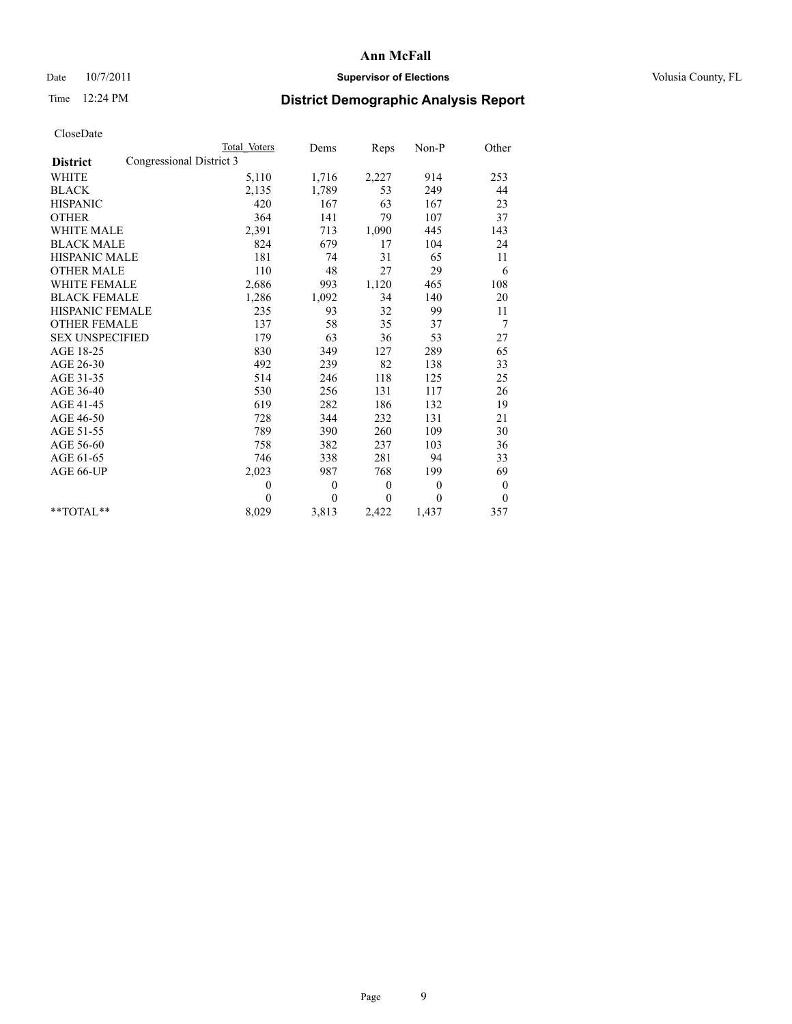## Date  $10/7/2011$  **Supervisor of Elections Supervisor of Elections** Volusia County, FL

# Time 12:24 PM **District Demographic Analysis Report**

|                                             | Total Voters | Dems         | Reps     | $Non-P$      | Other        |  |
|---------------------------------------------|--------------|--------------|----------|--------------|--------------|--|
| Congressional District 3<br><b>District</b> |              |              |          |              |              |  |
| <b>WHITE</b>                                | 5,110        | 1,716        | 2,227    | 914          | 253          |  |
| <b>BLACK</b>                                | 2,135        | 1,789        | 53       | 249          | 44           |  |
| <b>HISPANIC</b>                             | 420          | 167          | 63       | 167          | 23           |  |
| <b>OTHER</b>                                | 364          | 141          | 79       | 107          | 37           |  |
| <b>WHITE MALE</b>                           | 2,391        | 713          | 1,090    | 445          | 143          |  |
| <b>BLACK MALE</b>                           | 824          | 679          | 17       | 104          | 24           |  |
| <b>HISPANIC MALE</b>                        | 181          | 74           | 31       | 65           | 11           |  |
| <b>OTHER MALE</b>                           | 110          | 48           | 27       | 29           | 6            |  |
| WHITE FEMALE                                | 2,686        | 993          | 1,120    | 465          | 108          |  |
| <b>BLACK FEMALE</b>                         | 1,286        | 1,092        | 34       | 140          | 20           |  |
| HISPANIC FEMALE                             | 235          | 93           | 32       | 99           | 11           |  |
| <b>OTHER FEMALE</b>                         | 137          | 58           | 35       | 37           | 7            |  |
| <b>SEX UNSPECIFIED</b>                      | 179          | 63           | 36       | 53           | 27           |  |
| AGE 18-25                                   | 830          | 349          | 127      | 289          | 65           |  |
| AGE 26-30                                   | 492          | 239          | 82       | 138          | 33           |  |
| AGE 31-35                                   | 514          | 246          | 118      | 125          | 25           |  |
| AGE 36-40                                   | 530          | 256          | 131      | 117          | 26           |  |
| AGE 41-45                                   | 619          | 282          | 186      | 132          | 19           |  |
| AGE 46-50                                   | 728          | 344          | 232      | 131          | 21           |  |
| AGE 51-55                                   | 789          | 390          | 260      | 109          | 30           |  |
| AGE 56-60                                   | 758          | 382          | 237      | 103          | 36           |  |
| AGE 61-65                                   | 746          | 338          | 281      | 94           | 33           |  |
| AGE 66-UP                                   | 2,023        | 987          | 768      | 199          | 69           |  |
|                                             | $\mathbf{0}$ | $\mathbf{0}$ | $\theta$ | $\mathbf{0}$ | $\mathbf{0}$ |  |
|                                             | $\theta$     | $\theta$     | $\Omega$ | $\theta$     | $\mathbf{0}$ |  |
| $*$ $TOTAI.**$                              | 8,029        | 3,813        | 2,422    | 1,437        | 357          |  |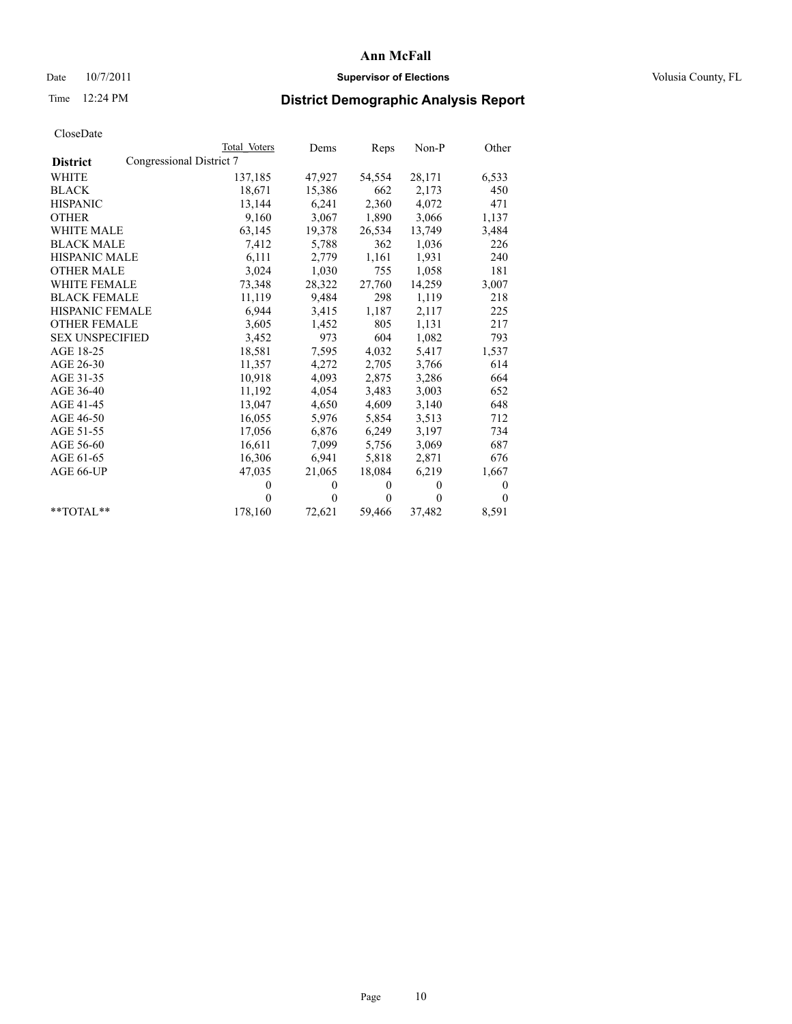# Date  $10/7/2011$  **Supervisor of Elections Supervisor of Elections** Volusia County, FL

# Time 12:24 PM **District Demographic Analysis Report**

|                        |                          | Total Voters | Dems         | Reps         | $Non-P$      | Other        |  |
|------------------------|--------------------------|--------------|--------------|--------------|--------------|--------------|--|
| <b>District</b>        | Congressional District 7 |              |              |              |              |              |  |
| <b>WHITE</b>           |                          | 137,185      | 47,927       | 54,554       | 28,171       | 6,533        |  |
| <b>BLACK</b>           |                          | 18,671       | 15,386       | 662          | 2,173        | 450          |  |
| <b>HISPANIC</b>        |                          | 13,144       | 6,241        | 2,360        | 4,072        | 471          |  |
| <b>OTHER</b>           |                          | 9,160        | 3,067        | 1,890        | 3,066        | 1,137        |  |
| <b>WHITE MALE</b>      |                          | 63,145       | 19,378       | 26,534       | 13,749       | 3,484        |  |
| <b>BLACK MALE</b>      |                          | 7,412        | 5,788        | 362          | 1,036        | 226          |  |
| <b>HISPANIC MALE</b>   |                          | 6,111        | 2,779        | 1,161        | 1,931        | 240          |  |
| <b>OTHER MALE</b>      |                          | 3,024        | 1,030        | 755          | 1,058        | 181          |  |
| <b>WHITE FEMALE</b>    |                          | 73,348       | 28,322       | 27,760       | 14,259       | 3,007        |  |
| <b>BLACK FEMALE</b>    |                          | 11,119       | 9,484        | 298          | 1,119        | 218          |  |
| <b>HISPANIC FEMALE</b> |                          | 6,944        | 3,415        | 1,187        | 2,117        | 225          |  |
| <b>OTHER FEMALE</b>    |                          | 3,605        | 1,452        | 805          | 1,131        | 217          |  |
| <b>SEX UNSPECIFIED</b> |                          | 3,452        | 973          | 604          | 1,082        | 793          |  |
| AGE 18-25              |                          | 18,581       | 7,595        | 4,032        | 5,417        | 1,537        |  |
| AGE 26-30              |                          | 11,357       | 4,272        | 2,705        | 3,766        | 614          |  |
| AGE 31-35              |                          | 10,918       | 4,093        | 2,875        | 3,286        | 664          |  |
| AGE 36-40              |                          | 11,192       | 4,054        | 3,483        | 3,003        | 652          |  |
| AGE 41-45              |                          | 13,047       | 4,650        | 4,609        | 3,140        | 648          |  |
| AGE 46-50              |                          | 16,055       | 5,976        | 5,854        | 3,513        | 712          |  |
| AGE 51-55              |                          | 17,056       | 6,876        | 6,249        | 3,197        | 734          |  |
| AGE 56-60              |                          | 16,611       | 7,099        | 5,756        | 3,069        | 687          |  |
| AGE 61-65              |                          | 16,306       | 6,941        | 5,818        | 2,871        | 676          |  |
| AGE 66-UP              |                          | 47,035       | 21,065       | 18,084       | 6,219        | 1,667        |  |
|                        |                          | $\theta$     | $\mathbf{0}$ | $\mathbf{0}$ | $\mathbf{0}$ | $\mathbf{0}$ |  |
|                        |                          | $\theta$     | $\theta$     | $\mathbf{0}$ | $\theta$     | $\theta$     |  |
| $*$ $TOTAI.**$         |                          | 178,160      | 72,621       | 59,466       | 37,482       | 8,591        |  |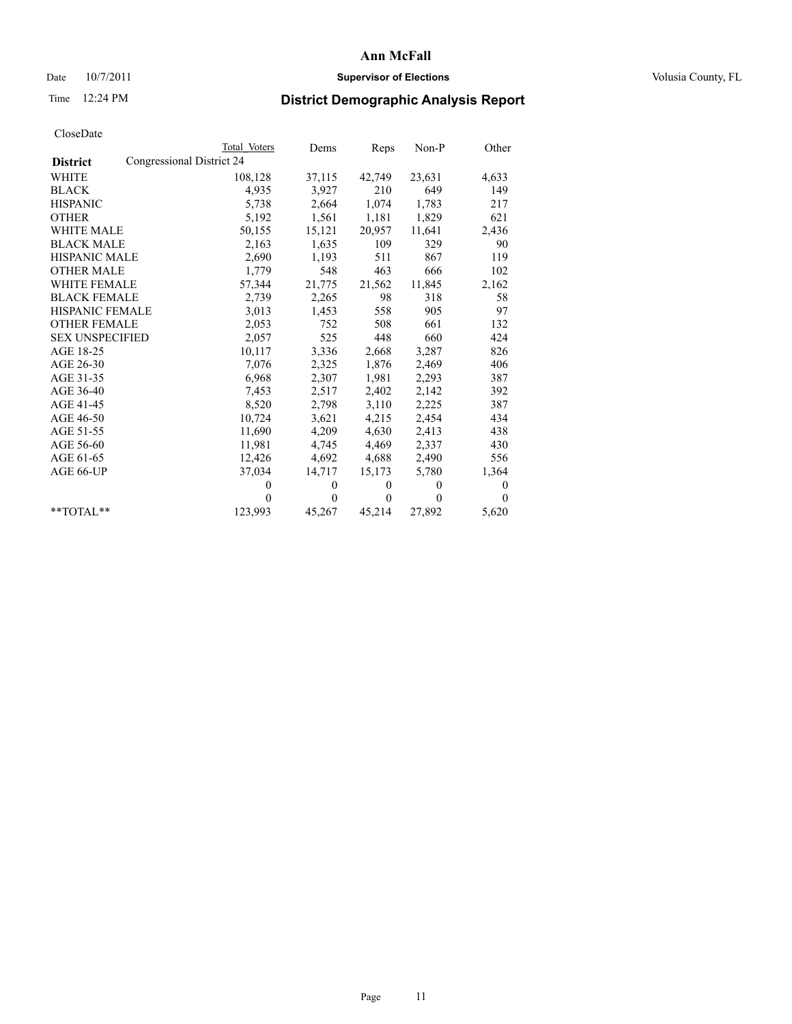## Date  $10/7/2011$  **Supervisor of Elections Supervisor of Elections** Volusia County, FL

# Time 12:24 PM **District Demographic Analysis Report**

|                        | Total Voters              | Dems         | Reps         | $Non-P$      | Other        |
|------------------------|---------------------------|--------------|--------------|--------------|--------------|
| <b>District</b>        | Congressional District 24 |              |              |              |              |
| <b>WHITE</b>           | 108,128                   | 37,115       | 42,749       | 23,631       | 4,633        |
| <b>BLACK</b>           | 4,935                     | 3,927        | 210          | 649          | 149          |
| <b>HISPANIC</b>        | 5,738                     | 2,664        | 1,074        | 1,783        | 217          |
| <b>OTHER</b>           | 5,192                     | 1,561        | 1,181        | 1,829        | 621          |
| <b>WHITE MALE</b>      | 50,155                    | 15,121       | 20,957       | 11,641       | 2,436        |
| <b>BLACK MALE</b>      | 2,163                     | 1,635        | 109          | 329          | 90           |
| <b>HISPANIC MALE</b>   | 2,690                     | 1,193        | 511          | 867          | 119          |
| <b>OTHER MALE</b>      | 1,779                     | 548          | 463          | 666          | 102          |
| <b>WHITE FEMALE</b>    | 57,344                    | 21,775       | 21,562       | 11,845       | 2,162        |
| <b>BLACK FEMALE</b>    | 2,739                     | 2,265        | 98           | 318          | 58           |
| <b>HISPANIC FEMALE</b> | 3,013                     | 1,453        | 558          | 905          | 97           |
| <b>OTHER FEMALE</b>    | 2,053                     | 752          | 508          | 661          | 132          |
| <b>SEX UNSPECIFIED</b> | 2,057                     | 525          | 448          | 660          | 424          |
| AGE 18-25              | 10,117                    | 3,336        | 2,668        | 3,287        | 826          |
| AGE 26-30              | 7,076                     | 2,325        | 1,876        | 2,469        | 406          |
| AGE 31-35              | 6,968                     | 2,307        | 1,981        | 2,293        | 387          |
| AGE 36-40              | 7,453                     | 2,517        | 2,402        | 2,142        | 392          |
| AGE 41-45              | 8,520                     | 2,798        | 3,110        | 2,225        | 387          |
| AGE 46-50              | 10,724                    | 3,621        | 4,215        | 2,454        | 434          |
| AGE 51-55              | 11,690                    | 4,209        | 4,630        | 2,413        | 438          |
| AGE 56-60              | 11,981                    | 4,745        | 4,469        | 2,337        | 430          |
| AGE 61-65              | 12,426                    | 4,692        | 4,688        | 2,490        | 556          |
| AGE 66-UP              | 37,034                    | 14,717       | 15,173       | 5,780        | 1,364        |
|                        | $\theta$                  | $\mathbf{0}$ | $\mathbf{0}$ | $\mathbf{0}$ | $\mathbf{0}$ |
|                        | $\theta$                  | $\theta$     | $\mathbf{0}$ | $\theta$     | $\theta$     |
| $*$ $TOTAI.**$         | 123,993                   | 45,267       | 45,214       | 27,892       | 5,620        |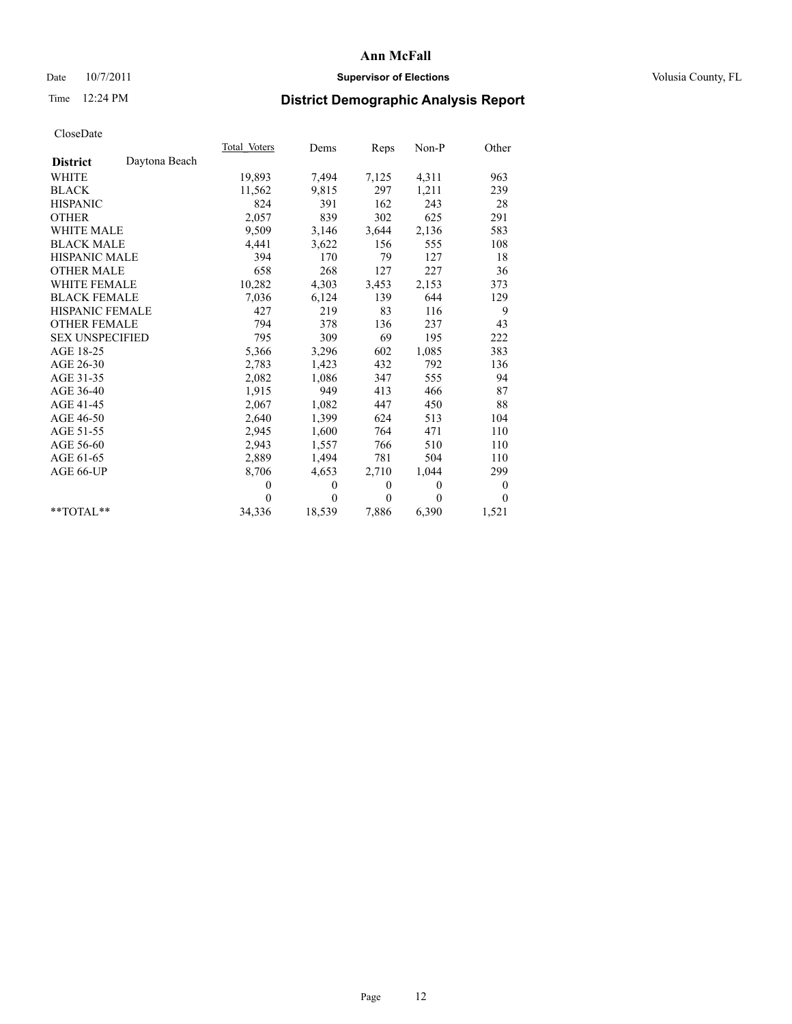# Date  $10/7/2011$  **Supervisor of Elections Supervisor of Elections** Volusia County, FL

# Time 12:24 PM **District Demographic Analysis Report**

|                        |               | Total Voters | Dems         | Reps         | $Non-P$  | Other            |  |
|------------------------|---------------|--------------|--------------|--------------|----------|------------------|--|
| <b>District</b>        | Daytona Beach |              |              |              |          |                  |  |
| <b>WHITE</b>           |               | 19,893       | 7,494        | 7,125        | 4,311    | 963              |  |
| <b>BLACK</b>           |               | 11,562       | 9,815        | 297          | 1,211    | 239              |  |
| <b>HISPANIC</b>        |               | 824          | 391          | 162          | 243      | 28               |  |
| <b>OTHER</b>           |               | 2,057        | 839          | 302          | 625      | 291              |  |
| <b>WHITE MALE</b>      |               | 9,509        | 3,146        | 3,644        | 2,136    | 583              |  |
| <b>BLACK MALE</b>      |               | 4,441        | 3,622        | 156          | 555      | 108              |  |
| <b>HISPANIC MALE</b>   |               | 394          | 170          | 79           | 127      | 18               |  |
| <b>OTHER MALE</b>      |               | 658          | 268          | 127          | 227      | 36               |  |
| <b>WHITE FEMALE</b>    |               | 10,282       | 4,303        | 3,453        | 2,153    | 373              |  |
| <b>BLACK FEMALE</b>    |               | 7,036        | 6,124        | 139          | 644      | 129              |  |
| HISPANIC FEMALE        |               | 427          | 219          | 83           | 116      | 9                |  |
| <b>OTHER FEMALE</b>    |               | 794          | 378          | 136          | 237      | 43               |  |
| <b>SEX UNSPECIFIED</b> |               | 795          | 309          | 69           | 195      | 222              |  |
| AGE 18-25              |               | 5,366        | 3,296        | 602          | 1,085    | 383              |  |
| AGE 26-30              |               | 2,783        | 1,423        | 432          | 792      | 136              |  |
| AGE 31-35              |               | 2,082        | 1,086        | 347          | 555      | 94               |  |
| AGE 36-40              |               | 1,915        | 949          | 413          | 466      | 87               |  |
| AGE 41-45              |               | 2,067        | 1,082        | 447          | 450      | 88               |  |
| AGE 46-50              |               | 2,640        | 1,399        | 624          | 513      | 104              |  |
| AGE 51-55              |               | 2,945        | 1,600        | 764          | 471      | 110              |  |
| AGE 56-60              |               | 2,943        | 1,557        | 766          | 510      | 110              |  |
| AGE 61-65              |               | 2,889        | 1,494        | 781          | 504      | 110              |  |
| AGE 66-UP              |               | 8,706        | 4,653        | 2,710        | 1,044    | 299              |  |
|                        |               | $\theta$     | $\mathbf{0}$ | $\mathbf{0}$ | $\theta$ | $\boldsymbol{0}$ |  |
|                        |               | $\theta$     | $\theta$     | $\theta$     | $\theta$ | $\theta$         |  |
| $*$ $TOTAI.**$         |               | 34,336       | 18,539       | 7,886        | 6,390    | 1,521            |  |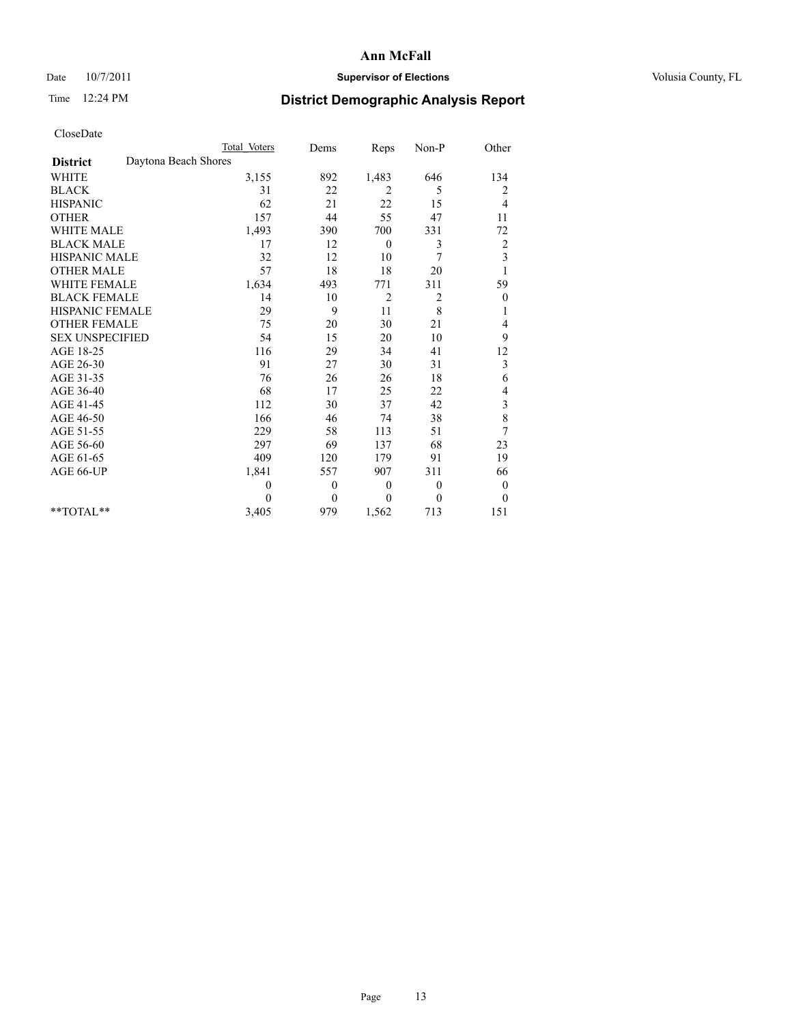# Date  $10/7/2011$  **Supervisor of Elections Supervisor of Elections** Volusia County, FL

# Time 12:24 PM **District Demographic Analysis Report**

|                                         | <b>Total Voters</b> | Dems         | Reps           | Non-P          | Other                   |
|-----------------------------------------|---------------------|--------------|----------------|----------------|-------------------------|
| Daytona Beach Shores<br><b>District</b> |                     |              |                |                |                         |
| <b>WHITE</b>                            | 3,155               | 892          | 1,483          | 646            | 134                     |
| <b>BLACK</b>                            | 31                  | 22           | 2              | 5              | 2                       |
| <b>HISPANIC</b>                         | 62                  | 21           | 22             | 15             | 4                       |
| <b>OTHER</b>                            | 157                 | 44           | 55             | 47             | 11                      |
| <b>WHITE MALE</b>                       | 1,493               | 390          | 700            | 331            | 72                      |
| <b>BLACK MALE</b>                       | 17                  | 12           | $\mathbf{0}$   | 3              | $\overline{\mathbf{c}}$ |
| <b>HISPANIC MALE</b>                    | 32                  | 12           | 10             | 7              | $\overline{\mathbf{3}}$ |
| <b>OTHER MALE</b>                       | 57                  | 18           | 18             | 20             |                         |
| <b>WHITE FEMALE</b>                     | 1,634               | 493          | 771            | 311            | 59                      |
| <b>BLACK FEMALE</b>                     | 14                  | 10           | $\overline{2}$ | 2              | $\boldsymbol{0}$        |
| HISPANIC FEMALE                         | 29                  | 9            | 11             | $\,8\,$        | 1                       |
| <b>OTHER FEMALE</b>                     | 75                  | 20           | 30             | 21             | 4                       |
| <b>SEX UNSPECIFIED</b>                  | 54                  | 15           | 20             | 10             | 9                       |
| AGE 18-25                               | 116                 | 29           | 34             | 41             | 12                      |
| AGE 26-30                               | 91                  | 27           | 30             | 31             | 3                       |
| AGE 31-35                               | 76                  | 26           | 26             | 18             | 6                       |
| AGE 36-40                               | 68                  | 17           | 25             | 22             | 4                       |
| AGE 41-45                               | 112                 | 30           | 37             | 42             | $\mathfrak{Z}$          |
| AGE 46-50                               | 166                 | 46           | 74             | 38             | 8                       |
| AGE 51-55                               | 229                 | 58           | 113            | 51             | 7                       |
| AGE 56-60                               | 297                 | 69           | 137            | 68             | 23                      |
| AGE 61-65                               | 409                 | 120          | 179            | 91             | 19                      |
| AGE 66-UP                               | 1,841               | 557          | 907            | 311            | 66                      |
|                                         | $\theta$            | $\theta$     | $\mathbf{0}$   | $\overline{0}$ | $\boldsymbol{0}$        |
|                                         | $\Omega$            | $\mathbf{0}$ | $\theta$       | $\theta$       | $\theta$                |
| $*$ $TOTAI.**$                          | 3,405               | 979          | 1,562          | 713            | 151                     |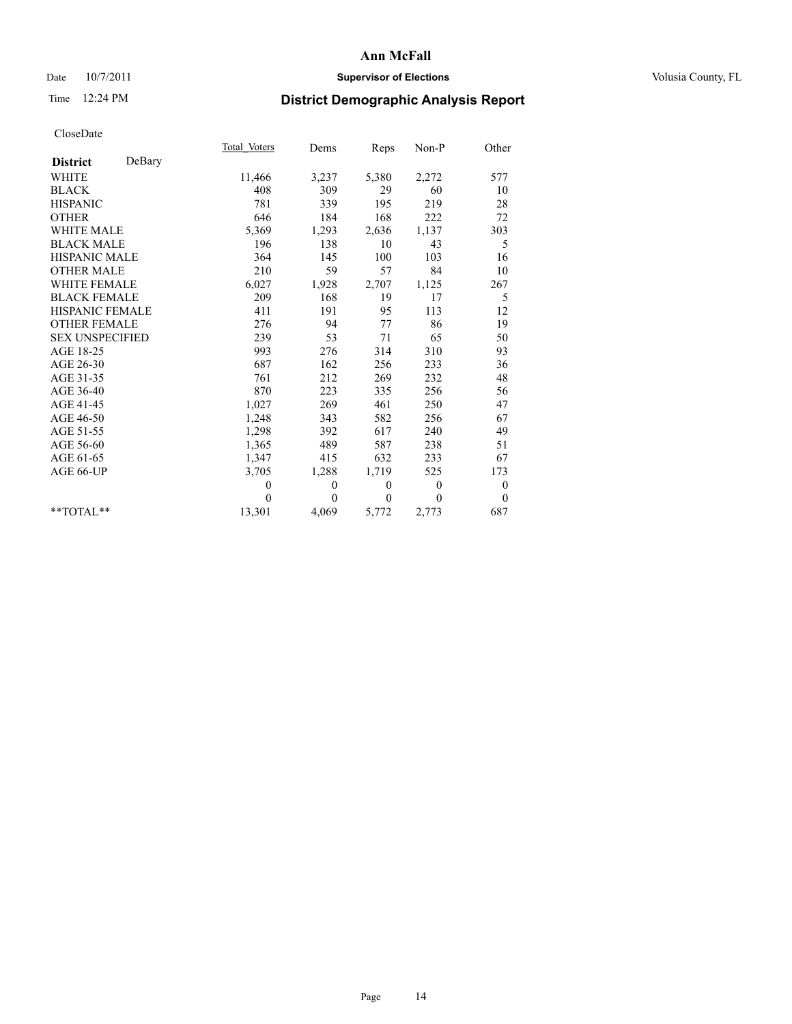# Date  $10/7/2011$  **Supervisor of Elections Supervisor of Elections** Volusia County, FL

# Time 12:24 PM **District Demographic Analysis Report**

|                           | Total Voters | Dems           | Reps         | $Non-P$  | Other            |  |
|---------------------------|--------------|----------------|--------------|----------|------------------|--|
| DeBary<br><b>District</b> |              |                |              |          |                  |  |
| <b>WHITE</b>              | 11,466       | 3,237          | 5,380        | 2,272    | 577              |  |
| <b>BLACK</b>              | 408          | 309            | 29           | 60       | 10               |  |
| <b>HISPANIC</b>           | 781          | 339            | 195          | 219      | 28               |  |
| <b>OTHER</b>              | 646          | 184            | 168          | 222      | 72               |  |
| <b>WHITE MALE</b>         | 5,369        | 1,293          | 2,636        | 1,137    | 303              |  |
| <b>BLACK MALE</b>         | 196          | 138            | 10           | 43       | 5                |  |
| <b>HISPANIC MALE</b>      | 364          | 145            | 100          | 103      | 16               |  |
| <b>OTHER MALE</b>         | 210          | 59             | 57           | 84       | 10               |  |
| WHITE FEMALE              | 6,027        | 1,928          | 2,707        | 1,125    | 267              |  |
| <b>BLACK FEMALE</b>       | 209          | 168            | 19           | 17       | 5                |  |
| HISPANIC FEMALE           | 411          | 191            | 95           | 113      | 12               |  |
| <b>OTHER FEMALE</b>       | 276          | 94             | 77           | 86       | 19               |  |
| <b>SEX UNSPECIFIED</b>    | 239          | 53             | 71           | 65       | 50               |  |
| AGE 18-25                 | 993          | 276            | 314          | 310      | 93               |  |
| AGE 26-30                 | 687          | 162            | 256          | 233      | 36               |  |
| AGE 31-35                 | 761          | 212            | 269          | 232      | 48               |  |
| AGE 36-40                 | 870          | 223            | 335          | 256      | 56               |  |
| AGE 41-45                 | 1,027        | 269            | 461          | 250      | 47               |  |
| AGE 46-50                 | 1,248        | 343            | 582          | 256      | 67               |  |
| AGE 51-55                 | 1,298        | 392            | 617          | 240      | 49               |  |
| AGE 56-60                 | 1,365        | 489            | 587          | 238      | 51               |  |
| AGE 61-65                 | 1,347        | 415            | 632          | 233      | 67               |  |
| AGE 66-UP                 | 3,705        | 1,288          | 1,719        | 525      | 173              |  |
|                           | $\mathbf{0}$ | $\theta$       | $\mathbf{0}$ | $\theta$ | $\boldsymbol{0}$ |  |
|                           | $\Omega$     | $\overline{0}$ | $\mathbf{0}$ | $\theta$ | $\theta$         |  |
| $*$ $TOTAI.**$            | 13,301       | 4,069          | 5,772        | 2,773    | 687              |  |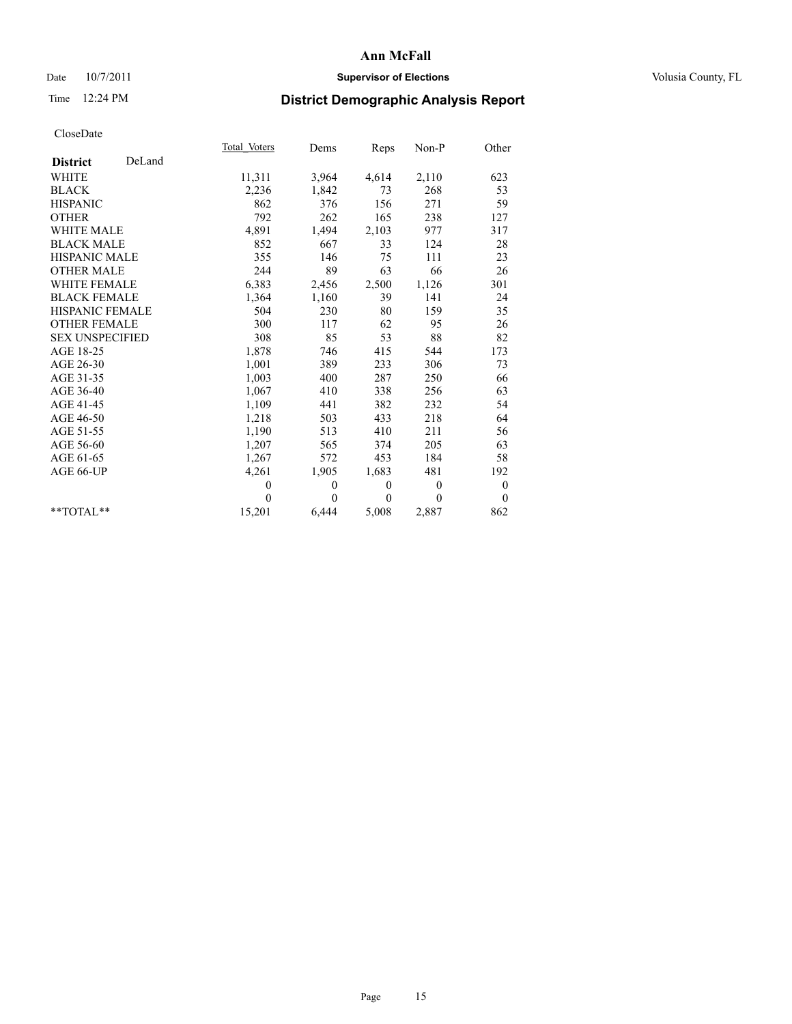# Date  $10/7/2011$  **Supervisor of Elections Supervisor of Elections** Volusia County, FL

# Time 12:24 PM **District Demographic Analysis Report**

|                        |        | Total Voters | Dems         | Reps         | $Non-P$      | Other            |  |
|------------------------|--------|--------------|--------------|--------------|--------------|------------------|--|
| <b>District</b>        | DeLand |              |              |              |              |                  |  |
| <b>WHITE</b>           |        | 11,311       | 3,964        | 4,614        | 2,110        | 623              |  |
| <b>BLACK</b>           |        | 2,236        | 1,842        | 73           | 268          | 53               |  |
| <b>HISPANIC</b>        |        | 862          | 376          | 156          | 271          | 59               |  |
| <b>OTHER</b>           |        | 792          | 262          | 165          | 238          | 127              |  |
| <b>WHITE MALE</b>      |        | 4,891        | 1,494        | 2,103        | 977          | 317              |  |
| <b>BLACK MALE</b>      |        | 852          | 667          | 33           | 124          | 28               |  |
| <b>HISPANIC MALE</b>   |        | 355          | 146          | 75           | 111          | 23               |  |
| <b>OTHER MALE</b>      |        | 244          | 89           | 63           | 66           | 26               |  |
| WHITE FEMALE           |        | 6,383        | 2,456        | 2,500        | 1,126        | 301              |  |
| <b>BLACK FEMALE</b>    |        | 1,364        | 1,160        | 39           | 141          | 24               |  |
| HISPANIC FEMALE        |        | 504          | 230          | 80           | 159          | 35               |  |
| <b>OTHER FEMALE</b>    |        | 300          | 117          | 62           | 95           | 26               |  |
| <b>SEX UNSPECIFIED</b> |        | 308          | 85           | 53           | 88           | 82               |  |
| AGE 18-25              |        | 1,878        | 746          | 415          | 544          | 173              |  |
| AGE 26-30              |        | 1,001        | 389          | 233          | 306          | 73               |  |
| AGE 31-35              |        | 1,003        | 400          | 287          | 250          | 66               |  |
| AGE 36-40              |        | 1,067        | 410          | 338          | 256          | 63               |  |
| AGE 41-45              |        | 1,109        | 441          | 382          | 232          | 54               |  |
| AGE 46-50              |        | 1,218        | 503          | 433          | 218          | 64               |  |
| AGE 51-55              |        | 1,190        | 513          | 410          | 211          | 56               |  |
| AGE 56-60              |        | 1,207        | 565          | 374          | 205          | 63               |  |
| AGE 61-65              |        | 1,267        | 572          | 453          | 184          | 58               |  |
| AGE 66-UP              |        | 4,261        | 1,905        | 1,683        | 481          | 192              |  |
|                        |        | $\mathbf{0}$ | $\mathbf{0}$ | $\mathbf{0}$ | $\mathbf{0}$ | $\boldsymbol{0}$ |  |
|                        |        | $\Omega$     | $\theta$     | $\theta$     | $\theta$     | $\theta$         |  |
| $*$ $TOTAI.**$         |        | 15,201       | 6,444        | 5,008        | 2,887        | 862              |  |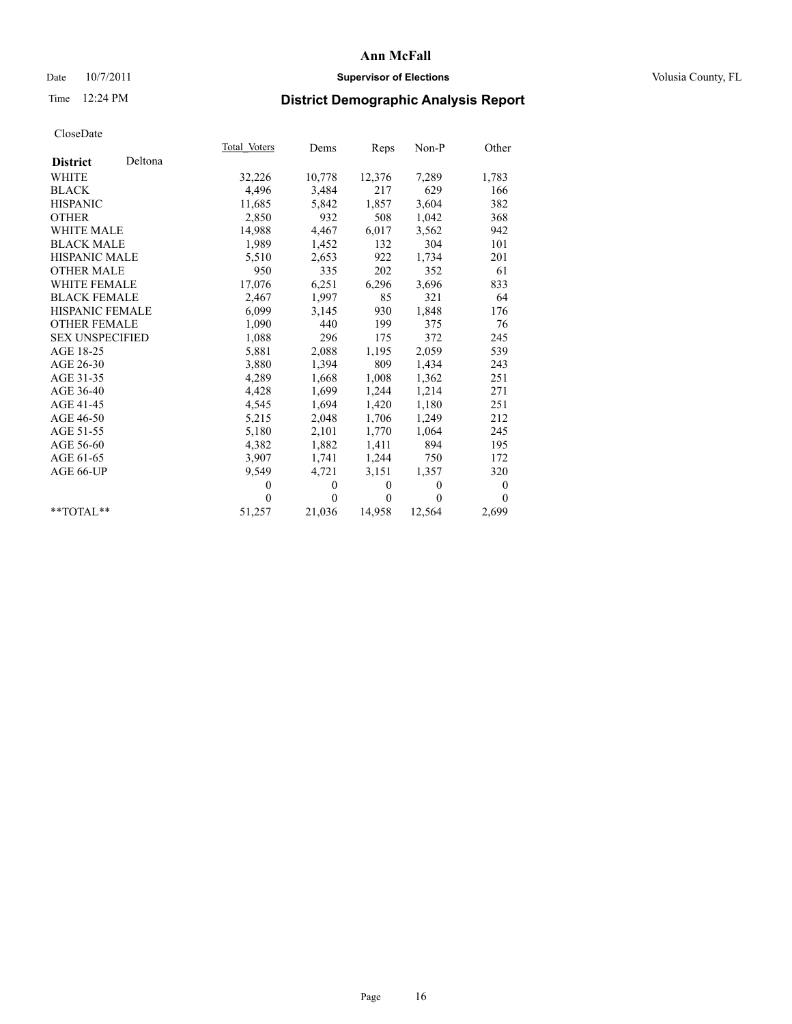# Date  $10/7/2011$  **Supervisor of Elections Supervisor of Elections** Volusia County, FL

# Time 12:24 PM **District Demographic Analysis Report**

|                        |         | Total Voters | Dems         | Reps         | Non-P        | Other    |
|------------------------|---------|--------------|--------------|--------------|--------------|----------|
| <b>District</b>        | Deltona |              |              |              |              |          |
| <b>WHITE</b>           |         | 32,226       | 10,778       | 12,376       | 7,289        | 1,783    |
| <b>BLACK</b>           |         | 4,496        | 3,484        | 217          | 629          | 166      |
| <b>HISPANIC</b>        |         | 11,685       | 5,842        | 1,857        | 3,604        | 382      |
| <b>OTHER</b>           |         | 2,850        | 932          | 508          | 1,042        | 368      |
| WHITE MALE             |         | 14,988       | 4,467        | 6,017        | 3,562        | 942      |
| <b>BLACK MALE</b>      |         | 1,989        | 1,452        | 132          | 304          | 101      |
| <b>HISPANIC MALE</b>   |         | 5,510        | 2,653        | 922          | 1,734        | 201      |
| <b>OTHER MALE</b>      |         | 950          | 335          | 202          | 352          | 61       |
| WHITE FEMALE           |         | 17,076       | 6,251        | 6,296        | 3,696        | 833      |
| <b>BLACK FEMALE</b>    |         | 2,467        | 1,997        | 85           | 321          | 64       |
| <b>HISPANIC FEMALE</b> |         | 6,099        | 3,145        | 930          | 1,848        | 176      |
| <b>OTHER FEMALE</b>    |         | 1,090        | 440          | 199          | 375          | 76       |
| <b>SEX UNSPECIFIED</b> |         | 1,088        | 296          | 175          | 372          | 245      |
| AGE 18-25              |         | 5,881        | 2,088        | 1,195        | 2,059        | 539      |
| AGE 26-30              |         | 3,880        | 1,394        | 809          | 1,434        | 243      |
| AGE 31-35              |         | 4,289        | 1,668        | 1,008        | 1,362        | 251      |
| AGE 36-40              |         | 4,428        | 1,699        | 1,244        | 1,214        | 271      |
| AGE 41-45              |         | 4,545        | 1,694        | 1,420        | 1,180        | 251      |
| AGE 46-50              |         | 5,215        | 2,048        | 1,706        | 1,249        | 212      |
| AGE 51-55              |         | 5,180        | 2,101        | 1,770        | 1,064        | 245      |
| AGE 56-60              |         | 4,382        | 1,882        | 1,411        | 894          | 195      |
| AGE 61-65              |         | 3,907        | 1,741        | 1,244        | 750          | 172      |
| AGE 66-UP              |         | 9,549        | 4,721        | 3,151        | 1,357        | 320      |
|                        |         | $\theta$     | $\mathbf{0}$ | $\mathbf{0}$ | $\mathbf{0}$ | $\bf{0}$ |
|                        |         | $\Omega$     | $\theta$     | $\theta$     | $\Omega$     | $\theta$ |
| **TOTAL**              |         | 51,257       | 21,036       | 14,958       | 12,564       | 2,699    |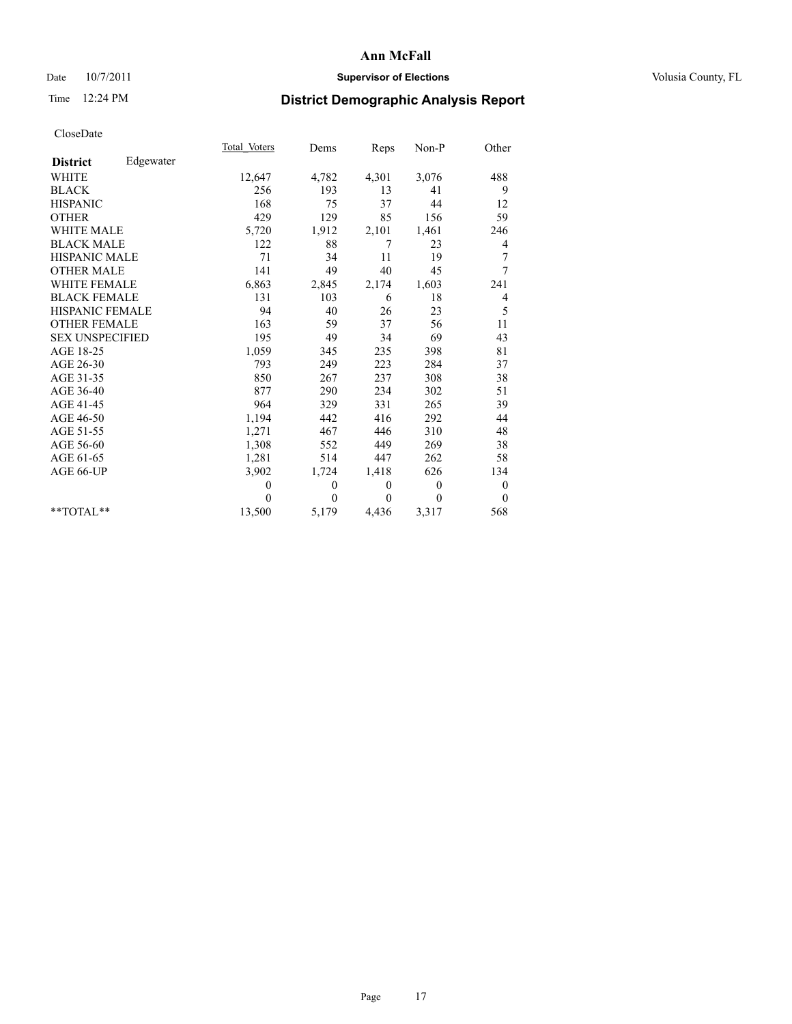## Date  $10/7/2011$  **Supervisor of Elections Supervisor of Elections** Volusia County, FL

# Time 12:24 PM **District Demographic Analysis Report**

|                        |           | Total Voters | Dems         | Reps     | $Non-P$        | Other            |
|------------------------|-----------|--------------|--------------|----------|----------------|------------------|
| <b>District</b>        | Edgewater |              |              |          |                |                  |
| <b>WHITE</b>           |           | 12,647       | 4,782        | 4,301    | 3,076          | 488              |
| <b>BLACK</b>           |           | 256          | 193          | 13       | 41             | 9                |
| <b>HISPANIC</b>        |           | 168          | 75           | 37       | 44             | 12               |
| <b>OTHER</b>           |           | 429          | 129          | 85       | 156            | 59               |
| <b>WHITE MALE</b>      |           | 5,720        | 1,912        | 2,101    | 1,461          | 246              |
| <b>BLACK MALE</b>      |           | 122          | 88           | 7        | 23             | 4                |
| <b>HISPANIC MALE</b>   |           | 71           | 34           | 11       | 19             | $\boldsymbol{7}$ |
| <b>OTHER MALE</b>      |           | 141          | 49           | 40       | 45             | 7                |
| <b>WHITE FEMALE</b>    |           | 6,863        | 2,845        | 2,174    | 1,603          | 241              |
| <b>BLACK FEMALE</b>    |           | 131          | 103          | 6        | 18             | 4                |
| HISPANIC FEMALE        |           | 94           | 40           | 26       | 23             | 5                |
| <b>OTHER FEMALE</b>    |           | 163          | 59           | 37       | 56             | 11               |
| <b>SEX UNSPECIFIED</b> |           | 195          | 49           | 34       | 69             | 43               |
| AGE 18-25              |           | 1,059        | 345          | 235      | 398            | 81               |
| AGE 26-30              |           | 793          | 249          | 223      | 284            | 37               |
| AGE 31-35              |           | 850          | 267          | 237      | 308            | 38               |
| AGE 36-40              |           | 877          | 290          | 234      | 302            | 51               |
| AGE 41-45              |           | 964          | 329          | 331      | 265            | 39               |
| AGE 46-50              |           | 1,194        | 442          | 416      | 292            | 44               |
| AGE 51-55              |           | 1,271        | 467          | 446      | 310            | 48               |
| AGE 56-60              |           | 1,308        | 552          | 449      | 269            | 38               |
| AGE 61-65              |           | 1,281        | 514          | 447      | 262            | 58               |
| AGE 66-UP              |           | 3,902        | 1,724        | 1,418    | 626            | 134              |
|                        |           | $\mathbf{0}$ | $\mathbf{0}$ | $\theta$ | $\overline{0}$ | $\boldsymbol{0}$ |
|                        |           | $\theta$     | $\theta$     | $\theta$ | $\theta$       | $\theta$         |
| $*$ $TOTAI.**$         |           | 13,500       | 5,179        | 4,436    | 3,317          | 568              |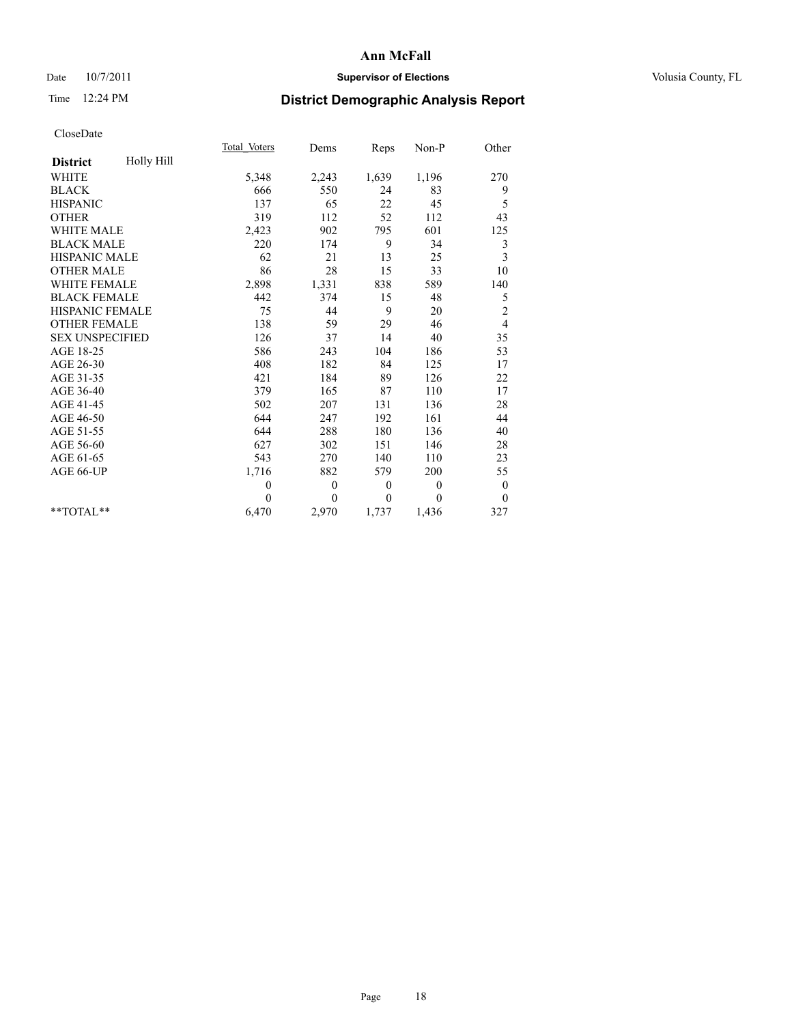## Date  $10/7/2011$  **Supervisor of Elections Supervisor of Elections** Volusia County, FL

# Time 12:24 PM **District Demographic Analysis Report**

|                               | Total Voters     | Dems     | Reps             | Non-P    | Other            |
|-------------------------------|------------------|----------|------------------|----------|------------------|
| Holly Hill<br><b>District</b> |                  |          |                  |          |                  |
| <b>WHITE</b>                  | 5,348            | 2,243    | 1,639            | 1,196    | 270              |
| <b>BLACK</b>                  | 666              | 550      | 24               | 83       | 9                |
| <b>HISPANIC</b>               | 137              | 65       | 22               | 45       | 5                |
| <b>OTHER</b>                  | 319              | 112      | 52               | 112      | 43               |
| <b>WHITE MALE</b>             | 2,423            | 902      | 795              | 601      | 125              |
| <b>BLACK MALE</b>             | 220              | 174      | 9                | 34       | 3                |
| <b>HISPANIC MALE</b>          | 62               | 21       | 13               | 25       | 3                |
| <b>OTHER MALE</b>             | 86               | 28       | 15               | 33       | 10               |
| <b>WHITE FEMALE</b>           | 2,898            | 1,331    | 838              | 589      | 140              |
| <b>BLACK FEMALE</b>           | 442              | 374      | 15               | 48       | 5                |
| <b>HISPANIC FEMALE</b>        | 75               | 44       | 9                | 20       | $\overline{c}$   |
| <b>OTHER FEMALE</b>           | 138              | 59       | 29               | 46       | 4                |
| <b>SEX UNSPECIFIED</b>        | 126              | 37       | 14               | 40       | 35               |
| AGE 18-25                     | 586              | 243      | 104              | 186      | 53               |
| AGE 26-30                     | 408              | 182      | 84               | 125      | 17               |
| AGE 31-35                     | 421              | 184      | 89               | 126      | 22               |
| AGE 36-40                     | 379              | 165      | 87               | 110      | 17               |
| AGE 41-45                     | 502              | 207      | 131              | 136      | 28               |
| AGE 46-50                     | 644              | 247      | 192              | 161      | 44               |
| AGE 51-55                     | 644              | 288      | 180              | 136      | 40               |
| AGE 56-60                     | 627              | 302      | 151              | 146      | 28               |
| AGE 61-65                     | 543              | 270      | 140              | 110      | 23               |
| AGE 66-UP                     | 1,716            | 882      | 579              | 200      | 55               |
|                               | $\boldsymbol{0}$ | $\theta$ | $\boldsymbol{0}$ | $\theta$ | $\boldsymbol{0}$ |
|                               | $\theta$         | $\theta$ | $\theta$         | $\theta$ | $\theta$         |
| $*$ $TOTAI.**$                | 6,470            | 2,970    | 1,737            | 1,436    | 327              |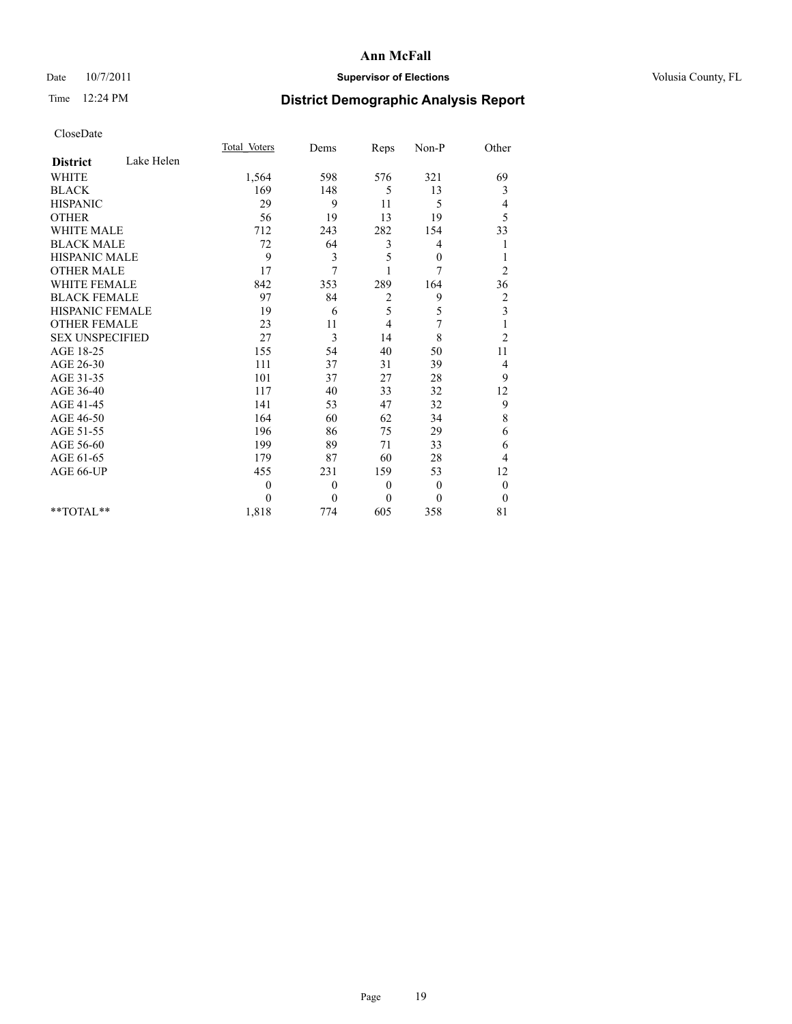# Date  $10/7/2011$  **Supervisor of Elections Supervisor of Elections** Volusia County, FL

# Time 12:24 PM **District Demographic Analysis Report**

|                        |            | <b>Total Voters</b> | Dems             | Reps         | Non-P        | Other                   |  |
|------------------------|------------|---------------------|------------------|--------------|--------------|-------------------------|--|
| <b>District</b>        | Lake Helen |                     |                  |              |              |                         |  |
| <b>WHITE</b>           |            | 1,564               | 598              | 576          | 321          | 69                      |  |
| <b>BLACK</b>           |            | 169                 | 148              | 5            | 13           | 3                       |  |
| <b>HISPANIC</b>        |            | 29                  | 9                | 11           | 5            | 4                       |  |
| <b>OTHER</b>           |            | 56                  | 19               | 13           | 19           | 5                       |  |
| <b>WHITE MALE</b>      |            | 712                 | 243              | 282          | 154          | 33                      |  |
| <b>BLACK MALE</b>      |            | 72                  | 64               | 3            | 4            | 1                       |  |
| HISPANIC MALE          |            | 9                   | 3                | 5            | $\mathbf{0}$ | 1                       |  |
| <b>OTHER MALE</b>      |            | 17                  | 7                |              | 7            | $\overline{c}$          |  |
| <b>WHITE FEMALE</b>    |            | 842                 | 353              | 289          | 164          | 36                      |  |
| <b>BLACK FEMALE</b>    |            | 97                  | 84               | 2            | 9            | $\overline{c}$          |  |
| HISPANIC FEMALE        |            | 19                  | 6                | 5            | 5            | $\overline{\mathbf{3}}$ |  |
| <b>OTHER FEMALE</b>    |            | 23                  | 11               | 4            | 7            | 1                       |  |
| <b>SEX UNSPECIFIED</b> |            | 27                  | 3                | 14           | 8            | $\overline{2}$          |  |
| AGE 18-25              |            | 155                 | 54               | 40           | 50           | 11                      |  |
| AGE 26-30              |            | 111                 | 37               | 31           | 39           | 4                       |  |
| AGE 31-35              |            | 101                 | 37               | 27           | 28           | 9                       |  |
| AGE 36-40              |            | 117                 | 40               | 33           | 32           | 12                      |  |
| AGE 41-45              |            | 141                 | 53               | 47           | 32           | 9                       |  |
| AGE 46-50              |            | 164                 | 60               | 62           | 34           | 8                       |  |
| AGE 51-55              |            | 196                 | 86               | 75           | 29           | 6                       |  |
| AGE 56-60              |            | 199                 | 89               | 71           | 33           | 6                       |  |
| AGE 61-65              |            | 179                 | 87               | 60           | 28           | 4                       |  |
| AGE 66-UP              |            | 455                 | 231              | 159          | 53           | 12                      |  |
|                        |            | $\theta$            | $\boldsymbol{0}$ | $\mathbf{0}$ | $\theta$     | $\boldsymbol{0}$        |  |
|                        |            | $\Omega$            | $\mathbf{0}$     | $\mathbf{0}$ | $\theta$     | $\mathbf{0}$            |  |
| $*$ $TOTAI.**$         |            | 1,818               | 774              | 605          | 358          | 81                      |  |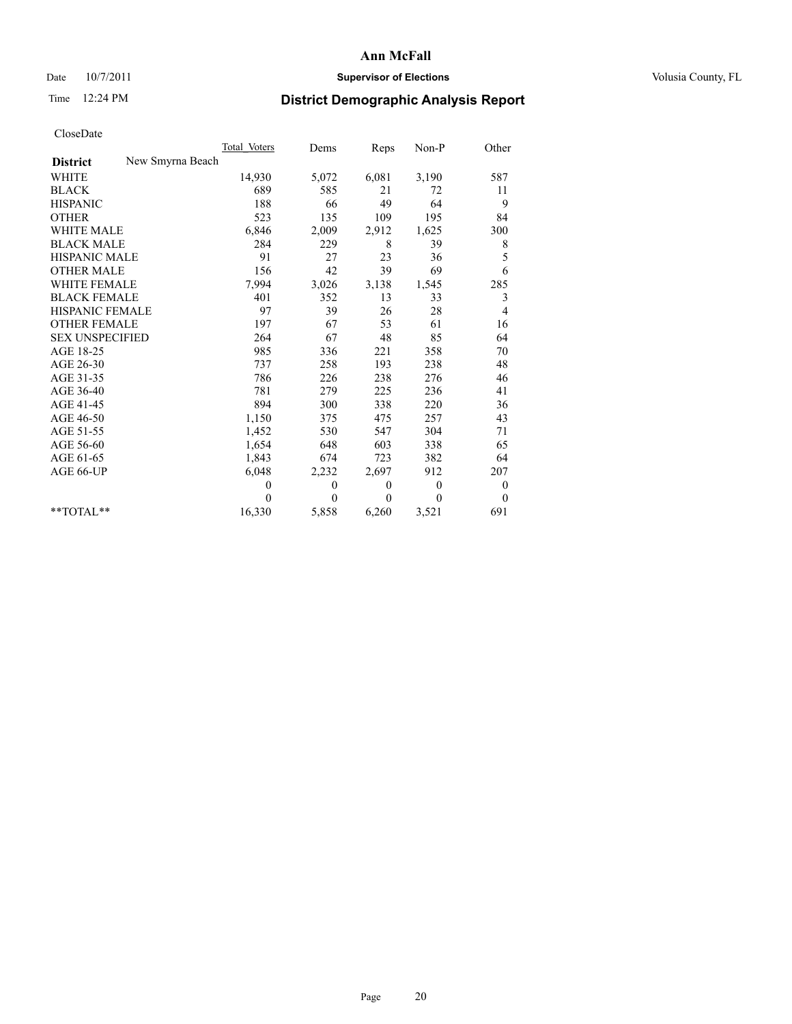## Date  $10/7/2011$  **Supervisor of Elections Supervisor of Elections** Volusia County, FL

# Time 12:24 PM **District Demographic Analysis Report**

|                                     | Total Voters | Dems         | Reps         | $Non-P$      | Other            |
|-------------------------------------|--------------|--------------|--------------|--------------|------------------|
| New Smyrna Beach<br><b>District</b> |              |              |              |              |                  |
| <b>WHITE</b>                        | 14,930       | 5,072        | 6,081        | 3,190        | 587              |
| <b>BLACK</b>                        | 689          | 585          | 21           | 72           | 11               |
| <b>HISPANIC</b>                     | 188          | 66           | 49           | 64           | 9                |
| <b>OTHER</b>                        | 523          | 135          | 109          | 195          | 84               |
| <b>WHITE MALE</b>                   | 6,846        | 2,009        | 2,912        | 1,625        | 300              |
| <b>BLACK MALE</b>                   | 284          | 229          | 8            | 39           | 8                |
| <b>HISPANIC MALE</b>                | 91           | 27           | 23           | 36           | 5                |
| <b>OTHER MALE</b>                   | 156          | 42           | 39           | 69           | 6                |
| <b>WHITE FEMALE</b>                 | 7,994        | 3,026        | 3,138        | 1,545        | 285              |
| <b>BLACK FEMALE</b>                 | 401          | 352          | 13           | 33           | 3                |
| HISPANIC FEMALE                     | 97           | 39           | 26           | 28           | 4                |
| <b>OTHER FEMALE</b>                 | 197          | 67           | 53           | 61           | 16               |
| <b>SEX UNSPECIFIED</b>              | 264          | 67           | 48           | 85           | 64               |
| AGE 18-25                           | 985          | 336          | 221          | 358          | 70               |
| AGE 26-30                           | 737          | 258          | 193          | 238          | 48               |
| AGE 31-35                           | 786          | 226          | 238          | 276          | 46               |
| AGE 36-40                           | 781          | 279          | 225          | 236          | 41               |
| AGE 41-45                           | 894          | 300          | 338          | 220          | 36               |
| AGE 46-50                           | 1,150        | 375          | 475          | 257          | 43               |
| AGE 51-55                           | 1,452        | 530          | 547          | 304          | 71               |
| AGE 56-60                           | 1,654        | 648          | 603          | 338          | 65               |
| AGE 61-65                           | 1,843        | 674          | 723          | 382          | 64               |
| AGE 66-UP                           | 6,048        | 2,232        | 2,697        | 912          | 207              |
|                                     | $\theta$     | $\mathbf{0}$ | $\mathbf{0}$ | $\mathbf{0}$ | $\boldsymbol{0}$ |
|                                     | $\theta$     | $\theta$     | $\theta$     | $\theta$     | $\theta$         |
| $*$ $TOTAI.**$                      | 16,330       | 5,858        | 6,260        | 3,521        | 691              |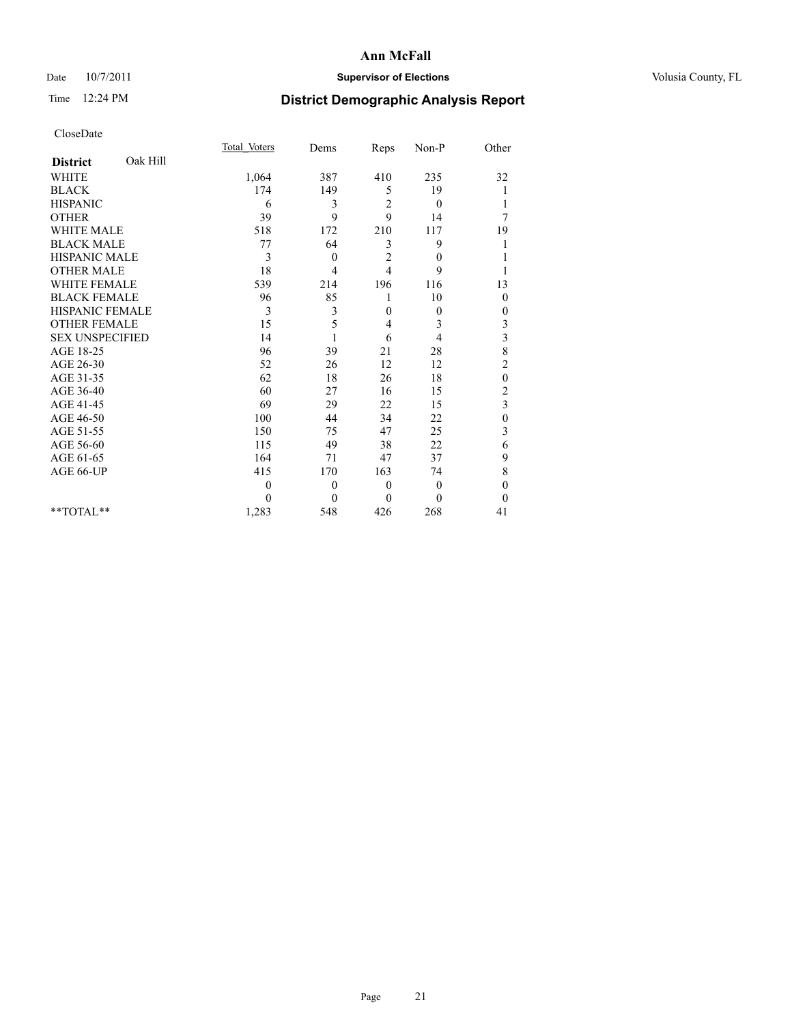# Date  $10/7/2011$  **Supervisor of Elections Supervisor of Elections** Volusia County, FL

# Time 12:24 PM **District Demographic Analysis Report**

|                             | Total Voters | Dems         | Reps           | Non-P        | Other            |
|-----------------------------|--------------|--------------|----------------|--------------|------------------|
| Oak Hill<br><b>District</b> |              |              |                |              |                  |
| <b>WHITE</b>                | 1,064        | 387          | 410            | 235          | 32               |
| <b>BLACK</b>                | 174          | 149          | 5              | 19           |                  |
| <b>HISPANIC</b>             | 6            | 3            | 2              | $\mathbf{0}$ |                  |
| <b>OTHER</b>                | 39           | 9            | 9              | 14           | 7                |
| <b>WHITE MALE</b>           | 518          | 172          | 210            | 117          | 19               |
| <b>BLACK MALE</b>           | 77           | 64           | 3              | 9            |                  |
| HISPANIC MALE               | 3            | $\mathbf{0}$ | 2              | $\theta$     |                  |
| <b>OTHER MALE</b>           | 18           | 4            | $\overline{4}$ | 9            |                  |
| <b>WHITE FEMALE</b>         | 539          | 214          | 196            | 116          | 13               |
| <b>BLACK FEMALE</b>         | 96           | 85           |                | 10           | $\mathbf{0}$     |
| HISPANIC FEMALE             | 3            | 3            | $\mathbf{0}$   | $\mathbf{0}$ | 0                |
| <b>OTHER FEMALE</b>         | 15           | 5            | 4              | 3            | 3                |
| <b>SEX UNSPECIFIED</b>      | 14           |              | 6              | 4            | 3                |
| AGE 18-25                   | 96           | 39           | 21             | 28           | 8                |
| AGE 26-30                   | 52           | 26           | 12             | 12           | $\overline{c}$   |
| AGE 31-35                   | 62           | 18           | 26             | 18           | $\boldsymbol{0}$ |
| AGE 36-40                   | 60           | 27           | 16             | 15           | $\overline{c}$   |
| AGE 41-45                   | 69           | 29           | 22             | 15           | 3                |
| AGE 46-50                   | 100          | 44           | 34             | 22           | $\boldsymbol{0}$ |
| AGE 51-55                   | 150          | 75           | 47             | 25           | 3                |
| AGE 56-60                   | 115          | 49           | 38             | 22           | 6                |
| AGE 61-65                   | 164          | 71           | 47             | 37           | 9                |
| AGE 66-UP                   | 415          | 170          | 163            | 74           | 8                |
|                             | $\theta$     | $\theta$     | $\mathbf{0}$   | $\theta$     | $\mathbf{0}$     |
|                             | $\theta$     | $\mathbf{0}$ | $\theta$       | $\Omega$     | $\mathbf{0}$     |
| $**TOTAL**$                 | 1,283        | 548          | 426            | 268          | 41               |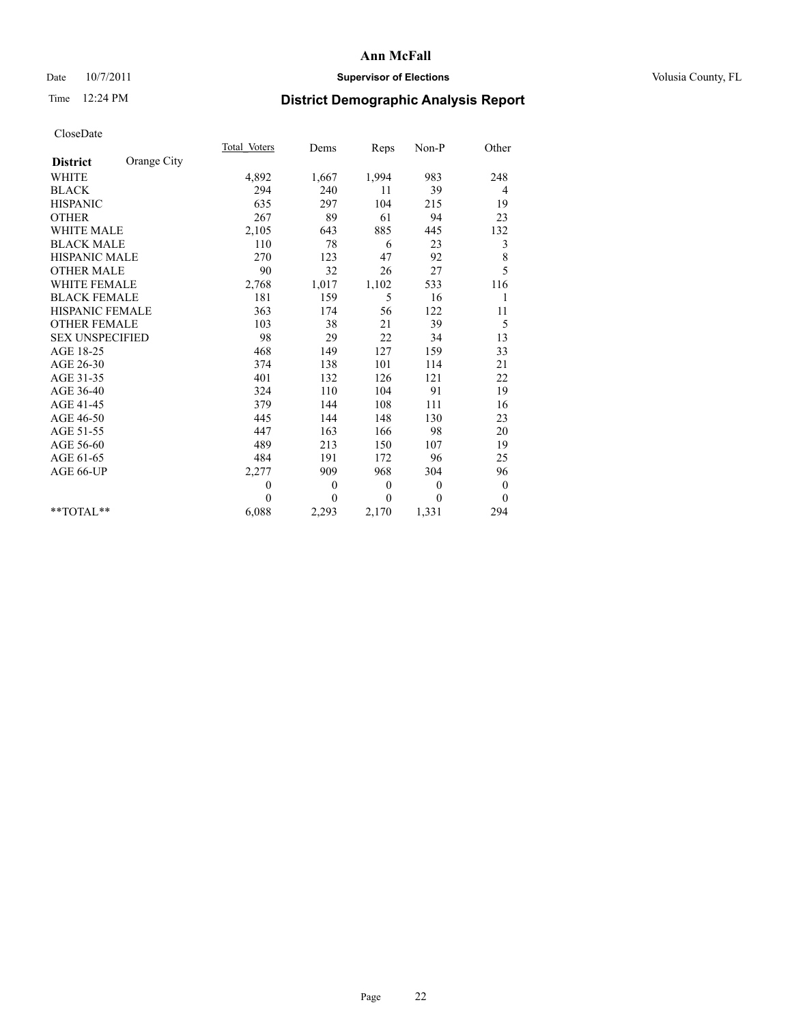# Date  $10/7/2011$  **Supervisor of Elections Supervisor of Elections** Volusia County, FL

# Time 12:24 PM **District Demographic Analysis Report**

|                        |             | <b>Total Voters</b> | Dems     | Reps     | $Non-P$  | Other            |
|------------------------|-------------|---------------------|----------|----------|----------|------------------|
| <b>District</b>        | Orange City |                     |          |          |          |                  |
| <b>WHITE</b>           |             | 4,892               | 1,667    | 1,994    | 983      | 248              |
| <b>BLACK</b>           |             | 294                 | 240      | 11       | 39       | $\overline{4}$   |
| <b>HISPANIC</b>        |             | 635                 | 297      | 104      | 215      | 19               |
| <b>OTHER</b>           |             | 267                 | 89       | 61       | 94       | 23               |
| <b>WHITE MALE</b>      |             | 2,105               | 643      | 885      | 445      | 132              |
| <b>BLACK MALE</b>      |             | 110                 | 78       | 6        | 23       | 3                |
| <b>HISPANIC MALE</b>   |             | 270                 | 123      | 47       | 92       | 8                |
| <b>OTHER MALE</b>      |             | 90                  | 32       | 26       | 27       | 5                |
| <b>WHITE FEMALE</b>    |             | 2,768               | 1,017    | 1,102    | 533      | 116              |
| <b>BLACK FEMALE</b>    |             | 181                 | 159      | 5        | 16       | 1                |
| HISPANIC FEMALE        |             | 363                 | 174      | 56       | 122      | 11               |
| <b>OTHER FEMALE</b>    |             | 103                 | 38       | 21       | 39       | 5                |
| <b>SEX UNSPECIFIED</b> |             | 98                  | 29       | 22       | 34       | 13               |
| AGE 18-25              |             | 468                 | 149      | 127      | 159      | 33               |
| AGE 26-30              |             | 374                 | 138      | 101      | 114      | 21               |
| AGE 31-35              |             | 401                 | 132      | 126      | 121      | 22               |
| AGE 36-40              |             | 324                 | 110      | 104      | 91       | 19               |
| AGE 41-45              |             | 379                 | 144      | 108      | 111      | 16               |
| AGE 46-50              |             | 445                 | 144      | 148      | 130      | 23               |
| AGE 51-55              |             | 447                 | 163      | 166      | 98       | 20               |
| AGE 56-60              |             | 489                 | 213      | 150      | 107      | 19               |
| AGE 61-65              |             | 484                 | 191      | 172      | 96       | 25               |
| AGE 66-UP              |             | 2,277               | 909      | 968      | 304      | 96               |
|                        |             | $\mathbf{0}$        | $\theta$ | $\theta$ | $\theta$ | $\boldsymbol{0}$ |
|                        |             | $\Omega$            | $\theta$ | $\theta$ | $\theta$ | $\theta$         |
| $*$ $TOTAI.**$         |             | 6,088               | 2,293    | 2,170    | 1,331    | 294              |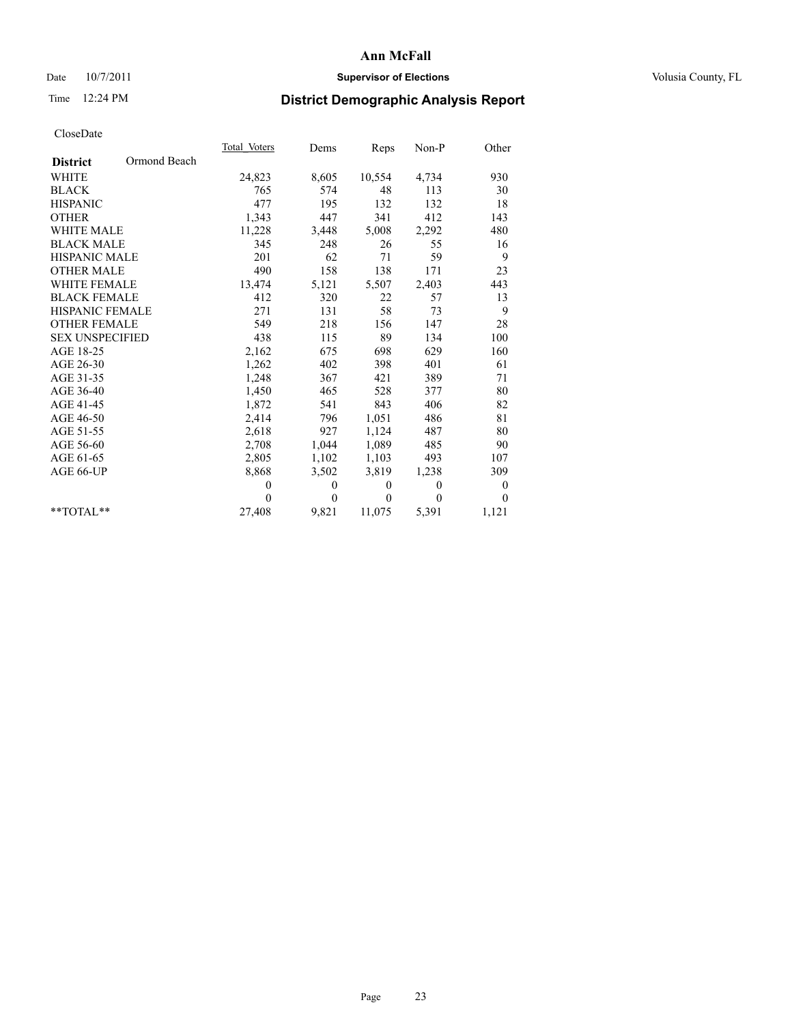# Date  $10/7/2011$  **Supervisor of Elections Supervisor of Elections** Volusia County, FL

# Time 12:24 PM **District Demographic Analysis Report**

|                        |              | Total Voters | Dems     | <b>Reps</b>  | $Non-P$  | Other            |  |
|------------------------|--------------|--------------|----------|--------------|----------|------------------|--|
| <b>District</b>        | Ormond Beach |              |          |              |          |                  |  |
| <b>WHITE</b>           |              | 24,823       | 8,605    | 10,554       | 4,734    | 930              |  |
| <b>BLACK</b>           |              | 765          | 574      | 48           | 113      | 30               |  |
| <b>HISPANIC</b>        |              | 477          | 195      | 132          | 132      | 18               |  |
| <b>OTHER</b>           |              | 1,343        | 447      | 341          | 412      | 143              |  |
| WHITE MALE             |              | 11,228       | 3,448    | 5,008        | 2,292    | 480              |  |
| <b>BLACK MALE</b>      |              | 345          | 248      | 26           | 55       | 16               |  |
| <b>HISPANIC MALE</b>   |              | 201          | 62       | 71           | 59       | 9                |  |
| <b>OTHER MALE</b>      |              | 490          | 158      | 138          | 171      | 23               |  |
| <b>WHITE FEMALE</b>    |              | 13,474       | 5,121    | 5,507        | 2,403    | 443              |  |
| <b>BLACK FEMALE</b>    |              | 412          | 320      | 22           | 57       | 13               |  |
| <b>HISPANIC FEMALE</b> |              | 271          | 131      | 58           | 73       | 9                |  |
| <b>OTHER FEMALE</b>    |              | 549          | 218      | 156          | 147      | 28               |  |
| <b>SEX UNSPECIFIED</b> |              | 438          | 115      | 89           | 134      | 100              |  |
| AGE 18-25              |              | 2,162        | 675      | 698          | 629      | 160              |  |
| AGE 26-30              |              | 1,262        | 402      | 398          | 401      | 61               |  |
| AGE 31-35              |              | 1,248        | 367      | 421          | 389      | 71               |  |
| AGE 36-40              |              | 1,450        | 465      | 528          | 377      | 80               |  |
| AGE 41-45              |              | 1,872        | 541      | 843          | 406      | 82               |  |
| AGE 46-50              |              | 2,414        | 796      | 1,051        | 486      | 81               |  |
| AGE 51-55              |              | 2,618        | 927      | 1,124        | 487      | 80               |  |
| AGE 56-60              |              | 2,708        | 1,044    | 1,089        | 485      | 90               |  |
| AGE 61-65              |              | 2,805        | 1,102    | 1,103        | 493      | 107              |  |
| AGE 66-UP              |              | 8,868        | 3,502    | 3,819        | 1,238    | 309              |  |
|                        |              | $\mathbf{0}$ | 0        | $\mathbf{0}$ | $\theta$ | $\boldsymbol{0}$ |  |
|                        |              | $\Omega$     | $\theta$ | $\theta$     | $\theta$ | $\mathbf{0}$     |  |
| **TOTAL**              |              | 27,408       | 9,821    | 11,075       | 5,391    | 1,121            |  |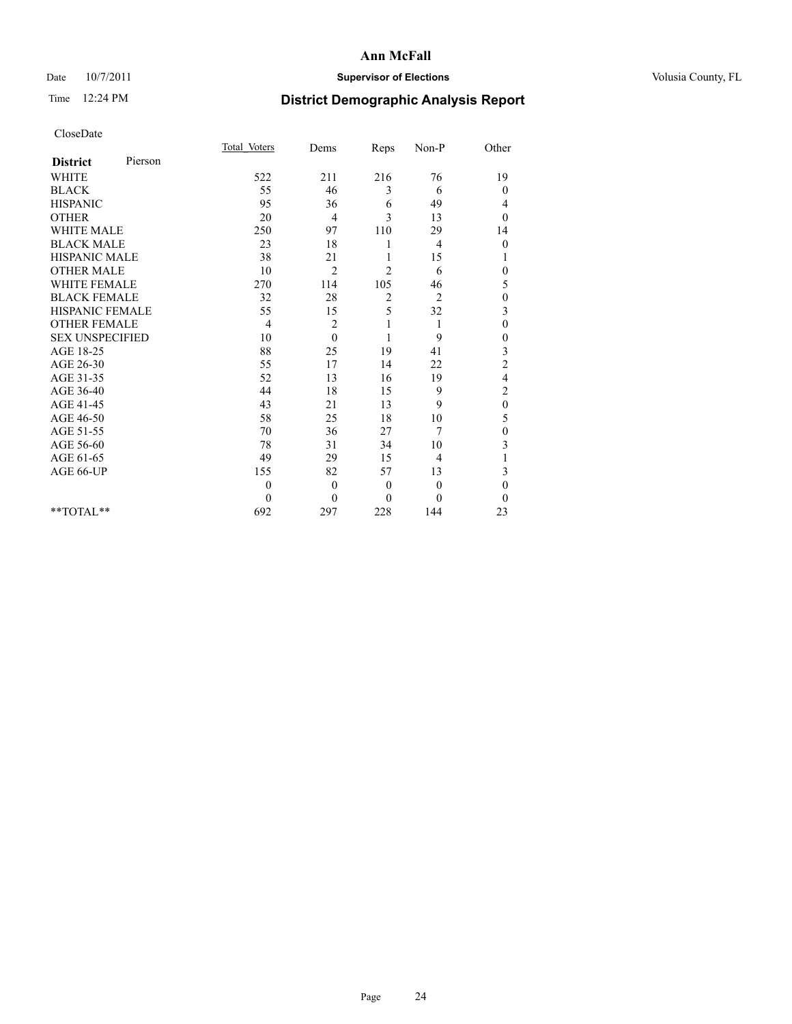# Date  $10/7/2011$  **Supervisor of Elections Supervisor of Elections** Volusia County, FL

# Time 12:24 PM **District Demographic Analysis Report**

|                        |         | Total Voters | Dems           | Reps           | Non-P          | Other                   |  |
|------------------------|---------|--------------|----------------|----------------|----------------|-------------------------|--|
| <b>District</b>        | Pierson |              |                |                |                |                         |  |
| <b>WHITE</b>           |         | 522          | 211            | 216            | 76             | 19                      |  |
| <b>BLACK</b>           |         | 55           | 46             | 3              | 6              | $\boldsymbol{0}$        |  |
| <b>HISPANIC</b>        |         | 95           | 36             | 6              | 49             | 4                       |  |
| <b>OTHER</b>           |         | 20           | $\overline{4}$ | 3              | 13             | $\mathbf{0}$            |  |
| <b>WHITE MALE</b>      |         | 250          | 97             | 110            | 29             | 14                      |  |
| <b>BLACK MALE</b>      |         | 23           | 18             | 1              | $\overline{4}$ | $\mathbf{0}$            |  |
| HISPANIC MALE          |         | 38           | 21             |                | 15             | 1                       |  |
| <b>OTHER MALE</b>      |         | 10           | $\overline{2}$ | $\overline{c}$ | 6              | $\mathbf{0}$            |  |
| <b>WHITE FEMALE</b>    |         | 270          | 114            | 105            | 46             | 5                       |  |
| <b>BLACK FEMALE</b>    |         | 32           | 28             | 2              | $\overline{2}$ | $\boldsymbol{0}$        |  |
| HISPANIC FEMALE        |         | 55           | 15             | 5              | 32             | 3                       |  |
| <b>OTHER FEMALE</b>    |         | 4            | 2              | 1              | 1              | $\boldsymbol{0}$        |  |
| <b>SEX UNSPECIFIED</b> |         | 10           | $\mathbf{0}$   | 1              | 9              | $\boldsymbol{0}$        |  |
| AGE 18-25              |         | 88           | 25             | 19             | 41             | 3                       |  |
| AGE 26-30              |         | 55           | 17             | 14             | 22             | $\overline{c}$          |  |
| AGE 31-35              |         | 52           | 13             | 16             | 19             | $\overline{\mathbf{4}}$ |  |
| AGE 36-40              |         | 44           | 18             | 15             | 9              | $\overline{c}$          |  |
| AGE 41-45              |         | 43           | 21             | 13             | 9              | $\boldsymbol{0}$        |  |
| AGE 46-50              |         | 58           | 25             | 18             | 10             | 5                       |  |
| AGE 51-55              |         | 70           | 36             | 27             | 7              | $\boldsymbol{0}$        |  |
| AGE 56-60              |         | 78           | 31             | 34             | 10             | 3                       |  |
| AGE 61-65              |         | 49           | 29             | 15             | 4              |                         |  |
| AGE 66-UP              |         | 155          | 82             | 57             | 13             | 3                       |  |
|                        |         | $\theta$     | $\mathbf{0}$   | $\theta$       | $\mathbf{0}$   | $\overline{0}$          |  |
|                        |         | $\theta$     | $\mathbf{0}$   | $\theta$       | $\theta$       | $\theta$                |  |
| $**TOTAL**$            |         | 692          | 297            | 228            | 144            | 23                      |  |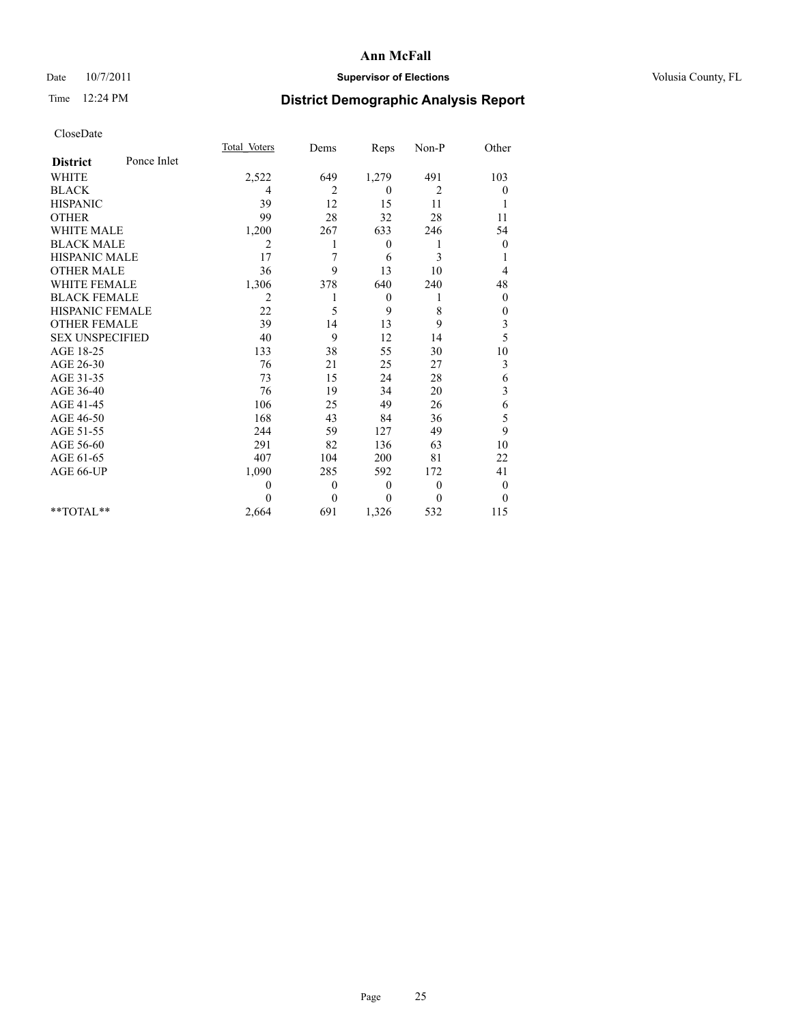# Date  $10/7/2011$  **Supervisor of Elections Supervisor of Elections** Volusia County, FL

# Time 12:24 PM **District Demographic Analysis Report**

|                                | <b>Total Voters</b> | Dems     | Reps           | Non-P    | Other            |
|--------------------------------|---------------------|----------|----------------|----------|------------------|
| Ponce Inlet<br><b>District</b> |                     |          |                |          |                  |
| <b>WHITE</b>                   | 2,522               | 649      | 1,279          | 491      | 103              |
| <b>BLACK</b>                   | 4                   | 2        | $\overline{0}$ | 2        | $\boldsymbol{0}$ |
| <b>HISPANIC</b>                | 39                  | 12       | 15             | 11       | 1                |
| <b>OTHER</b>                   | 99                  | 28       | 32             | 28       | 11               |
| <b>WHITE MALE</b>              | 1,200               | 267      | 633            | 246      | 54               |
| <b>BLACK MALE</b>              | 2                   |          | $\mathbf{0}$   | 1        | $\boldsymbol{0}$ |
| <b>HISPANIC MALE</b>           | 17                  | 7        | 6              | 3        | 1                |
| <b>OTHER MALE</b>              | 36                  | 9        | 13             | 10       | 4                |
| <b>WHITE FEMALE</b>            | 1,306               | 378      | 640            | 240      | 48               |
| <b>BLACK FEMALE</b>            | $\overline{2}$      |          | $\mathbf{0}$   |          | $\theta$         |
| HISPANIC FEMALE                | 22                  | 5        | 9              | 8        | $\boldsymbol{0}$ |
| <b>OTHER FEMALE</b>            | 39                  | 14       | 13             | 9        | $\mathfrak{Z}$   |
| <b>SEX UNSPECIFIED</b>         | 40                  | 9        | 12             | 14       | 5                |
| AGE 18-25                      | 133                 | 38       | 55             | 30       | 10               |
| AGE 26-30                      | 76                  | 21       | 25             | 27       | 3                |
| AGE 31-35                      | 73                  | 15       | 24             | 28       | 6                |
| AGE 36-40                      | 76                  | 19       | 34             | 20       | 3                |
| AGE 41-45                      | 106                 | 25       | 49             | 26       | 6                |
| AGE 46-50                      | 168                 | 43       | 84             | 36       | 5                |
| AGE 51-55                      | 244                 | 59       | 127            | 49       | 9                |
| AGE 56-60                      | 291                 | 82       | 136            | 63       | 10               |
| AGE 61-65                      | 407                 | 104      | 200            | 81       | 22               |
| AGE 66-UP                      | 1,090               | 285      | 592            | 172      | 41               |
|                                | $\mathbf{0}$        | $\theta$ | $\mathbf{0}$   | $\theta$ | $\boldsymbol{0}$ |
|                                | $\Omega$            | $\theta$ | $\theta$       | $\theta$ | $\theta$         |
| $*$ $TOTAI.**$                 | 2,664               | 691      | 1,326          | 532      | 115              |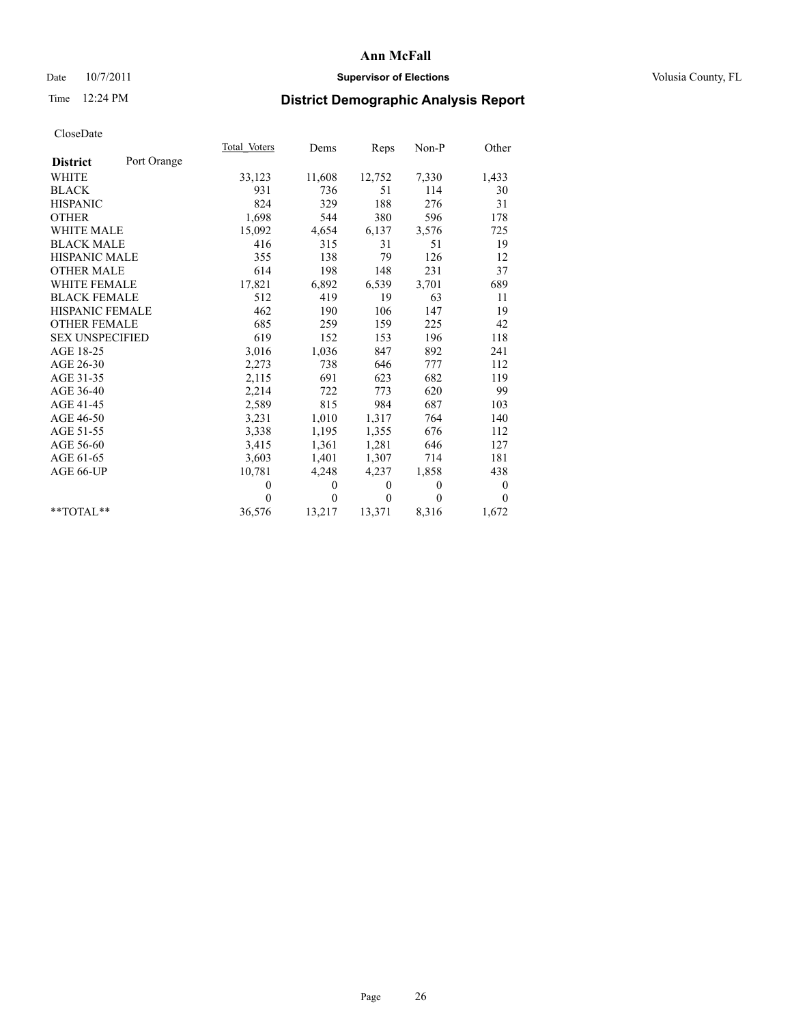# Date  $10/7/2011$  **Supervisor of Elections Supervisor of Elections** Volusia County, FL

# Time 12:24 PM **District Demographic Analysis Report**

|                                | Total Voters | Dems     | Reps         | $Non-P$  | Other            |
|--------------------------------|--------------|----------|--------------|----------|------------------|
| Port Orange<br><b>District</b> |              |          |              |          |                  |
| <b>WHITE</b>                   | 33,123       | 11,608   | 12,752       | 7,330    | 1,433            |
| <b>BLACK</b>                   | 931          | 736      | 51           | 114      | 30               |
| <b>HISPANIC</b>                | 824          | 329      | 188          | 276      | 31               |
| <b>OTHER</b>                   | 1,698        | 544      | 380          | 596      | 178              |
| <b>WHITE MALE</b>              | 15,092       | 4,654    | 6,137        | 3,576    | 725              |
| <b>BLACK MALE</b>              | 416          | 315      | 31           | 51       | 19               |
| <b>HISPANIC MALE</b>           | 355          | 138      | 79           | 126      | 12               |
| <b>OTHER MALE</b>              | 614          | 198      | 148          | 231      | 37               |
| WHITE FEMALE                   | 17,821       | 6,892    | 6,539        | 3,701    | 689              |
| <b>BLACK FEMALE</b>            | 512          | 419      | 19           | 63       | 11               |
| HISPANIC FEMALE                | 462          | 190      | 106          | 147      | 19               |
| <b>OTHER FEMALE</b>            | 685          | 259      | 159          | 225      | 42               |
| <b>SEX UNSPECIFIED</b>         | 619          | 152      | 153          | 196      | 118              |
| AGE 18-25                      | 3,016        | 1,036    | 847          | 892      | 241              |
| AGE 26-30                      | 2,273        | 738      | 646          | 777      | 112              |
| AGE 31-35                      | 2,115        | 691      | 623          | 682      | 119              |
| AGE 36-40                      | 2,214        | 722      | 773          | 620      | 99               |
| AGE 41-45                      | 2,589        | 815      | 984          | 687      | 103              |
| AGE 46-50                      | 3,231        | 1,010    | 1,317        | 764      | 140              |
| AGE 51-55                      | 3,338        | 1,195    | 1,355        | 676      | 112              |
| AGE 56-60                      | 3,415        | 1,361    | 1,281        | 646      | 127              |
| AGE 61-65                      | 3,603        | 1,401    | 1,307        | 714      | 181              |
| AGE 66-UP                      | 10,781       | 4,248    | 4,237        | 1,858    | 438              |
|                                | $\mathbf{0}$ | $\theta$ | $\mathbf{0}$ | $\theta$ | $\boldsymbol{0}$ |
|                                | $\theta$     | $\theta$ | $\mathbf{0}$ | $\theta$ | $\theta$         |
| $*$ $TOTAI.**$                 | 36,576       | 13,217   | 13,371       | 8,316    | 1,672            |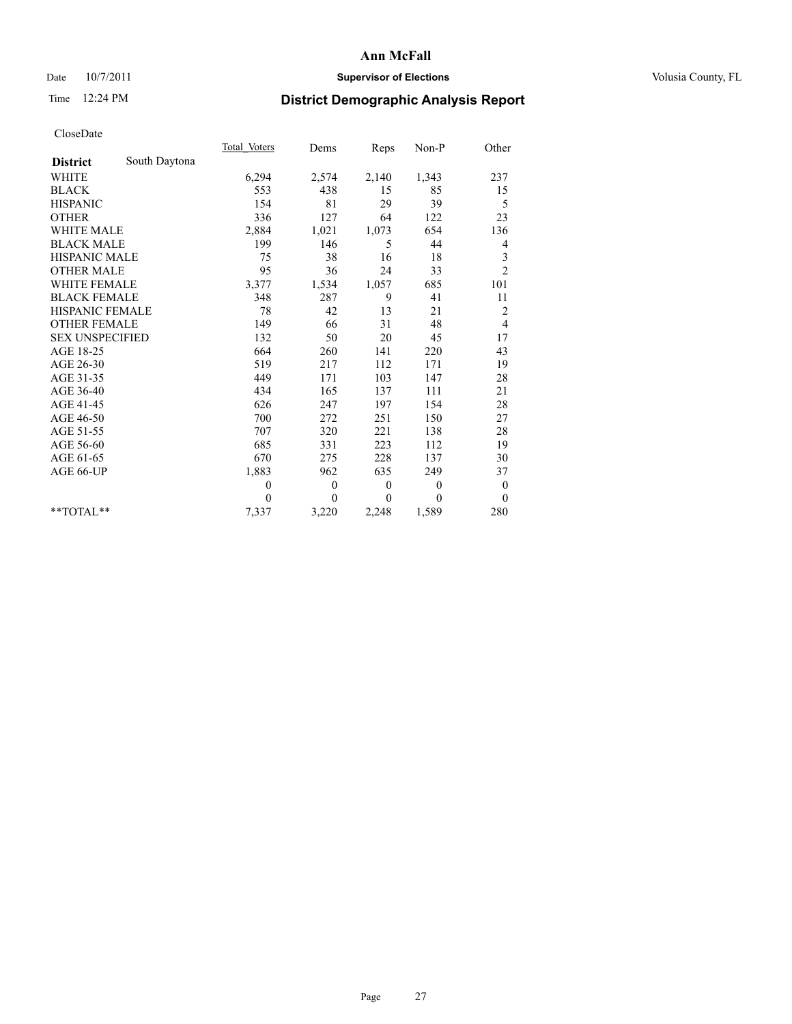# Date  $10/7/2011$  **Supervisor of Elections Supervisor of Elections** Volusia County, FL

# Time 12:24 PM **District Demographic Analysis Report**

|                                  | Total Voters | Dems         | Reps         | $Non-P$      | Other            |  |
|----------------------------------|--------------|--------------|--------------|--------------|------------------|--|
| South Daytona<br><b>District</b> |              |              |              |              |                  |  |
| <b>WHITE</b>                     | 6,294        | 2,574        | 2,140        | 1,343        | 237              |  |
| <b>BLACK</b>                     | 553          | 438          | 15           | 85           | 15               |  |
| <b>HISPANIC</b>                  | 154          | 81           | 29           | 39           | 5                |  |
| <b>OTHER</b>                     | 336          | 127          | 64           | 122          | 23               |  |
| <b>WHITE MALE</b>                | 2,884        | 1,021        | 1,073        | 654          | 136              |  |
| <b>BLACK MALE</b>                | 199          | 146          | 5            | 44           | 4                |  |
| <b>HISPANIC MALE</b>             | 75           | 38           | 16           | 18           | 3                |  |
| <b>OTHER MALE</b>                | 95           | 36           | 24           | 33           | $\overline{c}$   |  |
| <b>WHITE FEMALE</b>              | 3,377        | 1,534        | 1,057        | 685          | 101              |  |
| <b>BLACK FEMALE</b>              | 348          | 287          | 9            | 41           | 11               |  |
| HISPANIC FEMALE                  | 78           | 42           | 13           | 21           | $\overline{c}$   |  |
| <b>OTHER FEMALE</b>              | 149          | 66           | 31           | 48           | $\overline{4}$   |  |
| <b>SEX UNSPECIFIED</b>           | 132          | 50           | 20           | 45           | 17               |  |
| AGE 18-25                        | 664          | 260          | 141          | 220          | 43               |  |
| AGE 26-30                        | 519          | 217          | 112          | 171          | 19               |  |
| AGE 31-35                        | 449          | 171          | 103          | 147          | 28               |  |
| AGE 36-40                        | 434          | 165          | 137          | 111          | 21               |  |
| AGE 41-45                        | 626          | 247          | 197          | 154          | 28               |  |
| AGE 46-50                        | 700          | 272          | 251          | 150          | 27               |  |
| AGE 51-55                        | 707          | 320          | 221          | 138          | 28               |  |
| AGE 56-60                        | 685          | 331          | 223          | 112          | 19               |  |
| AGE 61-65                        | 670          | 275          | 228          | 137          | 30               |  |
| AGE 66-UP                        | 1,883        | 962          | 635          | 249          | 37               |  |
|                                  | $\mathbf{0}$ | $\mathbf{0}$ | $\mathbf{0}$ | $\mathbf{0}$ | $\boldsymbol{0}$ |  |
|                                  | $\theta$     | $\theta$     | $\theta$     | $\theta$     | $\theta$         |  |
| $*$ $TOTAI.**$                   | 7,337        | 3,220        | 2,248        | 1,589        | 280              |  |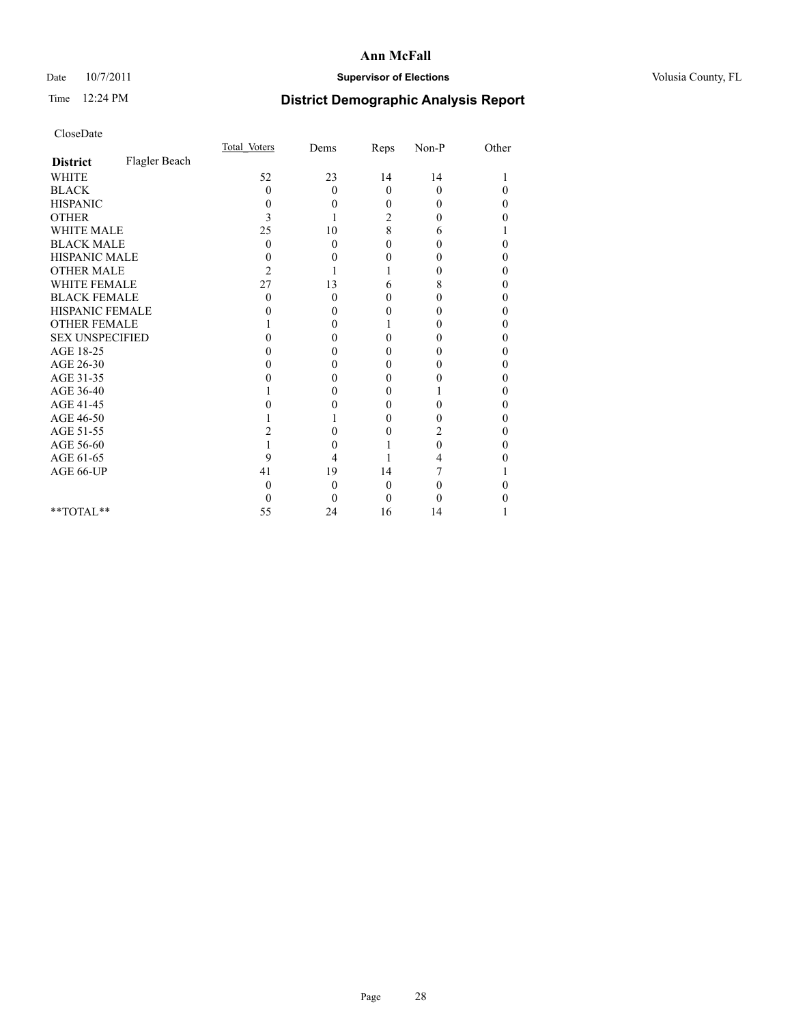# Date  $10/7/2011$  **Supervisor of Elections Supervisor of Elections** Volusia County, FL

# Time 12:24 PM **District Demographic Analysis Report**

|                        |               | Total Voters | Dems     | Reps     | $Non-P$  | Other |  |
|------------------------|---------------|--------------|----------|----------|----------|-------|--|
| <b>District</b>        | Flagler Beach |              |          |          |          |       |  |
| <b>WHITE</b>           |               | 52           | 23       | 14       | 14       |       |  |
| <b>BLACK</b>           |               | 0            | $\theta$ | $\theta$ | $\theta$ | 0     |  |
| <b>HISPANIC</b>        |               | 0            | 0        | $\Omega$ | $\Omega$ | 0     |  |
| <b>OTHER</b>           |               | 3            |          | 2        | 0        | 0     |  |
| <b>WHITE MALE</b>      |               | 25           | 10       | 8        | 6        |       |  |
| <b>BLACK MALE</b>      |               | $\theta$     | $\theta$ | 0        | 0        | 0     |  |
| HISPANIC MALE          |               | 0            | 0        | 0        | 0        | 0     |  |
| <b>OTHER MALE</b>      |               | 2            |          |          | 0        | 0     |  |
| WHITE FEMALE           |               | 27           | 13       | 6        | 8        | 0     |  |
| <b>BLACK FEMALE</b>    |               | 0            | 0        | 0        | 0        | 0     |  |
| HISPANIC FEMALE        |               |              | 0        | 0        | 0        | 0     |  |
| <b>OTHER FEMALE</b>    |               |              | 0        |          | 0        | 0     |  |
| <b>SEX UNSPECIFIED</b> |               |              | 0        | 0        | 0        | 0     |  |
| AGE 18-25              |               |              | 0        | 0        | 0        | 0     |  |
| AGE 26-30              |               |              | 0        | 0        | 0        | 0     |  |
| AGE 31-35              |               |              | 0        | 0        | 0        | 0     |  |
| AGE 36-40              |               |              | 0        | 0        |          | 0     |  |
| AGE 41-45              |               |              |          | 0        | 0        | 0     |  |
| AGE 46-50              |               |              |          | 0        | 0        | 0     |  |
| AGE 51-55              |               | 2            | 0        | 0        | 2        | 0     |  |
| AGE 56-60              |               |              | 0        |          | 0        | 0     |  |
| AGE 61-65              |               | 9            | 4        |          | 4        |       |  |
| AGE 66-UP              |               | 41           | 19       | 14       |          |       |  |
|                        |               | 0            | $\theta$ | $\theta$ | 0        |       |  |
|                        |               | $_{0}$       | 0        | $\Omega$ | 0        |       |  |
| $*$ $TOTAI.**$         |               | 55           | 24       | 16       | 14       |       |  |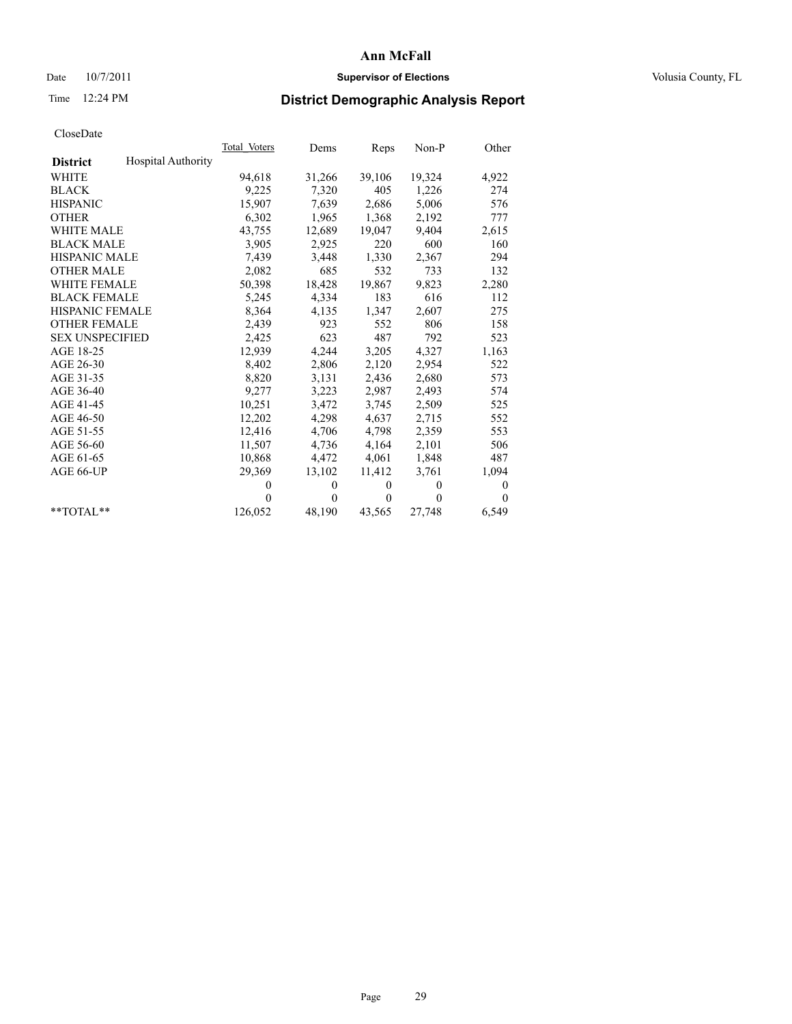# Date  $10/7/2011$  **Supervisor of Elections Supervisor of Elections** Volusia County, FL

# Time 12:24 PM **District Demographic Analysis Report**

|                                              | Total Voters | Dems         | Reps         | $Non-P$  | Other            |
|----------------------------------------------|--------------|--------------|--------------|----------|------------------|
| <b>Hospital Authority</b><br><b>District</b> |              |              |              |          |                  |
| <b>WHITE</b>                                 | 94,618       | 31,266       | 39,106       | 19,324   | 4,922            |
| <b>BLACK</b>                                 | 9,225        | 7,320        | 405          | 1,226    | 274              |
| <b>HISPANIC</b>                              | 15,907       | 7,639        | 2,686        | 5,006    | 576              |
| <b>OTHER</b>                                 | 6,302        | 1,965        | 1,368        | 2,192    | 777              |
| <b>WHITE MALE</b>                            | 43,755       | 12,689       | 19,047       | 9,404    | 2,615            |
| <b>BLACK MALE</b>                            | 3,905        | 2,925        | 220          | 600      | 160              |
| <b>HISPANIC MALE</b>                         | 7,439        | 3,448        | 1,330        | 2,367    | 294              |
| <b>OTHER MALE</b>                            | 2,082        | 685          | 532          | 733      | 132              |
| <b>WHITE FEMALE</b>                          | 50,398       | 18,428       | 19,867       | 9,823    | 2,280            |
| <b>BLACK FEMALE</b>                          | 5,245        | 4,334        | 183          | 616      | 112              |
| HISPANIC FEMALE                              | 8,364        | 4,135        | 1,347        | 2,607    | 275              |
| <b>OTHER FEMALE</b>                          | 2,439        | 923          | 552          | 806      | 158              |
| <b>SEX UNSPECIFIED</b>                       | 2,425        | 623          | 487          | 792      | 523              |
| AGE 18-25                                    | 12,939       | 4,244        | 3,205        | 4,327    | 1,163            |
| AGE 26-30                                    | 8,402        | 2,806        | 2,120        | 2,954    | 522              |
| AGE 31-35                                    | 8,820        | 3,131        | 2,436        | 2,680    | 573              |
| AGE 36-40                                    | 9,277        | 3,223        | 2,987        | 2,493    | 574              |
| AGE 41-45                                    | 10,251       | 3,472        | 3,745        | 2,509    | 525              |
| AGE 46-50                                    | 12,202       | 4,298        | 4,637        | 2,715    | 552              |
| AGE 51-55                                    | 12,416       | 4,706        | 4,798        | 2,359    | 553              |
| AGE 56-60                                    | 11,507       | 4,736        | 4,164        | 2,101    | 506              |
| AGE 61-65                                    | 10,868       | 4,472        | 4,061        | 1,848    | 487              |
| AGE 66-UP                                    | 29,369       | 13,102       | 11,412       | 3,761    | 1,094            |
|                                              | $\theta$     | $\mathbf{0}$ | $\mathbf{0}$ | $\theta$ | $\boldsymbol{0}$ |
|                                              | $\theta$     | $\Omega$     | $\mathbf{0}$ | $\theta$ | $\theta$         |
| $*$ TOTAL $*$                                | 126,052      | 48,190       | 43,565       | 27,748   | 6,549            |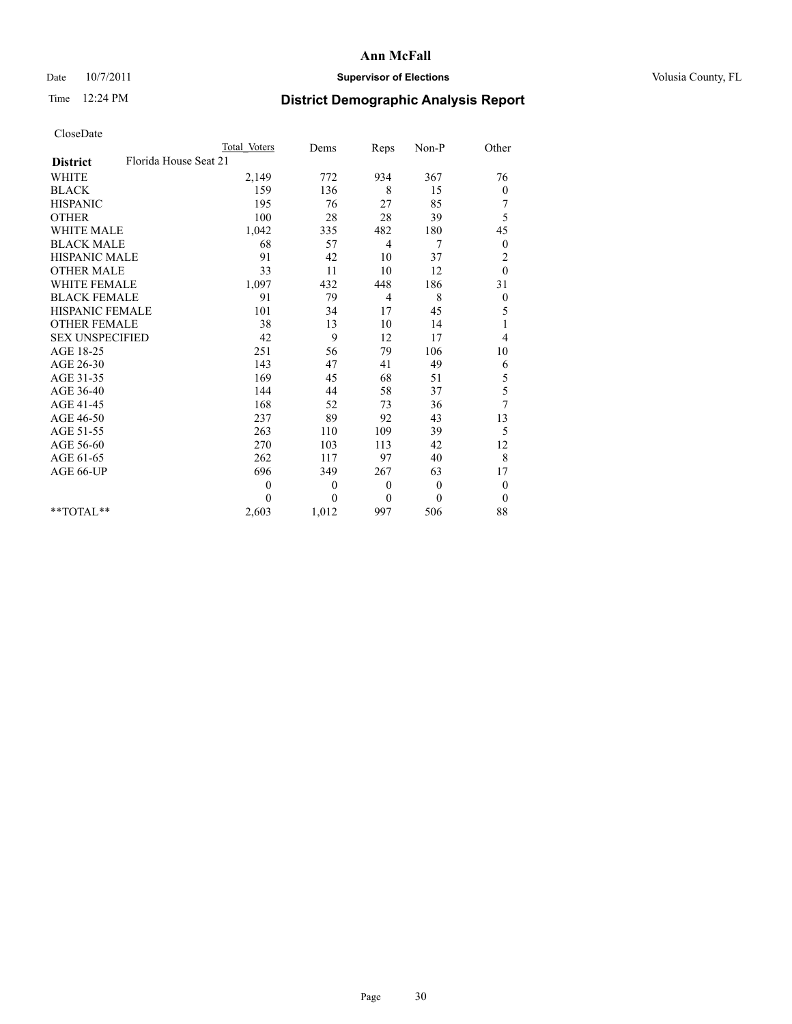# Date  $10/7/2011$  **Supervisor of Elections Supervisor of Elections** Volusia County, FL

# Time 12:24 PM **District Demographic Analysis Report**

|                                          | Total Voters   | Dems     | Reps         | Non-P        | Other            |
|------------------------------------------|----------------|----------|--------------|--------------|------------------|
| Florida House Seat 21<br><b>District</b> |                |          |              |              |                  |
| <b>WHITE</b>                             | 2,149          | 772      | 934          | 367          | 76               |
| <b>BLACK</b>                             | 159            | 136      | 8            | 15           | $\boldsymbol{0}$ |
| <b>HISPANIC</b>                          | 195            | 76       | 27           | 85           | 7                |
| <b>OTHER</b>                             | 100            | 28       | 28           | 39           | 5                |
| <b>WHITE MALE</b>                        | 1,042          | 335      | 482          | 180          | 45               |
| <b>BLACK MALE</b>                        | 68             | 57       | 4            | 7            | $\mathbf{0}$     |
| <b>HISPANIC MALE</b>                     | 91             | 42       | 10           | 37           | $\overline{c}$   |
| <b>OTHER MALE</b>                        | 33             | 11       | 10           | 12           | $\theta$         |
| <b>WHITE FEMALE</b>                      | 1.097          | 432      | 448          | 186          | 31               |
| <b>BLACK FEMALE</b>                      | 91             | 79       | 4            | 8            | $\boldsymbol{0}$ |
| HISPANIC FEMALE                          | 101            | 34       | 17           | 45           | 5                |
| <b>OTHER FEMALE</b>                      | 38             | 13       | 10           | 14           | 1                |
| <b>SEX UNSPECIFIED</b>                   | 42             | 9        | 12           | 17           | 4                |
| AGE 18-25                                | 251            | 56       | 79           | 106          | 10               |
| AGE 26-30                                | 143            | 47       | 41           | 49           | 6                |
| AGE 31-35                                | 169            | 45       | 68           | 51           | 5                |
| AGE 36-40                                | 144            | 44       | 58           | 37           | 5                |
| AGE 41-45                                | 168            | 52       | 73           | 36           | 7                |
| AGE 46-50                                | 237            | 89       | 92           | 43           | 13               |
| AGE 51-55                                | 263            | 110      | 109          | 39           | 5                |
| AGE 56-60                                | 270            | 103      | 113          | 42           | 12               |
| AGE 61-65                                | 262            | 117      | 97           | 40           | 8                |
| AGE 66-UP                                | 696            | 349      | 267          | 63           | 17               |
|                                          | $\overline{0}$ | $\theta$ | $\theta$     | $\mathbf{0}$ | $\boldsymbol{0}$ |
|                                          | $\theta$       | $\theta$ | $\mathbf{0}$ | $\theta$     | $\theta$         |
| $*$ $TOTAI.**$                           | 2,603          | 1,012    | 997          | 506          | 88               |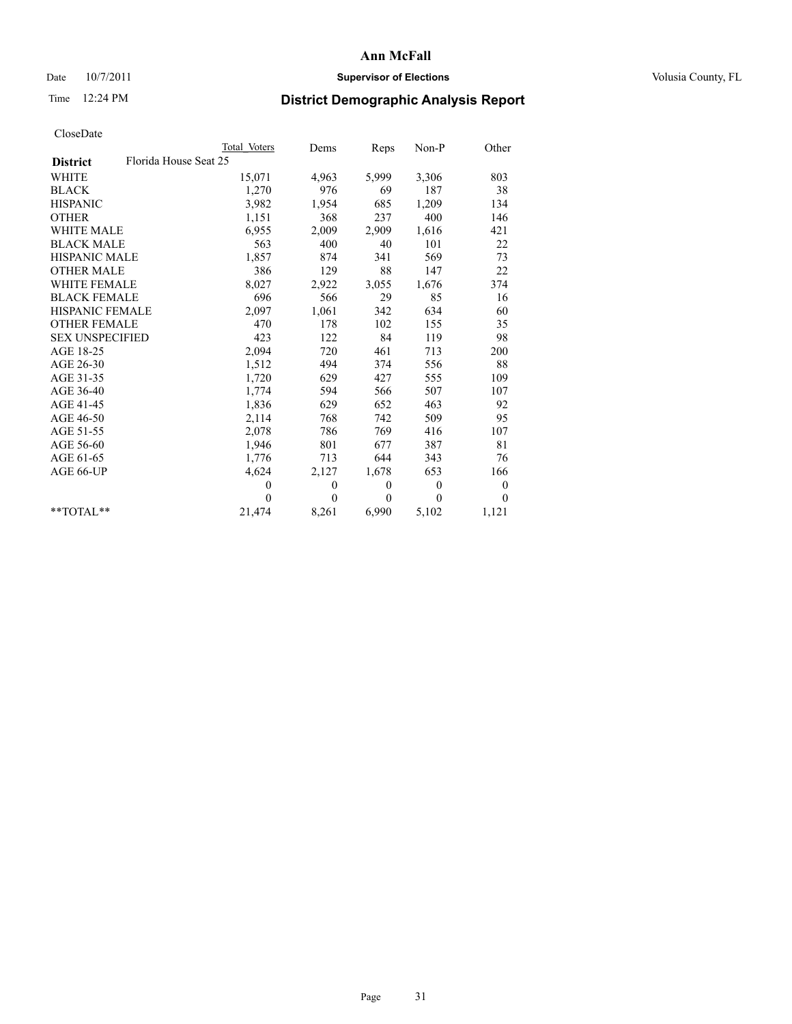# Date  $10/7/2011$  **Supervisor of Elections Supervisor of Elections** Volusia County, FL

# Time 12:24 PM **District Demographic Analysis Report**

|                                          | Total Voters | Dems         | Reps         | $Non-P$  | Other            |  |
|------------------------------------------|--------------|--------------|--------------|----------|------------------|--|
| Florida House Seat 25<br><b>District</b> |              |              |              |          |                  |  |
| <b>WHITE</b>                             | 15,071       | 4,963        | 5,999        | 3,306    | 803              |  |
| <b>BLACK</b>                             | 1,270        | 976          | 69           | 187      | 38               |  |
| <b>HISPANIC</b>                          | 3,982        | 1,954        | 685          | 1,209    | 134              |  |
| <b>OTHER</b>                             | 1,151        | 368          | 237          | 400      | 146              |  |
| <b>WHITE MALE</b>                        | 6,955        | 2,009        | 2,909        | 1,616    | 421              |  |
| <b>BLACK MALE</b>                        | 563          | 400          | 40           | 101      | 22               |  |
| <b>HISPANIC MALE</b>                     | 1,857        | 874          | 341          | 569      | 73               |  |
| <b>OTHER MALE</b>                        | 386          | 129          | 88           | 147      | 22               |  |
| <b>WHITE FEMALE</b>                      | 8,027        | 2,922        | 3,055        | 1,676    | 374              |  |
| <b>BLACK FEMALE</b>                      | 696          | 566          | 29           | 85       | 16               |  |
| HISPANIC FEMALE                          | 2,097        | 1,061        | 342          | 634      | 60               |  |
| <b>OTHER FEMALE</b>                      | 470          | 178          | 102          | 155      | 35               |  |
| <b>SEX UNSPECIFIED</b>                   | 423          | 122          | 84           | 119      | 98               |  |
| AGE 18-25                                | 2,094        | 720          | 461          | 713      | 200              |  |
| AGE 26-30                                | 1,512        | 494          | 374          | 556      | 88               |  |
| AGE 31-35                                | 1,720        | 629          | 427          | 555      | 109              |  |
| AGE 36-40                                | 1,774        | 594          | 566          | 507      | 107              |  |
| AGE 41-45                                | 1,836        | 629          | 652          | 463      | 92               |  |
| AGE 46-50                                | 2,114        | 768          | 742          | 509      | 95               |  |
| AGE 51-55                                | 2,078        | 786          | 769          | 416      | 107              |  |
| AGE 56-60                                | 1,946        | 801          | 677          | 387      | 81               |  |
| AGE 61-65                                | 1,776        | 713          | 644          | 343      | 76               |  |
| AGE 66-UP                                | 4,624        | 2,127        | 1,678        | 653      | 166              |  |
|                                          | $\theta$     | $\mathbf{0}$ | $\mathbf{0}$ | $\theta$ | $\boldsymbol{0}$ |  |
|                                          | $\theta$     | $\theta$     | $\theta$     | $\theta$ | $\theta$         |  |
| $*$ $TOTAI.**$                           | 21,474       | 8,261        | 6,990        | 5,102    | 1,121            |  |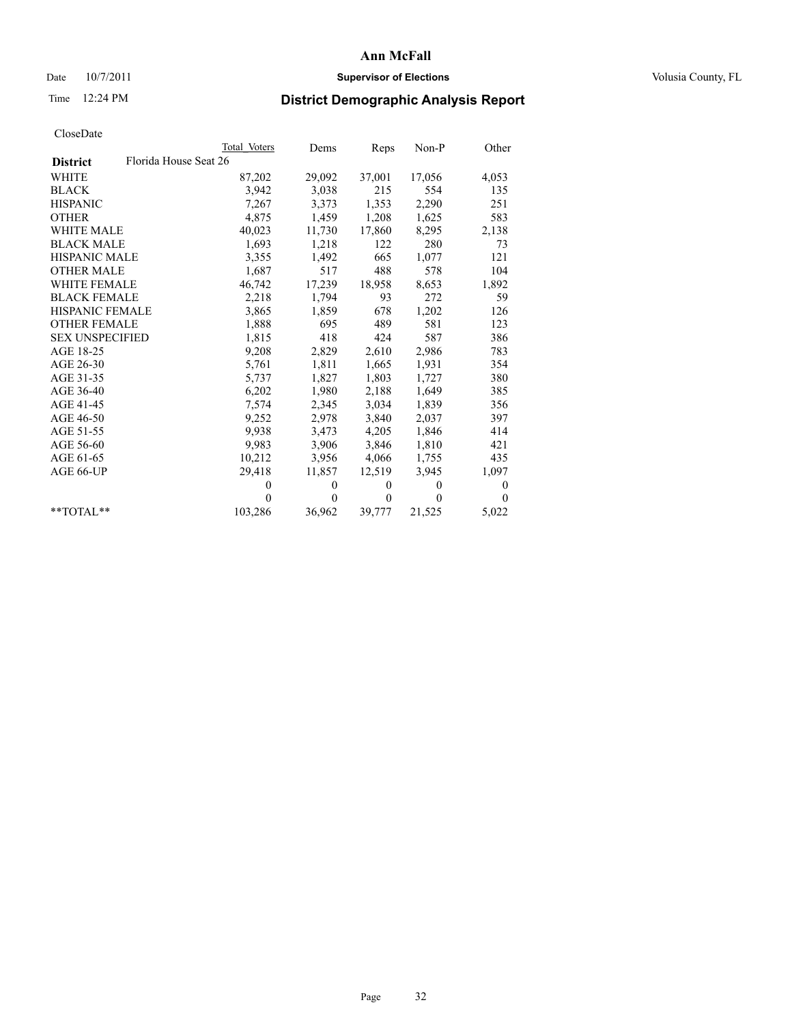# Date  $10/7/2011$  **Supervisor of Elections Supervisor of Elections** Volusia County, FL

# Time 12:24 PM **District Demographic Analysis Report**

|                                          | Total Voters | Dems     | Reps         | $Non-P$  | Other    |  |
|------------------------------------------|--------------|----------|--------------|----------|----------|--|
| Florida House Seat 26<br><b>District</b> |              |          |              |          |          |  |
| <b>WHITE</b>                             | 87,202       | 29,092   | 37,001       | 17,056   | 4,053    |  |
| <b>BLACK</b>                             | 3,942        | 3,038    | 215          | 554      | 135      |  |
| <b>HISPANIC</b>                          | 7,267        | 3,373    | 1,353        | 2,290    | 251      |  |
| <b>OTHER</b>                             | 4,875        | 1,459    | 1,208        | 1,625    | 583      |  |
| <b>WHITE MALE</b>                        | 40,023       | 11,730   | 17,860       | 8,295    | 2,138    |  |
| <b>BLACK MALE</b>                        | 1,693        | 1,218    | 122          | 280      | 73       |  |
| HISPANIC MALE                            | 3,355        | 1,492    | 665          | 1,077    | 121      |  |
| <b>OTHER MALE</b>                        | 1,687        | 517      | 488          | 578      | 104      |  |
| <b>WHITE FEMALE</b>                      | 46,742       | 17,239   | 18,958       | 8,653    | 1,892    |  |
| <b>BLACK FEMALE</b>                      | 2,218        | 1,794    | 93           | 272      | 59       |  |
| HISPANIC FEMALE                          | 3,865        | 1,859    | 678          | 1,202    | 126      |  |
| <b>OTHER FEMALE</b>                      | 1,888        | 695      | 489          | 581      | 123      |  |
| <b>SEX UNSPECIFIED</b>                   | 1,815        | 418      | 424          | 587      | 386      |  |
| AGE 18-25                                | 9,208        | 2,829    | 2,610        | 2,986    | 783      |  |
| AGE 26-30                                | 5,761        | 1,811    | 1,665        | 1,931    | 354      |  |
| AGE 31-35                                | 5,737        | 1,827    | 1,803        | 1,727    | 380      |  |
| AGE 36-40                                | 6,202        | 1,980    | 2,188        | 1,649    | 385      |  |
| AGE 41-45                                | 7,574        | 2,345    | 3,034        | 1,839    | 356      |  |
| AGE 46-50                                | 9,252        | 2,978    | 3,840        | 2,037    | 397      |  |
| AGE 51-55                                | 9,938        | 3,473    | 4,205        | 1,846    | 414      |  |
| AGE 56-60                                | 9.983        | 3,906    | 3,846        | 1,810    | 421      |  |
| AGE 61-65                                | 10,212       | 3,956    | 4,066        | 1,755    | 435      |  |
| AGE 66-UP                                | 29,418       | 11,857   | 12,519       | 3,945    | 1,097    |  |
|                                          | $\Omega$     | $\theta$ | $\mathbf{0}$ | $\theta$ | 0        |  |
|                                          | $\Omega$     | $\theta$ | $\mathbf{0}$ | $\theta$ | $\Omega$ |  |
| $*$ $TOTAI.**$                           | 103,286      | 36,962   | 39,777       | 21,525   | 5,022    |  |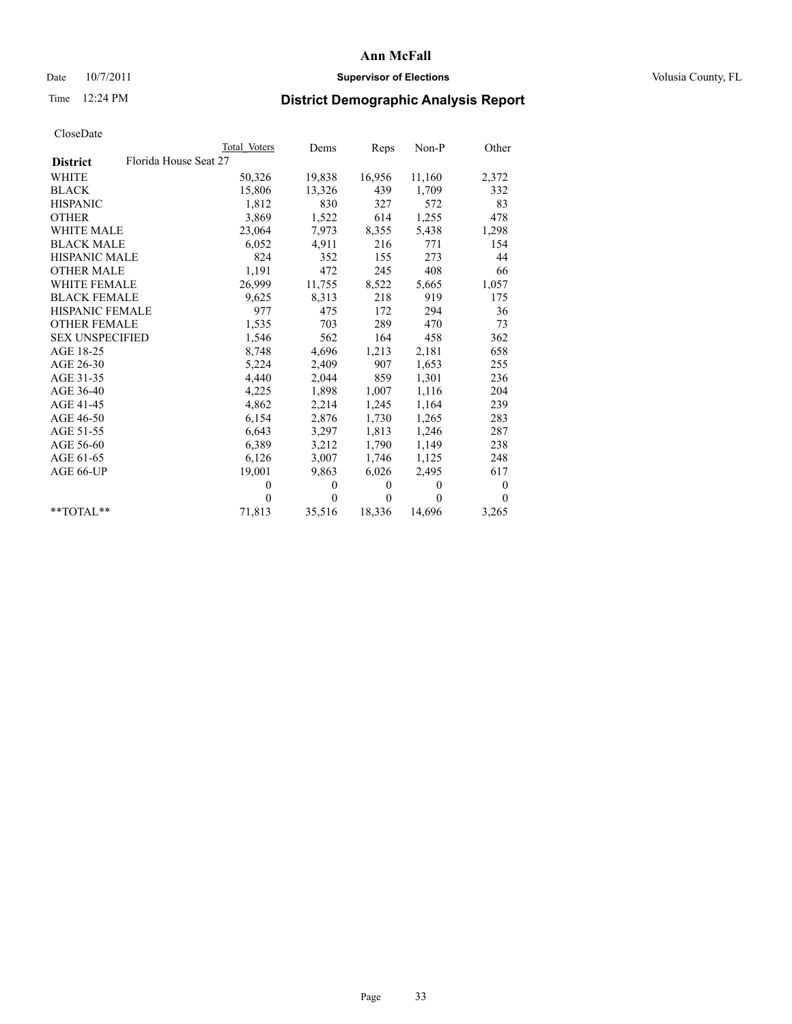# Date  $10/7/2011$  **Supervisor of Elections Supervisor of Elections** Volusia County, FL

# Time 12:24 PM **District Demographic Analysis Report**

|                                          | Total Voters | Dems         | Reps         | $Non-P$      | Other    |
|------------------------------------------|--------------|--------------|--------------|--------------|----------|
| Florida House Seat 27<br><b>District</b> |              |              |              |              |          |
| <b>WHITE</b>                             | 50,326       | 19,838       | 16,956       | 11,160       | 2,372    |
| <b>BLACK</b>                             | 15,806       | 13,326       | 439          | 1,709        | 332      |
| <b>HISPANIC</b>                          | 1,812        | 830          | 327          | 572          | 83       |
| <b>OTHER</b>                             | 3,869        | 1,522        | 614          | 1,255        | 478      |
| <b>WHITE MALE</b>                        | 23,064       | 7,973        | 8,355        | 5,438        | 1,298    |
| <b>BLACK MALE</b>                        | 6,052        | 4,911        | 216          | 771          | 154      |
| <b>HISPANIC MALE</b>                     | 824          | 352          | 155          | 273          | 44       |
| <b>OTHER MALE</b>                        | 1,191        | 472          | 245          | 408          | 66       |
| WHITE FEMALE                             | 26,999       | 11,755       | 8,522        | 5,665        | 1,057    |
| <b>BLACK FEMALE</b>                      | 9,625        | 8,313        | 218          | 919          | 175      |
| <b>HISPANIC FEMALE</b>                   | 977          | 475          | 172          | 294          | 36       |
| <b>OTHER FEMALE</b>                      | 1,535        | 703          | 289          | 470          | 73       |
| <b>SEX UNSPECIFIED</b>                   | 1,546        | 562          | 164          | 458          | 362      |
| AGE 18-25                                | 8,748        | 4,696        | 1,213        | 2,181        | 658      |
| AGE 26-30                                | 5,224        | 2,409        | 907          | 1,653        | 255      |
| AGE 31-35                                | 4,440        | 2,044        | 859          | 1,301        | 236      |
| AGE 36-40                                | 4,225        | 1,898        | 1,007        | 1,116        | 204      |
| AGE 41-45                                | 4,862        | 2,214        | 1,245        | 1,164        | 239      |
| AGE 46-50                                | 6,154        | 2,876        | 1,730        | 1,265        | 283      |
| AGE 51-55                                | 6,643        | 3,297        | 1,813        | 1,246        | 287      |
| AGE 56-60                                | 6,389        | 3,212        | 1,790        | 1,149        | 238      |
| AGE 61-65                                | 6,126        | 3,007        | 1,746        | 1,125        | 248      |
| AGE 66-UP                                | 19,001       | 9,863        | 6,026        | 2,495        | 617      |
|                                          | $\theta$     | $\mathbf{0}$ | $\mathbf{0}$ | $\mathbf{0}$ | $\bf{0}$ |
|                                          | $\theta$     | $\theta$     | $\theta$     | $\theta$     | $\theta$ |
| $*$ $TOTAI$ **                           | 71,813       | 35,516       | 18,336       | 14,696       | 3,265    |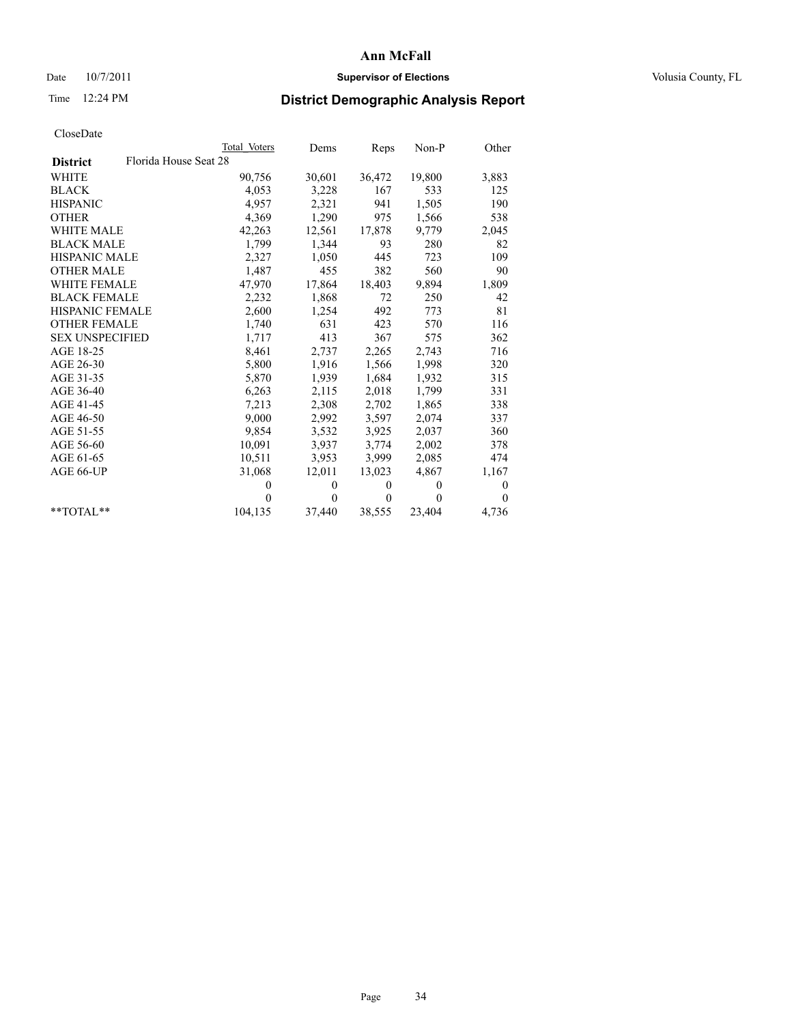# Date  $10/7/2011$  **Supervisor of Elections Supervisor of Elections** Volusia County, FL

# Time 12:24 PM **District Demographic Analysis Report**

|                                          | Total Voters | Dems     | Reps         | $Non-P$  | Other    |
|------------------------------------------|--------------|----------|--------------|----------|----------|
| Florida House Seat 28<br><b>District</b> |              |          |              |          |          |
| <b>WHITE</b>                             | 90,756       | 30,601   | 36,472       | 19,800   | 3,883    |
| <b>BLACK</b>                             | 4,053        | 3,228    | 167          | 533      | 125      |
| <b>HISPANIC</b>                          | 4,957        | 2,321    | 941          | 1,505    | 190      |
| <b>OTHER</b>                             | 4,369        | 1,290    | 975          | 1,566    | 538      |
| <b>WHITE MALE</b>                        | 42,263       | 12,561   | 17,878       | 9,779    | 2,045    |
| <b>BLACK MALE</b>                        | 1,799        | 1,344    | 93           | 280      | 82       |
| <b>HISPANIC MALE</b>                     | 2,327        | 1,050    | 445          | 723      | 109      |
| <b>OTHER MALE</b>                        | 1,487        | 455      | 382          | 560      | 90       |
| <b>WHITE FEMALE</b>                      | 47,970       | 17,864   | 18,403       | 9,894    | 1,809    |
| <b>BLACK FEMALE</b>                      | 2,232        | 1,868    | 72           | 250      | 42       |
| HISPANIC FEMALE                          | 2,600        | 1,254    | 492          | 773      | 81       |
| <b>OTHER FEMALE</b>                      | 1,740        | 631      | 423          | 570      | 116      |
| <b>SEX UNSPECIFIED</b>                   | 1,717        | 413      | 367          | 575      | 362      |
| AGE 18-25                                | 8,461        | 2,737    | 2,265        | 2,743    | 716      |
| AGE 26-30                                | 5,800        | 1,916    | 1,566        | 1,998    | 320      |
| AGE 31-35                                | 5,870        | 1,939    | 1,684        | 1,932    | 315      |
| AGE 36-40                                | 6,263        | 2,115    | 2,018        | 1,799    | 331      |
| AGE 41-45                                | 7,213        | 2,308    | 2,702        | 1,865    | 338      |
| AGE 46-50                                | 9,000        | 2,992    | 3,597        | 2,074    | 337      |
| AGE 51-55                                | 9,854        | 3,532    | 3,925        | 2,037    | 360      |
| AGE 56-60                                | 10,091       | 3,937    | 3,774        | 2,002    | 378      |
| AGE 61-65                                | 10,511       | 3,953    | 3,999        | 2,085    | 474      |
| AGE 66-UP                                | 31,068       | 12,011   | 13,023       | 4,867    | 1,167    |
|                                          | $\Omega$     | $\theta$ | $\Omega$     | $\theta$ | 0        |
|                                          | $\Omega$     | $\theta$ | $\mathbf{0}$ | $\theta$ | $\theta$ |
| $*$ $TOTAI.**$                           | 104,135      | 37,440   | 38,555       | 23,404   | 4,736    |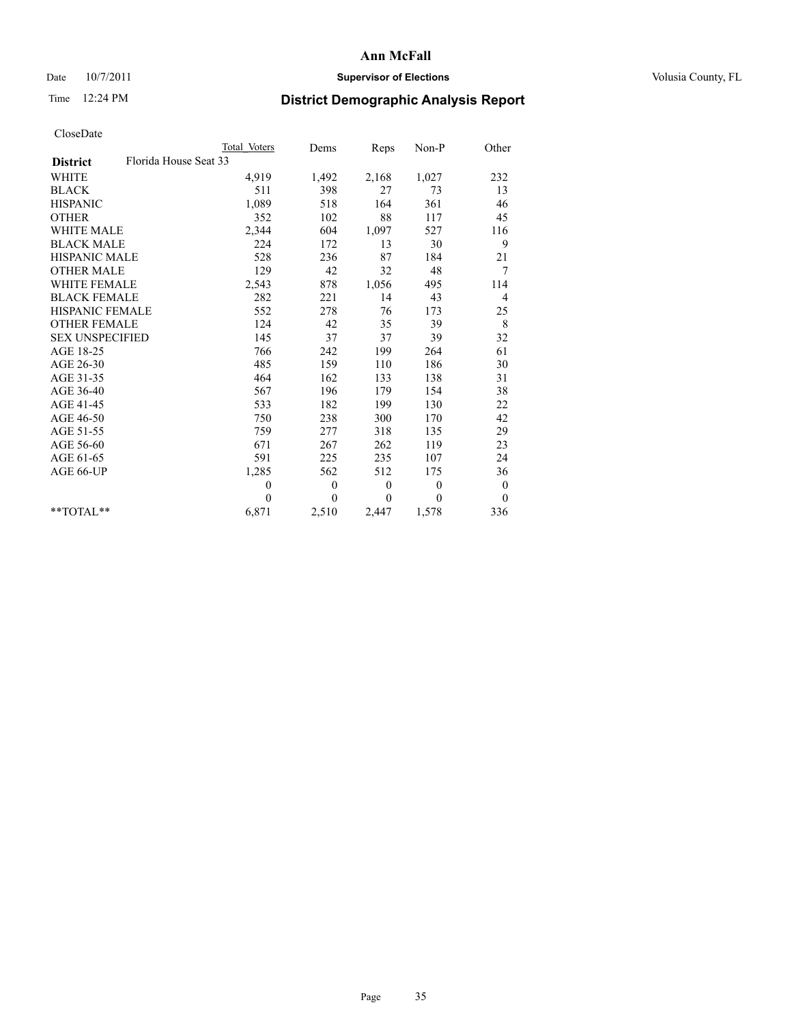# Date  $10/7/2011$  **Supervisor of Elections Supervisor of Elections** Volusia County, FL

# Time 12:24 PM **District Demographic Analysis Report**

|                                          | Total Voters | Dems         | <b>Reps</b>  | Non-P    | Other            |  |
|------------------------------------------|--------------|--------------|--------------|----------|------------------|--|
| Florida House Seat 33<br><b>District</b> |              |              |              |          |                  |  |
| <b>WHITE</b>                             | 4,919        | 1,492        | 2,168        | 1,027    | 232              |  |
| <b>BLACK</b>                             | 511          | 398          | 27           | 73       | 13               |  |
| <b>HISPANIC</b>                          | 1,089        | 518          | 164          | 361      | 46               |  |
| <b>OTHER</b>                             | 352          | 102          | 88           | 117      | 45               |  |
| <b>WHITE MALE</b>                        | 2,344        | 604          | 1,097        | 527      | 116              |  |
| <b>BLACK MALE</b>                        | 224          | 172          | 13           | 30       | 9                |  |
| <b>HISPANIC MALE</b>                     | 528          | 236          | 87           | 184      | 21               |  |
| <b>OTHER MALE</b>                        | 129          | 42           | 32           | 48       | 7                |  |
| WHITE FEMALE                             | 2,543        | 878          | 1,056        | 495      | 114              |  |
| <b>BLACK FEMALE</b>                      | 282          | 221          | 14           | 43       | $\overline{4}$   |  |
| HISPANIC FEMALE                          | 552          | 278          | 76           | 173      | 25               |  |
| <b>OTHER FEMALE</b>                      | 124          | 42           | 35           | 39       | 8                |  |
| <b>SEX UNSPECIFIED</b>                   | 145          | 37           | 37           | 39       | 32               |  |
| AGE 18-25                                | 766          | 242          | 199          | 264      | 61               |  |
| AGE 26-30                                | 485          | 159          | 110          | 186      | 30               |  |
| AGE 31-35                                | 464          | 162          | 133          | 138      | 31               |  |
| AGE 36-40                                | 567          | 196          | 179          | 154      | 38               |  |
| AGE 41-45                                | 533          | 182          | 199          | 130      | 22               |  |
| AGE 46-50                                | 750          | 238          | 300          | 170      | 42               |  |
| AGE 51-55                                | 759          | 277          | 318          | 135      | 29               |  |
| AGE 56-60                                | 671          | 267          | 262          | 119      | 23               |  |
| AGE 61-65                                | 591          | 225          | 235          | 107      | 24               |  |
| AGE 66-UP                                | 1,285        | 562          | 512          | 175      | 36               |  |
|                                          | $\mathbf{0}$ | $\mathbf{0}$ | $\mathbf{0}$ | $\theta$ | $\boldsymbol{0}$ |  |
|                                          | $\Omega$     | $\mathbf{0}$ | $\mathbf{0}$ | $\theta$ | $\mathbf{0}$     |  |
| $*$ $TOTAI.**$                           | 6,871        | 2,510        | 2,447        | 1,578    | 336              |  |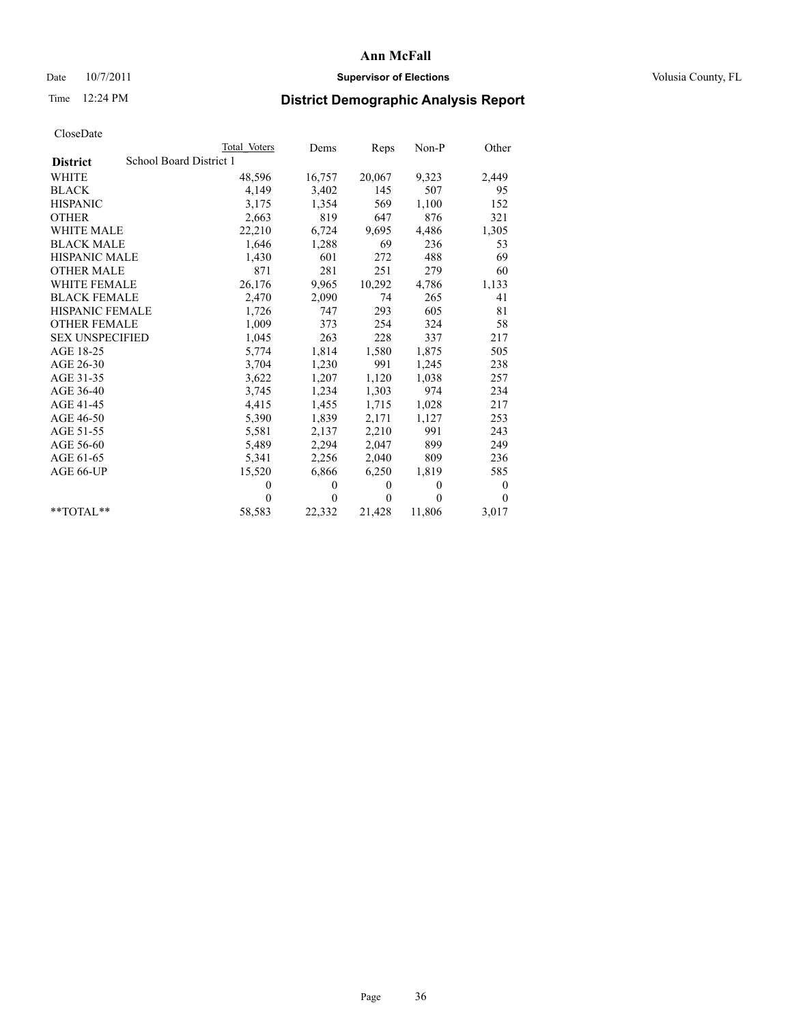# Date  $10/7/2011$  **Supervisor of Elections Supervisor of Elections** Volusia County, FL

# Time 12:24 PM **District Demographic Analysis Report**

|                                            | Total Voters | Dems         | Reps         | Non-P        | Other    |
|--------------------------------------------|--------------|--------------|--------------|--------------|----------|
| School Board District 1<br><b>District</b> |              |              |              |              |          |
| WHITE                                      | 48,596       | 16,757       | 20,067       | 9,323        | 2,449    |
| <b>BLACK</b>                               | 4,149        | 3,402        | 145          | 507          | 95       |
| <b>HISPANIC</b>                            | 3,175        | 1,354        | 569          | 1,100        | 152      |
| <b>OTHER</b>                               | 2,663        | 819          | 647          | 876          | 321      |
| <b>WHITE MALE</b>                          | 22,210       | 6,724        | 9,695        | 4,486        | 1,305    |
| <b>BLACK MALE</b>                          | 1,646        | 1,288        | 69           | 236          | 53       |
| <b>HISPANIC MALE</b>                       | 1,430        | 601          | 272          | 488          | 69       |
| <b>OTHER MALE</b>                          | 871          | 281          | 251          | 279          | 60       |
| <b>WHITE FEMALE</b>                        | 26,176       | 9.965        | 10,292       | 4,786        | 1,133    |
| <b>BLACK FEMALE</b>                        | 2,470        | 2,090        | 74           | 265          | 41       |
| HISPANIC FEMALE                            | 1,726        | 747          | 293          | 605          | 81       |
| <b>OTHER FEMALE</b>                        | 1,009        | 373          | 254          | 324          | 58       |
| <b>SEX UNSPECIFIED</b>                     | 1,045        | 263          | 228          | 337          | 217      |
| AGE 18-25                                  | 5,774        | 1,814        | 1,580        | 1,875        | 505      |
| AGE 26-30                                  | 3,704        | 1,230        | 991          | 1,245        | 238      |
| AGE 31-35                                  | 3,622        | 1,207        | 1,120        | 1,038        | 257      |
| AGE 36-40                                  | 3,745        | 1,234        | 1,303        | 974          | 234      |
| AGE 41-45                                  | 4,415        | 1,455        | 1,715        | 1,028        | 217      |
| AGE 46-50                                  | 5,390        | 1,839        | 2,171        | 1,127        | 253      |
| AGE 51-55                                  | 5,581        | 2,137        | 2,210        | 991          | 243      |
| AGE 56-60                                  | 5,489        | 2,294        | 2,047        | 899          | 249      |
| AGE 61-65                                  | 5,341        | 2,256        | 2,040        | 809          | 236      |
| AGE 66-UP                                  | 15,520       | 6,866        | 6,250        | 1,819        | 585      |
|                                            | $\theta$     | $\mathbf{0}$ | $\mathbf{0}$ | $\mathbf{0}$ | 0        |
|                                            | $\Omega$     | $\theta$     | $\theta$     | $\theta$     | $\theta$ |
| $*$ $TOTAI.**$                             | 58,583       | 22,332       | 21,428       | 11,806       | 3,017    |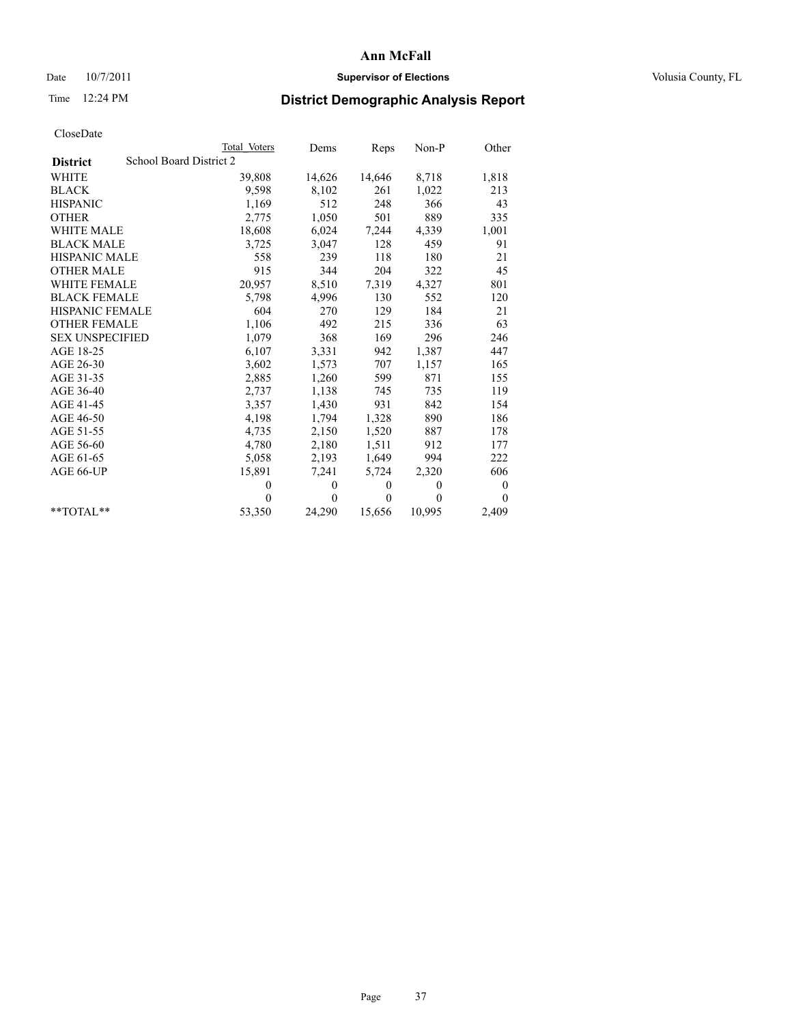## Date  $10/7/2011$  **Supervisor of Elections Supervisor of Elections** Volusia County, FL

# Time 12:24 PM **District Demographic Analysis Report**

|                        | <b>Total Voters</b>     | Dems         | Reps         | $Non-P$  | Other            |
|------------------------|-------------------------|--------------|--------------|----------|------------------|
| <b>District</b>        | School Board District 2 |              |              |          |                  |
| <b>WHITE</b>           | 39,808                  | 14,626       | 14,646       | 8,718    | 1,818            |
| <b>BLACK</b>           | 9,598                   | 8,102        | 261          | 1,022    | 213              |
| <b>HISPANIC</b>        | 1,169                   | 512          | 248          | 366      | 43               |
| <b>OTHER</b>           | 2,775                   | 1,050        | 501          | 889      | 335              |
| <b>WHITE MALE</b>      | 18,608                  | 6,024        | 7,244        | 4,339    | 1,001            |
| <b>BLACK MALE</b>      | 3,725                   | 3,047        | 128          | 459      | 91               |
| <b>HISPANIC MALE</b>   | 558                     | 239          | 118          | 180      | 21               |
| <b>OTHER MALE</b>      | 915                     | 344          | 204          | 322      | 45               |
| WHITE FEMALE           | 20,957                  | 8,510        | 7,319        | 4,327    | 801              |
| <b>BLACK FEMALE</b>    | 5,798                   | 4,996        | 130          | 552      | 120              |
| HISPANIC FEMALE        | 604                     | 270          | 129          | 184      | 21               |
| <b>OTHER FEMALE</b>    | 1,106                   | 492          | 215          | 336      | 63               |
| <b>SEX UNSPECIFIED</b> | 1,079                   | 368          | 169          | 296      | 246              |
| AGE 18-25              | 6,107                   | 3,331        | 942          | 1,387    | 447              |
| AGE 26-30              | 3,602                   | 1,573        | 707          | 1,157    | 165              |
| AGE 31-35              | 2,885                   | 1,260        | 599          | 871      | 155              |
| AGE 36-40              | 2,737                   | 1,138        | 745          | 735      | 119              |
| AGE 41-45              | 3,357                   | 1,430        | 931          | 842      | 154              |
| AGE 46-50              | 4,198                   | 1,794        | 1,328        | 890      | 186              |
| AGE 51-55              | 4,735                   | 2,150        | 1,520        | 887      | 178              |
| AGE 56-60              | 4,780                   | 2,180        | 1,511        | 912      | 177              |
| AGE 61-65              | 5,058                   | 2,193        | 1,649        | 994      | 222              |
| AGE 66-UP              | 15,891                  | 7,241        | 5,724        | 2,320    | 606              |
|                        | $\theta$                | $\mathbf{0}$ | $\mathbf{0}$ | $\theta$ | $\boldsymbol{0}$ |
|                        | $\theta$                | $\theta$     | $\theta$     | $\theta$ | $\theta$         |
| $*$ $TOTAI.**$         | 53,350                  | 24,290       | 15,656       | 10,995   | 2,409            |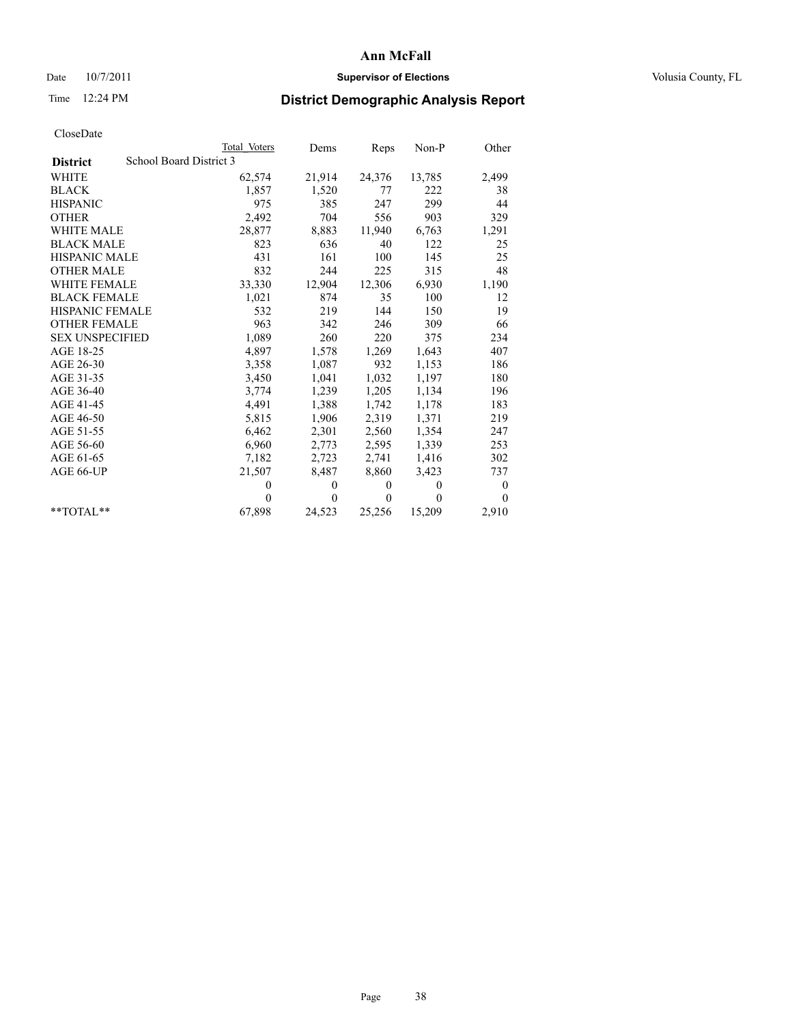## Date  $10/7/2011$  **Supervisor of Elections Supervisor of Elections** Volusia County, FL

# Time 12:24 PM **District Demographic Analysis Report**

|                        |                         | Total Voters | Dems         | Reps         | $Non-P$      | Other    |
|------------------------|-------------------------|--------------|--------------|--------------|--------------|----------|
| <b>District</b>        | School Board District 3 |              |              |              |              |          |
| <b>WHITE</b>           |                         | 62,574       | 21,914       | 24,376       | 13,785       | 2,499    |
| <b>BLACK</b>           |                         | 1,857        | 1,520        | 77           | 222          | 38       |
| <b>HISPANIC</b>        |                         | 975          | 385          | 247          | 299          | 44       |
| <b>OTHER</b>           |                         | 2,492        | 704          | 556          | 903          | 329      |
| <b>WHITE MALE</b>      |                         | 28,877       | 8,883        | 11,940       | 6,763        | 1,291    |
| <b>BLACK MALE</b>      |                         | 823          | 636          | 40           | 122          | 25       |
| <b>HISPANIC MALE</b>   |                         | 431          | 161          | 100          | 145          | 25       |
| <b>OTHER MALE</b>      |                         | 832          | 244          | 225          | 315          | 48       |
| <b>WHITE FEMALE</b>    |                         | 33,330       | 12,904       | 12,306       | 6,930        | 1,190    |
| <b>BLACK FEMALE</b>    |                         | 1,021        | 874          | 35           | 100          | 12       |
| HISPANIC FEMALE        |                         | 532          | 219          | 144          | 150          | 19       |
| <b>OTHER FEMALE</b>    |                         | 963          | 342          | 246          | 309          | 66       |
| <b>SEX UNSPECIFIED</b> |                         | 1,089        | 260          | 220          | 375          | 234      |
| AGE 18-25              |                         | 4,897        | 1,578        | 1,269        | 1,643        | 407      |
| AGE 26-30              |                         | 3,358        | 1,087        | 932          | 1,153        | 186      |
| AGE 31-35              |                         | 3,450        | 1,041        | 1,032        | 1,197        | 180      |
| AGE 36-40              |                         | 3,774        | 1,239        | 1,205        | 1,134        | 196      |
| AGE 41-45              |                         | 4,491        | 1,388        | 1,742        | 1,178        | 183      |
| AGE 46-50              |                         | 5,815        | 1,906        | 2,319        | 1,371        | 219      |
| AGE 51-55              |                         | 6,462        | 2,301        | 2,560        | 1,354        | 247      |
| AGE 56-60              |                         | 6,960        | 2,773        | 2,595        | 1,339        | 253      |
| AGE 61-65              |                         | 7,182        | 2,723        | 2,741        | 1,416        | 302      |
| AGE 66-UP              |                         | 21,507       | 8,487        | 8,860        | 3,423        | 737      |
|                        |                         | $\theta$     | $\mathbf{0}$ | $\mathbf{0}$ | $\mathbf{0}$ | $\bf{0}$ |
|                        |                         | $\theta$     | $\theta$     | $\theta$     | $\theta$     | $\theta$ |
| $*$ $TOTAI.**$         |                         | 67,898       | 24,523       | 25,256       | 15,209       | 2,910    |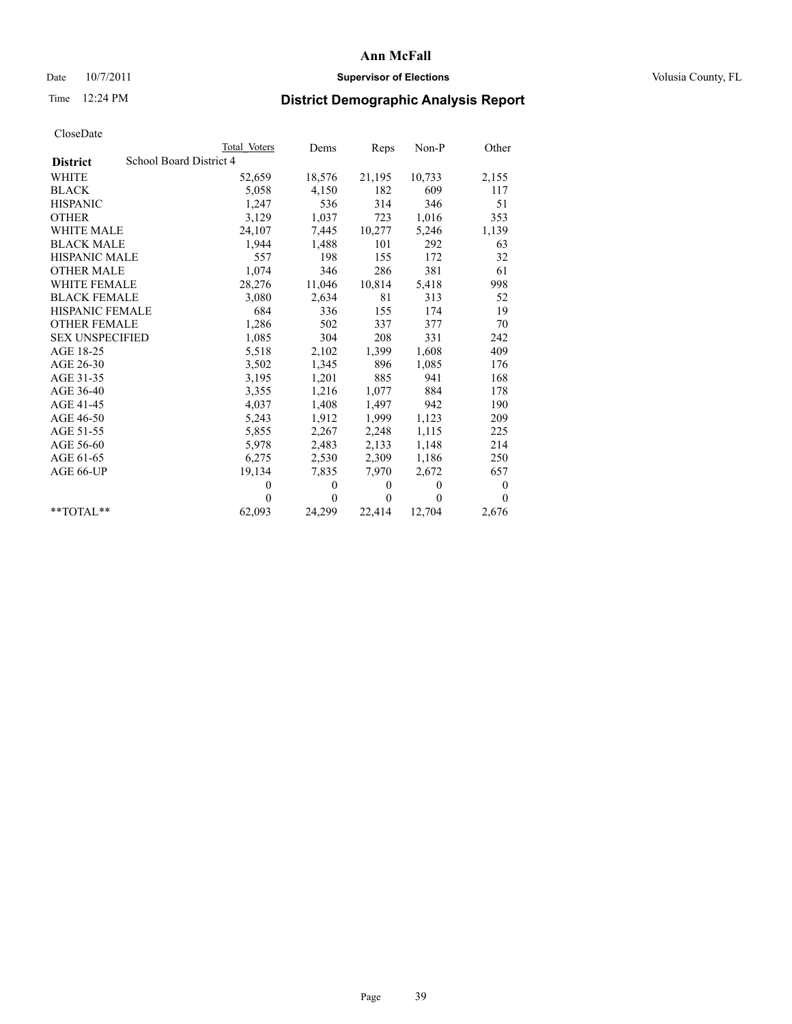### Date  $10/7/2011$  **Supervisor of Elections Supervisor of Elections** Volusia County, FL

# Time 12:24 PM **District Demographic Analysis Report**

|                        | Total Voters            | Dems         | Reps         | $Non-P$      | Other    |
|------------------------|-------------------------|--------------|--------------|--------------|----------|
| <b>District</b>        | School Board District 4 |              |              |              |          |
| WHITE                  | 52,659                  | 18,576       | 21,195       | 10,733       | 2,155    |
| <b>BLACK</b>           | 5,058                   | 4,150        | 182          | 609          | 117      |
| <b>HISPANIC</b>        | 1,247                   | 536          | 314          | 346          | 51       |
| <b>OTHER</b>           | 3,129                   | 1,037        | 723          | 1,016        | 353      |
| <b>WHITE MALE</b>      | 24,107                  | 7,445        | 10,277       | 5,246        | 1,139    |
| <b>BLACK MALE</b>      | 1,944                   | 1,488        | 101          | 292          | 63       |
| HISPANIC MALE          | 557                     | 198          | 155          | 172          | 32       |
| <b>OTHER MALE</b>      | 1,074                   | 346          | 286          | 381          | 61       |
| <b>WHITE FEMALE</b>    | 28,276                  | 11,046       | 10,814       | 5,418        | 998      |
| <b>BLACK FEMALE</b>    | 3,080                   | 2,634        | 81           | 313          | 52       |
| HISPANIC FEMALE        | 684                     | 336          | 155          | 174          | 19       |
| <b>OTHER FEMALE</b>    | 1,286                   | 502          | 337          | 377          | 70       |
| <b>SEX UNSPECIFIED</b> | 1,085                   | 304          | 208          | 331          | 242      |
| AGE 18-25              | 5,518                   | 2,102        | 1,399        | 1,608        | 409      |
| AGE 26-30              | 3,502                   | 1,345        | 896          | 1,085        | 176      |
| AGE 31-35              | 3,195                   | 1,201        | 885          | 941          | 168      |
| AGE 36-40              | 3,355                   | 1,216        | 1,077        | 884          | 178      |
| AGE 41-45              | 4,037                   | 1,408        | 1,497        | 942          | 190      |
| AGE 46-50              | 5,243                   | 1,912        | 1,999        | 1,123        | 209      |
| AGE 51-55              | 5,855                   | 2,267        | 2,248        | 1,115        | 225      |
| AGE 56-60              | 5,978                   | 2,483        | 2,133        | 1,148        | 214      |
| AGE 61-65              | 6,275                   | 2,530        | 2,309        | 1,186        | 250      |
| AGE 66-UP              | 19,134                  | 7,835        | 7,970        | 2,672        | 657      |
|                        | $\theta$                | $\mathbf{0}$ | $\mathbf{0}$ | $\mathbf{0}$ | 0        |
|                        | $\Omega$                | $\theta$     | $\mathbf{0}$ | $\theta$     | $\theta$ |
| $*$ $TOTAI.**$         | 62,093                  | 24,299       | 22,414       | 12,704       | 2,676    |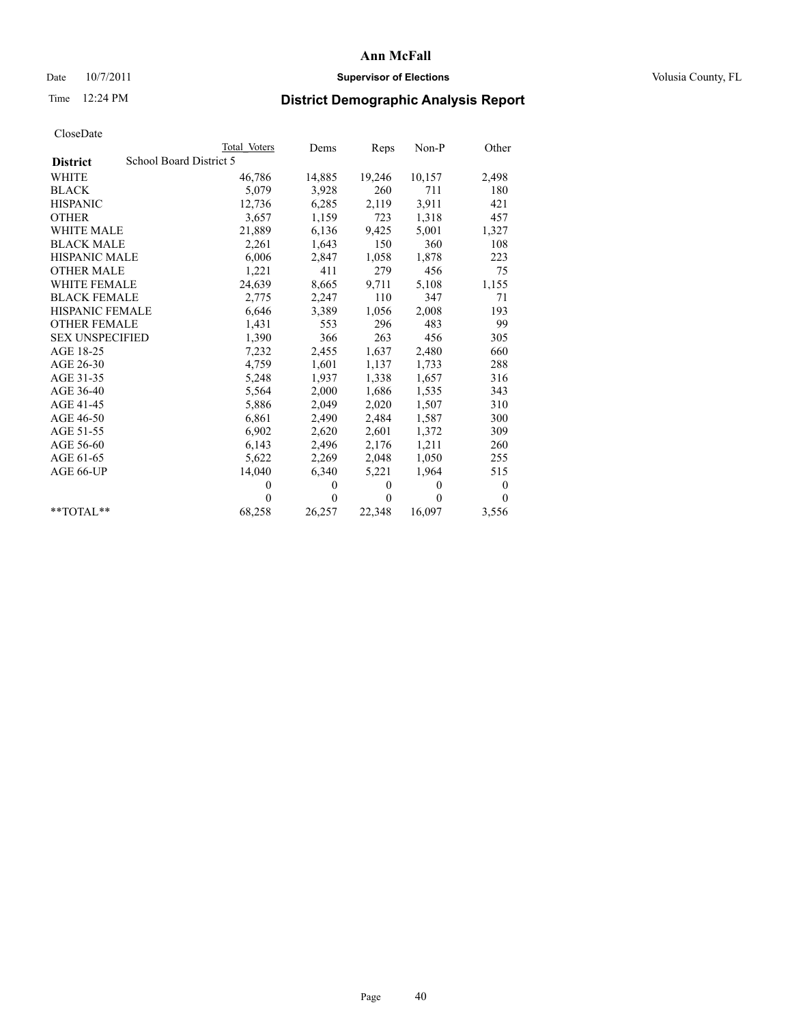## Date  $10/7/2011$  **Supervisor of Elections Supervisor of Elections** Volusia County, FL

# Time 12:24 PM **District Demographic Analysis Report**

|                                            | Total Voters | Dems         | Reps         | Non-P        | Other        |  |  |
|--------------------------------------------|--------------|--------------|--------------|--------------|--------------|--|--|
| School Board District 5<br><b>District</b> |              |              |              |              |              |  |  |
| WHITE                                      | 46,786       | 14,885       | 19,246       | 10,157       | 2,498        |  |  |
| <b>BLACK</b>                               | 5,079        | 3,928        | 260          | 711          | 180          |  |  |
| <b>HISPANIC</b>                            | 12,736       | 6,285        | 2,119        | 3.911        | 421          |  |  |
| <b>OTHER</b>                               | 3,657        | 1,159        | 723          | 1,318        | 457          |  |  |
| <b>WHITE MALE</b>                          | 21,889       | 6,136        | 9,425        | 5,001        | 1,327        |  |  |
| <b>BLACK MALE</b>                          | 2,261        | 1,643        | 150          | 360          | 108          |  |  |
| <b>HISPANIC MALE</b>                       | 6,006        | 2,847        | 1,058        | 1,878        | 223          |  |  |
| <b>OTHER MALE</b>                          | 1,221        | 411          | 279          | 456          | 75           |  |  |
| <b>WHITE FEMALE</b>                        | 24,639       | 8,665        | 9,711        | 5,108        | 1,155        |  |  |
| <b>BLACK FEMALE</b>                        | 2,775        | 2,247        | 110          | 347          | 71           |  |  |
| HISPANIC FEMALE                            | 6,646        | 3,389        | 1,056        | 2,008        | 193          |  |  |
| <b>OTHER FEMALE</b>                        | 1,431        | 553          | 296          | 483          | 99           |  |  |
| <b>SEX UNSPECIFIED</b>                     | 1,390        | 366          | 263          | 456          | 305          |  |  |
| AGE 18-25                                  | 7,232        | 2,455        | 1,637        | 2,480        | 660          |  |  |
| AGE 26-30                                  | 4,759        | 1,601        | 1,137        | 1,733        | 288          |  |  |
| AGE 31-35                                  | 5,248        | 1,937        | 1,338        | 1,657        | 316          |  |  |
| AGE 36-40                                  | 5,564        | 2,000        | 1,686        | 1,535        | 343          |  |  |
| AGE 41-45                                  | 5,886        | 2,049        | 2,020        | 1,507        | 310          |  |  |
| AGE 46-50                                  | 6,861        | 2,490        | 2,484        | 1,587        | 300          |  |  |
| AGE 51-55                                  | 6,902        | 2,620        | 2,601        | 1,372        | 309          |  |  |
| AGE 56-60                                  | 6,143        | 2,496        | 2,176        | 1,211        | 260          |  |  |
| AGE 61-65                                  | 5,622        | 2,269        | 2,048        | 1,050        | 255          |  |  |
| AGE 66-UP                                  | 14,040       | 6,340        | 5,221        | 1,964        | 515          |  |  |
|                                            | $\theta$     | $\mathbf{0}$ | $\mathbf{0}$ | $\mathbf{0}$ | $\mathbf{0}$ |  |  |
|                                            | $\theta$     | $\theta$     | $\Omega$     | $\theta$     | $\theta$     |  |  |
| $*$ $TOTAI.**$                             | 68,258       | 26,257       | 22,348       | 16,097       | 3,556        |  |  |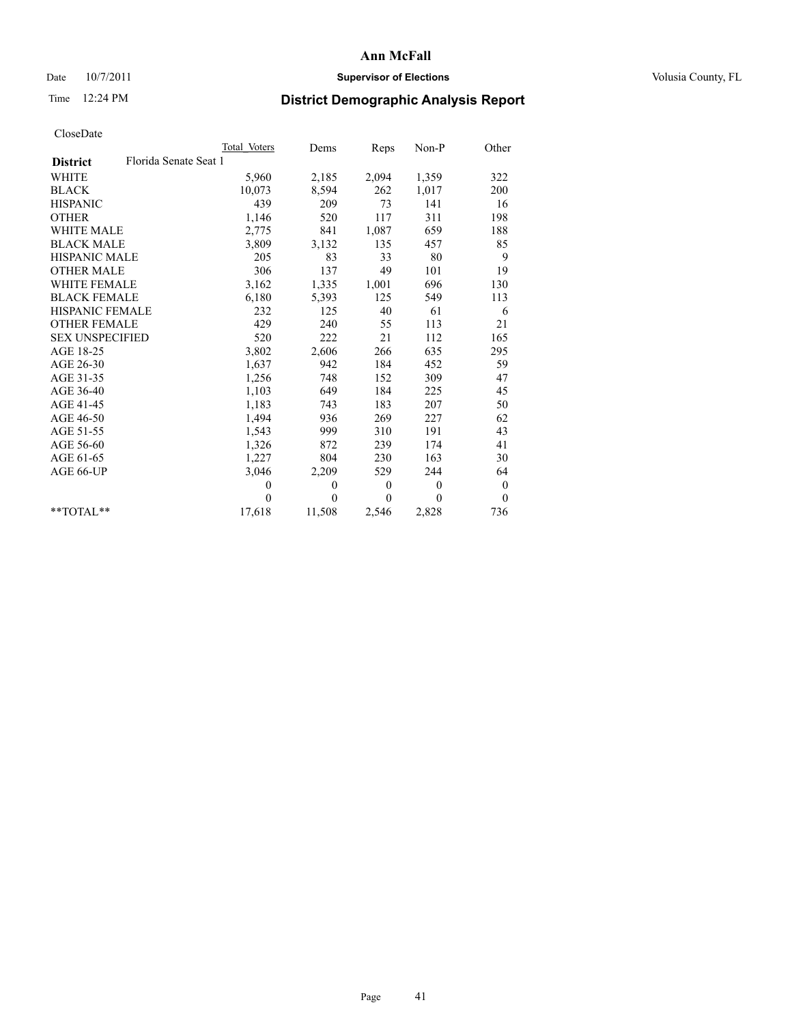## Date  $10/7/2011$  **Supervisor of Elections Supervisor of Elections** Volusia County, FL

# Time 12:24 PM **District Demographic Analysis Report**

|                                          | Total Voters | Dems     | Reps         | Non-P        | Other            |
|------------------------------------------|--------------|----------|--------------|--------------|------------------|
| Florida Senate Seat 1<br><b>District</b> |              |          |              |              |                  |
| <b>WHITE</b>                             | 5,960        | 2,185    | 2,094        | 1,359        | 322              |
| <b>BLACK</b>                             | 10,073       | 8,594    | 262          | 1,017        | 200              |
| <b>HISPANIC</b>                          | 439          | 209      | 73           | 141          | 16               |
| <b>OTHER</b>                             | 1,146        | 520      | 117          | 311          | 198              |
| <b>WHITE MALE</b>                        | 2,775        | 841      | 1,087        | 659          | 188              |
| <b>BLACK MALE</b>                        | 3,809        | 3,132    | 135          | 457          | 85               |
| <b>HISPANIC MALE</b>                     | 205          | 83       | 33           | 80           | 9                |
| <b>OTHER MALE</b>                        | 306          | 137      | 49           | 101          | 19               |
| <b>WHITE FEMALE</b>                      | 3,162        | 1,335    | 1,001        | 696          | 130              |
| <b>BLACK FEMALE</b>                      | 6,180        | 5,393    | 125          | 549          | 113              |
| HISPANIC FEMALE                          | 232          | 125      | 40           | 61           | 6                |
| <b>OTHER FEMALE</b>                      | 429          | 240      | 55           | 113          | 21               |
| <b>SEX UNSPECIFIED</b>                   | 520          | 222      | 21           | 112          | 165              |
| AGE 18-25                                | 3,802        | 2,606    | 266          | 635          | 295              |
| AGE 26-30                                | 1,637        | 942      | 184          | 452          | 59               |
| AGE 31-35                                | 1,256        | 748      | 152          | 309          | 47               |
| AGE 36-40                                | 1,103        | 649      | 184          | 225          | 45               |
| AGE 41-45                                | 1,183        | 743      | 183          | 207          | 50               |
| AGE 46-50                                | 1,494        | 936      | 269          | 227          | 62               |
| AGE 51-55                                | 1,543        | 999      | 310          | 191          | 43               |
| AGE 56-60                                | 1,326        | 872      | 239          | 174          | 41               |
| AGE 61-65                                | 1,227        | 804      | 230          | 163          | 30               |
| AGE 66-UP                                | 3,046        | 2,209    | 529          | 244          | 64               |
|                                          | $\mathbf{0}$ | $\theta$ | $\mathbf{0}$ | $\mathbf{0}$ | $\boldsymbol{0}$ |
|                                          | $\theta$     | $\theta$ | $\theta$     | $\theta$     | $\mathbf{0}$     |
| $*$ $TOTAI.**$                           | 17,618       | 11,508   | 2,546        | 2,828        | 736              |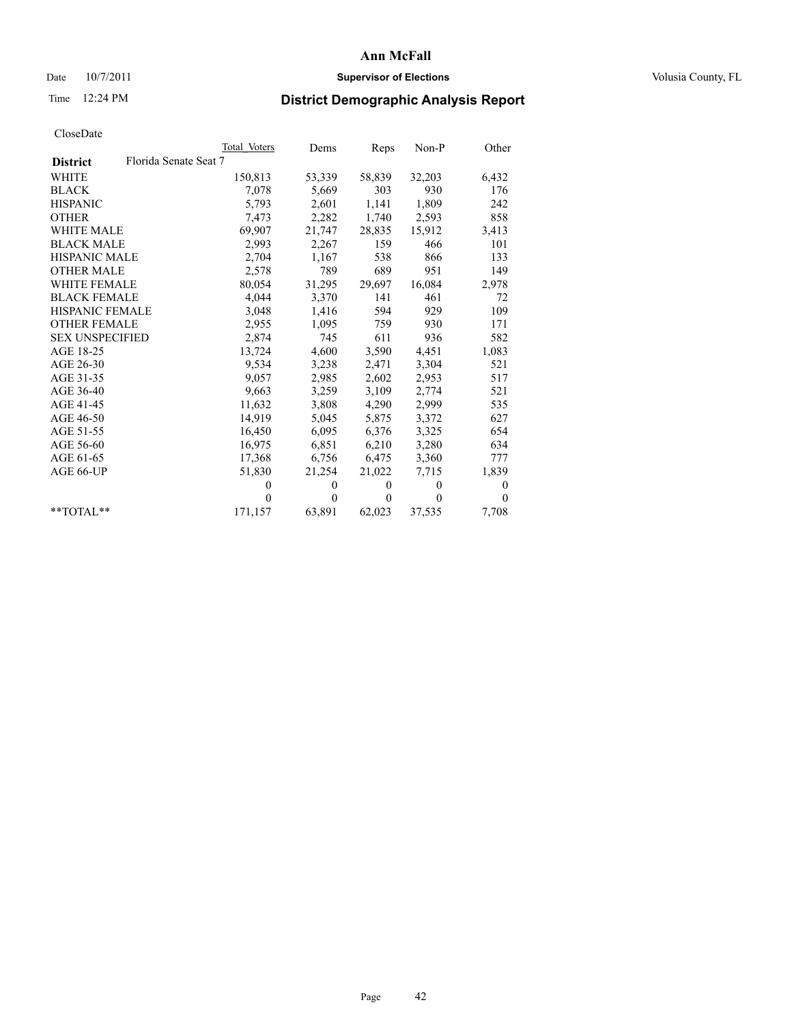## Date  $10/7/2011$  **Supervisor of Elections Supervisor of Elections** Volusia County, FL

# Time 12:24 PM **District Demographic Analysis Report**

|                                          | Total Voters | Dems         | Reps         | $Non-P$      | Other          |
|------------------------------------------|--------------|--------------|--------------|--------------|----------------|
| Florida Senate Seat 7<br><b>District</b> |              |              |              |              |                |
| <b>WHITE</b>                             | 150,813      | 53,339       | 58,839       | 32,203       | 6,432          |
| <b>BLACK</b>                             | 7,078        | 5,669        | 303          | 930          | 176            |
| <b>HISPANIC</b>                          | 5,793        | 2,601        | 1,141        | 1,809        | 242            |
| <b>OTHER</b>                             | 7,473        | 2,282        | 1,740        | 2,593        | 858            |
| <b>WHITE MALE</b>                        | 69,907       | 21,747       | 28,835       | 15,912       | 3,413          |
| <b>BLACK MALE</b>                        | 2,993        | 2,267        | 159          | 466          | 101            |
| <b>HISPANIC MALE</b>                     | 2,704        | 1,167        | 538          | 866          | 133            |
| <b>OTHER MALE</b>                        | 2,578        | 789          | 689          | 951          | 149            |
| <b>WHITE FEMALE</b>                      | 80,054       | 31,295       | 29,697       | 16,084       | 2,978          |
| <b>BLACK FEMALE</b>                      | 4,044        | 3,370        | 141          | 461          | 72             |
| HISPANIC FEMALE                          | 3,048        | 1,416        | 594          | 929          | 109            |
| <b>OTHER FEMALE</b>                      | 2,955        | 1,095        | 759          | 930          | 171            |
| <b>SEX UNSPECIFIED</b>                   | 2,874        | 745          | 611          | 936          | 582            |
| AGE 18-25                                | 13,724       | 4,600        | 3,590        | 4,451        | 1,083          |
| AGE 26-30                                | 9,534        | 3,238        | 2,471        | 3,304        | 521            |
| AGE 31-35                                | 9,057        | 2,985        | 2,602        | 2,953        | 517            |
| AGE 36-40                                | 9,663        | 3,259        | 3,109        | 2,774        | 521            |
| AGE 41-45                                | 11,632       | 3,808        | 4,290        | 2,999        | 535            |
| AGE 46-50                                | 14,919       | 5,045        | 5,875        | 3,372        | 627            |
| AGE 51-55                                | 16,450       | 6,095        | 6,376        | 3,325        | 654            |
| AGE 56-60                                | 16,975       | 6,851        | 6,210        | 3,280        | 634            |
| AGE 61-65                                | 17,368       | 6,756        | 6,475        | 3,360        | 777            |
| AGE 66-UP                                | 51,830       | 21,254       | 21,022       | 7,715        | 1,839          |
|                                          | $\theta$     | $\mathbf{0}$ | $\mathbf{0}$ | $\mathbf{0}$ | $\overline{0}$ |
|                                          | $\theta$     | $\theta$     | $\mathbf{0}$ | $\Omega$     | $\theta$       |
| $*$ $TOTAI.**$                           | 171,157      | 63,891       | 62,023       | 37,535       | 7,708          |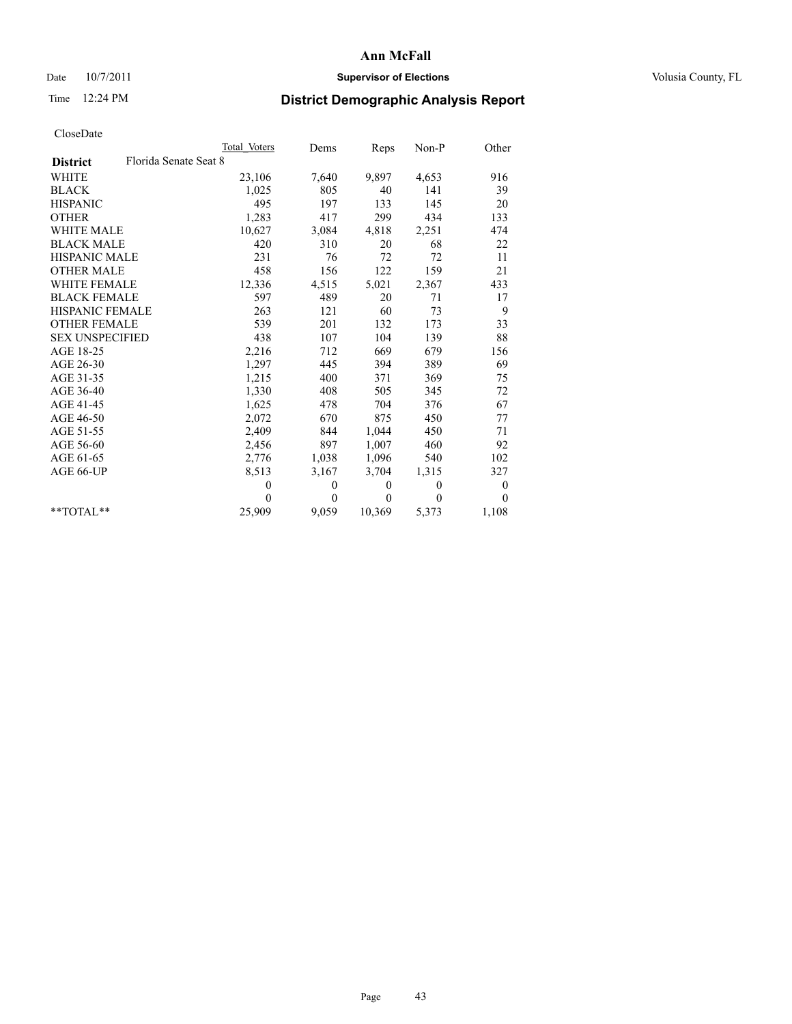## Date  $10/7/2011$  **Supervisor of Elections Supervisor of Elections** Volusia County, FL

# Time 12:24 PM **District Demographic Analysis Report**

|                                          | Total Voters | Dems         | Reps         | Non-P          | Other    |  |
|------------------------------------------|--------------|--------------|--------------|----------------|----------|--|
| Florida Senate Seat 8<br><b>District</b> |              |              |              |                |          |  |
| <b>WHITE</b>                             | 23,106       | 7,640        | 9,897        | 4,653          | 916      |  |
| <b>BLACK</b>                             | 1,025        | 805          | 40           | 141            | 39       |  |
| <b>HISPANIC</b>                          | 495          | 197          | 133          | 145            | 20       |  |
| <b>OTHER</b>                             | 1,283        | 417          | 299          | 434            | 133      |  |
| <b>WHITE MALE</b>                        | 10,627       | 3,084        | 4,818        | 2,251          | 474      |  |
| <b>BLACK MALE</b>                        | 420          | 310          | 20           | 68             | 22       |  |
| <b>HISPANIC MALE</b>                     | 231          | 76           | 72           | 72             | 11       |  |
| <b>OTHER MALE</b>                        | 458          | 156          | 122          | 159            | 21       |  |
| WHITE FEMALE                             | 12,336       | 4,515        | 5,021        | 2,367          | 433      |  |
| <b>BLACK FEMALE</b>                      | 597          | 489          | 20           | 71             | 17       |  |
| HISPANIC FEMALE                          | 263          | 121          | 60           | 73             | 9        |  |
| <b>OTHER FEMALE</b>                      | 539          | 201          | 132          | 173            | 33       |  |
| <b>SEX UNSPECIFIED</b>                   | 438          | 107          | 104          | 139            | 88       |  |
| AGE 18-25                                | 2,216        | 712          | 669          | 679            | 156      |  |
| AGE 26-30                                | 1,297        | 445          | 394          | 389            | 69       |  |
| AGE 31-35                                | 1,215        | 400          | 371          | 369            | 75       |  |
| AGE 36-40                                | 1,330        | 408          | 505          | 345            | 72       |  |
| AGE 41-45                                | 1,625        | 478          | 704          | 376            | 67       |  |
| AGE 46-50                                | 2,072        | 670          | 875          | 450            | 77       |  |
| AGE 51-55                                | 2,409        | 844          | 1,044        | 450            | 71       |  |
| AGE 56-60                                | 2,456        | 897          | 1,007        | 460            | 92       |  |
| AGE 61-65                                | 2,776        | 1,038        | 1,096        | 540            | 102      |  |
| AGE 66-UP                                | 8,513        | 3,167        | 3,704        | 1,315          | 327      |  |
|                                          | $\theta$     | $\mathbf{0}$ | $\mathbf{0}$ | $\overline{0}$ | 0        |  |
|                                          | $\theta$     | $\mathbf{0}$ | $\theta$     | $\theta$       | $\theta$ |  |
| $*$ $TOTAI.**$                           | 25,909       | 9,059        | 10,369       | 5,373          | 1,108    |  |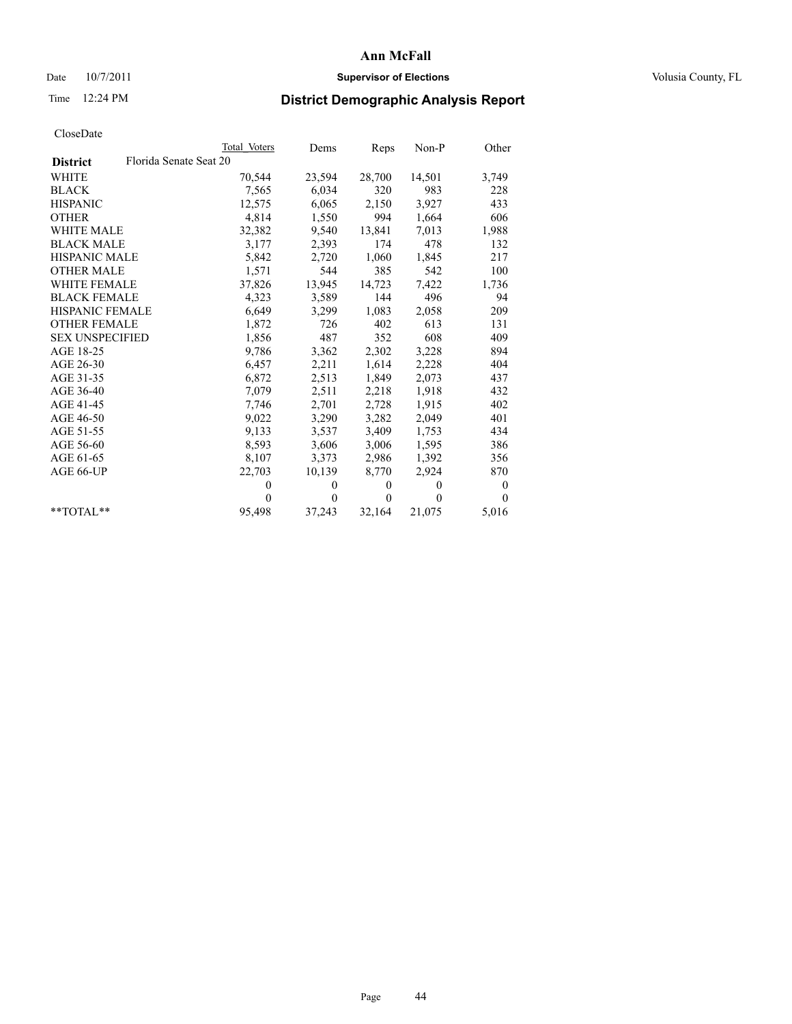## Date  $10/7/2011$  **Supervisor of Elections Supervisor of Elections** Volusia County, FL

# Time 12:24 PM **District Demographic Analysis Report**

|                                           | Total Voters | Dems     | Reps         | $Non-P$  | Other            |
|-------------------------------------------|--------------|----------|--------------|----------|------------------|
| Florida Senate Seat 20<br><b>District</b> |              |          |              |          |                  |
| <b>WHITE</b>                              | 70,544       | 23,594   | 28,700       | 14,501   | 3,749            |
| <b>BLACK</b>                              | 7,565        | 6,034    | 320          | 983      | 228              |
| <b>HISPANIC</b>                           | 12,575       | 6,065    | 2,150        | 3,927    | 433              |
| <b>OTHER</b>                              | 4,814        | 1,550    | 994          | 1,664    | 606              |
| WHITE MALE                                | 32,382       | 9,540    | 13,841       | 7,013    | 1,988            |
| <b>BLACK MALE</b>                         | 3,177        | 2,393    | 174          | 478      | 132              |
| <b>HISPANIC MALE</b>                      | 5,842        | 2,720    | 1,060        | 1,845    | 217              |
| <b>OTHER MALE</b>                         | 1,571        | 544      | 385          | 542      | 100              |
| <b>WHITE FEMALE</b>                       | 37,826       | 13,945   | 14,723       | 7,422    | 1,736            |
| <b>BLACK FEMALE</b>                       | 4,323        | 3,589    | 144          | 496      | 94               |
| HISPANIC FEMALE                           | 6,649        | 3,299    | 1,083        | 2,058    | 209              |
| <b>OTHER FEMALE</b>                       | 1,872        | 726      | 402          | 613      | 131              |
| <b>SEX UNSPECIFIED</b>                    | 1,856        | 487      | 352          | 608      | 409              |
| AGE 18-25                                 | 9,786        | 3,362    | 2,302        | 3,228    | 894              |
| AGE 26-30                                 | 6,457        | 2,211    | 1,614        | 2,228    | 404              |
| AGE 31-35                                 | 6,872        | 2,513    | 1,849        | 2,073    | 437              |
| AGE 36-40                                 | 7,079        | 2,511    | 2,218        | 1,918    | 432              |
| AGE 41-45                                 | 7,746        | 2,701    | 2,728        | 1,915    | 402              |
| AGE 46-50                                 | 9,022        | 3,290    | 3,282        | 2,049    | 401              |
| AGE 51-55                                 | 9,133        | 3,537    | 3,409        | 1,753    | 434              |
| AGE 56-60                                 | 8,593        | 3,606    | 3,006        | 1,595    | 386              |
| AGE 61-65                                 | 8,107        | 3,373    | 2,986        | 1,392    | 356              |
| AGE 66-UP                                 | 22,703       | 10,139   | 8,770        | 2,924    | 870              |
|                                           | $\Omega$     | $\theta$ | $\mathbf{0}$ | $\theta$ | $\boldsymbol{0}$ |
|                                           | $\Omega$     | $\theta$ | $\theta$     | $\theta$ | $\Omega$         |
| $*$ $TOTAI.**$                            | 95,498       | 37,243   | 32,164       | 21,075   | 5,016            |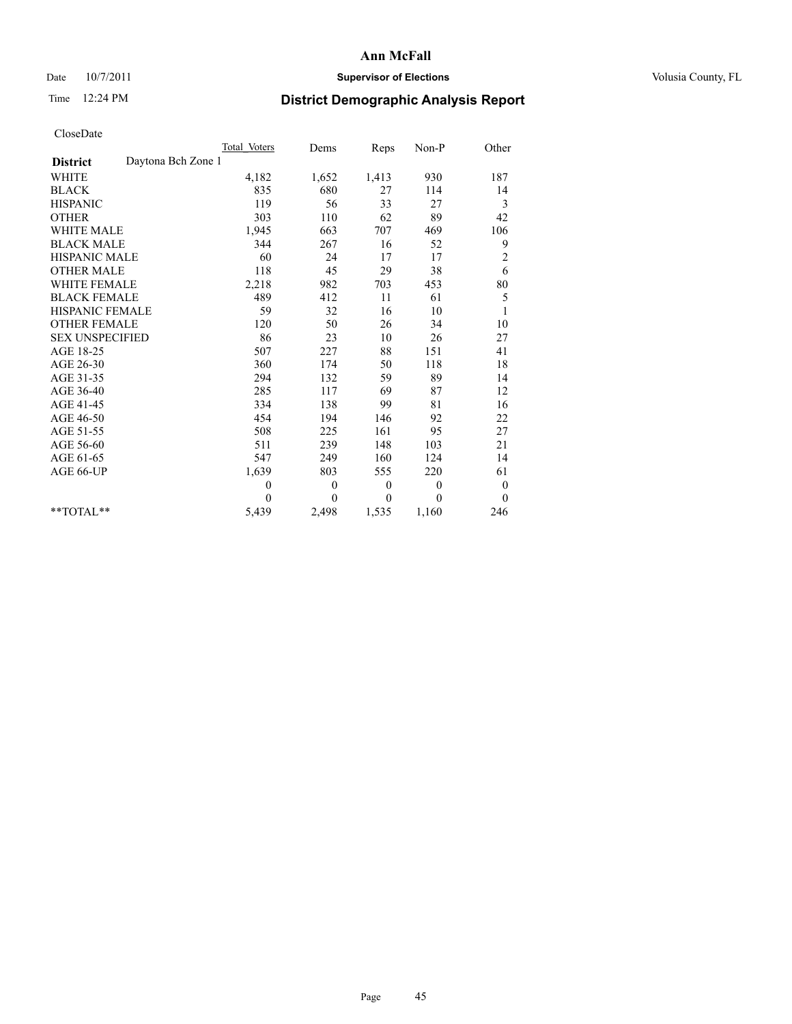## Date  $10/7/2011$  **Supervisor of Elections Supervisor of Elections** Volusia County, FL

# Time 12:24 PM **District Demographic Analysis Report**

|                                       | Total Voters | Dems         | Reps     | $Non-P$      | Other            |
|---------------------------------------|--------------|--------------|----------|--------------|------------------|
| Daytona Bch Zone 1<br><b>District</b> |              |              |          |              |                  |
| WHITE                                 | 4,182        | 1,652        | 1,413    | 930          | 187              |
| <b>BLACK</b>                          | 835          | 680          | 27       | 114          | 14               |
| <b>HISPANIC</b>                       | 119          | 56           | 33       | 27           | 3                |
| <b>OTHER</b>                          | 303          | 110          | 62       | 89           | 42               |
| <b>WHITE MALE</b>                     | 1,945        | 663          | 707      | 469          | 106              |
| <b>BLACK MALE</b>                     | 344          | 267          | 16       | 52           | 9                |
| <b>HISPANIC MALE</b>                  | 60           | 24           | 17       | 17           | $\overline{c}$   |
| <b>OTHER MALE</b>                     | 118          | 45           | 29       | 38           | 6                |
| WHITE FEMALE                          | 2,218        | 982          | 703      | 453          | 80               |
| <b>BLACK FEMALE</b>                   | 489          | 412          | 11       | 61           | 5                |
| HISPANIC FEMALE                       | 59           | 32           | 16       | 10           | $\mathbf{1}$     |
| <b>OTHER FEMALE</b>                   | 120          | 50           | 26       | 34           | 10               |
| <b>SEX UNSPECIFIED</b>                | 86           | 23           | 10       | 26           | 27               |
| AGE 18-25                             | 507          | 227          | 88       | 151          | 41               |
| AGE 26-30                             | 360          | 174          | 50       | 118          | 18               |
| AGE 31-35                             | 294          | 132          | 59       | 89           | 14               |
| AGE 36-40                             | 285          | 117          | 69       | 87           | 12               |
| AGE 41-45                             | 334          | 138          | 99       | 81           | 16               |
| AGE 46-50                             | 454          | 194          | 146      | 92           | 22               |
| AGE 51-55                             | 508          | 225          | 161      | 95           | 27               |
| AGE 56-60                             | 511          | 239          | 148      | 103          | 21               |
| AGE 61-65                             | 547          | 249          | 160      | 124          | 14               |
| AGE 66-UP                             | 1,639        | 803          | 555      | 220          | 61               |
|                                       | $\theta$     | $\mathbf{0}$ | $\theta$ | $\mathbf{0}$ | $\boldsymbol{0}$ |
|                                       | $\theta$     | $\theta$     | $\theta$ | $\theta$     | $\theta$         |
| **TOTAL**                             | 5,439        | 2,498        | 1,535    | 1,160        | 246              |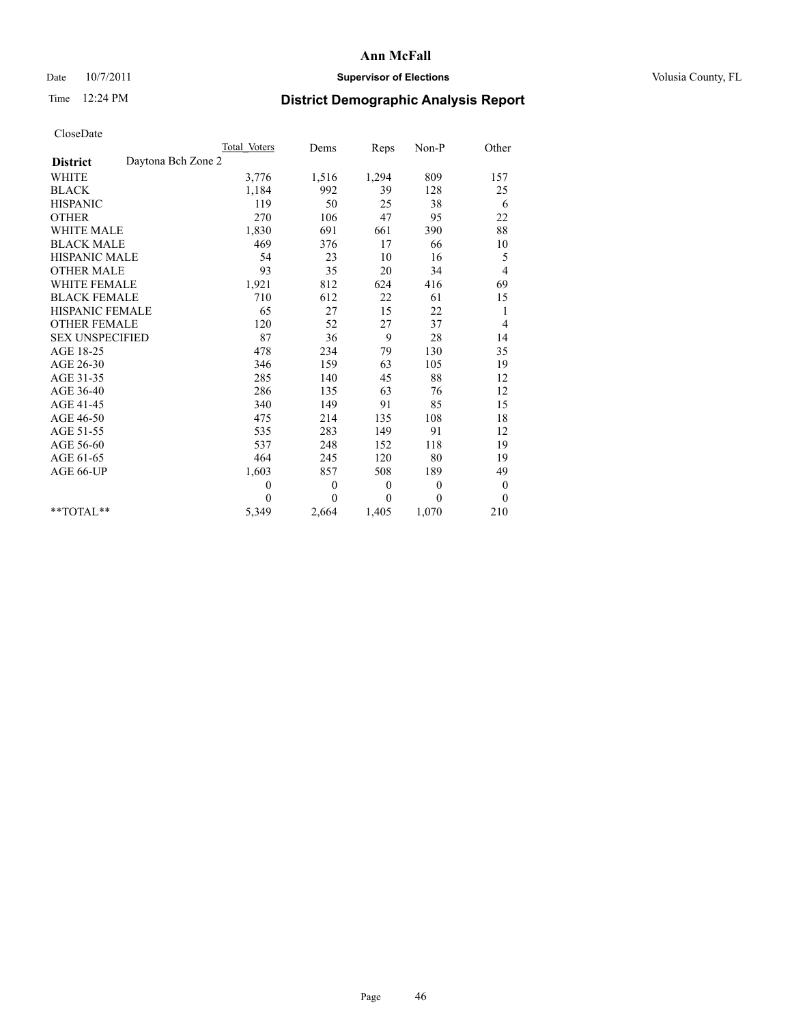## Date  $10/7/2011$  **Supervisor of Elections Supervisor of Elections** Volusia County, FL

# Time 12:24 PM **District Demographic Analysis Report**

|                                       | Total Voters   | Dems         | Reps         | $Non-P$      | Other            |  |
|---------------------------------------|----------------|--------------|--------------|--------------|------------------|--|
| Daytona Bch Zone 2<br><b>District</b> |                |              |              |              |                  |  |
| <b>WHITE</b>                          | 3,776          | 1,516        | 1,294        | 809          | 157              |  |
| <b>BLACK</b>                          | 1,184          | 992          | 39           | 128          | 25               |  |
| <b>HISPANIC</b>                       | 119            | 50           | 25           | 38           | 6                |  |
| <b>OTHER</b>                          | 270            | 106          | 47           | 95           | 22               |  |
| <b>WHITE MALE</b>                     | 1,830          | 691          | 661          | 390          | 88               |  |
| <b>BLACK MALE</b>                     | 469            | 376          | 17           | 66           | 10               |  |
| <b>HISPANIC MALE</b>                  | 54             | 23           | 10           | 16           | 5                |  |
| <b>OTHER MALE</b>                     | 93             | 35           | 20           | 34           | 4                |  |
| <b>WHITE FEMALE</b>                   | 1,921          | 812          | 624          | 416          | 69               |  |
| <b>BLACK FEMALE</b>                   | 710            | 612          | 22           | 61           | 15               |  |
| HISPANIC FEMALE                       | 65             | 27           | 15           | 22           | 1                |  |
| <b>OTHER FEMALE</b>                   | 120            | 52           | 27           | 37           | 4                |  |
| <b>SEX UNSPECIFIED</b>                | 87             | 36           | 9            | 28           | 14               |  |
| AGE 18-25                             | 478            | 234          | 79           | 130          | 35               |  |
| AGE 26-30                             | 346            | 159          | 63           | 105          | 19               |  |
| AGE 31-35                             | 285            | 140          | 45           | 88           | 12               |  |
| AGE 36-40                             | 286            | 135          | 63           | 76           | 12               |  |
| AGE 41-45                             | 340            | 149          | 91           | 85           | 15               |  |
| AGE 46-50                             | 475            | 214          | 135          | 108          | 18               |  |
| AGE 51-55                             | 535            | 283          | 149          | 91           | 12               |  |
| AGE 56-60                             | 537            | 248          | 152          | 118          | 19               |  |
| AGE 61-65                             | 464            | 245          | 120          | 80           | 19               |  |
| AGE 66-UP                             | 1,603          | 857          | 508          | 189          | 49               |  |
|                                       | $\overline{0}$ | $\mathbf{0}$ | $\mathbf{0}$ | $\mathbf{0}$ | $\boldsymbol{0}$ |  |
|                                       | $\theta$       | $\theta$     | $\Omega$     | $\theta$     | $\mathbf{0}$     |  |
| $*$ $TOTAI.**$                        | 5,349          | 2,664        | 1,405        | 1,070        | 210              |  |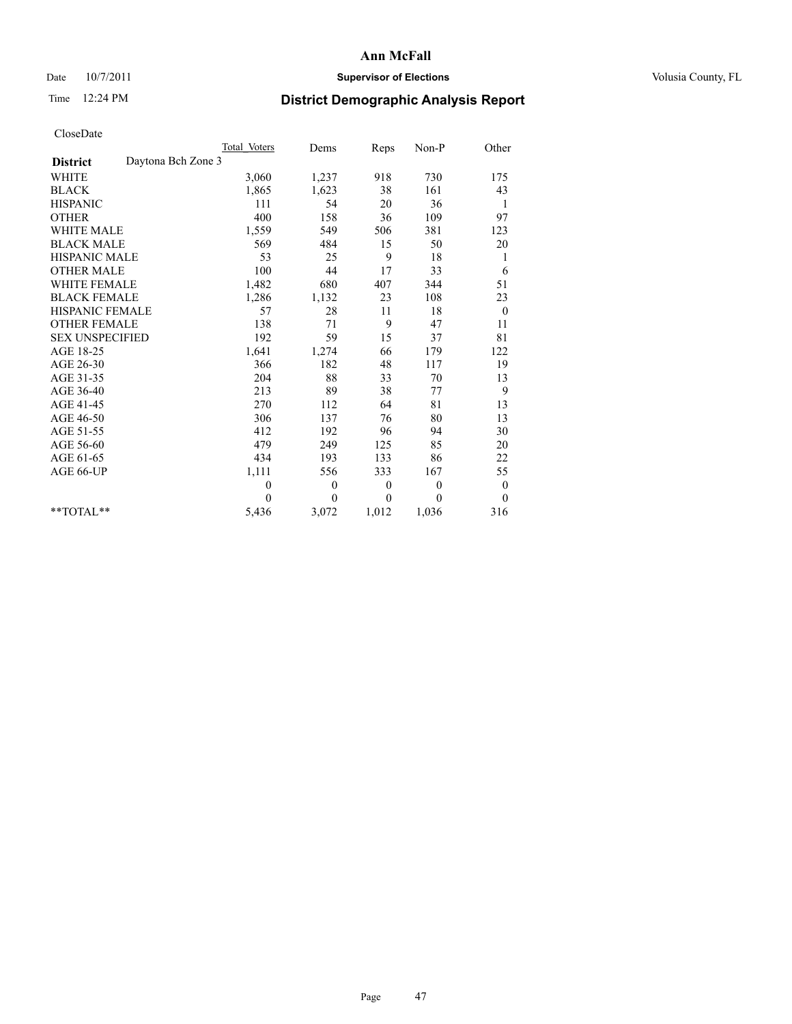## Date  $10/7/2011$  **Supervisor of Elections Supervisor of Elections** Volusia County, FL

# Time 12:24 PM **District Demographic Analysis Report**

|                                       | Total Voters | Dems         | Reps     | $Non-P$      | Other            |  |
|---------------------------------------|--------------|--------------|----------|--------------|------------------|--|
| Daytona Bch Zone 3<br><b>District</b> |              |              |          |              |                  |  |
| WHITE                                 | 3,060        | 1,237        | 918      | 730          | 175              |  |
| <b>BLACK</b>                          | 1,865        | 1,623        | 38       | 161          | 43               |  |
| <b>HISPANIC</b>                       | 111          | 54           | 20       | 36           | 1                |  |
| <b>OTHER</b>                          | 400          | 158          | 36       | 109          | 97               |  |
| <b>WHITE MALE</b>                     | 1,559        | 549          | 506      | 381          | 123              |  |
| <b>BLACK MALE</b>                     | 569          | 484          | 15       | 50           | 20               |  |
| <b>HISPANIC MALE</b>                  | 53           | 25           | 9        | 18           | 1                |  |
| <b>OTHER MALE</b>                     | 100          | 44           | 17       | 33           | 6                |  |
| WHITE FEMALE                          | 1,482        | 680          | 407      | 344          | 51               |  |
| <b>BLACK FEMALE</b>                   | 1,286        | 1,132        | 23       | 108          | 23               |  |
| HISPANIC FEMALE                       | 57           | 28           | 11       | 18           | $\boldsymbol{0}$ |  |
| <b>OTHER FEMALE</b>                   | 138          | 71           | 9        | 47           | 11               |  |
| <b>SEX UNSPECIFIED</b>                | 192          | 59           | 15       | 37           | 81               |  |
| AGE 18-25                             | 1,641        | 1,274        | 66       | 179          | 122              |  |
| AGE 26-30                             | 366          | 182          | 48       | 117          | 19               |  |
| AGE 31-35                             | 204          | 88           | 33       | 70           | 13               |  |
| AGE 36-40                             | 213          | 89           | 38       | 77           | 9                |  |
| AGE 41-45                             | 270          | 112          | 64       | 81           | 13               |  |
| AGE 46-50                             | 306          | 137          | 76       | 80           | 13               |  |
| AGE 51-55                             | 412          | 192          | 96       | 94           | 30               |  |
| AGE 56-60                             | 479          | 249          | 125      | 85           | 20               |  |
| AGE 61-65                             | 434          | 193          | 133      | 86           | 22               |  |
| AGE 66-UP                             | 1,111        | 556          | 333      | 167          | 55               |  |
|                                       | $\theta$     | $\mathbf{0}$ | $\theta$ | $\mathbf{0}$ | $\boldsymbol{0}$ |  |
|                                       | $\Omega$     | $\theta$     | $\theta$ | $\theta$     | $\theta$         |  |
| **TOTAL**                             | 5,436        | 3,072        | 1,012    | 1,036        | 316              |  |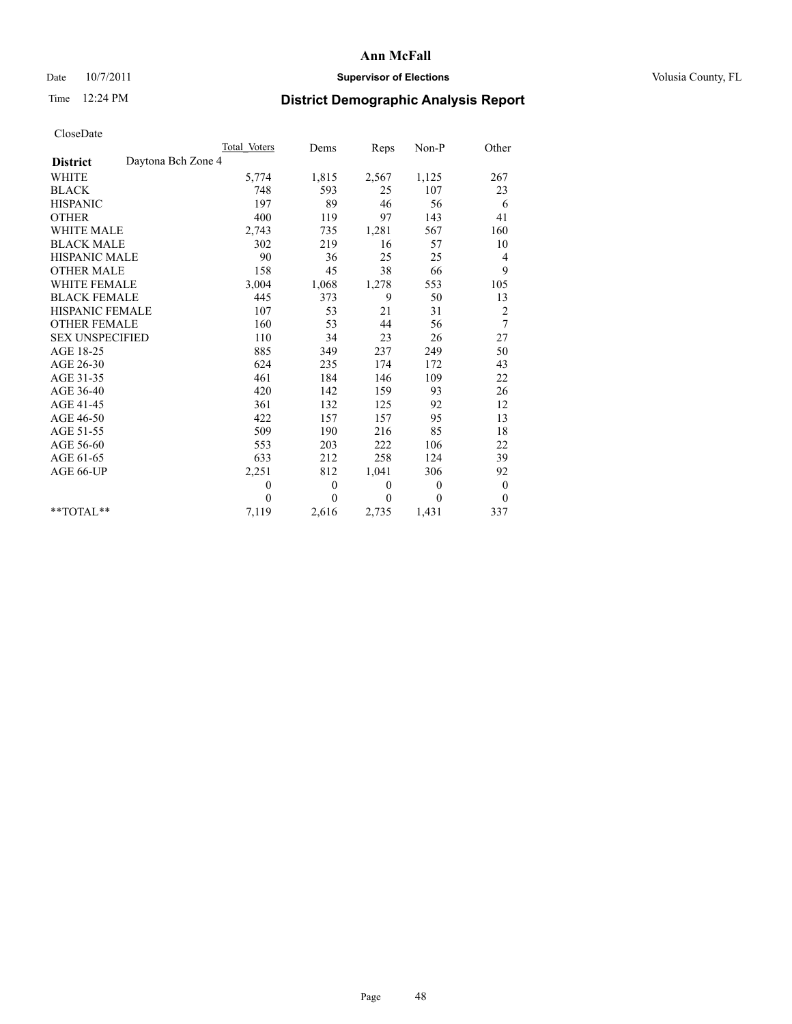### Date  $10/7/2011$  **Supervisor of Elections Supervisor of Elections** Volusia County, FL

# Time 12:24 PM **District Demographic Analysis Report**

|                                       | Total Voters     | Dems         | Reps         | $Non-P$      | Other            |
|---------------------------------------|------------------|--------------|--------------|--------------|------------------|
| Daytona Bch Zone 4<br><b>District</b> |                  |              |              |              |                  |
| <b>WHITE</b>                          | 5,774            | 1,815        | 2,567        | 1,125        | 267              |
| <b>BLACK</b>                          | 748              | 593          | 25           | 107          | 23               |
| <b>HISPANIC</b>                       | 197              | 89           | 46           | 56           | 6                |
| <b>OTHER</b>                          | 400              | 119          | 97           | 143          | 41               |
| <b>WHITE MALE</b>                     | 2,743            | 735          | 1,281        | 567          | 160              |
| <b>BLACK MALE</b>                     | 302              | 219          | 16           | 57           | 10               |
| HISPANIC MALE                         | 90               | 36           | 25           | 25           | 4                |
| <b>OTHER MALE</b>                     | 158              | 45           | 38           | 66           | 9                |
| <b>WHITE FEMALE</b>                   | 3,004            | 1,068        | 1,278        | 553          | 105              |
| <b>BLACK FEMALE</b>                   | 445              | 373          | 9            | 50           | 13               |
| HISPANIC FEMALE                       | 107              | 53           | 21           | 31           | $\overline{c}$   |
| <b>OTHER FEMALE</b>                   | 160              | 53           | 44           | 56           | $\tau$           |
| <b>SEX UNSPECIFIED</b>                | 110              | 34           | 23           | 26           | 27               |
| AGE 18-25                             | 885              | 349          | 237          | 249          | 50               |
| AGE 26-30                             | 624              | 235          | 174          | 172          | 43               |
| AGE 31-35                             | 461              | 184          | 146          | 109          | 22               |
| AGE 36-40                             | 420              | 142          | 159          | 93           | 26               |
| AGE 41-45                             | 361              | 132          | 125          | 92           | 12               |
| AGE 46-50                             | 422              | 157          | 157          | 95           | 13               |
| AGE 51-55                             | 509              | 190          | 216          | 85           | 18               |
| AGE 56-60                             | 553              | 203          | 222          | 106          | 22               |
| AGE 61-65                             | 633              | 212          | 258          | 124          | 39               |
| AGE 66-UP                             | 2,251            | 812          | 1,041        | 306          | 92               |
|                                       | $\boldsymbol{0}$ | $\mathbf{0}$ | $\mathbf{0}$ | $\mathbf{0}$ | $\boldsymbol{0}$ |
|                                       | $\theta$         | $\theta$     | $\mathbf{0}$ | $\Omega$     | $\mathbf{0}$     |
| $*$ $TOTAI.**$                        | 7,119            | 2,616        | 2,735        | 1,431        | 337              |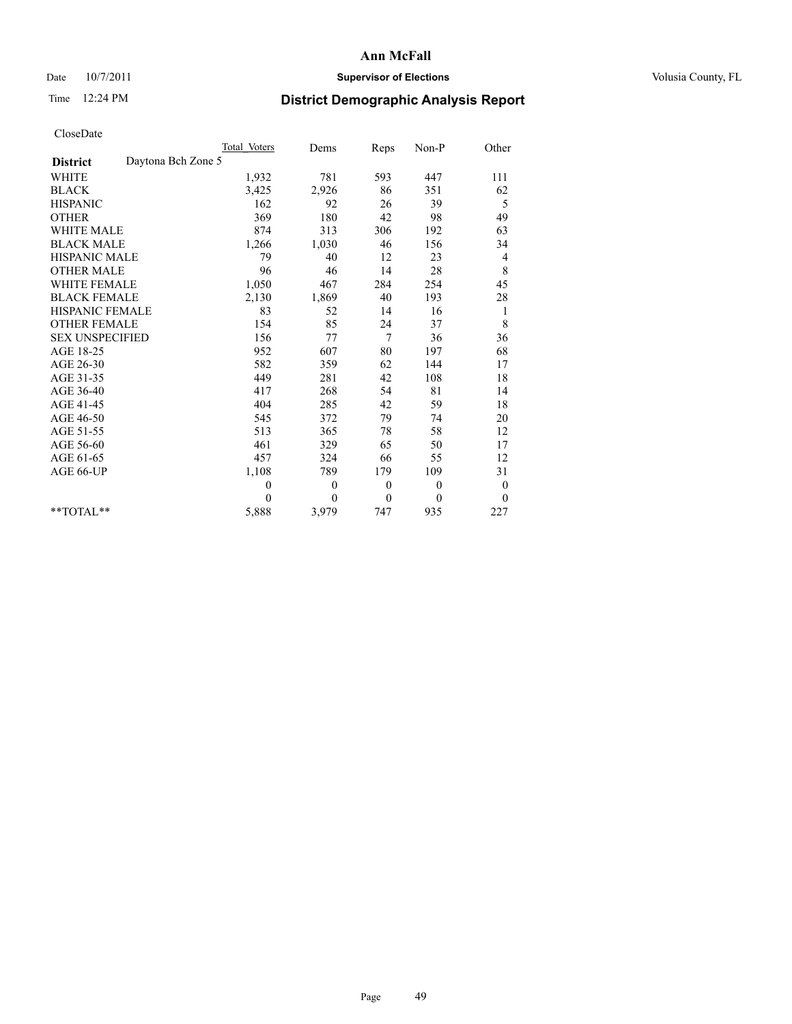### Date  $10/7/2011$  **Supervisor of Elections Supervisor of Elections** Volusia County, FL

# Time 12:24 PM **District Demographic Analysis Report**

|                                       | Total Voters | Dems         | Reps     | Non-P          | Other            |  |
|---------------------------------------|--------------|--------------|----------|----------------|------------------|--|
| Daytona Bch Zone 5<br><b>District</b> |              |              |          |                |                  |  |
| <b>WHITE</b>                          | 1,932        | 781          | 593      | 447            | 111              |  |
| <b>BLACK</b>                          | 3,425        | 2,926        | 86       | 351            | 62               |  |
| <b>HISPANIC</b>                       | 162          | 92           | 26       | 39             | 5                |  |
| <b>OTHER</b>                          | 369          | 180          | 42       | 98             | 49               |  |
| <b>WHITE MALE</b>                     | 874          | 313          | 306      | 192            | 63               |  |
| <b>BLACK MALE</b>                     | 1,266        | 1,030        | 46       | 156            | 34               |  |
| <b>HISPANIC MALE</b>                  | 79           | 40           | 12       | 23             | $\overline{4}$   |  |
| <b>OTHER MALE</b>                     | 96           | 46           | 14       | 28             | 8                |  |
| WHITE FEMALE                          | 1,050        | 467          | 284      | 254            | 45               |  |
| <b>BLACK FEMALE</b>                   | 2,130        | 1,869        | 40       | 193            | 28               |  |
| HISPANIC FEMALE                       | 83           | 52           | 14       | 16             | 1                |  |
| <b>OTHER FEMALE</b>                   | 154          | 85           | 24       | 37             | 8                |  |
| <b>SEX UNSPECIFIED</b>                | 156          | 77           | 7        | 36             | 36               |  |
| AGE 18-25                             | 952          | 607          | 80       | 197            | 68               |  |
| AGE 26-30                             | 582          | 359          | 62       | 144            | 17               |  |
| AGE 31-35                             | 449          | 281          | 42       | 108            | 18               |  |
| AGE 36-40                             | 417          | 268          | 54       | 81             | 14               |  |
| AGE 41-45                             | 404          | 285          | 42       | 59             | 18               |  |
| AGE 46-50                             | 545          | 372          | 79       | 74             | 20               |  |
| AGE 51-55                             | 513          | 365          | 78       | 58             | 12               |  |
| AGE 56-60                             | 461          | 329          | 65       | 50             | 17               |  |
| AGE 61-65                             | 457          | 324          | 66       | 55             | 12               |  |
| AGE 66-UP                             | 1,108        | 789          | 179      | 109            | 31               |  |
|                                       | $\theta$     | $\mathbf{0}$ | $\theta$ | $\overline{0}$ | $\boldsymbol{0}$ |  |
|                                       | $\Omega$     | $\theta$     | $\theta$ | $\theta$       | $\theta$         |  |
| $*$ $TOTAI.**$                        | 5,888        | 3,979        | 747      | 935            | 227              |  |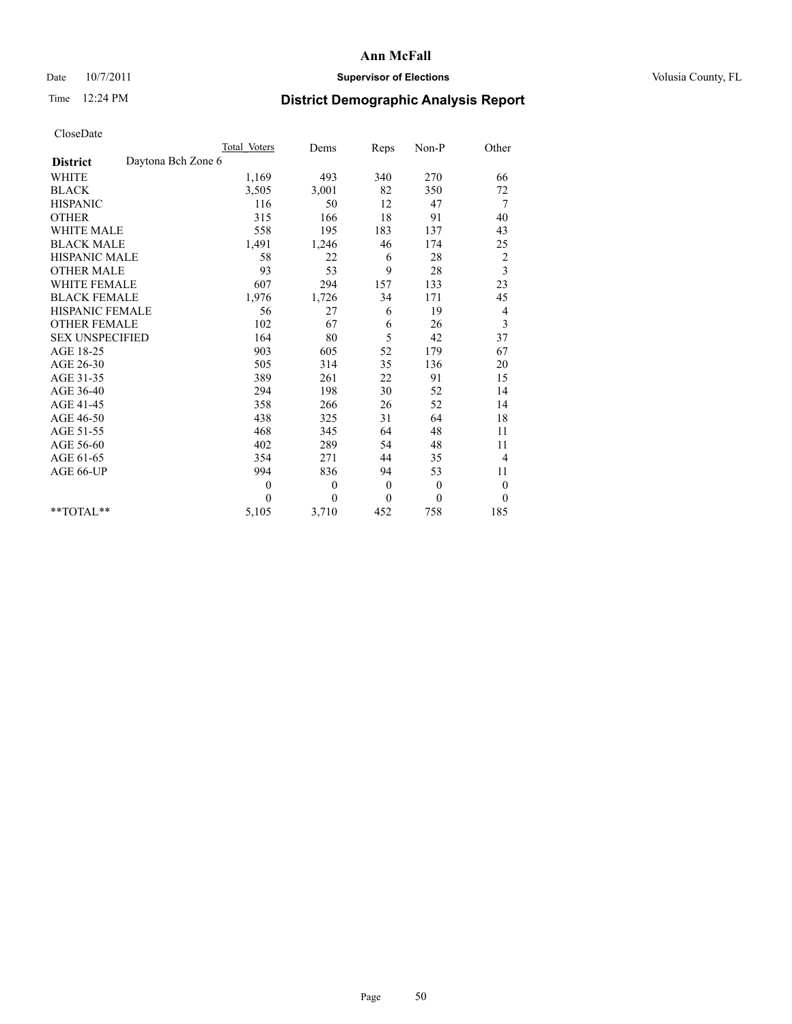### Date  $10/7/2011$  **Supervisor of Elections Supervisor of Elections** Volusia County, FL

# Time 12:24 PM **District Demographic Analysis Report**

|                                       | Total Voters | Dems         | Reps         | $Non-P$      | Other            |
|---------------------------------------|--------------|--------------|--------------|--------------|------------------|
| Daytona Bch Zone 6<br><b>District</b> |              |              |              |              |                  |
| WHITE                                 | 1,169        | 493          | 340          | 270          | 66               |
| <b>BLACK</b>                          | 3,505        | 3,001        | 82           | 350          | 72               |
| <b>HISPANIC</b>                       | 116          | 50           | 12           | 47           | 7                |
| <b>OTHER</b>                          | 315          | 166          | 18           | 91           | 40               |
| <b>WHITE MALE</b>                     | 558          | 195          | 183          | 137          | 43               |
| <b>BLACK MALE</b>                     | 1,491        | 1,246        | 46           | 174          | 25               |
| <b>HISPANIC MALE</b>                  | 58           | 22           | 6            | 28           | $\overline{c}$   |
| <b>OTHER MALE</b>                     | 93           | 53           | 9            | 28           | $\overline{3}$   |
| WHITE FEMALE                          | 607          | 294          | 157          | 133          | 23               |
| <b>BLACK FEMALE</b>                   | 1,976        | 1,726        | 34           | 171          | 45               |
| HISPANIC FEMALE                       | 56           | 27           | 6            | 19           | 4                |
| <b>OTHER FEMALE</b>                   | 102          | 67           | 6            | 26           | 3                |
| <b>SEX UNSPECIFIED</b>                | 164          | 80           | 5            | 42           | 37               |
| AGE 18-25                             | 903          | 605          | 52           | 179          | 67               |
| AGE 26-30                             | 505          | 314          | 35           | 136          | 20               |
| AGE 31-35                             | 389          | 261          | 22           | 91           | 15               |
| AGE 36-40                             | 294          | 198          | 30           | 52           | 14               |
| AGE 41-45                             | 358          | 266          | 26           | 52           | 14               |
| AGE 46-50                             | 438          | 325          | 31           | 64           | 18               |
| AGE 51-55                             | 468          | 345          | 64           | 48           | 11               |
| AGE 56-60                             | 402          | 289          | 54           | 48           | 11               |
| AGE 61-65                             | 354          | 271          | 44           | 35           | $\overline{4}$   |
| AGE 66-UP                             | 994          | 836          | 94           | 53           | 11               |
|                                       | $\theta$     | $\mathbf{0}$ | $\mathbf{0}$ | $\mathbf{0}$ | $\boldsymbol{0}$ |
|                                       | $\Omega$     | $\theta$     | $\mathbf{0}$ | $\theta$     | $\theta$         |
| **TOTAL**                             | 5,105        | 3,710        | 452          | 758          | 185              |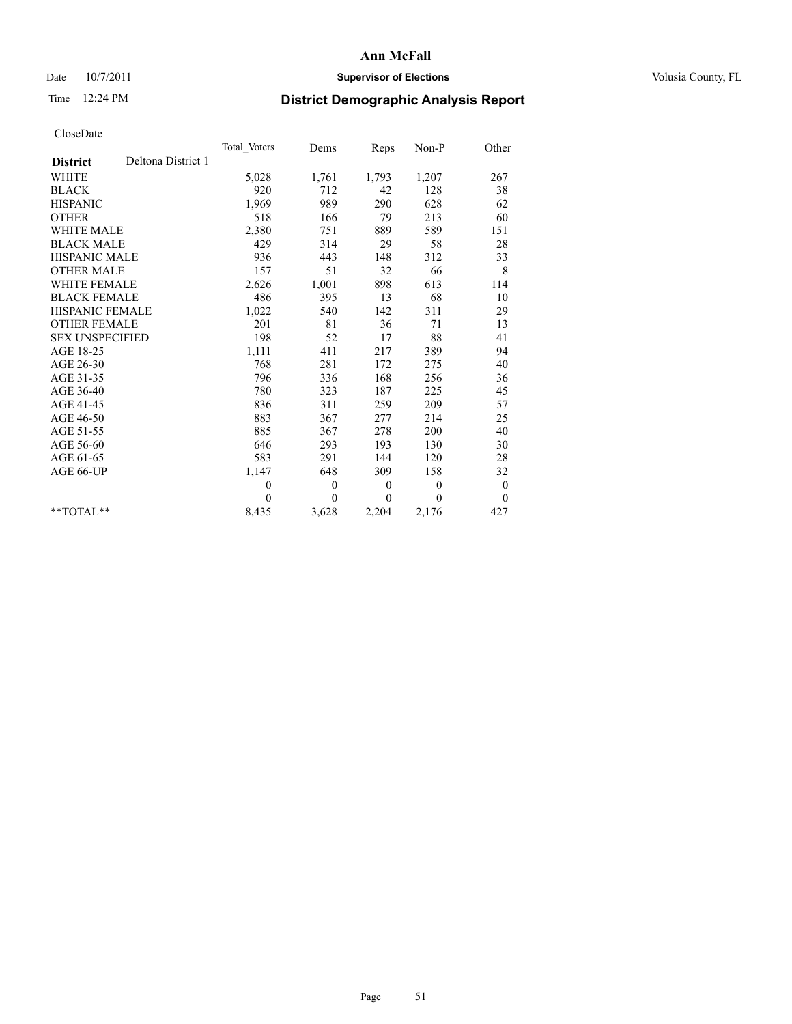## Date  $10/7/2011$  **Supervisor of Elections Supervisor of Elections** Volusia County, FL

# Time 12:24 PM **District Demographic Analysis Report**

|                                       | Total Voters | Dems     | Reps         | Non-P    | Other            |  |
|---------------------------------------|--------------|----------|--------------|----------|------------------|--|
| Deltona District 1<br><b>District</b> |              |          |              |          |                  |  |
| <b>WHITE</b>                          | 5,028        | 1,761    | 1,793        | 1,207    | 267              |  |
| <b>BLACK</b>                          | 920          | 712      | 42           | 128      | 38               |  |
| <b>HISPANIC</b>                       | 1,969        | 989      | 290          | 628      | 62               |  |
| <b>OTHER</b>                          | 518          | 166      | 79           | 213      | 60               |  |
| <b>WHITE MALE</b>                     | 2,380        | 751      | 889          | 589      | 151              |  |
| <b>BLACK MALE</b>                     | 429          | 314      | 29           | 58       | 28               |  |
| <b>HISPANIC MALE</b>                  | 936          | 443      | 148          | 312      | 33               |  |
| <b>OTHER MALE</b>                     | 157          | 51       | 32           | 66       | 8                |  |
| WHITE FEMALE                          | 2,626        | 1,001    | 898          | 613      | 114              |  |
| <b>BLACK FEMALE</b>                   | 486          | 395      | 13           | 68       | 10               |  |
| HISPANIC FEMALE                       | 1,022        | 540      | 142          | 311      | 29               |  |
| <b>OTHER FEMALE</b>                   | 201          | 81       | 36           | 71       | 13               |  |
| <b>SEX UNSPECIFIED</b>                | 198          | 52       | 17           | 88       | 41               |  |
| AGE 18-25                             | 1,111        | 411      | 217          | 389      | 94               |  |
| AGE 26-30                             | 768          | 281      | 172          | 275      | 40               |  |
| AGE 31-35                             | 796          | 336      | 168          | 256      | 36               |  |
| AGE 36-40                             | 780          | 323      | 187          | 225      | 45               |  |
| AGE 41-45                             | 836          | 311      | 259          | 209      | 57               |  |
| AGE 46-50                             | 883          | 367      | 277          | 214      | 25               |  |
| AGE 51-55                             | 885          | 367      | 278          | 200      | 40               |  |
| AGE 56-60                             | 646          | 293      | 193          | 130      | 30               |  |
| AGE 61-65                             | 583          | 291      | 144          | 120      | 28               |  |
| AGE 66-UP                             | 1,147        | 648      | 309          | 158      | 32               |  |
|                                       | $\mathbf{0}$ | $\theta$ | $\theta$     | $\theta$ | $\boldsymbol{0}$ |  |
|                                       | $\Omega$     | $\theta$ | $\mathbf{0}$ | $\theta$ | $\theta$         |  |
| **TOTAL**                             | 8,435        | 3,628    | 2,204        | 2,176    | 427              |  |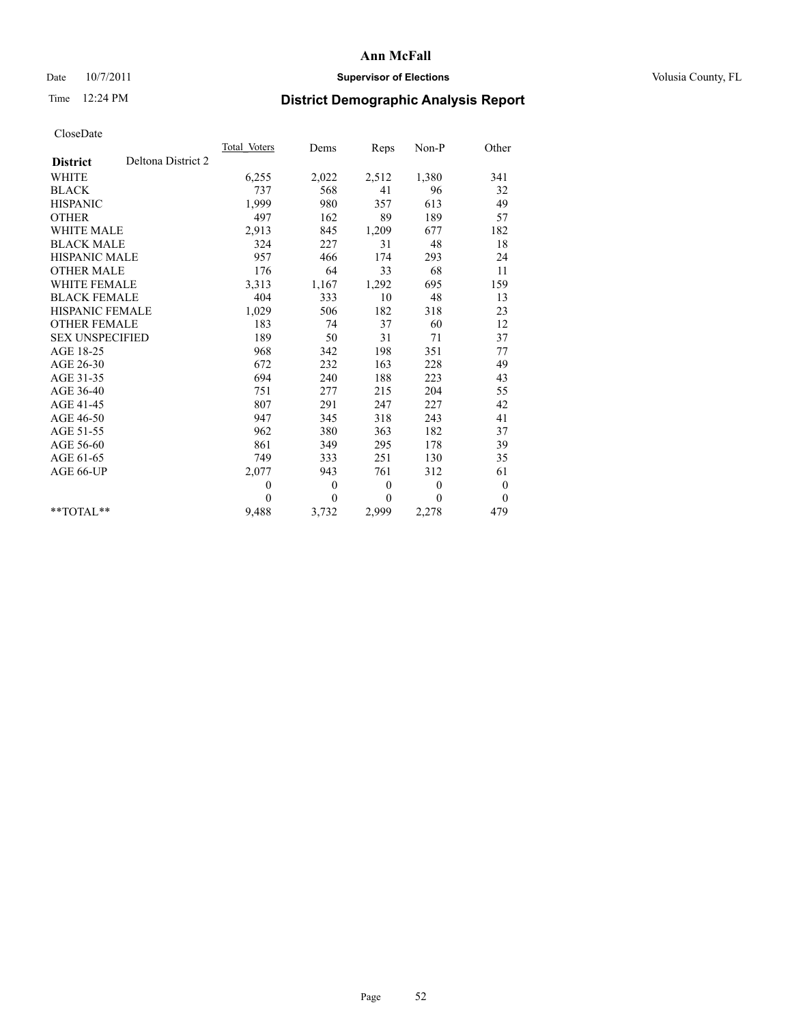## Date  $10/7/2011$  **Supervisor of Elections Supervisor of Elections** Volusia County, FL

# Time 12:24 PM **District Demographic Analysis Report**

|                                       | Total Voters | Dems         | Reps         | Non-P          | Other            |  |
|---------------------------------------|--------------|--------------|--------------|----------------|------------------|--|
| Deltona District 2<br><b>District</b> |              |              |              |                |                  |  |
| <b>WHITE</b>                          | 6,255        | 2,022        | 2,512        | 1,380          | 341              |  |
| <b>BLACK</b>                          | 737          | 568          | 41           | 96             | 32               |  |
| <b>HISPANIC</b>                       | 1,999        | 980          | 357          | 613            | 49               |  |
| <b>OTHER</b>                          | 497          | 162          | 89           | 189            | 57               |  |
| <b>WHITE MALE</b>                     | 2,913        | 845          | 1,209        | 677            | 182              |  |
| <b>BLACK MALE</b>                     | 324          | 227          | 31           | 48             | 18               |  |
| <b>HISPANIC MALE</b>                  | 957          | 466          | 174          | 293            | 24               |  |
| <b>OTHER MALE</b>                     | 176          | 64           | 33           | 68             | 11               |  |
| WHITE FEMALE                          | 3,313        | 1,167        | 1,292        | 695            | 159              |  |
| <b>BLACK FEMALE</b>                   | 404          | 333          | 10           | 48             | 13               |  |
| HISPANIC FEMALE                       | 1,029        | 506          | 182          | 318            | 23               |  |
| <b>OTHER FEMALE</b>                   | 183          | 74           | 37           | 60             | 12               |  |
| <b>SEX UNSPECIFIED</b>                | 189          | 50           | 31           | 71             | 37               |  |
| AGE 18-25                             | 968          | 342          | 198          | 351            | 77               |  |
| AGE 26-30                             | 672          | 232          | 163          | 228            | 49               |  |
| AGE 31-35                             | 694          | 240          | 188          | 223            | 43               |  |
| AGE 36-40                             | 751          | 277          | 215          | 204            | 55               |  |
| AGE 41-45                             | 807          | 291          | 247          | 227            | 42               |  |
| AGE 46-50                             | 947          | 345          | 318          | 243            | 41               |  |
| AGE 51-55                             | 962          | 380          | 363          | 182            | 37               |  |
| AGE 56-60                             | 861          | 349          | 295          | 178            | 39               |  |
| AGE 61-65                             | 749          | 333          | 251          | 130            | 35               |  |
| AGE 66-UP                             | 2,077        | 943          | 761          | 312            | 61               |  |
|                                       | $\theta$     | $\mathbf{0}$ | $\mathbf{0}$ | $\overline{0}$ | $\boldsymbol{0}$ |  |
|                                       | $\Omega$     | $\Omega$     | $\mathbf{0}$ | $\theta$       | $\theta$         |  |
| $*$ $TOTAI.**$                        | 9,488        | 3,732        | 2,999        | 2,278          | 479              |  |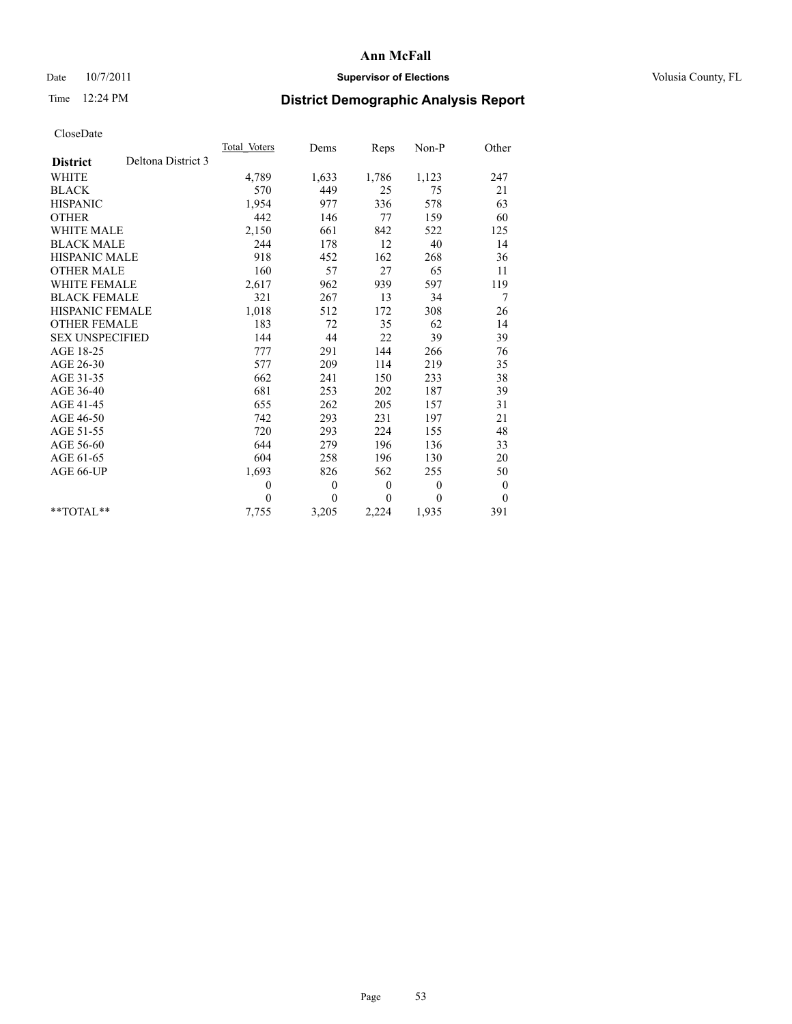## Date  $10/7/2011$  **Supervisor of Elections Supervisor of Elections** Volusia County, FL

# Time 12:24 PM **District Demographic Analysis Report**

|                        |                    | Total Voters | Dems         | Reps         | Non-P        | Other            |  |
|------------------------|--------------------|--------------|--------------|--------------|--------------|------------------|--|
| <b>District</b>        | Deltona District 3 |              |              |              |              |                  |  |
| <b>WHITE</b>           |                    | 4,789        | 1,633        | 1,786        | 1,123        | 247              |  |
| <b>BLACK</b>           |                    | 570          | 449          | 25           | 75           | 21               |  |
| <b>HISPANIC</b>        |                    | 1,954        | 977          | 336          | 578          | 63               |  |
| <b>OTHER</b>           |                    | 442          | 146          | 77           | 159          | 60               |  |
| <b>WHITE MALE</b>      |                    | 2,150        | 661          | 842          | 522          | 125              |  |
| <b>BLACK MALE</b>      |                    | 244          | 178          | 12           | 40           | 14               |  |
| <b>HISPANIC MALE</b>   |                    | 918          | 452          | 162          | 268          | 36               |  |
| <b>OTHER MALE</b>      |                    | 160          | 57           | 27           | 65           | 11               |  |
| <b>WHITE FEMALE</b>    |                    | 2,617        | 962          | 939          | 597          | 119              |  |
| <b>BLACK FEMALE</b>    |                    | 321          | 267          | 13           | 34           | 7                |  |
| HISPANIC FEMALE        |                    | 1,018        | 512          | 172          | 308          | 26               |  |
| <b>OTHER FEMALE</b>    |                    | 183          | 72           | 35           | 62           | 14               |  |
| <b>SEX UNSPECIFIED</b> |                    | 144          | 44           | 22           | 39           | 39               |  |
| AGE 18-25              |                    | 777          | 291          | 144          | 266          | 76               |  |
| AGE 26-30              |                    | 577          | 209          | 114          | 219          | 35               |  |
| AGE 31-35              |                    | 662          | 241          | 150          | 233          | 38               |  |
| AGE 36-40              |                    | 681          | 253          | 202          | 187          | 39               |  |
| AGE 41-45              |                    | 655          | 262          | 205          | 157          | 31               |  |
| AGE 46-50              |                    | 742          | 293          | 231          | 197          | 21               |  |
| AGE 51-55              |                    | 720          | 293          | 224          | 155          | 48               |  |
| AGE 56-60              |                    | 644          | 279          | 196          | 136          | 33               |  |
| AGE 61-65              |                    | 604          | 258          | 196          | 130          | 20               |  |
| AGE 66-UP              |                    | 1,693        | 826          | 562          | 255          | 50               |  |
|                        |                    | $\mathbf{0}$ | $\mathbf{0}$ | $\mathbf{0}$ | $\mathbf{0}$ | $\boldsymbol{0}$ |  |
|                        |                    | $\theta$     | $\theta$     | $\theta$     | $\theta$     | $\theta$         |  |
| $*$ $TOTAI.**$         |                    | 7,755        | 3,205        | 2,224        | 1,935        | 391              |  |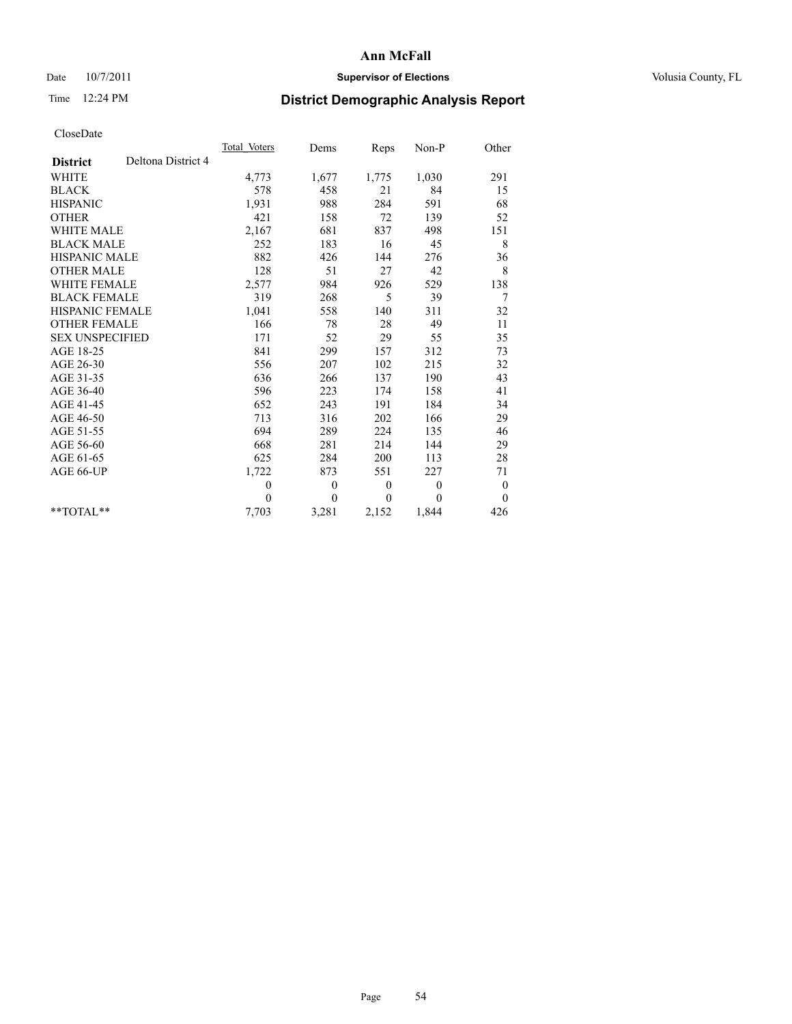## Date  $10/7/2011$  **Supervisor of Elections Supervisor of Elections** Volusia County, FL

# Time 12:24 PM **District Demographic Analysis Report**

|                        |                    | Total Voters | Dems         | Reps     | Non-P        | Other            |  |
|------------------------|--------------------|--------------|--------------|----------|--------------|------------------|--|
| <b>District</b>        | Deltona District 4 |              |              |          |              |                  |  |
| <b>WHITE</b>           |                    | 4,773        | 1,677        | 1,775    | 1,030        | 291              |  |
| <b>BLACK</b>           |                    | 578          | 458          | 21       | 84           | 15               |  |
| <b>HISPANIC</b>        |                    | 1,931        | 988          | 284      | 591          | 68               |  |
| <b>OTHER</b>           |                    | 421          | 158          | 72       | 139          | 52               |  |
| <b>WHITE MALE</b>      |                    | 2,167        | 681          | 837      | 498          | 151              |  |
| <b>BLACK MALE</b>      |                    | 252          | 183          | 16       | 45           | 8                |  |
| <b>HISPANIC MALE</b>   |                    | 882          | 426          | 144      | 276          | 36               |  |
| <b>OTHER MALE</b>      |                    | 128          | 51           | 27       | 42           | $\,$ 8 $\,$      |  |
| <b>WHITE FEMALE</b>    |                    | 2,577        | 984          | 926      | 529          | 138              |  |
| <b>BLACK FEMALE</b>    |                    | 319          | 268          | 5        | 39           | 7                |  |
| HISPANIC FEMALE        |                    | 1,041        | 558          | 140      | 311          | 32               |  |
| <b>OTHER FEMALE</b>    |                    | 166          | 78           | 28       | 49           | 11               |  |
| <b>SEX UNSPECIFIED</b> |                    | 171          | 52           | 29       | 55           | 35               |  |
| AGE 18-25              |                    | 841          | 299          | 157      | 312          | 73               |  |
| AGE 26-30              |                    | 556          | 207          | 102      | 215          | 32               |  |
| AGE 31-35              |                    | 636          | 266          | 137      | 190          | 43               |  |
| AGE 36-40              |                    | 596          | 223          | 174      | 158          | 41               |  |
| AGE 41-45              |                    | 652          | 243          | 191      | 184          | 34               |  |
| AGE 46-50              |                    | 713          | 316          | 202      | 166          | 29               |  |
| AGE 51-55              |                    | 694          | 289          | 224      | 135          | 46               |  |
| AGE 56-60              |                    | 668          | 281          | 214      | 144          | 29               |  |
| AGE 61-65              |                    | 625          | 284          | 200      | 113          | 28               |  |
| AGE 66-UP              |                    | 1,722        | 873          | 551      | 227          | 71               |  |
|                        |                    | $\mathbf{0}$ | $\mathbf{0}$ | $\theta$ | $\mathbf{0}$ | $\boldsymbol{0}$ |  |
|                        |                    | $\theta$     | $\theta$     | $\theta$ | $\theta$     | $\theta$         |  |
| $*$ $TOTAI.**$         |                    | 7,703        | 3,281        | 2,152    | 1,844        | 426              |  |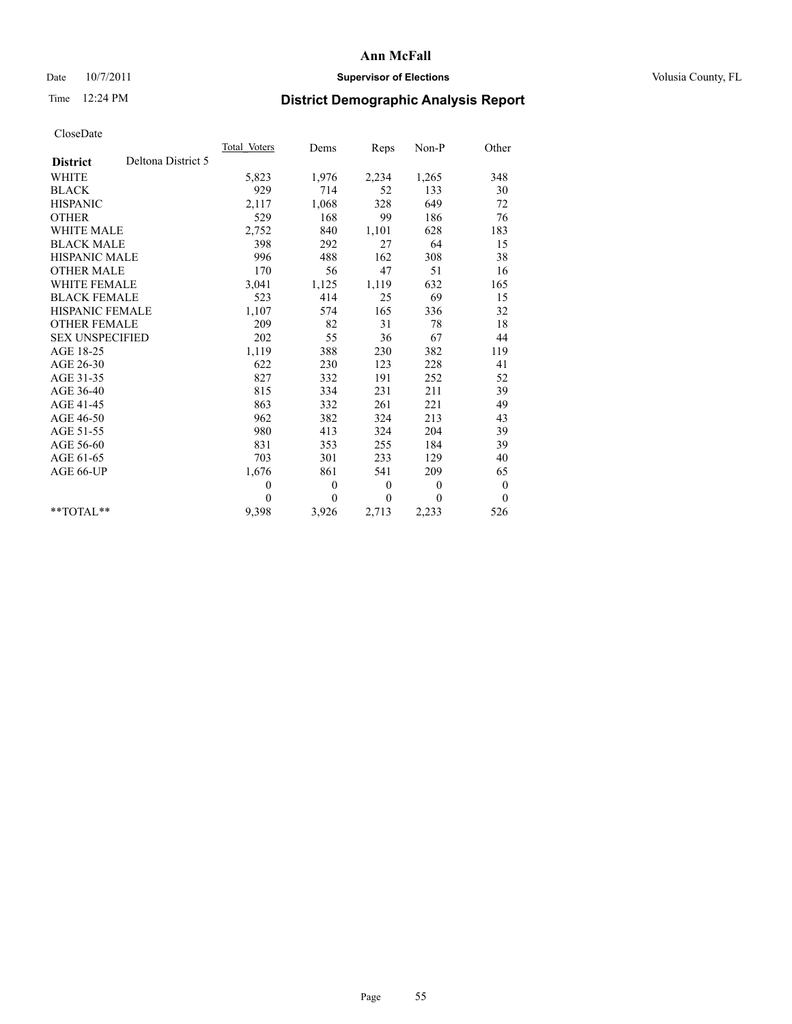## Date  $10/7/2011$  **Supervisor of Elections Supervisor of Elections** Volusia County, FL

# Time 12:24 PM **District Demographic Analysis Report**

|                                       | Total Voters | Dems         | <b>Reps</b>  | Non-P    | Other            |  |
|---------------------------------------|--------------|--------------|--------------|----------|------------------|--|
| Deltona District 5<br><b>District</b> |              |              |              |          |                  |  |
| <b>WHITE</b>                          | 5,823        | 1,976        | 2,234        | 1,265    | 348              |  |
| <b>BLACK</b>                          | 929          | 714          | 52           | 133      | 30               |  |
| <b>HISPANIC</b>                       | 2,117        | 1,068        | 328          | 649      | 72               |  |
| <b>OTHER</b>                          | 529          | 168          | 99           | 186      | 76               |  |
| <b>WHITE MALE</b>                     | 2,752        | 840          | 1,101        | 628      | 183              |  |
| <b>BLACK MALE</b>                     | 398          | 292          | 27           | 64       | 15               |  |
| HISPANIC MALE                         | 996          | 488          | 162          | 308      | 38               |  |
| <b>OTHER MALE</b>                     | 170          | 56           | 47           | 51       | 16               |  |
| WHITE FEMALE                          | 3,041        | 1,125        | 1,119        | 632      | 165              |  |
| <b>BLACK FEMALE</b>                   | 523          | 414          | 25           | 69       | 15               |  |
| HISPANIC FEMALE                       | 1,107        | 574          | 165          | 336      | 32               |  |
| <b>OTHER FEMALE</b>                   | 209          | 82           | 31           | 78       | 18               |  |
| <b>SEX UNSPECIFIED</b>                | 202          | 55           | 36           | 67       | 44               |  |
| AGE 18-25                             | 1,119        | 388          | 230          | 382      | 119              |  |
| AGE 26-30                             | 622          | 230          | 123          | 228      | 41               |  |
| AGE 31-35                             | 827          | 332          | 191          | 252      | 52               |  |
| AGE 36-40                             | 815          | 334          | 231          | 211      | 39               |  |
| AGE 41-45                             | 863          | 332          | 261          | 221      | 49               |  |
| AGE 46-50                             | 962          | 382          | 324          | 213      | 43               |  |
| AGE 51-55                             | 980          | 413          | 324          | 204      | 39               |  |
| AGE 56-60                             | 831          | 353          | 255          | 184      | 39               |  |
| AGE 61-65                             | 703          | 301          | 233          | 129      | 40               |  |
| AGE 66-UP                             | 1,676        | 861          | 541          | 209      | 65               |  |
|                                       | $\mathbf{0}$ | $\theta$     | $\mathbf{0}$ | $\theta$ | $\boldsymbol{0}$ |  |
|                                       | $\theta$     | $\mathbf{0}$ | $\mathbf{0}$ | $\theta$ | $\theta$         |  |
| $*$ $TOTAI.**$                        | 9,398        | 3,926        | 2,713        | 2,233    | 526              |  |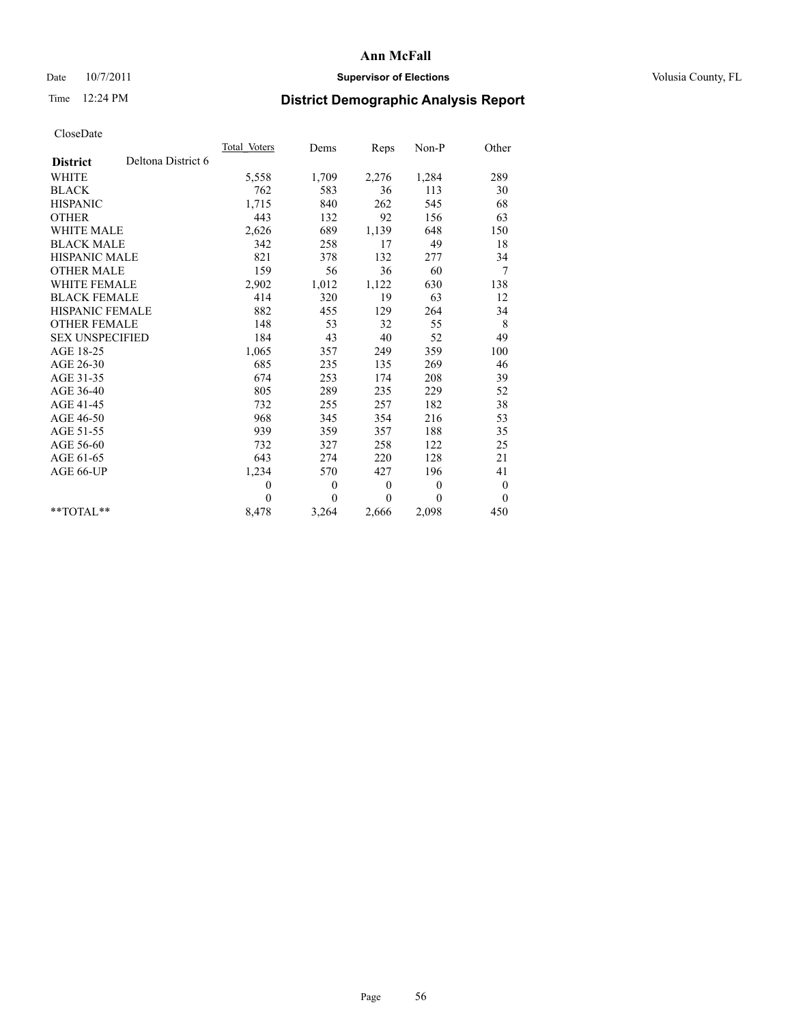## Date  $10/7/2011$  **Supervisor of Elections Supervisor of Elections** Volusia County, FL

# Time 12:24 PM **District Demographic Analysis Report**

|                                       | Total Voters | Dems         | <b>Reps</b>      | Non-P    | Other            |  |
|---------------------------------------|--------------|--------------|------------------|----------|------------------|--|
| Deltona District 6<br><b>District</b> |              |              |                  |          |                  |  |
| <b>WHITE</b>                          | 5,558        | 1,709        | 2,276            | 1,284    | 289              |  |
| <b>BLACK</b>                          | 762          | 583          | 36               | 113      | 30               |  |
| <b>HISPANIC</b>                       | 1,715        | 840          | 262              | 545      | 68               |  |
| <b>OTHER</b>                          | 443          | 132          | 92               | 156      | 63               |  |
| <b>WHITE MALE</b>                     | 2,626        | 689          | 1,139            | 648      | 150              |  |
| <b>BLACK MALE</b>                     | 342          | 258          | 17               | 49       | 18               |  |
| <b>HISPANIC MALE</b>                  | 821          | 378          | 132              | 277      | 34               |  |
| <b>OTHER MALE</b>                     | 159          | 56           | 36               | 60       | 7                |  |
| <b>WHITE FEMALE</b>                   | 2,902        | 1,012        | 1,122            | 630      | 138              |  |
| <b>BLACK FEMALE</b>                   | 414          | 320          | 19               | 63       | 12               |  |
| HISPANIC FEMALE                       | 882          | 455          | 129              | 264      | 34               |  |
| <b>OTHER FEMALE</b>                   | 148          | 53           | 32               | 55       | 8                |  |
| <b>SEX UNSPECIFIED</b>                | 184          | 43           | 40               | 52       | 49               |  |
| AGE 18-25                             | 1,065        | 357          | 249              | 359      | 100              |  |
| AGE 26-30                             | 685          | 235          | 135              | 269      | 46               |  |
| AGE 31-35                             | 674          | 253          | 174              | 208      | 39               |  |
| AGE 36-40                             | 805          | 289          | 235              | 229      | 52               |  |
| AGE 41-45                             | 732          | 255          | 257              | 182      | 38               |  |
| AGE 46-50                             | 968          | 345          | 354              | 216      | 53               |  |
| AGE 51-55                             | 939          | 359          | 357              | 188      | 35               |  |
| AGE 56-60                             | 732          | 327          | 258              | 122      | 25               |  |
| AGE 61-65                             | 643          | 274          | 220              | 128      | 21               |  |
| AGE 66-UP                             | 1,234        | 570          | 427              | 196      | 41               |  |
|                                       | $\mathbf{0}$ | $\mathbf{0}$ | $\boldsymbol{0}$ | $\theta$ | $\boldsymbol{0}$ |  |
|                                       | $\Omega$     | $\theta$     | $\theta$         | $\theta$ | $\theta$         |  |
| $*$ $TOTAI.**$                        | 8,478        | 3,264        | 2,666            | 2,098    | 450              |  |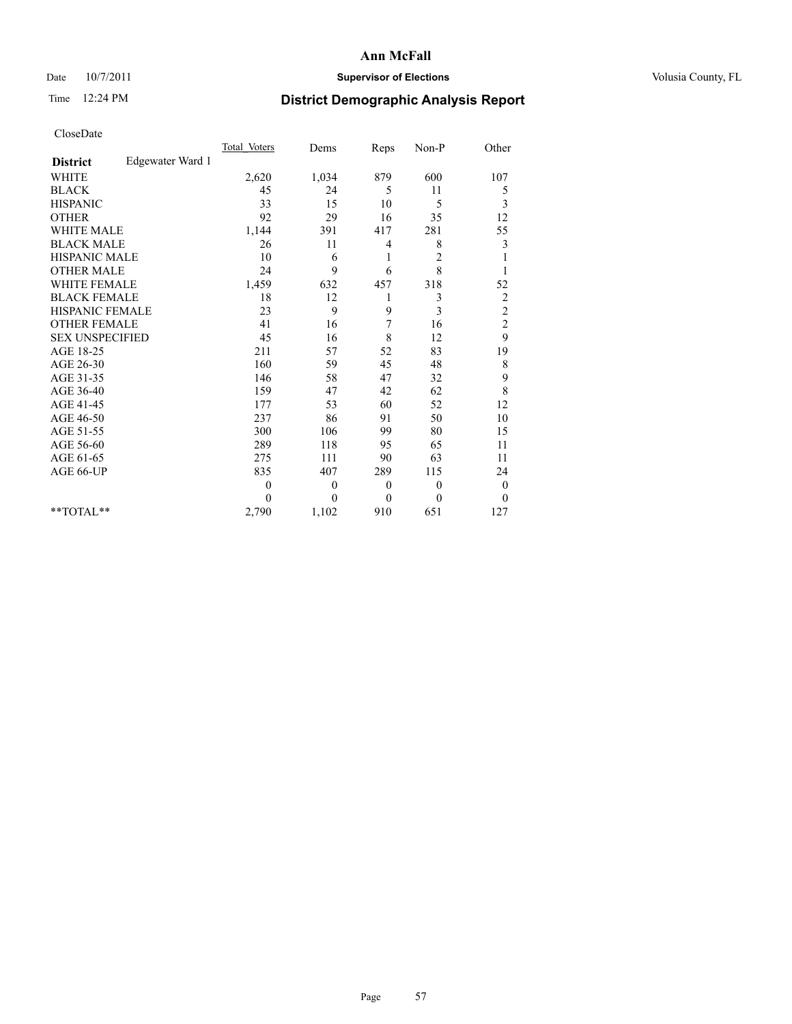## Date  $10/7/2011$  **Supervisor of Elections Supervisor of Elections** Volusia County, FL

# Time 12:24 PM **District Demographic Analysis Report**

|                                     | <b>Total Voters</b> | Dems             | Reps         | $Non-P$        | Other            |  |
|-------------------------------------|---------------------|------------------|--------------|----------------|------------------|--|
| Edgewater Ward 1<br><b>District</b> |                     |                  |              |                |                  |  |
| <b>WHITE</b>                        | 2,620               | 1,034            | 879          | 600            | 107              |  |
| <b>BLACK</b>                        | 45                  | 24               | 5            | 11             | 5                |  |
| <b>HISPANIC</b>                     | 33                  | 15               | 10           | 5              | 3                |  |
| <b>OTHER</b>                        | 92                  | 29               | 16           | 35             | 12               |  |
| <b>WHITE MALE</b>                   | 1,144               | 391              | 417          | 281            | 55               |  |
| <b>BLACK MALE</b>                   | 26                  | 11               | 4            | 8              | 3                |  |
| <b>HISPANIC MALE</b>                | 10                  | 6                | 1            | $\overline{c}$ |                  |  |
| <b>OTHER MALE</b>                   | 24                  | 9                | 6            | 8              |                  |  |
| <b>WHITE FEMALE</b>                 | 1,459               | 632              | 457          | 318            | 52               |  |
| <b>BLACK FEMALE</b>                 | 18                  | 12               | 1            | 3              | $\overline{c}$   |  |
| HISPANIC FEMALE                     | 23                  | 9                | 9            | 3              | $\overline{c}$   |  |
| <b>OTHER FEMALE</b>                 | 41                  | 16               | 7            | 16             | $\overline{c}$   |  |
| <b>SEX UNSPECIFIED</b>              | 45                  | 16               | 8            | 12             | 9                |  |
| AGE 18-25                           | 211                 | 57               | 52           | 83             | 19               |  |
| AGE 26-30                           | 160                 | 59               | 45           | 48             | $\,$ 8 $\,$      |  |
| AGE 31-35                           | 146                 | 58               | 47           | 32             | 9                |  |
| AGE 36-40                           | 159                 | 47               | 42           | 62             | 8                |  |
| AGE 41-45                           | 177                 | 53               | 60           | 52             | 12               |  |
| AGE 46-50                           | 237                 | 86               | 91           | 50             | 10               |  |
| AGE 51-55                           | 300                 | 106              | 99           | 80             | 15               |  |
| AGE 56-60                           | 289                 | 118              | 95           | 65             | 11               |  |
| AGE 61-65                           | 275                 | 111              | 90           | 63             | 11               |  |
| AGE 66-UP                           | 835                 | 407              | 289          | 115            | 24               |  |
|                                     | $\mathbf{0}$        | $\boldsymbol{0}$ | $\mathbf{0}$ | $\theta$       | $\boldsymbol{0}$ |  |
|                                     | $\Omega$            | $\theta$         | $\mathbf{0}$ | $\theta$       | $\mathbf{0}$     |  |
| **TOTAL**                           | 2,790               | 1,102            | 910          | 651            | 127              |  |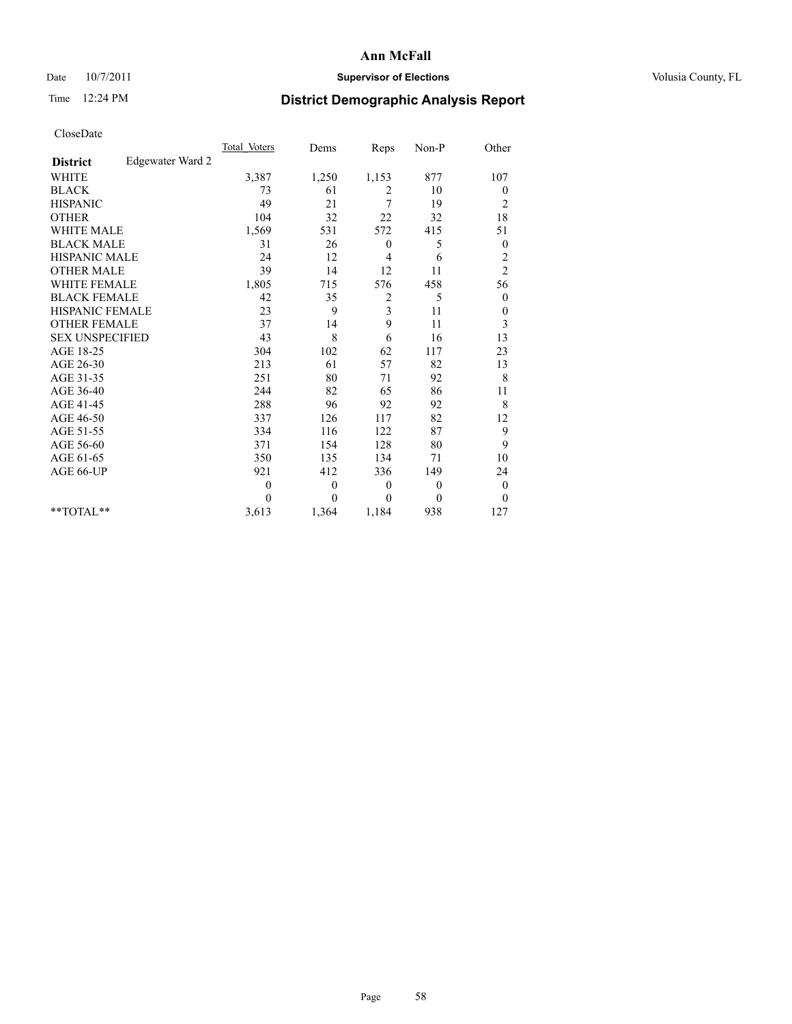### Date  $10/7/2011$  **Supervisor of Elections Supervisor of Elections** Volusia County, FL

# Time 12:24 PM **District Demographic Analysis Report**

|                                     | <b>Total Voters</b> | Dems         | Reps         | Non-P        | Other            |
|-------------------------------------|---------------------|--------------|--------------|--------------|------------------|
| Edgewater Ward 2<br><b>District</b> |                     |              |              |              |                  |
| <b>WHITE</b>                        | 3,387               | 1,250        | 1,153        | 877          | 107              |
| <b>BLACK</b>                        | 73                  | 61           | 2            | 10           | $\boldsymbol{0}$ |
| <b>HISPANIC</b>                     | 49                  | 21           | 7            | 19           | $\overline{c}$   |
| <b>OTHER</b>                        | 104                 | 32           | 22           | 32           | 18               |
| <b>WHITE MALE</b>                   | 1,569               | 531          | 572          | 415          | 51               |
| <b>BLACK MALE</b>                   | 31                  | 26           | $\theta$     | 5            | $\boldsymbol{0}$ |
| <b>HISPANIC MALE</b>                | 24                  | 12           | 4            | 6            | $\overline{c}$   |
| <b>OTHER MALE</b>                   | 39                  | 14           | 12           | 11           | $\overline{c}$   |
| <b>WHITE FEMALE</b>                 | 1,805               | 715          | 576          | 458          | 56               |
| <b>BLACK FEMALE</b>                 | 42                  | 35           | 2            | 5            | $\mathbf{0}$     |
| HISPANIC FEMALE                     | 23                  | 9            | 3            | 11           | $\boldsymbol{0}$ |
| <b>OTHER FEMALE</b>                 | 37                  | 14           | 9            | 11           | 3                |
| <b>SEX UNSPECIFIED</b>              | 43                  | 8            | 6            | 16           | 13               |
| AGE 18-25                           | 304                 | 102          | 62           | 117          | 23               |
| AGE 26-30                           | 213                 | 61           | 57           | 82           | 13               |
| AGE 31-35                           | 251                 | 80           | 71           | 92           | 8                |
| AGE 36-40                           | 244                 | 82           | 65           | 86           | 11               |
| AGE 41-45                           | 288                 | 96           | 92           | 92           | 8                |
| AGE 46-50                           | 337                 | 126          | 117          | 82           | 12               |
| AGE 51-55                           | 334                 | 116          | 122          | 87           | 9                |
| AGE 56-60                           | 371                 | 154          | 128          | 80           | 9                |
| AGE 61-65                           | 350                 | 135          | 134          | 71           | 10               |
| AGE 66-UP                           | 921                 | 412          | 336          | 149          | 24               |
|                                     | $\overline{0}$      | $\mathbf{0}$ | $\mathbf{0}$ | $\theta$     | $\boldsymbol{0}$ |
|                                     | $\theta$            | $\theta$     | $\Omega$     | $\mathbf{0}$ | $\mathbf{0}$     |
| $*$ $TOTAI.**$                      | 3,613               | 1,364        | 1,184        | 938          | 127              |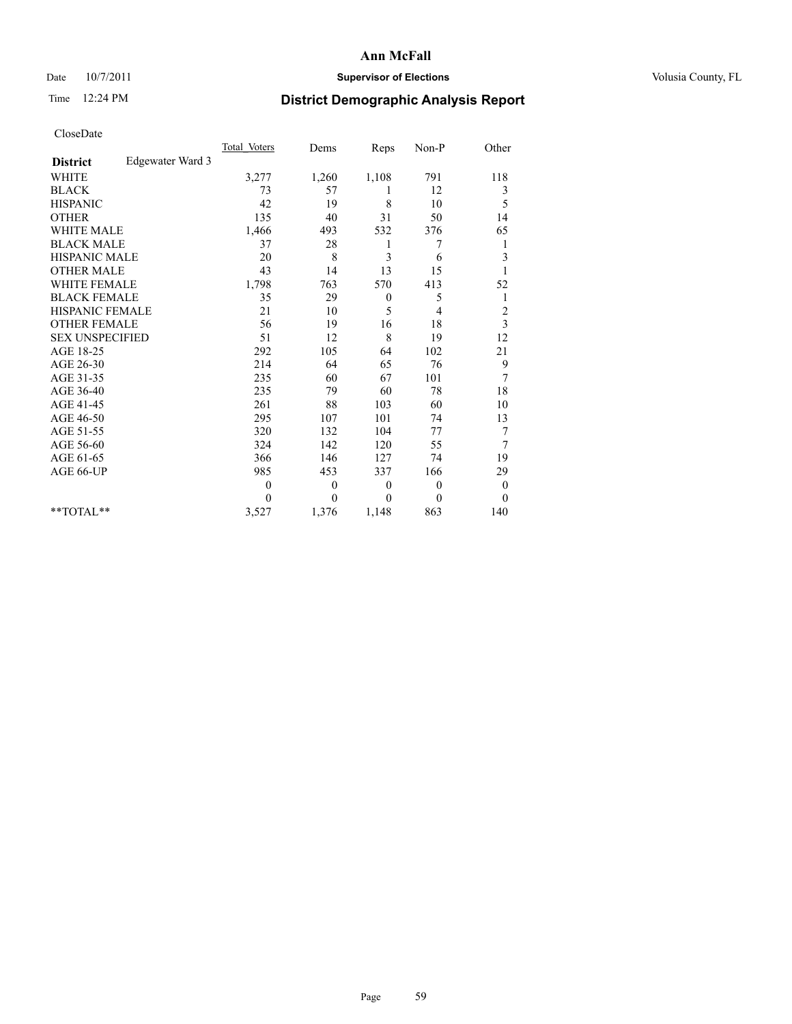### Date  $10/7/2011$  **Supervisor of Elections Supervisor of Elections** Volusia County, FL

# Time 12:24 PM **District Demographic Analysis Report**

|                                     | <b>Total Voters</b> | Dems     | Reps             | Non-P    | Other            |  |
|-------------------------------------|---------------------|----------|------------------|----------|------------------|--|
| Edgewater Ward 3<br><b>District</b> |                     |          |                  |          |                  |  |
| <b>WHITE</b>                        | 3,277               | 1,260    | 1,108            | 791      | 118              |  |
| <b>BLACK</b>                        | 73                  | 57       | 1                | 12       | 3                |  |
| <b>HISPANIC</b>                     | 42                  | 19       | 8                | 10       | 5                |  |
| <b>OTHER</b>                        | 135                 | 40       | 31               | 50       | 14               |  |
| <b>WHITE MALE</b>                   | 1,466               | 493      | 532              | 376      | 65               |  |
| <b>BLACK MALE</b>                   | 37                  | 28       | 1                | 7        | 1                |  |
| HISPANIC MALE                       | 20                  | 8        | 3                | 6        | 3                |  |
| <b>OTHER MALE</b>                   | 43                  | 14       | 13               | 15       |                  |  |
| <b>WHITE FEMALE</b>                 | 1,798               | 763      | 570              | 413      | 52               |  |
| <b>BLACK FEMALE</b>                 | 35                  | 29       | $\boldsymbol{0}$ | 5        | 1                |  |
| <b>HISPANIC FEMALE</b>              | 21                  | 10       | 5                | 4        | $\overline{c}$   |  |
| <b>OTHER FEMALE</b>                 | 56                  | 19       | 16               | 18       | 3                |  |
| <b>SEX UNSPECIFIED</b>              | 51                  | 12       | 8                | 19       | 12               |  |
| AGE 18-25                           | 292                 | 105      | 64               | 102      | 21               |  |
| AGE 26-30                           | 214                 | 64       | 65               | 76       | 9                |  |
| AGE 31-35                           | 235                 | 60       | 67               | 101      | 7                |  |
| AGE 36-40                           | 235                 | 79       | 60               | 78       | 18               |  |
| AGE 41-45                           | 261                 | 88       | 103              | 60       | 10               |  |
| AGE 46-50                           | 295                 | 107      | 101              | 74       | 13               |  |
| AGE 51-55                           | 320                 | 132      | 104              | 77       | 7                |  |
| AGE 56-60                           | 324                 | 142      | 120              | 55       | 7                |  |
| AGE 61-65                           | 366                 | 146      | 127              | 74       | 19               |  |
| AGE 66-UP                           | 985                 | 453      | 337              | 166      | 29               |  |
|                                     | $\theta$            | $\theta$ | $\theta$         | $\theta$ | $\boldsymbol{0}$ |  |
|                                     | $\theta$            | $\Omega$ | $\Omega$         | $\Omega$ | $\mathbf{0}$     |  |
| $*$ $TOTAI.**$                      | 3,527               | 1,376    | 1,148            | 863      | 140              |  |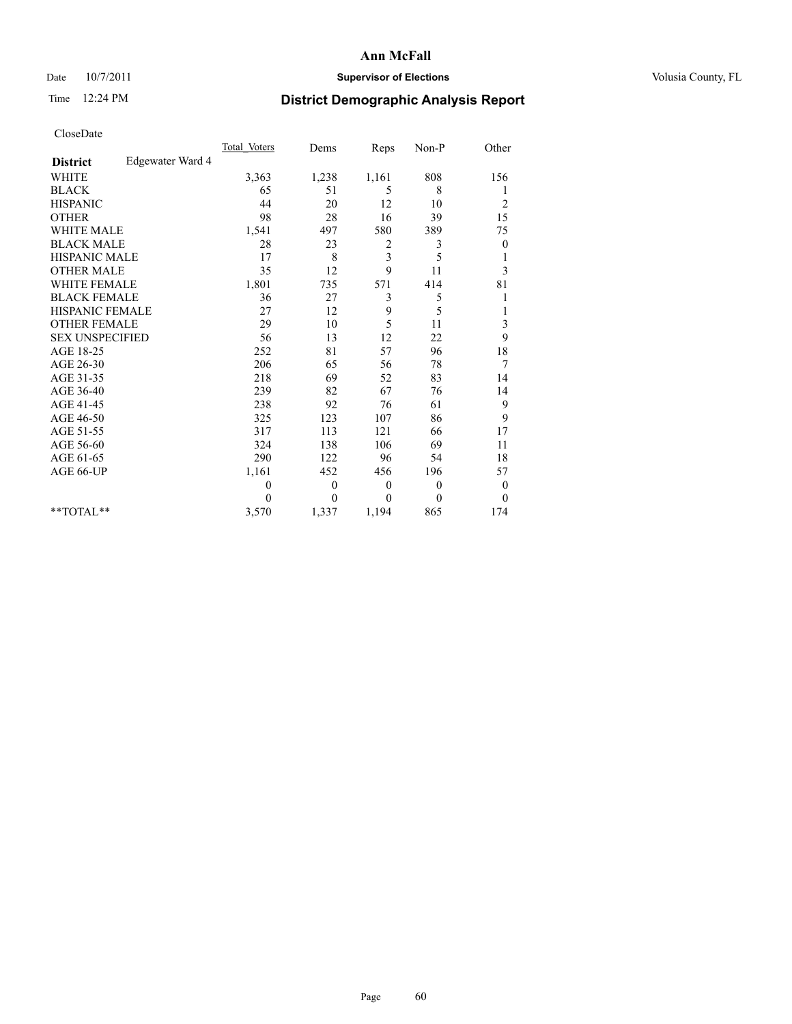## Date  $10/7/2011$  **Supervisor of Elections Supervisor of Elections** Volusia County, FL

# Time 12:24 PM **District Demographic Analysis Report**

|                                     | <b>Total Voters</b> | Dems             | Reps           | $Non-P$  | Other            |
|-------------------------------------|---------------------|------------------|----------------|----------|------------------|
| Edgewater Ward 4<br><b>District</b> |                     |                  |                |          |                  |
| <b>WHITE</b>                        | 3,363               | 1,238            | 1,161          | 808      | 156              |
| <b>BLACK</b>                        | 65                  | 51               | 5              | 8        | 1                |
| <b>HISPANIC</b>                     | 44                  | 20               | 12             | 10       | $\overline{c}$   |
| <b>OTHER</b>                        | 98                  | 28               | 16             | 39       | 15               |
| <b>WHITE MALE</b>                   | 1,541               | 497              | 580            | 389      | 75               |
| <b>BLACK MALE</b>                   | 28                  | 23               | 2              | 3        | $\boldsymbol{0}$ |
| <b>HISPANIC MALE</b>                | 17                  | 8                | $\mathfrak{Z}$ | 5        | 1                |
| <b>OTHER MALE</b>                   | 35                  | 12               | 9              | 11       | 3                |
| <b>WHITE FEMALE</b>                 | 1,801               | 735              | 571            | 414      | 81               |
| <b>BLACK FEMALE</b>                 | 36                  | 27               | 3              | 5        | 1                |
| HISPANIC FEMALE                     | 27                  | 12               | 9              | 5        | 1                |
| <b>OTHER FEMALE</b>                 | 29                  | 10               | 5              | 11       | 3                |
| <b>SEX UNSPECIFIED</b>              | 56                  | 13               | 12             | 22       | 9                |
| AGE 18-25                           | 252                 | 81               | 57             | 96       | 18               |
| AGE 26-30                           | 206                 | 65               | 56             | 78       | 7                |
| AGE 31-35                           | 218                 | 69               | 52             | 83       | 14               |
| AGE 36-40                           | 239                 | 82               | 67             | 76       | 14               |
| AGE 41-45                           | 238                 | 92               | 76             | 61       | 9                |
| AGE 46-50                           | 325                 | 123              | 107            | 86       | 9                |
| AGE 51-55                           | 317                 | 113              | 121            | 66       | 17               |
| AGE 56-60                           | 324                 | 138              | 106            | 69       | 11               |
| AGE 61-65                           | 290                 | 122              | 96             | 54       | 18               |
| AGE 66-UP                           | 1,161               | 452              | 456            | 196      | 57               |
|                                     | $\mathbf{0}$        | $\boldsymbol{0}$ | $\mathbf{0}$   | $\theta$ | $\boldsymbol{0}$ |
|                                     | $\theta$            | $\theta$         | $\theta$       | $\theta$ | $\theta$         |
| $*$ $TOTAI.**$                      | 3,570               | 1,337            | 1,194          | 865      | 174              |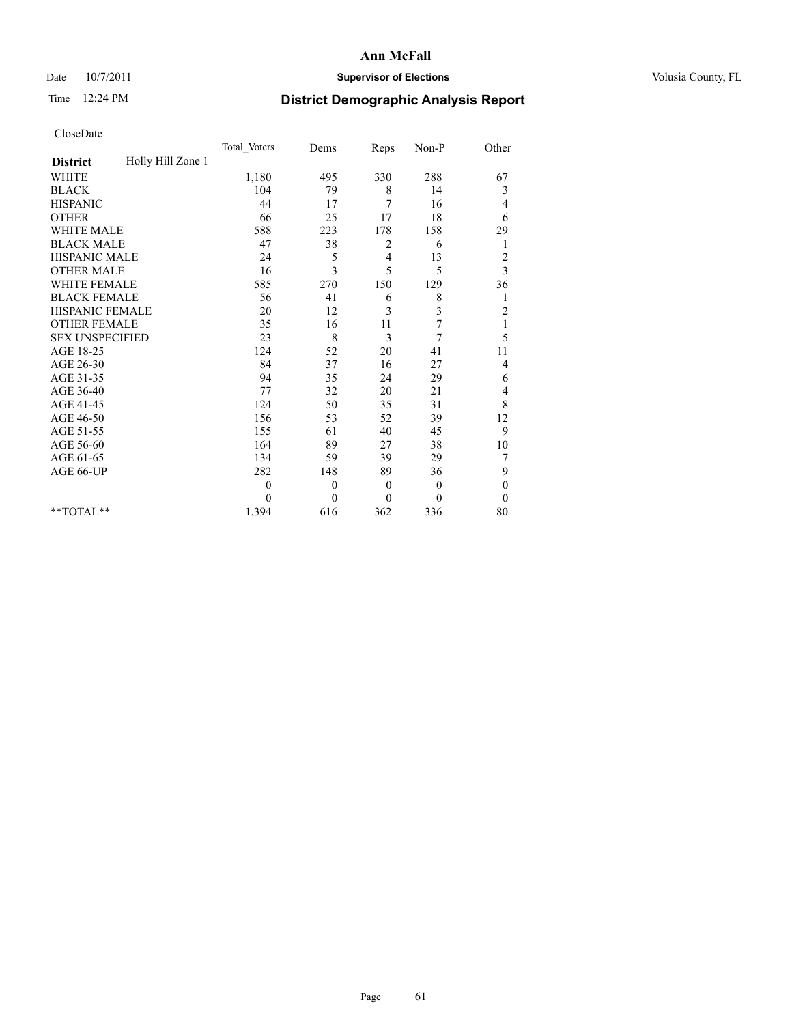## Date  $10/7/2011$  **Supervisor of Elections Supervisor of Elections** Volusia County, FL

# Time 12:24 PM **District Demographic Analysis Report**

|                                      | <b>Total Voters</b> | Dems         | Reps           | $Non-P$      | Other                   |
|--------------------------------------|---------------------|--------------|----------------|--------------|-------------------------|
| Holly Hill Zone 1<br><b>District</b> |                     |              |                |              |                         |
| <b>WHITE</b>                         | 1,180               | 495          | 330            | 288          | 67                      |
| <b>BLACK</b>                         | 104                 | 79           | 8              | 14           | 3                       |
| <b>HISPANIC</b>                      | 44                  | 17           | 7              | 16           | 4                       |
| <b>OTHER</b>                         | 66                  | 25           | 17             | 18           | 6                       |
| <b>WHITE MALE</b>                    | 588                 | 223          | 178            | 158          | 29                      |
| <b>BLACK MALE</b>                    | 47                  | 38           | 2              | 6            | 1                       |
| HISPANIC MALE                        | 24                  | 5            | $\overline{4}$ | 13           | $\overline{c}$          |
| <b>OTHER MALE</b>                    | 16                  | 3            | 5              | 5            | $\overline{\mathbf{3}}$ |
| <b>WHITE FEMALE</b>                  | 585                 | 270          | 150            | 129          | 36                      |
| <b>BLACK FEMALE</b>                  | 56                  | 41           | 6              | 8            | 1                       |
| HISPANIC FEMALE                      | 20                  | 12           | 3              | 3            | $\overline{c}$          |
| <b>OTHER FEMALE</b>                  | 35                  | 16           | 11             | 7            | 1                       |
| <b>SEX UNSPECIFIED</b>               | 23                  | 8            | 3              | 7            | 5                       |
| AGE 18-25                            | 124                 | 52           | 20             | 41           | 11                      |
| AGE 26-30                            | 84                  | 37           | 16             | 27           | 4                       |
| AGE 31-35                            | 94                  | 35           | 24             | 29           | 6                       |
| AGE 36-40                            | 77                  | 32           | 20             | 21           | 4                       |
| AGE 41-45                            | 124                 | 50           | 35             | 31           | 8                       |
| AGE 46-50                            | 156                 | 53           | 52             | 39           | 12                      |
| AGE 51-55                            | 155                 | 61           | 40             | 45           | 9                       |
| AGE 56-60                            | 164                 | 89           | 27             | 38           | 10                      |
| AGE 61-65                            | 134                 | 59           | 39             | 29           | 7                       |
| AGE 66-UP                            | 282                 | 148          | 89             | 36           | 9                       |
|                                      | $\theta$            | $\mathbf{0}$ | $\mathbf{0}$   | $\mathbf{0}$ | $\boldsymbol{0}$        |
|                                      | $\Omega$            | $\theta$     | $\theta$       | $\theta$     | $\theta$                |
| **TOTAL**                            | 1,394               | 616          | 362            | 336          | 80                      |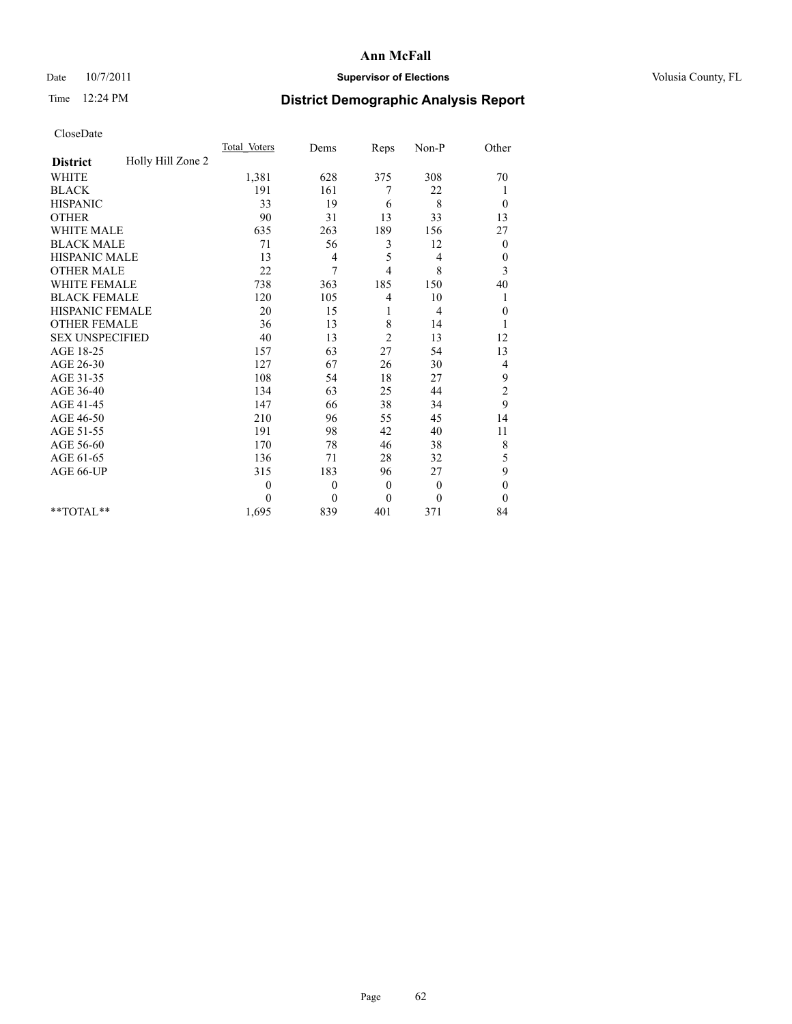## Date  $10/7/2011$  **Supervisor of Elections Supervisor of Elections** Volusia County, FL

# Time 12:24 PM **District Demographic Analysis Report**

|                        |                   | <b>Total Voters</b> | Dems         | Reps           | $Non-P$      | Other            |
|------------------------|-------------------|---------------------|--------------|----------------|--------------|------------------|
| <b>District</b>        | Holly Hill Zone 2 |                     |              |                |              |                  |
| <b>WHITE</b>           |                   | 1,381               | 628          | 375            | 308          | 70               |
| <b>BLACK</b>           |                   | 191                 | 161          | 7              | 22           | 1                |
| <b>HISPANIC</b>        |                   | 33                  | 19           | 6              | 8            | $\theta$         |
| <b>OTHER</b>           |                   | 90                  | 31           | 13             | 33           | 13               |
| <b>WHITE MALE</b>      |                   | 635                 | 263          | 189            | 156          | 27               |
| <b>BLACK MALE</b>      |                   | 71                  | 56           | 3              | 12           | $\boldsymbol{0}$ |
| <b>HISPANIC MALE</b>   |                   | 13                  | 4            | 5              | 4            | $\boldsymbol{0}$ |
| <b>OTHER MALE</b>      |                   | 22                  | 7            | $\overline{4}$ | 8            | 3                |
| WHITE FEMALE           |                   | 738                 | 363          | 185            | 150          | 40               |
| <b>BLACK FEMALE</b>    |                   | 120                 | 105          | 4              | 10           |                  |
| HISPANIC FEMALE        |                   | 20                  | 15           | 1              | 4            | $\boldsymbol{0}$ |
| <b>OTHER FEMALE</b>    |                   | 36                  | 13           | 8              | 14           |                  |
| <b>SEX UNSPECIFIED</b> |                   | 40                  | 13           | $\overline{c}$ | 13           | 12               |
| AGE 18-25              |                   | 157                 | 63           | 27             | 54           | 13               |
| AGE 26-30              |                   | 127                 | 67           | 26             | 30           | 4                |
| AGE 31-35              |                   | 108                 | 54           | 18             | 27           | 9                |
| AGE 36-40              |                   | 134                 | 63           | 25             | 44           | $\overline{c}$   |
| AGE 41-45              |                   | 147                 | 66           | 38             | 34           | 9                |
| AGE 46-50              |                   | 210                 | 96           | 55             | 45           | 14               |
| AGE 51-55              |                   | 191                 | 98           | 42             | 40           | 11               |
| AGE 56-60              |                   | 170                 | 78           | 46             | 38           | 8                |
| AGE 61-65              |                   | 136                 | 71           | 28             | 32           | 5                |
| AGE 66-UP              |                   | 315                 | 183          | 96             | 27           | 9                |
|                        |                   | $\theta$            | $\mathbf{0}$ | $\overline{0}$ | $\mathbf{0}$ | $\mathbf{0}$     |
|                        |                   | $\theta$            | $\theta$     | $\mathbf{0}$   | $\mathbf{0}$ | $\theta$         |
| **TOTAL**              |                   | 1,695               | 839          | 401            | 371          | 84               |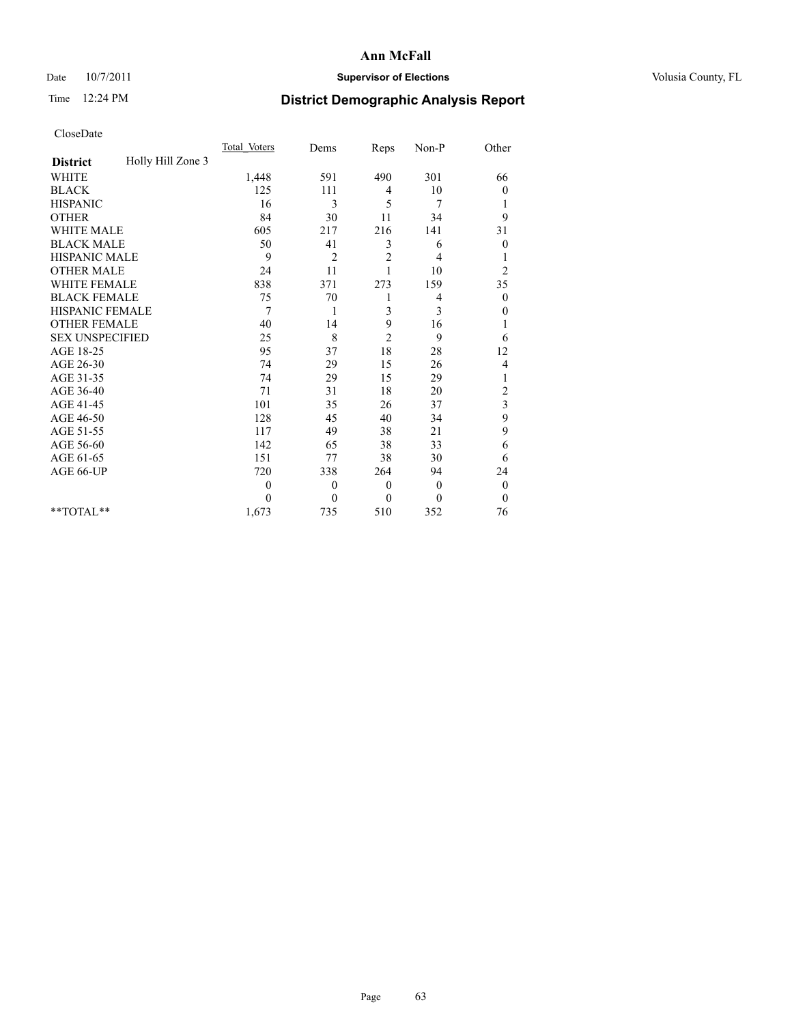### Date  $10/7/2011$  **Supervisor of Elections Supervisor of Elections** Volusia County, FL

# Time 12:24 PM **District Demographic Analysis Report**

|                                      | <b>Total Voters</b> | Dems           | Reps           | Non-P          | Other            |
|--------------------------------------|---------------------|----------------|----------------|----------------|------------------|
| Holly Hill Zone 3<br><b>District</b> |                     |                |                |                |                  |
| <b>WHITE</b>                         | 1,448               | 591            | 490            | 301            | 66               |
| <b>BLACK</b>                         | 125                 | 111            | 4              | 10             | $\boldsymbol{0}$ |
| <b>HISPANIC</b>                      | 16                  | 3              | 5              | 7              | 1                |
| <b>OTHER</b>                         | 84                  | 30             | 11             | 34             | 9                |
| <b>WHITE MALE</b>                    | 605                 | 217            | 216            | 141            | 31               |
| <b>BLACK MALE</b>                    | 50                  | 41             | 3              | 6              | $\boldsymbol{0}$ |
| HISPANIC MALE                        | 9                   | $\overline{2}$ | $\overline{c}$ | 4              | 1                |
| <b>OTHER MALE</b>                    | 24                  | 11             |                | 10             | $\overline{c}$   |
| <b>WHITE FEMALE</b>                  | 838                 | 371            | 273            | 159            | 35               |
| <b>BLACK FEMALE</b>                  | 75                  | 70             | 1              | 4              | $\theta$         |
| HISPANIC FEMALE                      | 7                   | 1              | 3              | 3              | 0                |
| <b>OTHER FEMALE</b>                  | 40                  | 14             | 9              | 16             | 1                |
| <b>SEX UNSPECIFIED</b>               | 25                  | 8              | $\overline{2}$ | 9              | 6                |
| AGE 18-25                            | 95                  | 37             | 18             | 28             | 12               |
| AGE 26-30                            | 74                  | 29             | 15             | 26             | 4                |
| AGE 31-35                            | 74                  | 29             | 15             | 29             | 1                |
| AGE 36-40                            | 71                  | 31             | 18             | 20             | $\overline{c}$   |
| AGE 41-45                            | 101                 | 35             | 26             | 37             | 3                |
| AGE 46-50                            | 128                 | 45             | 40             | 34             | 9                |
| AGE 51-55                            | 117                 | 49             | 38             | 21             | 9                |
| AGE 56-60                            | 142                 | 65             | 38             | 33             | 6                |
| AGE 61-65                            | 151                 | 77             | 38             | 30             | 6                |
| AGE 66-UP                            | 720                 | 338            | 264            | 94             | 24               |
|                                      | $\theta$            | $\mathbf{0}$   | $\theta$       | $\overline{0}$ | $\boldsymbol{0}$ |
|                                      | $\Omega$            | $\mathbf{0}$   | $\theta$       | $\mathbf{0}$   | $\theta$         |
| **TOTAL**                            | 1,673               | 735            | 510            | 352            | 76               |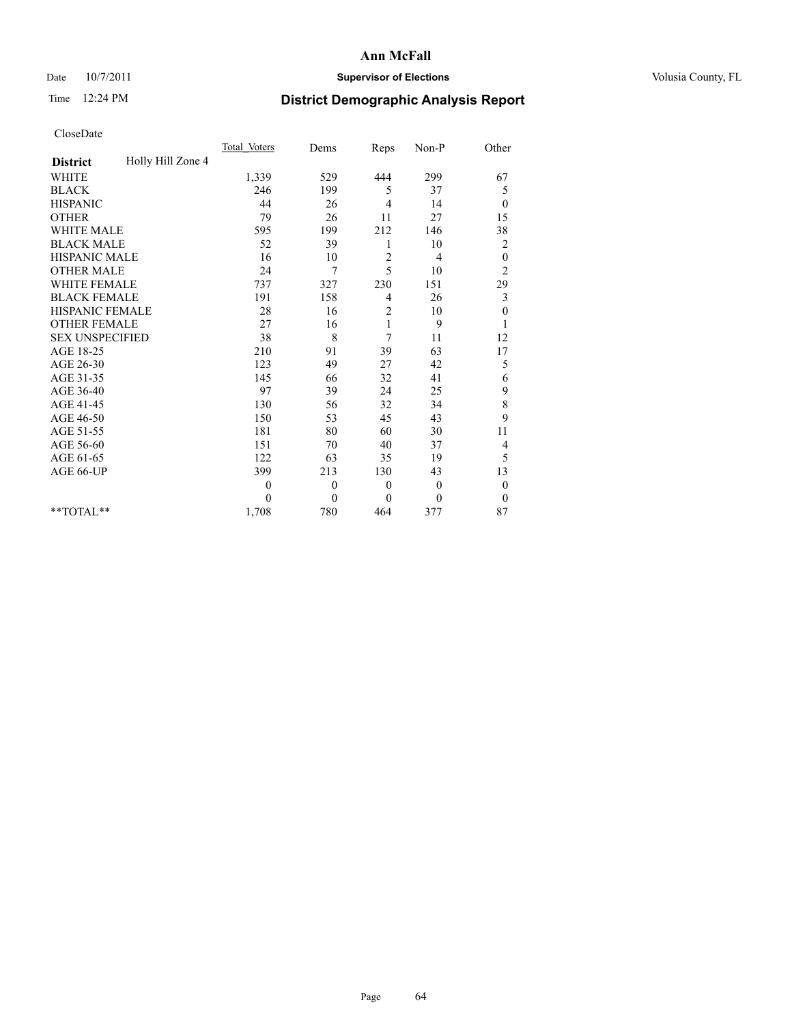## Date  $10/7/2011$  **Supervisor of Elections Supervisor of Elections** Volusia County, FL

# Time 12:24 PM **District Demographic Analysis Report**

|                                      | <b>Total Voters</b> | Dems         | Reps           | Non-P    | Other            |  |
|--------------------------------------|---------------------|--------------|----------------|----------|------------------|--|
| Holly Hill Zone 4<br><b>District</b> |                     |              |                |          |                  |  |
| <b>WHITE</b>                         | 1,339               | 529          | 444            | 299      | 67               |  |
| <b>BLACK</b>                         | 246                 | 199          | 5              | 37       | 5                |  |
| <b>HISPANIC</b>                      | 44                  | 26           | 4              | 14       | $\theta$         |  |
| <b>OTHER</b>                         | 79                  | 26           | 11             | 27       | 15               |  |
| <b>WHITE MALE</b>                    | 595                 | 199          | 212            | 146      | 38               |  |
| <b>BLACK MALE</b>                    | 52                  | 39           | 1              | 10       | $\overline{c}$   |  |
| HISPANIC MALE                        | 16                  | 10           | $\overline{c}$ | 4        | $\boldsymbol{0}$ |  |
| <b>OTHER MALE</b>                    | 24                  | 7            | 5              | 10       | $\overline{c}$   |  |
| <b>WHITE FEMALE</b>                  | 737                 | 327          | 230            | 151      | 29               |  |
| <b>BLACK FEMALE</b>                  | 191                 | 158          | 4              | 26       | 3                |  |
| HISPANIC FEMALE                      | 28                  | 16           | 2              | 10       | $\boldsymbol{0}$ |  |
| <b>OTHER FEMALE</b>                  | 27                  | 16           | 1              | 9        | 1                |  |
| <b>SEX UNSPECIFIED</b>               | 38                  | 8            | 7              | 11       | 12               |  |
| AGE 18-25                            | 210                 | 91           | 39             | 63       | 17               |  |
| AGE 26-30                            | 123                 | 49           | 27             | 42       | 5                |  |
| AGE 31-35                            | 145                 | 66           | 32             | 41       | 6                |  |
| AGE 36-40                            | 97                  | 39           | 24             | 25       | 9                |  |
| AGE 41-45                            | 130                 | 56           | 32             | 34       | 8                |  |
| AGE 46-50                            | 150                 | 53           | 45             | 43       | 9                |  |
| AGE 51-55                            | 181                 | 80           | 60             | 30       | 11               |  |
| AGE 56-60                            | 151                 | 70           | 40             | 37       | 4                |  |
| AGE 61-65                            | 122                 | 63           | 35             | 19       | 5                |  |
| AGE 66-UP                            | 399                 | 213          | 130            | 43       | 13               |  |
|                                      | $\mathbf{0}$        | $\mathbf{0}$ | $\mathbf{0}$   | $\theta$ | $\boldsymbol{0}$ |  |
|                                      | $\Omega$            | $\theta$     | $\mathbf{0}$   | $\theta$ | $\theta$         |  |
| $*$ $TOTAI.**$                       | 1,708               | 780          | 464            | 377      | 87               |  |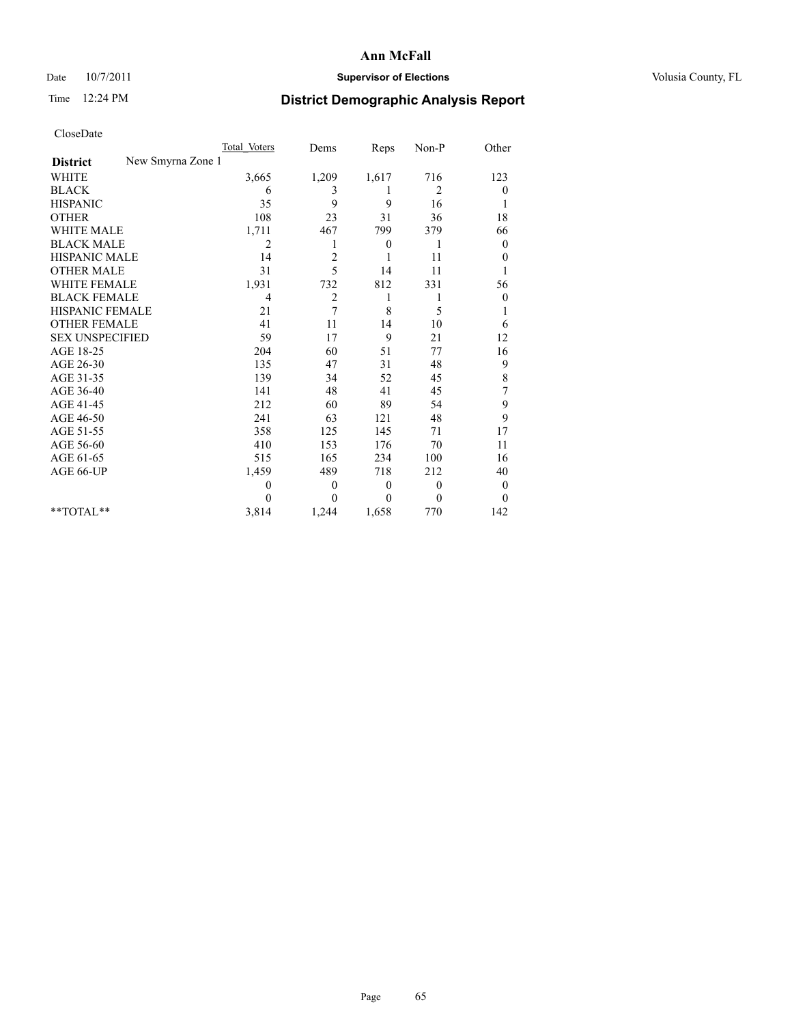## Date  $10/7/2011$  **Supervisor of Elections Supervisor of Elections** Volusia County, FL

# Time 12:24 PM **District Demographic Analysis Report**

|                                      | Total Voters   | Dems           | Reps         | $Non-P$      | Other            |
|--------------------------------------|----------------|----------------|--------------|--------------|------------------|
| New Smyrna Zone 1<br><b>District</b> |                |                |              |              |                  |
| <b>WHITE</b>                         | 3,665          | 1,209          | 1,617        | 716          | 123              |
| <b>BLACK</b>                         | 6              | 3              | 1            | 2            | $\overline{0}$   |
| <b>HISPANIC</b>                      | 35             | 9              | 9            | 16           |                  |
| <b>OTHER</b>                         | 108            | 23             | 31           | 36           | 18               |
| <b>WHITE MALE</b>                    | 1,711          | 467            | 799          | 379          | 66               |
| <b>BLACK MALE</b>                    | 2              |                | $\bf{0}$     | 1            | $\mathbf{0}$     |
| <b>HISPANIC MALE</b>                 | 14             | $\overline{2}$ | 1            | 11           | $\overline{0}$   |
| <b>OTHER MALE</b>                    | 31             | 5              | 14           | 11           |                  |
| WHITE FEMALE                         | 1,931          | 732            | 812          | 331          | 56               |
| <b>BLACK FEMALE</b>                  | $\overline{4}$ | $\overline{c}$ | 1            | 1            | $\boldsymbol{0}$ |
| HISPANIC FEMALE                      | 21             | 7              | 8            | 5            |                  |
| <b>OTHER FEMALE</b>                  | 41             | 11             | 14           | 10           | 6                |
| <b>SEX UNSPECIFIED</b>               | 59             | 17             | 9            | 21           | 12               |
| AGE 18-25                            | 204            | 60             | 51           | 77           | 16               |
| AGE 26-30                            | 135            | 47             | 31           | 48           | 9                |
| AGE 31-35                            | 139            | 34             | 52           | 45           | 8                |
| AGE 36-40                            | 141            | 48             | 41           | 45           | 7                |
| AGE 41-45                            | 212            | 60             | 89           | 54           | 9                |
| AGE 46-50                            | 241            | 63             | 121          | 48           | 9                |
| AGE 51-55                            | 358            | 125            | 145          | 71           | 17               |
| AGE 56-60                            | 410            | 153            | 176          | 70           | 11               |
| AGE 61-65                            | 515            | 165            | 234          | 100          | 16               |
| AGE 66-UP                            | 1,459          | 489            | 718          | 212          | 40               |
|                                      | $\overline{0}$ | $\theta$       | $\mathbf{0}$ | $\mathbf{0}$ | $\overline{0}$   |
|                                      | $\Omega$       | $\theta$       | $\theta$     | $\theta$     | $\theta$         |
| $**TOTAL**$                          | 3,814          | 1,244          | 1,658        | 770          | 142              |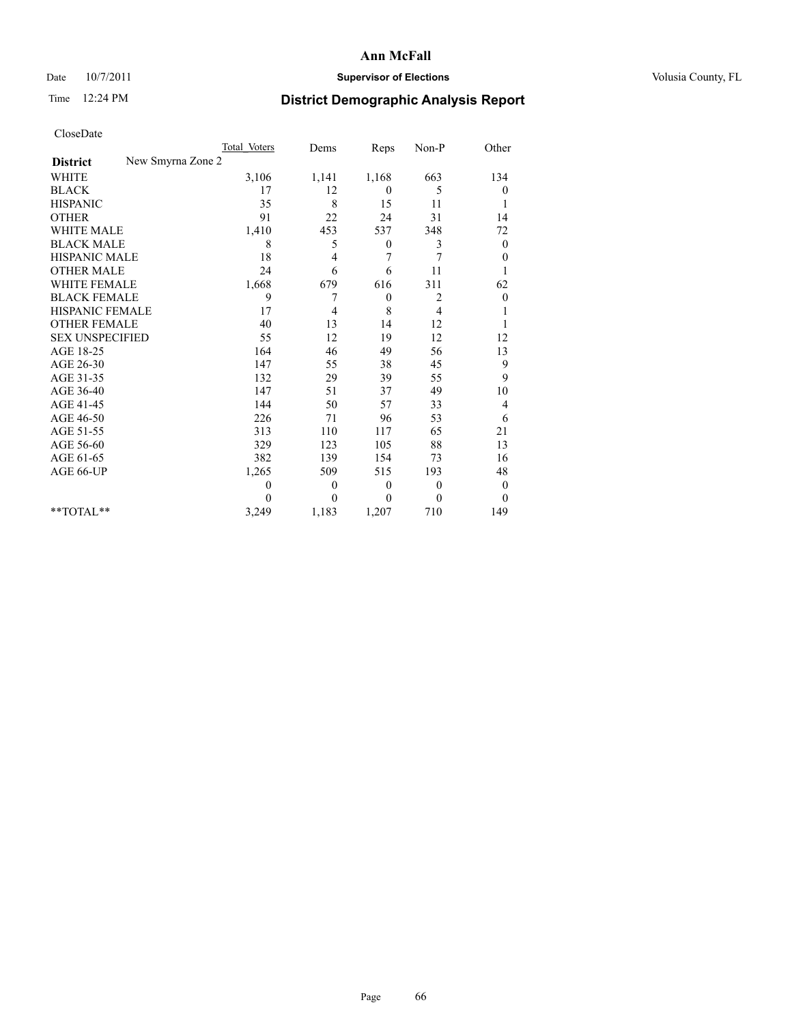### Date  $10/7/2011$  **Supervisor of Elections Supervisor of Elections** Volusia County, FL

# Time 12:24 PM **District Demographic Analysis Report**

|                                      | <b>Total Voters</b> | Dems     | Reps           | Non-P          | Other            |
|--------------------------------------|---------------------|----------|----------------|----------------|------------------|
| New Smyrna Zone 2<br><b>District</b> |                     |          |                |                |                  |
| <b>WHITE</b>                         | 3,106               | 1,141    | 1,168          | 663            | 134              |
| <b>BLACK</b>                         | 17                  | 12       | $\overline{0}$ | 5              | 0                |
| <b>HISPANIC</b>                      | 35                  | 8        | 15             | 11             | 1                |
| <b>OTHER</b>                         | 91                  | 22       | 24             | 31             | 14               |
| <b>WHITE MALE</b>                    | 1,410               | 453      | 537            | 348            | 72               |
| <b>BLACK MALE</b>                    | 8                   | 5        | $\mathbf{0}$   | 3              | $\boldsymbol{0}$ |
| <b>HISPANIC MALE</b>                 | 18                  | 4        | 7              | 7              | $\boldsymbol{0}$ |
| <b>OTHER MALE</b>                    | 24                  | 6        | 6              | 11             |                  |
| <b>WHITE FEMALE</b>                  | 1,668               | 679      | 616            | 311            | 62               |
| <b>BLACK FEMALE</b>                  | 9                   | 7        | $\mathbf{0}$   | $\overline{c}$ | $\boldsymbol{0}$ |
| HISPANIC FEMALE                      | 17                  | 4        | 8              | 4              |                  |
| <b>OTHER FEMALE</b>                  | 40                  | 13       | 14             | 12             | 1                |
| <b>SEX UNSPECIFIED</b>               | 55                  | 12       | 19             | 12             | 12               |
| AGE 18-25                            | 164                 | 46       | 49             | 56             | 13               |
| AGE 26-30                            | 147                 | 55       | 38             | 45             | 9                |
| AGE 31-35                            | 132                 | 29       | 39             | 55             | 9                |
| AGE 36-40                            | 147                 | 51       | 37             | 49             | 10               |
| AGE 41-45                            | 144                 | 50       | 57             | 33             | 4                |
| AGE 46-50                            | 226                 | 71       | 96             | 53             | 6                |
| AGE 51-55                            | 313                 | 110      | 117            | 65             | 21               |
| AGE 56-60                            | 329                 | 123      | 105            | 88             | 13               |
| AGE 61-65                            | 382                 | 139      | 154            | 73             | 16               |
| AGE 66-UP                            | 1,265               | 509      | 515            | 193            | 48               |
|                                      | $\Omega$            | $\theta$ | $\theta$       | $\theta$       | $\theta$         |
|                                      | 0                   | $\theta$ | $\theta$       | $\theta$       | $\mathbf{0}$     |
| **TOTAL**                            | 3,249               | 1,183    | 1,207          | 710            | 149              |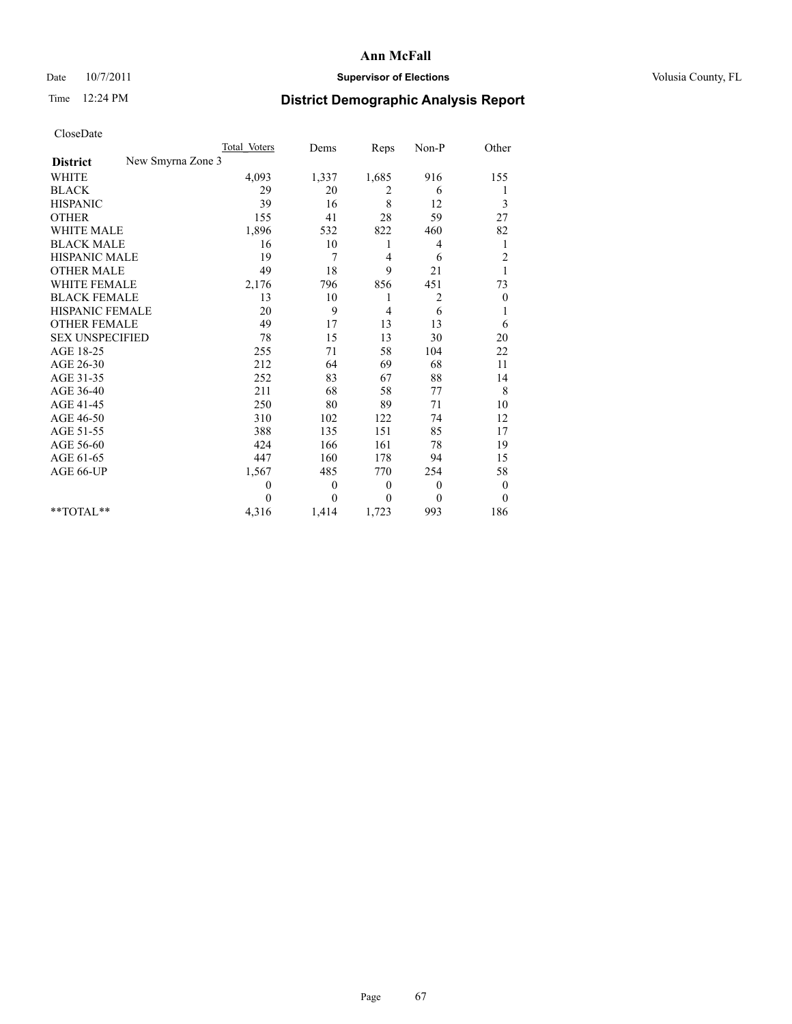### Date  $10/7/2011$  **Supervisor of Elections Supervisor of Elections** Volusia County, FL

# Time 12:24 PM **District Demographic Analysis Report**

|                                      | Total Voters | Dems         | Reps           | Non-P          | Other            |
|--------------------------------------|--------------|--------------|----------------|----------------|------------------|
| New Smyrna Zone 3<br><b>District</b> |              |              |                |                |                  |
| <b>WHITE</b>                         | 4,093        | 1,337        | 1,685          | 916            | 155              |
| <b>BLACK</b>                         | 29           | 20           | 2              | 6              | 1                |
| <b>HISPANIC</b>                      | 39           | 16           | 8              | 12             | 3                |
| <b>OTHER</b>                         | 155          | 41           | 28             | 59             | 27               |
| <b>WHITE MALE</b>                    | 1,896        | 532          | 822            | 460            | 82               |
| <b>BLACK MALE</b>                    | 16           | 10           | 1              | 4              | 1                |
| HISPANIC MALE                        | 19           | 7            | $\overline{4}$ | 6              | $\overline{c}$   |
| <b>OTHER MALE</b>                    | 49           | 18           | 9              | 21             | 1                |
| <b>WHITE FEMALE</b>                  | 2,176        | 796          | 856            | 451            | 73               |
| <b>BLACK FEMALE</b>                  | 13           | 10           | 1              | $\overline{c}$ | $\boldsymbol{0}$ |
| HISPANIC FEMALE                      | 20           | 9            | 4              | 6              | 1                |
| <b>OTHER FEMALE</b>                  | 49           | 17           | 13             | 13             | 6                |
| <b>SEX UNSPECIFIED</b>               | 78           | 15           | 13             | 30             | 20               |
| AGE 18-25                            | 255          | 71           | 58             | 104            | 22               |
| AGE 26-30                            | 212          | 64           | 69             | 68             | 11               |
| AGE 31-35                            | 252          | 83           | 67             | 88             | 14               |
| AGE 36-40                            | 211          | 68           | 58             | 77             | 8                |
| AGE 41-45                            | 250          | 80           | 89             | 71             | 10               |
| AGE 46-50                            | 310          | 102          | 122            | 74             | 12               |
| AGE 51-55                            | 388          | 135          | 151            | 85             | 17               |
| AGE 56-60                            | 424          | 166          | 161            | 78             | 19               |
| AGE 61-65                            | 447          | 160          | 178            | 94             | 15               |
| AGE 66-UP                            | 1,567        | 485          | 770            | 254            | 58               |
|                                      | $\theta$     | $\mathbf{0}$ | $\theta$       | $\mathbf{0}$   | $\boldsymbol{0}$ |
|                                      | $\theta$     | $\theta$     | $\Omega$       | $\theta$       | $\theta$         |
| $*$ $TOTAI.**$                       | 4,316        | 1,414        | 1,723          | 993            | 186              |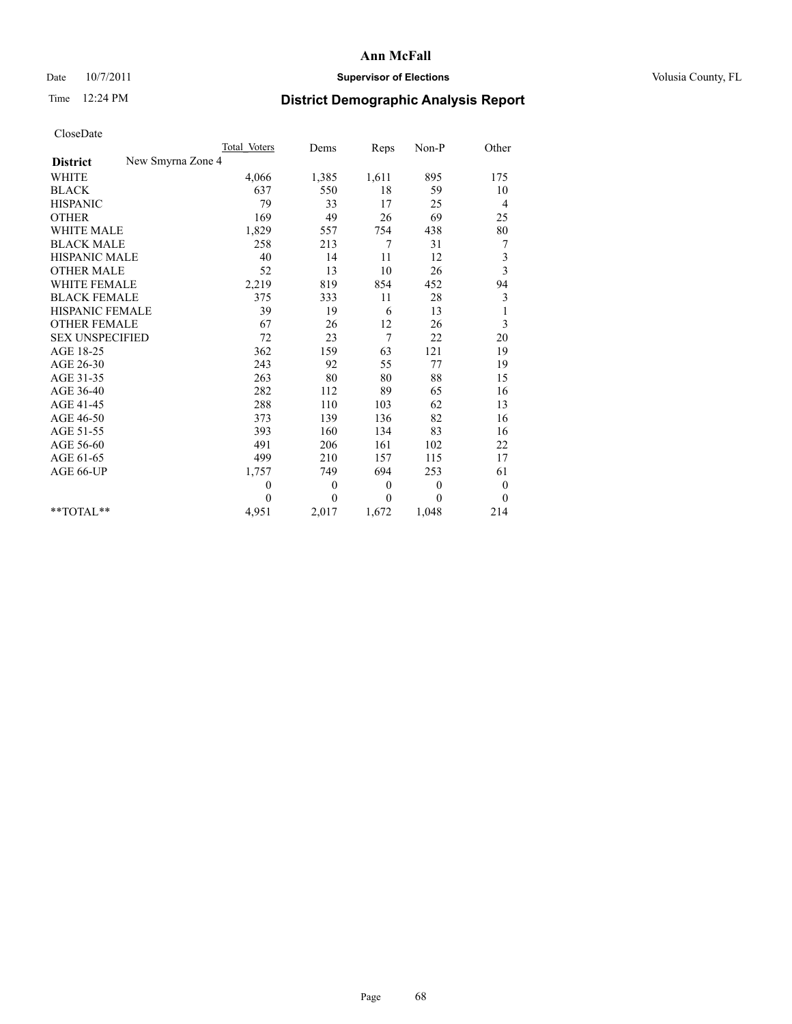### Date  $10/7/2011$  **Supervisor of Elections Supervisor of Elections** Volusia County, FL

# Time 12:24 PM **District Demographic Analysis Report**

|                                      | Total Voters | Dems         | Reps     | Non-P          | Other                   |  |
|--------------------------------------|--------------|--------------|----------|----------------|-------------------------|--|
| New Smyrna Zone 4<br><b>District</b> |              |              |          |                |                         |  |
| <b>WHITE</b>                         | 4,066        | 1,385        | 1,611    | 895            | 175                     |  |
| <b>BLACK</b>                         | 637          | 550          | 18       | 59             | 10                      |  |
| <b>HISPANIC</b>                      | 79           | 33           | 17       | 25             | 4                       |  |
| <b>OTHER</b>                         | 169          | 49           | 26       | 69             | 25                      |  |
| <b>WHITE MALE</b>                    | 1,829        | 557          | 754      | 438            | 80                      |  |
| <b>BLACK MALE</b>                    | 258          | 213          | 7        | 31             | 7                       |  |
| <b>HISPANIC MALE</b>                 | 40           | 14           | 11       | 12             | 3                       |  |
| <b>OTHER MALE</b>                    | 52           | 13           | 10       | 26             | $\overline{\mathbf{3}}$ |  |
| <b>WHITE FEMALE</b>                  | 2,219        | 819          | 854      | 452            | 94                      |  |
| <b>BLACK FEMALE</b>                  | 375          | 333          | 11       | 28             | 3                       |  |
| HISPANIC FEMALE                      | 39           | 19           | 6        | 13             | $\mathbf{1}$            |  |
| <b>OTHER FEMALE</b>                  | 67           | 26           | 12       | 26             | 3                       |  |
| <b>SEX UNSPECIFIED</b>               | 72           | 23           | 7        | 22             | 20                      |  |
| AGE 18-25                            | 362          | 159          | 63       | 121            | 19                      |  |
| AGE 26-30                            | 243          | 92           | 55       | 77             | 19                      |  |
| AGE 31-35                            | 263          | 80           | 80       | 88             | 15                      |  |
| AGE 36-40                            | 282          | 112          | 89       | 65             | 16                      |  |
| AGE 41-45                            | 288          | 110          | 103      | 62             | 13                      |  |
| AGE 46-50                            | 373          | 139          | 136      | 82             | 16                      |  |
| AGE 51-55                            | 393          | 160          | 134      | 83             | 16                      |  |
| AGE 56-60                            | 491          | 206          | 161      | 102            | 22                      |  |
| AGE 61-65                            | 499          | 210          | 157      | 115            | 17                      |  |
| AGE 66-UP                            | 1,757        | 749          | 694      | 253            | 61                      |  |
|                                      | $\theta$     | $\mathbf{0}$ | $\theta$ | $\overline{0}$ | $\boldsymbol{0}$        |  |
|                                      | $\theta$     | $\theta$     | $\theta$ | $\theta$       | $\theta$                |  |
| $*$ $TOTAI.**$                       | 4,951        | 2,017        | 1,672    | 1,048          | 214                     |  |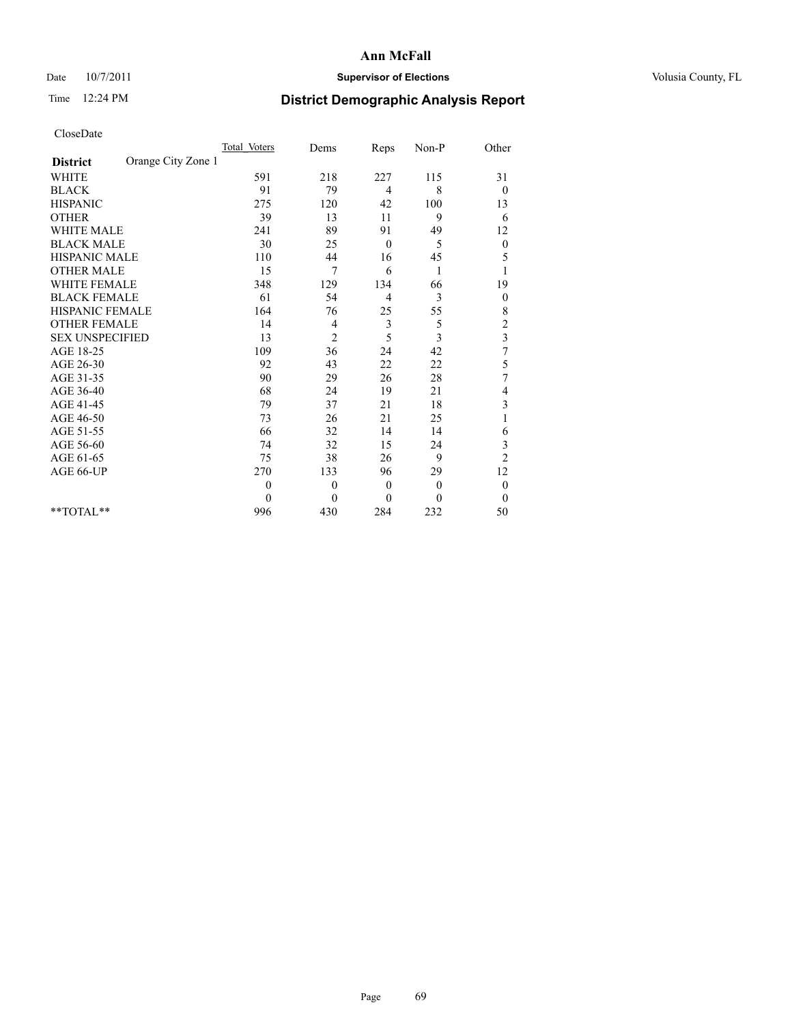## Date  $10/7/2011$  **Supervisor of Elections Supervisor of Elections** Volusia County, FL

# Time 12:24 PM **District Demographic Analysis Report**

|                                       | <b>Total Voters</b> | Dems           | Reps           | $Non-P$  | Other            |  |
|---------------------------------------|---------------------|----------------|----------------|----------|------------------|--|
| Orange City Zone 1<br><b>District</b> |                     |                |                |          |                  |  |
| <b>WHITE</b>                          | 591                 | 218            | 227            | 115      | 31               |  |
| <b>BLACK</b>                          | 91                  | 79             | 4              | 8        | $\overline{0}$   |  |
| <b>HISPANIC</b>                       | 275                 | 120            | 42             | 100      | 13               |  |
| <b>OTHER</b>                          | 39                  | 13             | 11             | 9        | 6                |  |
| <b>WHITE MALE</b>                     | 241                 | 89             | 91             | 49       | 12               |  |
| <b>BLACK MALE</b>                     | 30                  | 25             | $\overline{0}$ | 5        | $\boldsymbol{0}$ |  |
| <b>HISPANIC MALE</b>                  | 110                 | 44             | 16             | 45       | 5                |  |
| <b>OTHER MALE</b>                     | 15                  | 7              | 6              | 1        | 1                |  |
| <b>WHITE FEMALE</b>                   | 348                 | 129            | 134            | 66       | 19               |  |
| <b>BLACK FEMALE</b>                   | 61                  | 54             | 4              | 3        | $\boldsymbol{0}$ |  |
| HISPANIC FEMALE                       | 164                 | 76             | 25             | 55       | 8                |  |
| <b>OTHER FEMALE</b>                   | 14                  | 4              | 3              | 5        | $\overline{c}$   |  |
| <b>SEX UNSPECIFIED</b>                | 13                  | $\overline{c}$ | 5              | 3        | 3                |  |
| AGE 18-25                             | 109                 | 36             | 24             | 42       | $\overline{7}$   |  |
| AGE 26-30                             | 92                  | 43             | 22             | 22       | 5                |  |
| AGE 31-35                             | 90                  | 29             | 26             | 28       | 7                |  |
| AGE 36-40                             | 68                  | 24             | 19             | 21       | 4                |  |
| AGE 41-45                             | 79                  | 37             | 21             | 18       | 3                |  |
| AGE 46-50                             | 73                  | 26             | 21             | 25       | 1                |  |
| AGE 51-55                             | 66                  | 32             | 14             | 14       | 6                |  |
| AGE 56-60                             | 74                  | 32             | 15             | 24       | 3                |  |
| AGE 61-65                             | 75                  | 38             | 26             | 9        | $\overline{c}$   |  |
| AGE 66-UP                             | 270                 | 133            | 96             | 29       | 12               |  |
|                                       | $\mathbf{0}$        | $\theta$       | $\theta$       | $\theta$ | $\boldsymbol{0}$ |  |
|                                       | $\Omega$            | $\theta$       | $\theta$       | $\theta$ | $\theta$         |  |
| $*$ $TOTAI.**$                        | 996                 | 430            | 284            | 232      | 50               |  |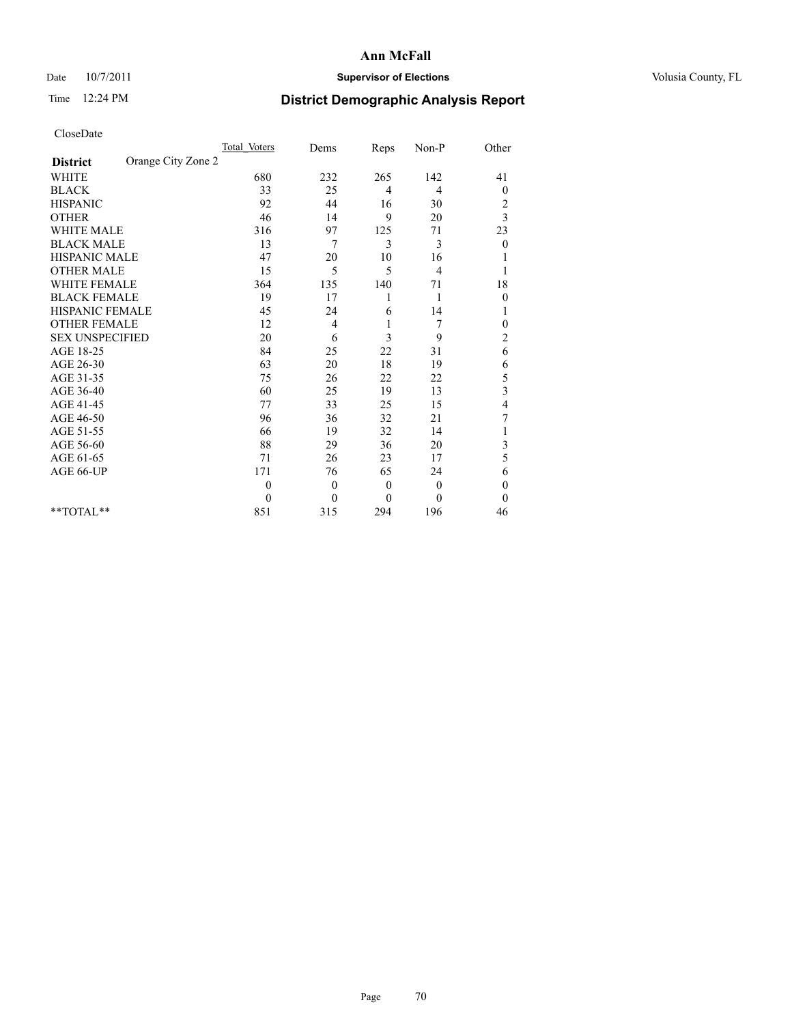## Date  $10/7/2011$  **Supervisor of Elections Supervisor of Elections** Volusia County, FL

# Time 12:24 PM **District Demographic Analysis Report**

|                                       | Total Voters | Dems     | Reps           | Non-P        | Other                   |
|---------------------------------------|--------------|----------|----------------|--------------|-------------------------|
| Orange City Zone 2<br><b>District</b> |              |          |                |              |                         |
| <b>WHITE</b>                          | 680          | 232      | 265            | 142          | 41                      |
| <b>BLACK</b>                          | 33           | 25       | $\overline{4}$ | 4            | $\boldsymbol{0}$        |
| <b>HISPANIC</b>                       | 92           | 44       | 16             | 30           | $\overline{\mathbf{c}}$ |
| <b>OTHER</b>                          | 46           | 14       | 9              | 20           | $\overline{\mathbf{3}}$ |
| <b>WHITE MALE</b>                     | 316          | 97       | 125            | 71           | 23                      |
| <b>BLACK MALE</b>                     | 13           | 7        | 3              | 3            | $\theta$                |
| <b>HISPANIC MALE</b>                  | 47           | 20       | 10             | 16           |                         |
| <b>OTHER MALE</b>                     | 15           | 5        | 5              | 4            |                         |
| WHITE FEMALE                          | 364          | 135      | 140            | 71           | 18                      |
| <b>BLACK FEMALE</b>                   | 19           | 17       |                | 1            | $\mathbf{0}$            |
| HISPANIC FEMALE                       | 45           | 24       | 6              | 14           |                         |
| <b>OTHER FEMALE</b>                   | 12           | 4        | 1              | 7            | $\boldsymbol{0}$        |
| <b>SEX UNSPECIFIED</b>                | 20           | 6        | 3              | 9            | $\overline{c}$          |
| AGE 18-25                             | 84           | 25       | 22             | 31           | 6                       |
| AGE 26-30                             | 63           | 20       | 18             | 19           | 6                       |
| AGE 31-35                             | 75           | 26       | 22             | 22           | 5                       |
| AGE 36-40                             | 60           | 25       | 19             | 13           | 3                       |
| AGE 41-45                             | 77           | 33       | 25             | 15           | $\overline{\mathbf{4}}$ |
| AGE 46-50                             | 96           | 36       | 32             | 21           | 7                       |
| AGE 51-55                             | 66           | 19       | 32             | 14           |                         |
| AGE 56-60                             | 88           | 29       | 36             | 20           | 3                       |
| AGE 61-65                             | 71           | 26       | 23             | 17           | 5                       |
| AGE 66-UP                             | 171          | 76       | 65             | 24           | 6                       |
|                                       | $\mathbf{0}$ | $\theta$ | $\mathbf{0}$   | $\mathbf{0}$ | $\mathbf{0}$            |
|                                       | $\theta$     | $\theta$ | $\theta$       | $\Omega$     | $\mathbf{0}$            |
| $*$ TOTAL $*$                         | 851          | 315      | 294            | 196          | 46                      |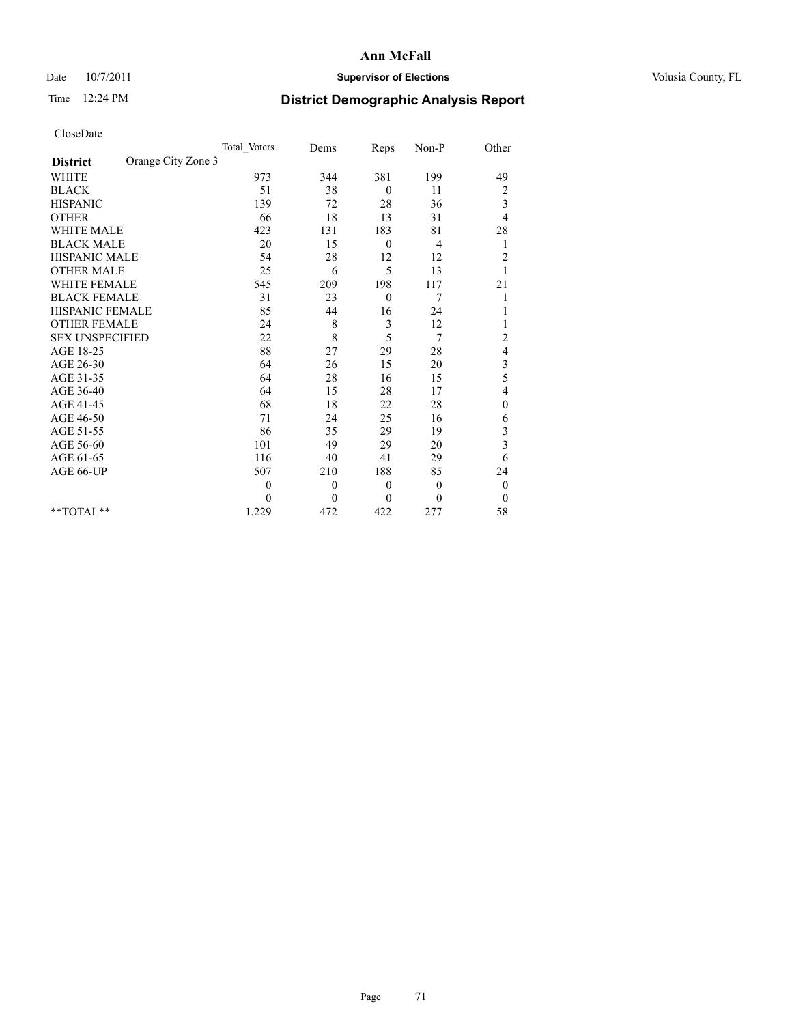### Date  $10/7/2011$  **Supervisor of Elections Supervisor of Elections** Volusia County, FL

# Time 12:24 PM **District Demographic Analysis Report**

|                                       | <b>Total Voters</b> | Dems     | Reps         | Non-P        | Other                    |  |
|---------------------------------------|---------------------|----------|--------------|--------------|--------------------------|--|
| Orange City Zone 3<br><b>District</b> |                     |          |              |              |                          |  |
| <b>WHITE</b>                          | 973                 | 344      | 381          | 199          | 49                       |  |
| <b>BLACK</b>                          | 51                  | 38       | $\theta$     | 11           | $\overline{\mathbf{c}}$  |  |
| <b>HISPANIC</b>                       | 139                 | 72       | 28           | 36           | 3                        |  |
| <b>OTHER</b>                          | 66                  | 18       | 13           | 31           | 4                        |  |
| <b>WHITE MALE</b>                     | 423                 | 131      | 183          | 81           | $28\,$                   |  |
| <b>BLACK MALE</b>                     | 20                  | 15       | $\mathbf{0}$ | 4            | 1                        |  |
| HISPANIC MALE                         | 54                  | 28       | 12           | 12           | $\overline{2}$           |  |
| <b>OTHER MALE</b>                     | 25                  | 6        | 5            | 13           |                          |  |
| <b>WHITE FEMALE</b>                   | 545                 | 209      | 198          | 117          | 21                       |  |
| <b>BLACK FEMALE</b>                   | 31                  | 23       | $\mathbf{0}$ | 7            |                          |  |
| HISPANIC FEMALE                       | 85                  | 44       | 16           | 24           |                          |  |
| <b>OTHER FEMALE</b>                   | 24                  | 8        | 3            | 12           |                          |  |
| <b>SEX UNSPECIFIED</b>                | 22                  | 8        | 5            | 7            | $\overline{c}$           |  |
| AGE 18-25                             | 88                  | 27       | 29           | 28           | $\overline{\mathcal{L}}$ |  |
| AGE 26-30                             | 64                  | 26       | 15           | 20           | 3                        |  |
| AGE 31-35                             | 64                  | 28       | 16           | 15           | 5                        |  |
| AGE 36-40                             | 64                  | 15       | 28           | 17           | 4                        |  |
| AGE 41-45                             | 68                  | 18       | 22           | 28           | 0                        |  |
| AGE 46-50                             | 71                  | 24       | 25           | 16           | 6                        |  |
| AGE 51-55                             | 86                  | 35       | 29           | 19           | 3                        |  |
| AGE 56-60                             | 101                 | 49       | 29           | 20           | 3                        |  |
| AGE 61-65                             | 116                 | 40       | 41           | 29           | 6                        |  |
| AGE 66-UP                             | 507                 | 210      | 188          | 85           | 24                       |  |
|                                       | $\theta$            | $\theta$ | $\mathbf{0}$ | $\mathbf{0}$ | $\boldsymbol{0}$         |  |
|                                       | $\theta$            | $\theta$ | $\mathbf{0}$ | $\theta$     | $\boldsymbol{0}$         |  |
| $*$ $TOTAI.**$                        | 1,229               | 472      | 422          | 277          | 58                       |  |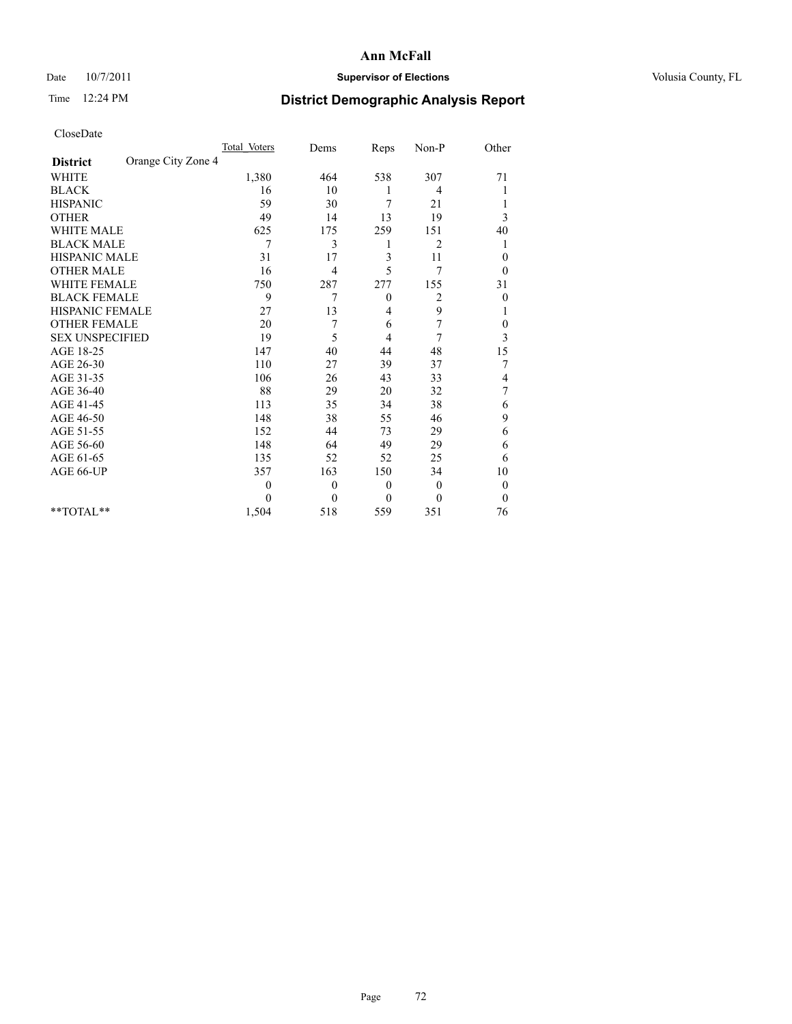### Date  $10/7/2011$  **Supervisor of Elections Supervisor of Elections** Volusia County, FL

# Time 12:24 PM **District Demographic Analysis Report**

|                                       | <b>Total Voters</b> | Dems         | Reps     | Non-P          | Other            |
|---------------------------------------|---------------------|--------------|----------|----------------|------------------|
| Orange City Zone 4<br><b>District</b> |                     |              |          |                |                  |
| <b>WHITE</b>                          | 1,380               | 464          | 538      | 307            | 71               |
| <b>BLACK</b>                          | 16                  | 10           |          | 4              |                  |
| <b>HISPANIC</b>                       | 59                  | 30           | 7        | 21             |                  |
| <b>OTHER</b>                          | 49                  | 14           | 13       | 19             | 3                |
| <b>WHITE MALE</b>                     | 625                 | 175          | 259      | 151            | 40               |
| <b>BLACK MALE</b>                     | 7                   | 3            | 1        | 2              | 1                |
| HISPANIC MALE                         | 31                  | 17           | 3        | 11             | $\theta$         |
| <b>OTHER MALE</b>                     | 16                  | 4            | 5        | 7              | $\mathbf{0}$     |
| <b>WHITE FEMALE</b>                   | 750                 | 287          | 277      | 155            | 31               |
| <b>BLACK FEMALE</b>                   | 9                   | 7            | $\theta$ | $\overline{c}$ | $\boldsymbol{0}$ |
| HISPANIC FEMALE                       | 27                  | 13           | 4        | 9              |                  |
| <b>OTHER FEMALE</b>                   | 20                  | 7            | 6        | 7              | $\mathbf{0}$     |
| <b>SEX UNSPECIFIED</b>                | 19                  | 5            | 4        | 7              | 3                |
| AGE 18-25                             | 147                 | 40           | 44       | 48             | 15               |
| AGE 26-30                             | 110                 | 27           | 39       | 37             | 7                |
| AGE 31-35                             | 106                 | 26           | 43       | 33             | 4                |
| AGE 36-40                             | 88                  | 29           | 20       | 32             | $\boldsymbol{7}$ |
| AGE 41-45                             | 113                 | 35           | 34       | 38             | 6                |
| AGE 46-50                             | 148                 | 38           | 55       | 46             | 9                |
| AGE 51-55                             | 152                 | 44           | 73       | 29             | 6                |
| AGE 56-60                             | 148                 | 64           | 49       | 29             | 6                |
| AGE 61-65                             | 135                 | 52           | 52       | 25             | 6                |
| AGE 66-UP                             | 357                 | 163          | 150      | 34             | 10               |
|                                       | $\theta$            | $\theta$     | $\theta$ | $\overline{0}$ | $\boldsymbol{0}$ |
|                                       | $\Omega$            | $\mathbf{0}$ | $\theta$ | $\theta$       | $\theta$         |
| **TOTAL**                             | 1,504               | 518          | 559      | 351            | 76               |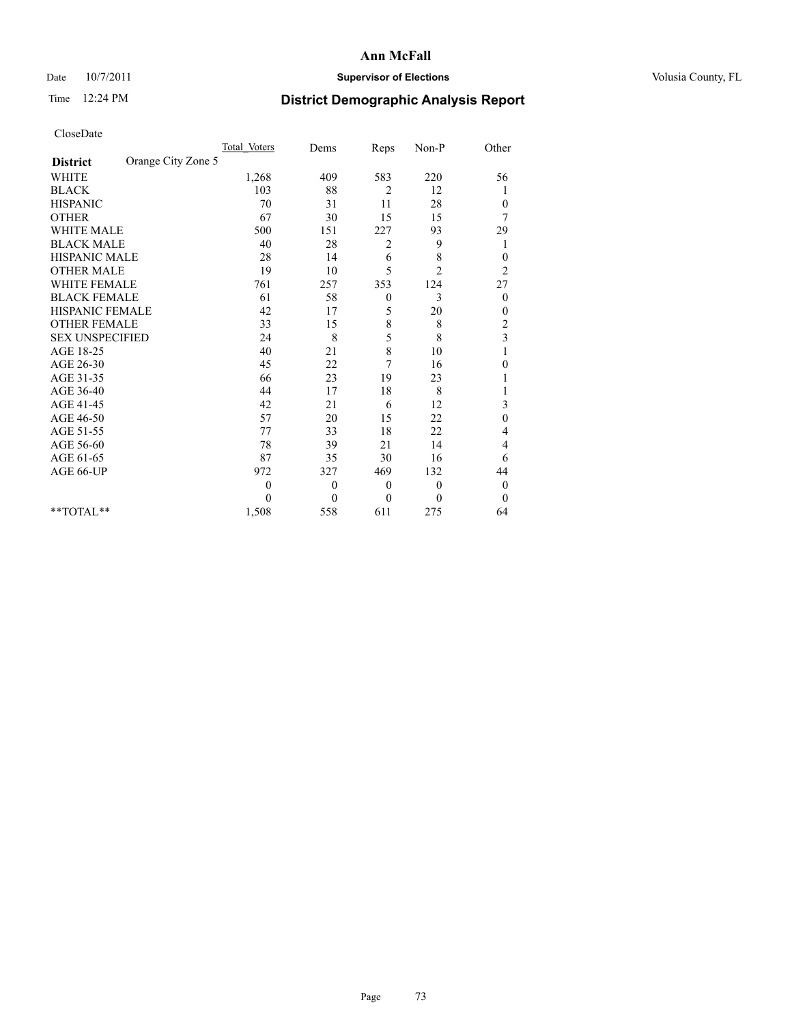## Date  $10/7/2011$  **Supervisor of Elections Supervisor of Elections** Volusia County, FL

# Time 12:24 PM **District Demographic Analysis Report**

|                                       | <b>Total Voters</b> | Dems         | Reps         | Non-P          | Other                   |  |
|---------------------------------------|---------------------|--------------|--------------|----------------|-------------------------|--|
| Orange City Zone 5<br><b>District</b> |                     |              |              |                |                         |  |
| <b>WHITE</b>                          | 1,268               | 409          | 583          | 220            | 56                      |  |
| <b>BLACK</b>                          | 103                 | 88           | 2            | 12             |                         |  |
| <b>HISPANIC</b>                       | 70                  | 31           | 11           | 28             | $\theta$                |  |
| <b>OTHER</b>                          | 67                  | 30           | 15           | 15             | 7                       |  |
| <b>WHITE MALE</b>                     | 500                 | 151          | 227          | 93             | 29                      |  |
| <b>BLACK MALE</b>                     | 40                  | 28           | 2            | 9              | 1                       |  |
| HISPANIC MALE                         | 28                  | 14           | 6            | 8              | $\boldsymbol{0}$        |  |
| <b>OTHER MALE</b>                     | 19                  | 10           | 5            | $\overline{2}$ | $\overline{c}$          |  |
| <b>WHITE FEMALE</b>                   | 761                 | 257          | 353          | 124            | 27                      |  |
| <b>BLACK FEMALE</b>                   | 61                  | 58           | $\theta$     | 3              | $\boldsymbol{0}$        |  |
| HISPANIC FEMALE                       | 42                  | 17           | 5            | 20             | $\boldsymbol{0}$        |  |
| <b>OTHER FEMALE</b>                   | 33                  | 15           | 8            | 8              | $\overline{c}$          |  |
| <b>SEX UNSPECIFIED</b>                | 24                  | 8            | 5            | 8              | $\overline{\mathbf{3}}$ |  |
| AGE 18-25                             | 40                  | 21           | $\,8\,$      | 10             |                         |  |
| AGE 26-30                             | 45                  | 22           | 7            | 16             | $\boldsymbol{0}$        |  |
| AGE 31-35                             | 66                  | 23           | 19           | 23             |                         |  |
| AGE 36-40                             | 44                  | 17           | 18           | 8              |                         |  |
| AGE 41-45                             | 42                  | 21           | 6            | 12             | 3                       |  |
| AGE 46-50                             | 57                  | 20           | 15           | 22             | $\overline{0}$          |  |
| AGE 51-55                             | 77                  | 33           | 18           | 22             | 4                       |  |
| AGE 56-60                             | 78                  | 39           | 21           | 14             | 4                       |  |
| AGE 61-65                             | 87                  | 35           | 30           | 16             | 6                       |  |
| AGE 66-UP                             | 972                 | 327          | 469          | 132            | 44                      |  |
|                                       | $\theta$            | $\theta$     | $\mathbf{0}$ | $\overline{0}$ | $\boldsymbol{0}$        |  |
|                                       | $\Omega$            | $\mathbf{0}$ | $\theta$     | $\theta$       | $\theta$                |  |
| **TOTAL**                             | 1,508               | 558          | 611          | 275            | 64                      |  |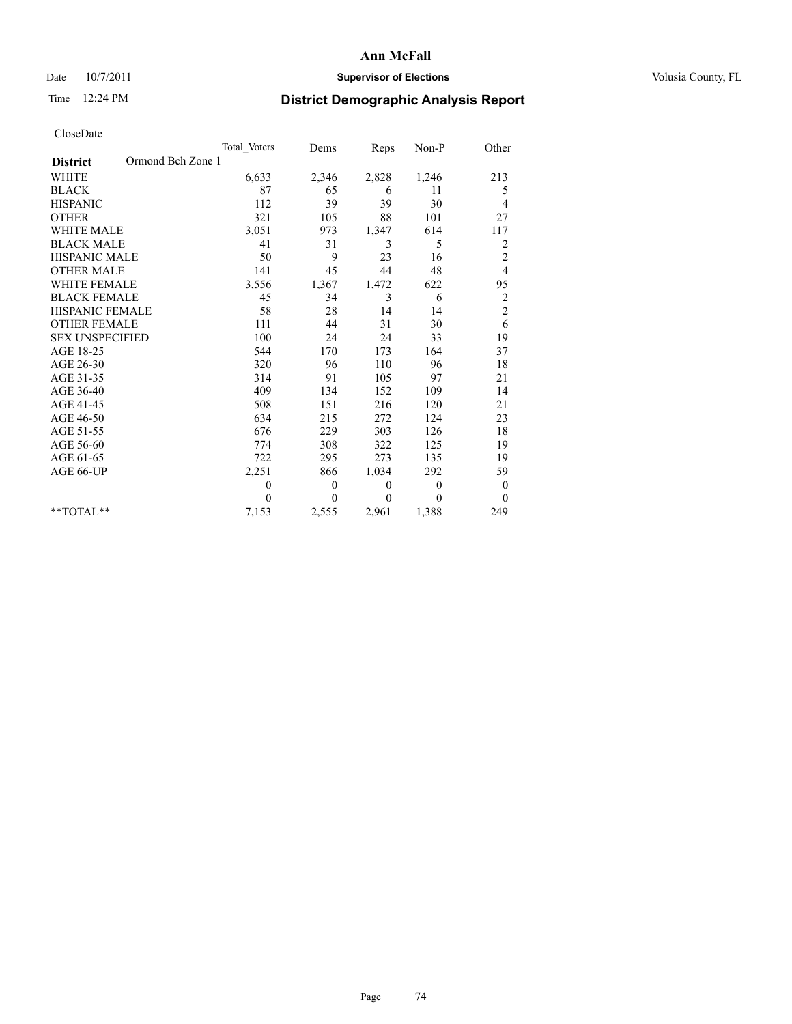## Date  $10/7/2011$  **Supervisor of Elections Supervisor of Elections** Volusia County, FL

# Time 12:24 PM **District Demographic Analysis Report**

|                                      | Total Voters | Dems         | Reps     | Non-P        | Other                   |  |
|--------------------------------------|--------------|--------------|----------|--------------|-------------------------|--|
| Ormond Bch Zone 1<br><b>District</b> |              |              |          |              |                         |  |
| <b>WHITE</b>                         | 6,633        | 2,346        | 2,828    | 1,246        | 213                     |  |
| <b>BLACK</b>                         | 87           | 65           | 6        | 11           | 5                       |  |
| <b>HISPANIC</b>                      | 112          | 39           | 39       | 30           | 4                       |  |
| <b>OTHER</b>                         | 321          | 105          | 88       | 101          | 27                      |  |
| <b>WHITE MALE</b>                    | 3,051        | 973          | 1,347    | 614          | 117                     |  |
| <b>BLACK MALE</b>                    | 41           | 31           | 3        | 5            | $\overline{\mathbf{c}}$ |  |
| <b>HISPANIC MALE</b>                 | 50           | 9            | 23       | 16           | $\overline{c}$          |  |
| <b>OTHER MALE</b>                    | 141          | 45           | 44       | 48           | 4                       |  |
| <b>WHITE FEMALE</b>                  | 3,556        | 1,367        | 1,472    | 622          | 95                      |  |
| <b>BLACK FEMALE</b>                  | 45           | 34           | 3        | 6            | $\boldsymbol{2}$        |  |
| HISPANIC FEMALE                      | 58           | 28           | 14       | 14           | $\overline{c}$          |  |
| <b>OTHER FEMALE</b>                  | 111          | 44           | 31       | 30           | 6                       |  |
| <b>SEX UNSPECIFIED</b>               | 100          | 24           | 24       | 33           | 19                      |  |
| AGE 18-25                            | 544          | 170          | 173      | 164          | 37                      |  |
| AGE 26-30                            | 320          | 96           | 110      | 96           | 18                      |  |
| AGE 31-35                            | 314          | 91           | 105      | 97           | 21                      |  |
| AGE 36-40                            | 409          | 134          | 152      | 109          | 14                      |  |
| AGE 41-45                            | 508          | 151          | 216      | 120          | 21                      |  |
| AGE 46-50                            | 634          | 215          | 272      | 124          | 23                      |  |
| AGE 51-55                            | 676          | 229          | 303      | 126          | 18                      |  |
| AGE 56-60                            | 774          | 308          | 322      | 125          | 19                      |  |
| AGE 61-65                            | 722          | 295          | 273      | 135          | 19                      |  |
| AGE 66-UP                            | 2,251        | 866          | 1,034    | 292          | 59                      |  |
|                                      | $\theta$     | $\mathbf{0}$ | $\theta$ | $\mathbf{0}$ | $\boldsymbol{0}$        |  |
|                                      | $\theta$     | $\theta$     | $\theta$ | $\theta$     | $\theta$                |  |
| $*$ $TOTAI.**$                       | 7,153        | 2,555        | 2,961    | 1,388        | 249                     |  |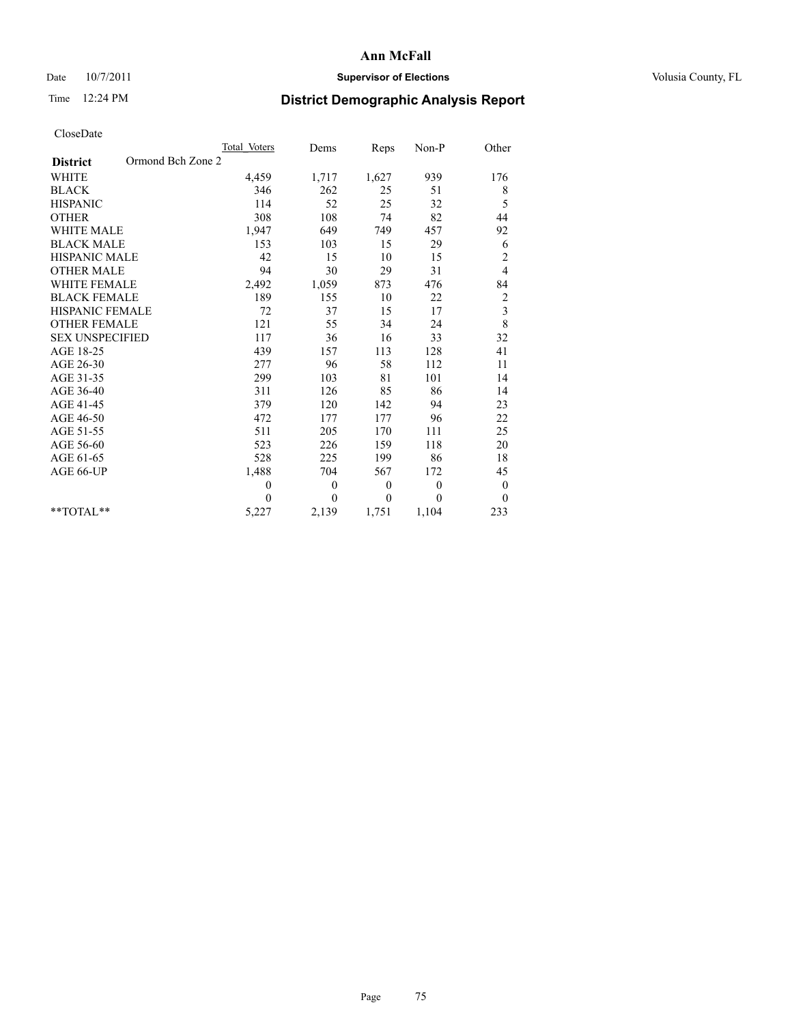## Date  $10/7/2011$  **Supervisor of Elections Supervisor of Elections** Volusia County, FL

# Time 12:24 PM **District Demographic Analysis Report**

|                                      | Total Voters | Dems         | Reps             | Non-P        | Other                   |
|--------------------------------------|--------------|--------------|------------------|--------------|-------------------------|
| Ormond Bch Zone 2<br><b>District</b> |              |              |                  |              |                         |
| <b>WHITE</b>                         | 4,459        | 1,717        | 1,627            | 939          | 176                     |
| <b>BLACK</b>                         | 346          | 262          | 25               | 51           | 8                       |
| <b>HISPANIC</b>                      | 114          | 52           | 25               | 32           | 5                       |
| <b>OTHER</b>                         | 308          | 108          | 74               | 82           | 44                      |
| <b>WHITE MALE</b>                    | 1,947        | 649          | 749              | 457          | 92                      |
| <b>BLACK MALE</b>                    | 153          | 103          | 15               | 29           | 6                       |
| <b>HISPANIC MALE</b>                 | 42           | 15           | 10               | 15           | $\overline{c}$          |
| <b>OTHER MALE</b>                    | 94           | 30           | 29               | 31           | 4                       |
| <b>WHITE FEMALE</b>                  | 2,492        | 1,059        | 873              | 476          | 84                      |
| <b>BLACK FEMALE</b>                  | 189          | 155          | 10               | 22           | $\overline{\mathbf{c}}$ |
| HISPANIC FEMALE                      | 72           | 37           | 15               | 17           | $\overline{\mathbf{3}}$ |
| <b>OTHER FEMALE</b>                  | 121          | 55           | 34               | 24           | $\,8\,$                 |
| <b>SEX UNSPECIFIED</b>               | 117          | 36           | 16               | 33           | 32                      |
| AGE 18-25                            | 439          | 157          | 113              | 128          | 41                      |
| AGE 26-30                            | 277          | 96           | 58               | 112          | 11                      |
| AGE 31-35                            | 299          | 103          | 81               | 101          | 14                      |
| AGE 36-40                            | 311          | 126          | 85               | 86           | 14                      |
| AGE 41-45                            | 379          | 120          | 142              | 94           | 23                      |
| AGE 46-50                            | 472          | 177          | 177              | 96           | 22                      |
| AGE 51-55                            | 511          | 205          | 170              | 111          | 25                      |
| AGE 56-60                            | 523          | 226          | 159              | 118          | 20                      |
| AGE 61-65                            | 528          | 225          | 199              | 86           | 18                      |
| AGE 66-UP                            | 1,488        | 704          | 567              | 172          | 45                      |
|                                      | $\mathbf{0}$ | $\mathbf{0}$ | $\boldsymbol{0}$ | $\mathbf{0}$ | $\boldsymbol{0}$        |
|                                      | $\theta$     | $\theta$     | $\theta$         | $\theta$     | $\theta$                |
| $*$ $TOTAI.**$                       | 5,227        | 2,139        | 1,751            | 1,104        | 233                     |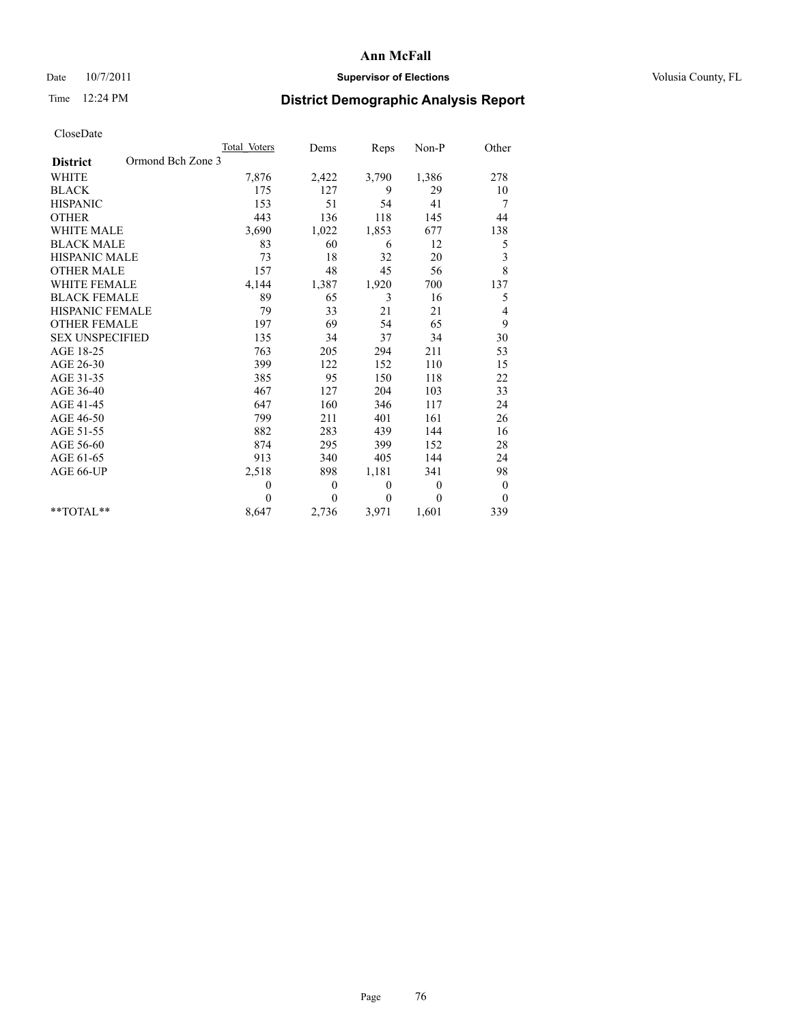## Date  $10/7/2011$  **Supervisor of Elections Supervisor of Elections** Volusia County, FL

# Time 12:24 PM **District Demographic Analysis Report**

|                                      | Total Voters | Dems         | Reps         | Non-P    | Other            |
|--------------------------------------|--------------|--------------|--------------|----------|------------------|
| Ormond Bch Zone 3<br><b>District</b> |              |              |              |          |                  |
| <b>WHITE</b>                         | 7,876        | 2,422        | 3,790        | 1,386    | 278              |
| <b>BLACK</b>                         | 175          | 127          | 9            | 29       | 10               |
| <b>HISPANIC</b>                      | 153          | 51           | 54           | 41       | 7                |
| <b>OTHER</b>                         | 443          | 136          | 118          | 145      | 44               |
| <b>WHITE MALE</b>                    | 3,690        | 1,022        | 1,853        | 677      | 138              |
| <b>BLACK MALE</b>                    | 83           | 60           | 6            | 12       | 5                |
| <b>HISPANIC MALE</b>                 | 73           | 18           | 32           | 20       | 3                |
| <b>OTHER MALE</b>                    | 157          | 48           | 45           | 56       | 8                |
| <b>WHITE FEMALE</b>                  | 4,144        | 1,387        | 1,920        | 700      | 137              |
| <b>BLACK FEMALE</b>                  | 89           | 65           | 3            | 16       | 5                |
| HISPANIC FEMALE                      | 79           | 33           | 21           | 21       | 4                |
| <b>OTHER FEMALE</b>                  | 197          | 69           | 54           | 65       | 9                |
| <b>SEX UNSPECIFIED</b>               | 135          | 34           | 37           | 34       | 30               |
| AGE 18-25                            | 763          | 205          | 294          | 211      | 53               |
| AGE 26-30                            | 399          | 122          | 152          | 110      | 15               |
| AGE 31-35                            | 385          | 95           | 150          | 118      | 22               |
| AGE 36-40                            | 467          | 127          | 204          | 103      | 33               |
| AGE 41-45                            | 647          | 160          | 346          | 117      | 24               |
| AGE 46-50                            | 799          | 211          | 401          | 161      | 26               |
| AGE 51-55                            | 882          | 283          | 439          | 144      | 16               |
| AGE 56-60                            | 874          | 295          | 399          | 152      | 28               |
| AGE 61-65                            | 913          | 340          | 405          | 144      | 24               |
| AGE 66-UP                            | 2,518        | 898          | 1,181        | 341      | 98               |
|                                      | $\mathbf{0}$ | $\mathbf{0}$ | $\theta$     | $\theta$ | $\boldsymbol{0}$ |
|                                      | $\theta$     | $\theta$     | $\mathbf{0}$ | $\theta$ | $\theta$         |
| $*$ $TOTAI.**$                       | 8,647        | 2,736        | 3,971        | 1,601    | 339              |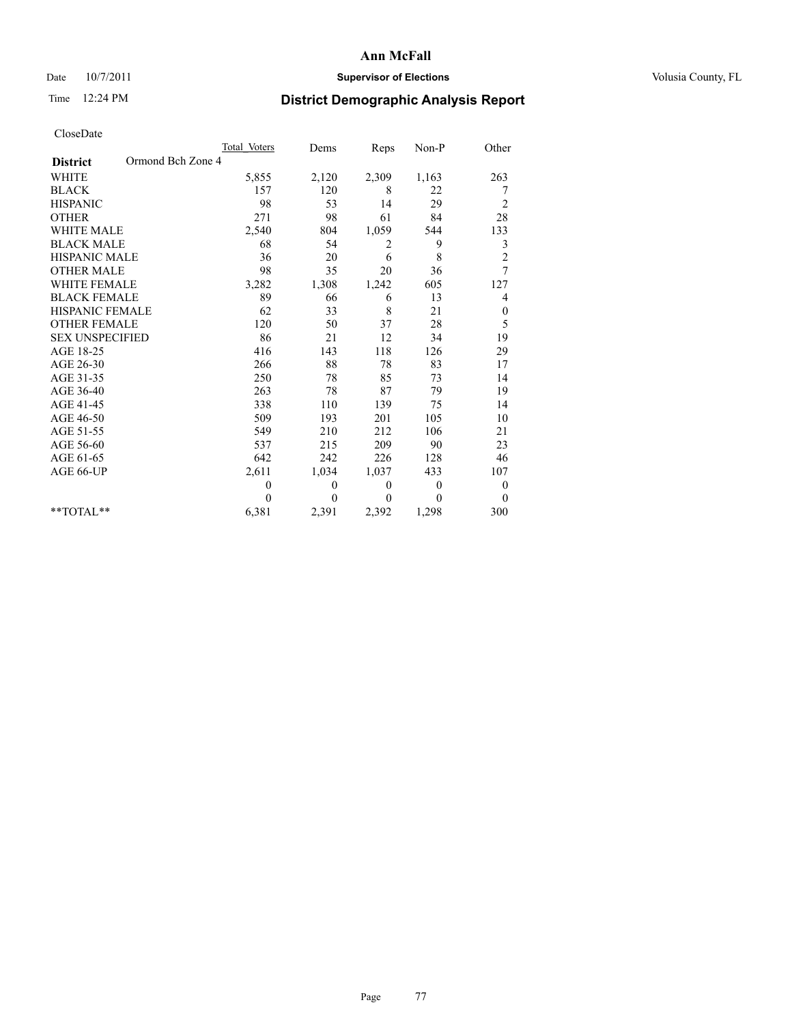## Date  $10/7/2011$  **Supervisor of Elections Supervisor of Elections** Volusia County, FL

# Time 12:24 PM **District Demographic Analysis Report**

|                                      | Total Voters | Dems         | Reps         | Non-P          | Other            |
|--------------------------------------|--------------|--------------|--------------|----------------|------------------|
| Ormond Bch Zone 4<br><b>District</b> |              |              |              |                |                  |
| <b>WHITE</b>                         | 5,855        | 2,120        | 2,309        | 1,163          | 263              |
| <b>BLACK</b>                         | 157          | 120          | 8            | 22             | 7                |
| <b>HISPANIC</b>                      | 98           | 53           | 14           | 29             | $\overline{c}$   |
| <b>OTHER</b>                         | 271          | 98           | 61           | 84             | 28               |
| <b>WHITE MALE</b>                    | 2,540        | 804          | 1,059        | 544            | 133              |
| <b>BLACK MALE</b>                    | 68           | 54           | 2            | 9              | 3                |
| <b>HISPANIC MALE</b>                 | 36           | 20           | 6            | 8              | $\overline{c}$   |
| <b>OTHER MALE</b>                    | 98           | 35           | 20           | 36             | 7                |
| <b>WHITE FEMALE</b>                  | 3,282        | 1,308        | 1,242        | 605            | 127              |
| <b>BLACK FEMALE</b>                  | 89           | 66           | 6            | 13             | 4                |
| HISPANIC FEMALE                      | 62           | 33           | 8            | 21             | $\boldsymbol{0}$ |
| <b>OTHER FEMALE</b>                  | 120          | 50           | 37           | 28             | 5                |
| <b>SEX UNSPECIFIED</b>               | 86           | 21           | 12           | 34             | 19               |
| AGE 18-25                            | 416          | 143          | 118          | 126            | 29               |
| AGE 26-30                            | 266          | 88           | 78           | 83             | 17               |
| AGE 31-35                            | 250          | 78           | 85           | 73             | 14               |
| AGE 36-40                            | 263          | 78           | 87           | 79             | 19               |
| AGE 41-45                            | 338          | 110          | 139          | 75             | 14               |
| AGE 46-50                            | 509          | 193          | 201          | 105            | 10               |
| AGE 51-55                            | 549          | 210          | 212          | 106            | 21               |
| AGE 56-60                            | 537          | 215          | 209          | 90             | 23               |
| AGE 61-65                            | 642          | 242          | 226          | 128            | 46               |
| AGE 66-UP                            | 2,611        | 1,034        | 1,037        | 433            | 107              |
|                                      | $\theta$     | $\mathbf{0}$ | $\mathbf{0}$ | $\overline{0}$ | $\boldsymbol{0}$ |
|                                      | $\theta$     | $\theta$     | $\mathbf{0}$ | $\theta$       | $\theta$         |
| $*$ $TOTAI.**$                       | 6,381        | 2,391        | 2,392        | 1,298          | 300              |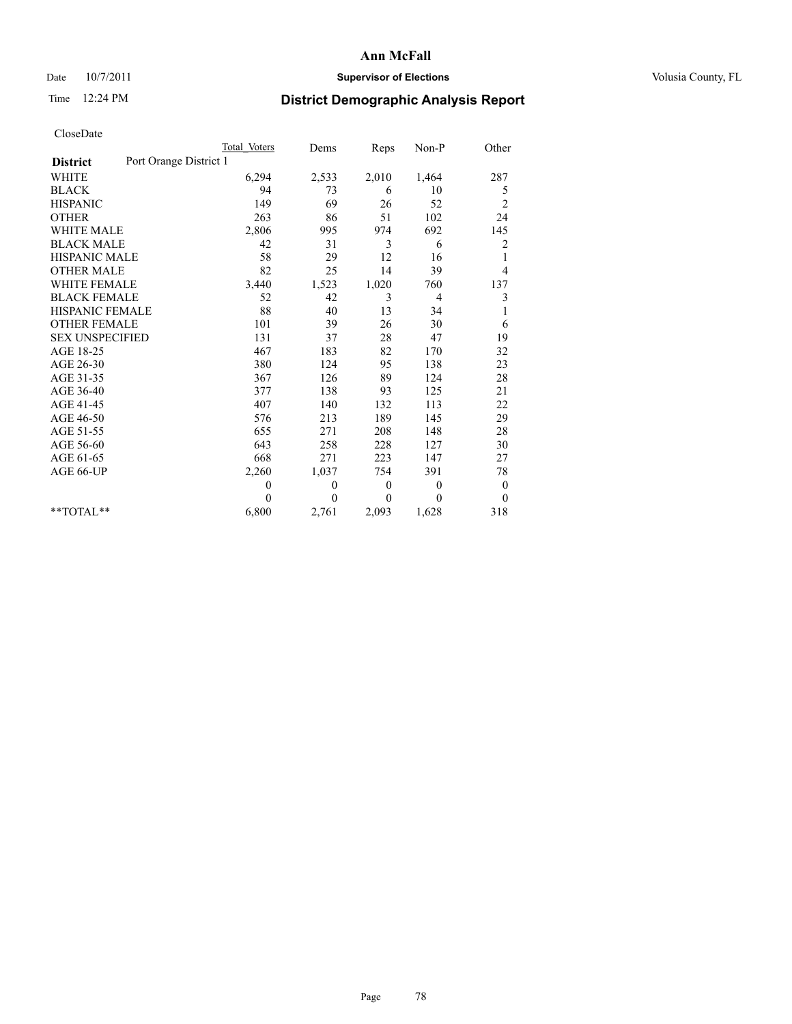## Date  $10/7/2011$  **Supervisor of Elections Supervisor of Elections** Volusia County, FL

# Time 12:24 PM **District Demographic Analysis Report**

|                                           | Total Voters | Dems         | Reps         | $Non-P$        | Other            |
|-------------------------------------------|--------------|--------------|--------------|----------------|------------------|
| Port Orange District 1<br><b>District</b> |              |              |              |                |                  |
| <b>WHITE</b>                              | 6,294        | 2,533        | 2,010        | 1,464          | 287              |
| <b>BLACK</b>                              | 94           | 73           | 6            | 10             | 5                |
| <b>HISPANIC</b>                           | 149          | 69           | 26           | 52             | $\overline{c}$   |
| <b>OTHER</b>                              | 263          | 86           | 51           | 102            | 24               |
| <b>WHITE MALE</b>                         | 2,806        | 995          | 974          | 692            | 145              |
| <b>BLACK MALE</b>                         | 42           | 31           | 3            | 6              | $\overline{c}$   |
| <b>HISPANIC MALE</b>                      | 58           | 29           | 12           | 16             | 1                |
| <b>OTHER MALE</b>                         | 82           | 25           | 14           | 39             | 4                |
| <b>WHITE FEMALE</b>                       | 3,440        | 1,523        | 1,020        | 760            | 137              |
| <b>BLACK FEMALE</b>                       | 52           | 42           | 3            | $\overline{4}$ | 3                |
| HISPANIC FEMALE                           | 88           | 40           | 13           | 34             |                  |
| <b>OTHER FEMALE</b>                       | 101          | 39           | 26           | 30             | 6                |
| <b>SEX UNSPECIFIED</b>                    | 131          | 37           | 28           | 47             | 19               |
| AGE 18-25                                 | 467          | 183          | 82           | 170            | 32               |
| AGE 26-30                                 | 380          | 124          | 95           | 138            | 23               |
| AGE 31-35                                 | 367          | 126          | 89           | 124            | 28               |
| AGE 36-40                                 | 377          | 138          | 93           | 125            | 21               |
| AGE 41-45                                 | 407          | 140          | 132          | 113            | 22               |
| AGE 46-50                                 | 576          | 213          | 189          | 145            | 29               |
| AGE 51-55                                 | 655          | 271          | 208          | 148            | 28               |
| AGE 56-60                                 | 643          | 258          | 228          | 127            | 30               |
| AGE 61-65                                 | 668          | 271          | 223          | 147            | 27               |
| AGE 66-UP                                 | 2,260        | 1,037        | 754          | 391            | 78               |
|                                           | $\theta$     | $\mathbf{0}$ | $\mathbf{0}$ | $\overline{0}$ | $\boldsymbol{0}$ |
|                                           | $\theta$     | $\theta$     | $\theta$     | $\theta$       | $\theta$         |
| $*$ $TOTAI.**$                            | 6,800        | 2,761        | 2,093        | 1,628          | 318              |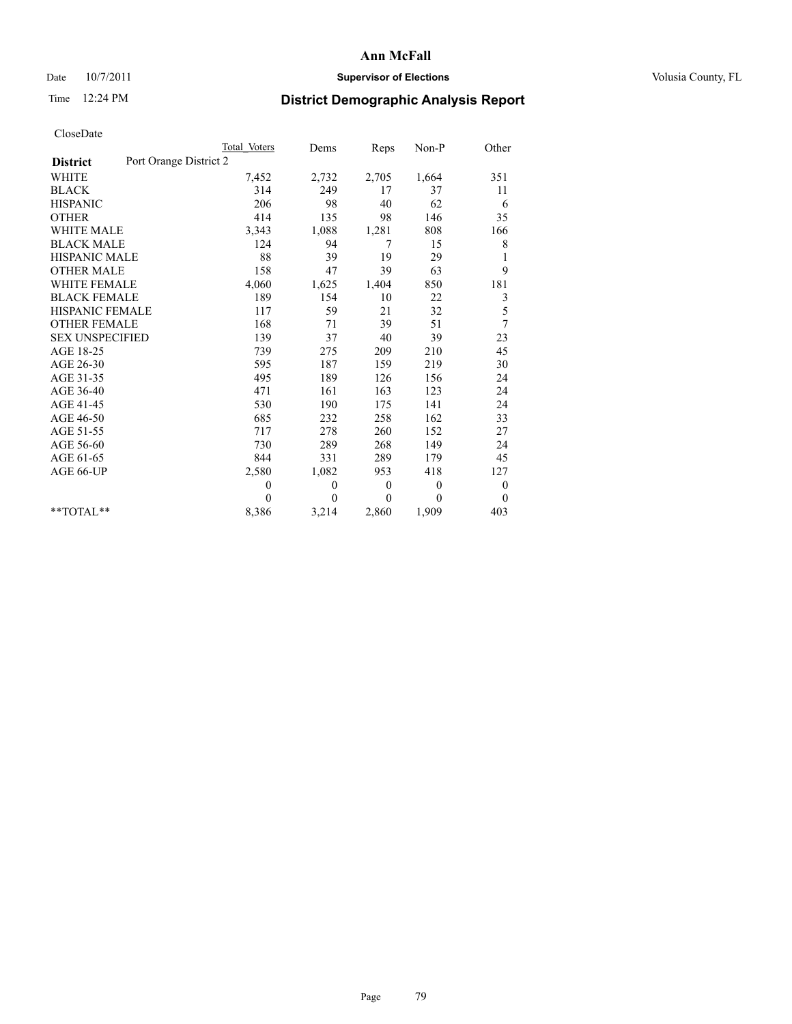## Date  $10/7/2011$  **Supervisor of Elections Supervisor of Elections** Volusia County, FL

# Time 12:24 PM **District Demographic Analysis Report**

|                                           | <b>Total Voters</b> | Dems         | Reps         | $Non-P$  | Other            |
|-------------------------------------------|---------------------|--------------|--------------|----------|------------------|
| Port Orange District 2<br><b>District</b> |                     |              |              |          |                  |
| <b>WHITE</b>                              | 7,452               | 2,732        | 2,705        | 1,664    | 351              |
| <b>BLACK</b>                              | 314                 | 249          | 17           | 37       | 11               |
| <b>HISPANIC</b>                           | 206                 | 98           | 40           | 62       | 6                |
| <b>OTHER</b>                              | 414                 | 135          | 98           | 146      | 35               |
| <b>WHITE MALE</b>                         | 3,343               | 1,088        | 1,281        | 808      | 166              |
| <b>BLACK MALE</b>                         | 124                 | 94           | 7            | 15       | 8                |
| <b>HISPANIC MALE</b>                      | $88\,$              | 39           | 19           | 29       | 1                |
| <b>OTHER MALE</b>                         | 158                 | 47           | 39           | 63       | 9                |
| <b>WHITE FEMALE</b>                       | 4,060               | 1,625        | 1,404        | 850      | 181              |
| <b>BLACK FEMALE</b>                       | 189                 | 154          | 10           | 22       | 3                |
| HISPANIC FEMALE                           | 117                 | 59           | 21           | 32       | 5                |
| <b>OTHER FEMALE</b>                       | 168                 | 71           | 39           | 51       | 7                |
| <b>SEX UNSPECIFIED</b>                    | 139                 | 37           | 40           | 39       | 23               |
| AGE 18-25                                 | 739                 | 275          | 209          | 210      | 45               |
| AGE 26-30                                 | 595                 | 187          | 159          | 219      | 30               |
| AGE 31-35                                 | 495                 | 189          | 126          | 156      | 24               |
| AGE 36-40                                 | 471                 | 161          | 163          | 123      | 24               |
| AGE 41-45                                 | 530                 | 190          | 175          | 141      | 24               |
| AGE 46-50                                 | 685                 | 232          | 258          | 162      | 33               |
| AGE 51-55                                 | 717                 | 278          | 260          | 152      | 27               |
| AGE 56-60                                 | 730                 | 289          | 268          | 149      | 24               |
| AGE 61-65                                 | 844                 | 331          | 289          | 179      | 45               |
| AGE 66-UP                                 | 2,580               | 1,082        | 953          | 418      | 127              |
|                                           | $\mathbf{0}$        | $\mathbf{0}$ | $\mathbf{0}$ | $\theta$ | $\boldsymbol{0}$ |
|                                           | $\Omega$            | $\theta$     | $\theta$     | $\theta$ | $\theta$         |
| $*$ $TOTAI.**$                            | 8,386               | 3,214        | 2,860        | 1,909    | 403              |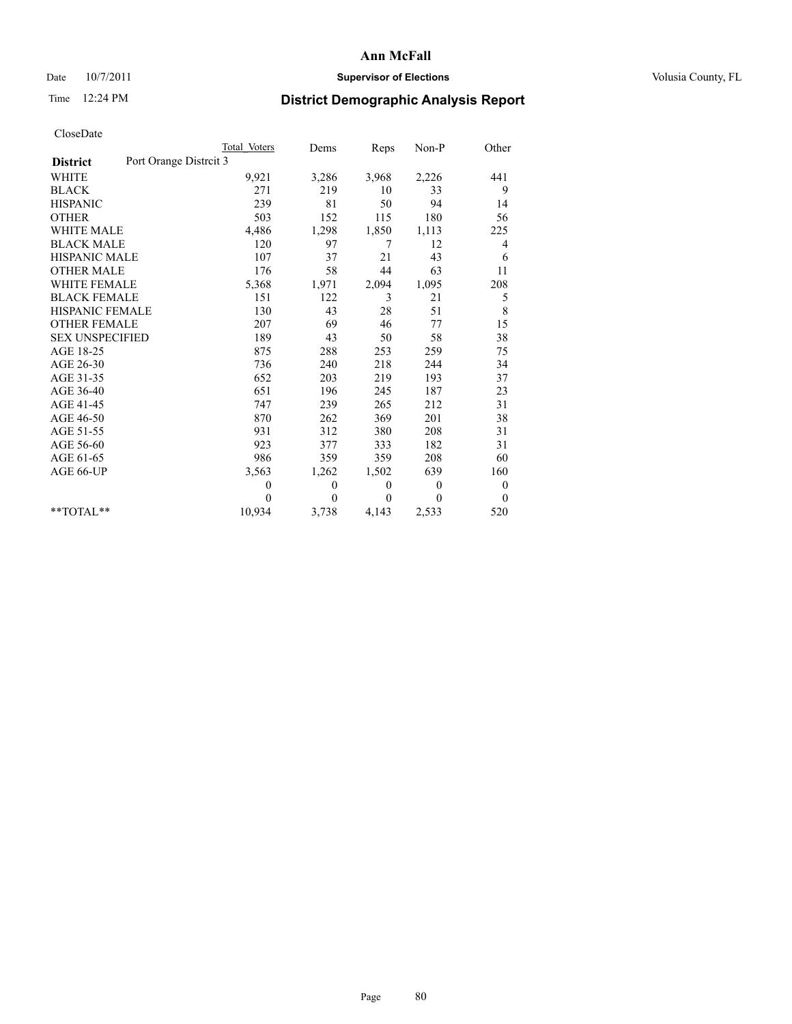## Date  $10/7/2011$  **Supervisor of Elections Supervisor of Elections** Volusia County, FL

# Time 12:24 PM **District Demographic Analysis Report**

|                                          | Total Voters | Dems     | Reps         | Non-P          | Other            |  |
|------------------------------------------|--------------|----------|--------------|----------------|------------------|--|
| Port Orange Distrit 3<br><b>District</b> |              |          |              |                |                  |  |
| <b>WHITE</b>                             | 9,921        | 3,286    | 3,968        | 2,226          | 441              |  |
| <b>BLACK</b>                             | 271          | 219      | 10           | 33             | 9                |  |
| <b>HISPANIC</b>                          | 239          | 81       | 50           | 94             | 14               |  |
| <b>OTHER</b>                             | 503          | 152      | 115          | 180            | 56               |  |
| WHITE MALE                               | 4,486        | 1,298    | 1,850        | 1,113          | 225              |  |
| <b>BLACK MALE</b>                        | 120          | 97       | 7            | 12             | $\overline{4}$   |  |
| <b>HISPANIC MALE</b>                     | 107          | 37       | 21           | 43             | 6                |  |
| <b>OTHER MALE</b>                        | 176          | 58       | 44           | 63             | 11               |  |
| <b>WHITE FEMALE</b>                      | 5,368        | 1,971    | 2,094        | 1,095          | 208              |  |
| <b>BLACK FEMALE</b>                      | 151          | 122      | 3            | 21             | 5                |  |
| <b>HISPANIC FEMALE</b>                   | 130          | 43       | 28           | 51             | 8                |  |
| <b>OTHER FEMALE</b>                      | 207          | 69       | 46           | 77             | 15               |  |
| <b>SEX UNSPECIFIED</b>                   | 189          | 43       | 50           | 58             | 38               |  |
| AGE 18-25                                | 875          | 288      | 253          | 259            | 75               |  |
| AGE 26-30                                | 736          | 240      | 218          | 244            | 34               |  |
| AGE 31-35                                | 652          | 203      | 219          | 193            | 37               |  |
| AGE 36-40                                | 651          | 196      | 245          | 187            | 23               |  |
| AGE 41-45                                | 747          | 239      | 265          | 212            | 31               |  |
| AGE 46-50                                | 870          | 262      | 369          | 201            | 38               |  |
| AGE 51-55                                | 931          | 312      | 380          | 208            | 31               |  |
| AGE 56-60                                | 923          | 377      | 333          | 182            | 31               |  |
| AGE 61-65                                | 986          | 359      | 359          | 208            | 60               |  |
| AGE 66-UP                                | 3,563        | 1,262    | 1,502        | 639            | 160              |  |
|                                          | $\theta$     | $\theta$ | $\mathbf{0}$ | $\overline{0}$ | $\boldsymbol{0}$ |  |
|                                          | $\theta$     | $\theta$ | $\Omega$     | $\Omega$       | $\mathbf{0}$     |  |
| $*$ $TOTAI.**$                           | 10,934       | 3,738    | 4,143        | 2,533          | 520              |  |